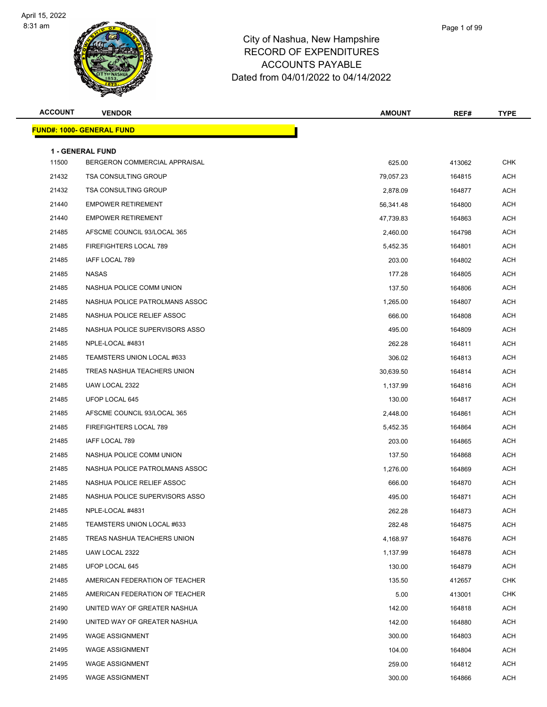

| <b>ACCOUNT</b> | <b>VENDOR</b>                                            | <b>AMOUNT</b> | REF#   | TYPE       |
|----------------|----------------------------------------------------------|---------------|--------|------------|
|                | <u> FUND#: 1000- GENERAL FUND</u>                        |               |        |            |
|                |                                                          |               |        |            |
| 11500          | <b>1 - GENERAL FUND</b><br>BERGERON COMMERCIAL APPRAISAL | 625.00        | 413062 | <b>CHK</b> |
| 21432          | <b>TSA CONSULTING GROUP</b>                              | 79,057.23     | 164815 | <b>ACH</b> |
| 21432          | <b>TSA CONSULTING GROUP</b>                              | 2,878.09      | 164877 | <b>ACH</b> |
| 21440          | <b>EMPOWER RETIREMENT</b>                                | 56,341.48     | 164800 | <b>ACH</b> |
| 21440          | <b>EMPOWER RETIREMENT</b>                                | 47,739.83     | 164863 | <b>ACH</b> |
| 21485          | AFSCME COUNCIL 93/LOCAL 365                              | 2,460.00      | 164798 | <b>ACH</b> |
| 21485          | FIREFIGHTERS LOCAL 789                                   | 5,452.35      | 164801 | <b>ACH</b> |
| 21485          | IAFF LOCAL 789                                           | 203.00        | 164802 | <b>ACH</b> |
| 21485          | <b>NASAS</b>                                             | 177.28        | 164805 | <b>ACH</b> |
| 21485          | NASHUA POLICE COMM UNION                                 | 137.50        | 164806 | <b>ACH</b> |
| 21485          | NASHUA POLICE PATROLMANS ASSOC                           | 1,265.00      | 164807 | ACH        |
| 21485          | NASHUA POLICE RELIEF ASSOC                               | 666.00        | 164808 | <b>ACH</b> |
| 21485          | NASHUA POLICE SUPERVISORS ASSO                           | 495.00        | 164809 | <b>ACH</b> |
| 21485          | NPLE-LOCAL #4831                                         | 262.28        | 164811 | <b>ACH</b> |
| 21485          | TEAMSTERS UNION LOCAL #633                               | 306.02        | 164813 | <b>ACH</b> |
| 21485          | TREAS NASHUA TEACHERS UNION                              | 30,639.50     | 164814 | ACH        |
| 21485          | UAW LOCAL 2322                                           | 1,137.99      | 164816 | <b>ACH</b> |
| 21485          | UFOP LOCAL 645                                           | 130.00        | 164817 | <b>ACH</b> |
| 21485          | AFSCME COUNCIL 93/LOCAL 365                              | 2,448.00      | 164861 | <b>ACH</b> |
| 21485          | FIREFIGHTERS LOCAL 789                                   | 5,452.35      | 164864 | ACH        |
| 21485          | IAFF LOCAL 789                                           | 203.00        | 164865 | ACH        |
| 21485          | NASHUA POLICE COMM UNION                                 | 137.50        | 164868 | <b>ACH</b> |
| 21485          | NASHUA POLICE PATROLMANS ASSOC                           | 1,276.00      | 164869 | <b>ACH</b> |
| 21485          | NASHUA POLICE RELIEF ASSOC                               | 666.00        | 164870 | ACH        |
| 21485          | NASHUA POLICE SUPERVISORS ASSO                           | 495.00        | 164871 | <b>ACH</b> |
| 21485          | NPLE-LOCAL #4831                                         | 262.28        | 164873 | ACH        |
| 21485          | TEAMSTERS UNION LOCAL #633                               | 282.48        | 164875 | ACH        |
| 21485          | TREAS NASHUA TEACHERS UNION                              | 4,168.97      | 164876 | <b>ACH</b> |
| 21485          | UAW LOCAL 2322                                           | 1,137.99      | 164878 | ACH        |
| 21485          | UFOP LOCAL 645                                           | 130.00        | 164879 | ACH        |
| 21485          | AMERICAN FEDERATION OF TEACHER                           | 135.50        | 412657 | <b>CHK</b> |
| 21485          | AMERICAN FEDERATION OF TEACHER                           | 5.00          | 413001 | CHK        |
| 21490          | UNITED WAY OF GREATER NASHUA                             | 142.00        | 164818 | ACH        |
| 21490          | UNITED WAY OF GREATER NASHUA                             | 142.00        | 164880 | ACH        |
| 21495          | <b>WAGE ASSIGNMENT</b>                                   | 300.00        | 164803 | ACH        |
| 21495          | <b>WAGE ASSIGNMENT</b>                                   | 104.00        | 164804 | ACH        |
| 21495          | <b>WAGE ASSIGNMENT</b>                                   | 259.00        | 164812 | <b>ACH</b> |
| 21495          | <b>WAGE ASSIGNMENT</b>                                   | 300.00        | 164866 | <b>ACH</b> |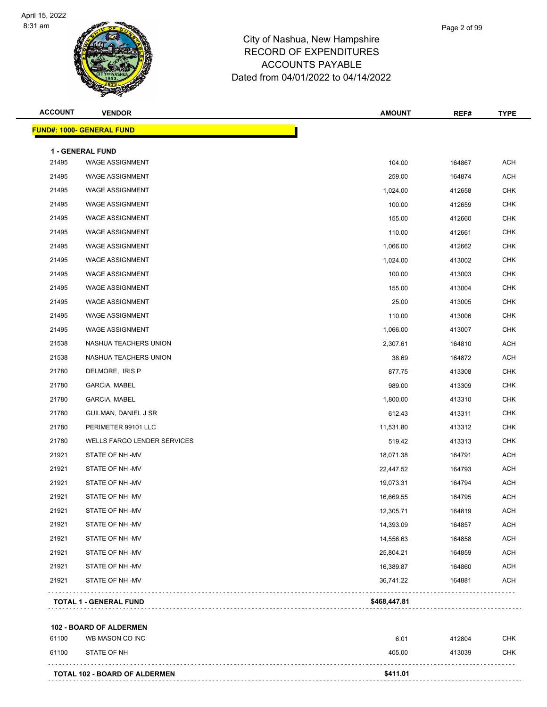

| <b>ACCOUNT</b> | <b>VENDOR</b>                        | <b>AMOUNT</b> | REF#   | <b>TYPE</b> |
|----------------|--------------------------------------|---------------|--------|-------------|
|                | <b>FUND#: 1000- GENERAL FUND</b>     |               |        |             |
|                | <b>1 - GENERAL FUND</b>              |               |        |             |
| 21495          | <b>WAGE ASSIGNMENT</b>               | 104.00        | 164867 | <b>ACH</b>  |
| 21495          | <b>WAGE ASSIGNMENT</b>               | 259.00        | 164874 | <b>ACH</b>  |
| 21495          | <b>WAGE ASSIGNMENT</b>               | 1,024.00      | 412658 | <b>CHK</b>  |
| 21495          | <b>WAGE ASSIGNMENT</b>               | 100.00        | 412659 | <b>CHK</b>  |
| 21495          | <b>WAGE ASSIGNMENT</b>               | 155.00        | 412660 | <b>CHK</b>  |
| 21495          | <b>WAGE ASSIGNMENT</b>               | 110.00        | 412661 | <b>CHK</b>  |
| 21495          | <b>WAGE ASSIGNMENT</b>               | 1,066.00      | 412662 | <b>CHK</b>  |
| 21495          | <b>WAGE ASSIGNMENT</b>               | 1,024.00      | 413002 | <b>CHK</b>  |
| 21495          | <b>WAGE ASSIGNMENT</b>               | 100.00        | 413003 | <b>CHK</b>  |
| 21495          | <b>WAGE ASSIGNMENT</b>               | 155.00        | 413004 | <b>CHK</b>  |
| 21495          | <b>WAGE ASSIGNMENT</b>               | 25.00         | 413005 | <b>CHK</b>  |
| 21495          | <b>WAGE ASSIGNMENT</b>               | 110.00        | 413006 | <b>CHK</b>  |
| 21495          | <b>WAGE ASSIGNMENT</b>               | 1,066.00      | 413007 | <b>CHK</b>  |
| 21538          | NASHUA TEACHERS UNION                | 2,307.61      | 164810 | <b>ACH</b>  |
| 21538          | NASHUA TEACHERS UNION                | 38.69         | 164872 | <b>ACH</b>  |
| 21780          | DELMORE, IRIS P                      | 877.75        | 413308 | <b>CHK</b>  |
| 21780          | <b>GARCIA, MABEL</b>                 | 989.00        | 413309 | <b>CHK</b>  |
| 21780          | GARCIA, MABEL                        | 1,800.00      | 413310 | <b>CHK</b>  |
| 21780          | GUILMAN, DANIEL J SR                 | 612.43        | 413311 | <b>CHK</b>  |
| 21780          | PERIMETER 99101 LLC                  | 11,531.80     | 413312 | <b>CHK</b>  |
| 21780          | WELLS FARGO LENDER SERVICES          | 519.42        | 413313 | <b>CHK</b>  |
| 21921          | STATE OF NH-MV                       | 18,071.38     | 164791 | <b>ACH</b>  |
| 21921          | STATE OF NH-MV                       | 22,447.52     | 164793 | <b>ACH</b>  |
| 21921          | STATE OF NH-MV                       | 19,073.31     | 164794 | <b>ACH</b>  |
| 21921          | STATE OF NH-MV                       | 16,669.55     | 164795 | <b>ACH</b>  |
| 21921          | STATE OF NH-MV                       | 12,305.71     | 164819 | <b>ACH</b>  |
| 21921          | STATE OF NH-MV                       | 14,393.09     | 164857 | <b>ACH</b>  |
| 21921          | STATE OF NH-MV                       | 14,556.63     | 164858 | <b>ACH</b>  |
| 21921          | STATE OF NH-MV                       | 25,804.21     | 164859 | <b>ACH</b>  |
| 21921          | STATE OF NH-MV                       | 16,389.87     | 164860 | <b>ACH</b>  |
| 21921          | STATE OF NH-MV                       | 36,741.22     | 164881 | <b>ACH</b>  |
|                | <b>TOTAL 1 - GENERAL FUND</b>        | \$468,447.81  |        |             |
|                | 102 - BOARD OF ALDERMEN              |               |        |             |
| 61100          | WB MASON CO INC                      | 6.01          | 412804 | CHK         |
| 61100          | STATE OF NH                          | 405.00        | 413039 | <b>CHK</b>  |
|                | <b>TOTAL 102 - BOARD OF ALDERMEN</b> | \$411.01      |        |             |

Page 2 of 99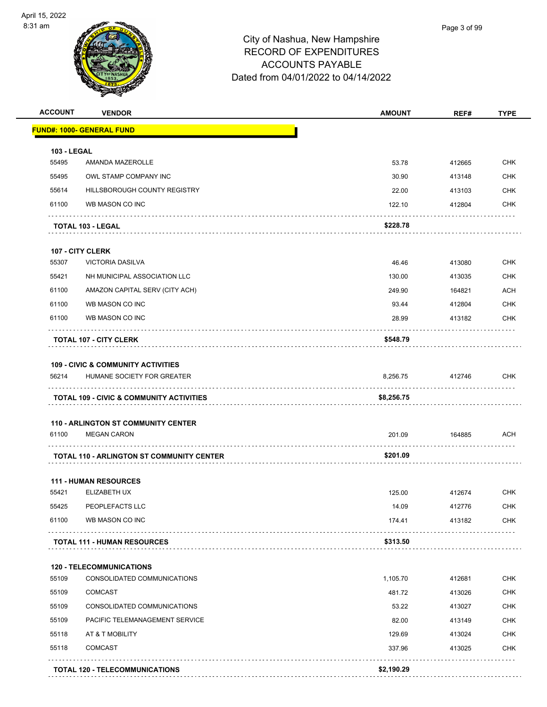

| <b>ACCOUNT</b>     | <b>VENDOR</b>                                       | <b>AMOUNT</b> | REF#   | <b>TYPE</b> |
|--------------------|-----------------------------------------------------|---------------|--------|-------------|
|                    | <b>FUND#: 1000- GENERAL FUND</b>                    |               |        |             |
| <b>103 - LEGAL</b> |                                                     |               |        |             |
| 55495              | AMANDA MAZEROLLE                                    | 53.78         | 412665 | <b>CHK</b>  |
| 55495              | OWL STAMP COMPANY INC                               | 30.90         | 413148 | <b>CHK</b>  |
| 55614              | HILLSBOROUGH COUNTY REGISTRY                        | 22.00         | 413103 | <b>CHK</b>  |
| 61100              | WB MASON CO INC                                     | 122.10        | 412804 | <b>CHK</b>  |
|                    | <b>TOTAL 103 - LEGAL</b>                            | \$228.78      |        |             |
|                    | <b>107 - CITY CLERK</b>                             |               |        |             |
| 55307              | <b>VICTORIA DASILVA</b>                             | 46.46         | 413080 | <b>CHK</b>  |
| 55421              | NH MUNICIPAL ASSOCIATION LLC                        | 130.00        | 413035 | <b>CHK</b>  |
| 61100              | AMAZON CAPITAL SERV (CITY ACH)                      | 249.90        | 164821 | <b>ACH</b>  |
| 61100              | WB MASON CO INC                                     | 93.44         | 412804 | <b>CHK</b>  |
| 61100              | WB MASON CO INC                                     | 28.99         | 413182 | CHK         |
|                    | <b>TOTAL 107 - CITY CLERK</b>                       | \$548.79      |        | .           |
|                    | <b>109 - CIVIC &amp; COMMUNITY ACTIVITIES</b>       |               |        |             |
| 56214              | HUMANE SOCIETY FOR GREATER                          | 8,256.75      | 412746 | <b>CHK</b>  |
|                    | <b>TOTAL 109 - CIVIC &amp; COMMUNITY ACTIVITIES</b> | \$8,256.75    |        |             |
|                    |                                                     |               |        |             |
|                    | <b>110 - ARLINGTON ST COMMUNITY CENTER</b>          |               |        |             |
| 61100              | <b>MEGAN CARON</b>                                  | 201.09        | 164885 | ACH         |
|                    | <b>TOTAL 110 - ARLINGTON ST COMMUNITY CENTER</b>    | \$201.09      |        |             |
|                    | <b>111 - HUMAN RESOURCES</b>                        |               |        |             |
| 55421              | ELIZABETH UX                                        | 125.00        | 412674 | <b>CHK</b>  |
| 55425              | PEOPLEFACTS LLC                                     | 14.09         | 412776 | <b>CHK</b>  |
| 61100              | WB MASON CO INC                                     | 174.41        | 413182 | <b>CHK</b>  |
|                    | <b>TOTAL 111 - HUMAN RESOURCES</b>                  | \$313.50      |        |             |
|                    | <b>120 - TELECOMMUNICATIONS</b>                     |               |        |             |
| 55109              | CONSOLIDATED COMMUNICATIONS                         | 1,105.70      | 412681 | <b>CHK</b>  |
| 55109              | <b>COMCAST</b>                                      | 481.72        | 413026 | <b>CHK</b>  |
| 55109              | CONSOLIDATED COMMUNICATIONS                         | 53.22         | 413027 | <b>CHK</b>  |
| 55109              | PACIFIC TELEMANAGEMENT SERVICE                      | 82.00         | 413149 | <b>CHK</b>  |
| 55118              | AT & T MOBILITY                                     | 129.69        | 413024 | <b>CHK</b>  |
| 55118              | <b>COMCAST</b>                                      | 337.96        | 413025 | <b>CHK</b>  |
|                    |                                                     | \$2,190.29    |        |             |
|                    | <b>TOTAL 120 - TELECOMMUNICATIONS</b>               |               |        |             |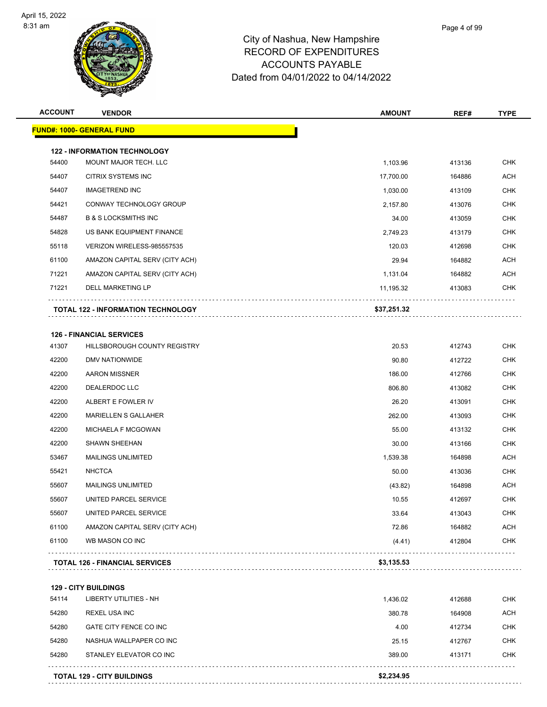

| <b>ACCOUNT</b> | <b>VENDOR</b>                             | AMOUNT      | REF#   | <b>TYPE</b> |
|----------------|-------------------------------------------|-------------|--------|-------------|
|                | <u> FUND#: 1000- GENERAL FUND</u>         |             |        |             |
|                | <b>122 - INFORMATION TECHNOLOGY</b>       |             |        |             |
| 54400          | MOUNT MAJOR TECH. LLC                     | 1,103.96    | 413136 | <b>CHK</b>  |
| 54407          | CITRIX SYSTEMS INC                        | 17,700.00   | 164886 | <b>ACH</b>  |
| 54407          | <b>IMAGETREND INC</b>                     | 1,030.00    | 413109 | <b>CHK</b>  |
| 54421          | CONWAY TECHNOLOGY GROUP                   | 2,157.80    | 413076 | <b>CHK</b>  |
| 54487          | <b>B &amp; S LOCKSMITHS INC</b>           | 34.00       | 413059 | <b>CHK</b>  |
| 54828          | US BANK EQUIPMENT FINANCE                 | 2,749.23    | 413179 | <b>CHK</b>  |
| 55118          | VERIZON WIRELESS-985557535                | 120.03      | 412698 | <b>CHK</b>  |
| 61100          | AMAZON CAPITAL SERV (CITY ACH)            | 29.94       | 164882 | <b>ACH</b>  |
| 71221          | AMAZON CAPITAL SERV (CITY ACH)            | 1,131.04    | 164882 | <b>ACH</b>  |
| 71221          | DELL MARKETING LP                         | 11,195.32   | 413083 | <b>CHK</b>  |
|                | <b>TOTAL 122 - INFORMATION TECHNOLOGY</b> | \$37,251.32 |        |             |
|                |                                           |             |        |             |
|                | <b>126 - FINANCIAL SERVICES</b>           |             |        |             |
| 41307          | HILLSBOROUGH COUNTY REGISTRY              | 20.53       | 412743 | <b>CHK</b>  |
| 42200          | DMV NATIONWIDE                            | 90.80       | 412722 | <b>CHK</b>  |
| 42200          | <b>AARON MISSNER</b>                      | 186.00      | 412766 | <b>CHK</b>  |
| 42200          | DEALERDOC LLC                             | 806.80      | 413082 | <b>CHK</b>  |
| 42200          | ALBERT E FOWLER IV                        | 26.20       | 413091 | <b>CHK</b>  |
| 42200          | <b>MARIELLEN S GALLAHER</b>               | 262.00      | 413093 | <b>CHK</b>  |
| 42200          | MICHAELA F MCGOWAN                        | 55.00       | 413132 | <b>CHK</b>  |
| 42200          | <b>SHAWN SHEEHAN</b>                      | 30.00       | 413166 | <b>CHK</b>  |
| 53467          | <b>MAILINGS UNLIMITED</b>                 | 1,539.38    | 164898 | <b>ACH</b>  |
| 55421          | <b>NHCTCA</b>                             | 50.00       | 413036 | <b>CHK</b>  |
| 55607          | MAILINGS UNLIMITED                        | (43.82)     | 164898 | <b>ACH</b>  |
| 55607          | UNITED PARCEL SERVICE                     | 10.55       | 412697 | <b>CHK</b>  |
| 55607          | UNITED PARCEL SERVICE                     | 33.64       | 413043 | <b>CHK</b>  |
| 61100          | AMAZON CAPITAL SERV (CITY ACH)            | 72.86       | 164882 | <b>ACH</b>  |
| 61100          | WB MASON CO INC                           | (4.41)      | 412804 | <b>CHK</b>  |
|                | <b>TOTAL 126 - FINANCIAL SERVICES</b>     | \$3,135.53  |        |             |
|                |                                           |             |        |             |

**129 - CITY BUILDINGS**

|       | <b>TOTAL 129 - CITY BUILDINGS</b> | \$2,234.95 |        |            |
|-------|-----------------------------------|------------|--------|------------|
| 54280 | STANLEY ELEVATOR CO INC           | 389.00     | 413171 | <b>CHK</b> |
| 54280 | NASHUA WALLPAPER CO INC           | 25.15      | 412767 | <b>CHK</b> |
| 54280 | GATE CITY FENCE CO INC            | 4.00       | 412734 | <b>CHK</b> |
| 54280 | <b>REXEL USA INC</b>              | 380.78     | 164908 | <b>ACH</b> |
| 54114 | LIBERTY UTILITIES - NH            | 1.436.02   | 412688 | <b>CHK</b> |
|       |                                   |            |        |            |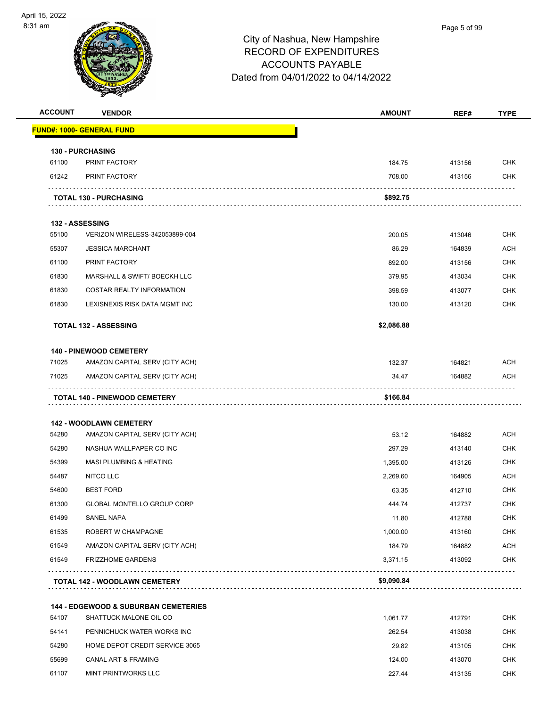

| <b>ACCOUNT</b> | <b>VENDOR</b>                                                    | <b>AMOUNT</b> | REF#   | <b>TYPE</b> |
|----------------|------------------------------------------------------------------|---------------|--------|-------------|
|                | <b>FUND#: 1000- GENERAL FUND</b>                                 |               |        |             |
|                | <b>130 - PURCHASING</b>                                          |               |        |             |
| 61100          | PRINT FACTORY                                                    | 184.75        | 413156 | <b>CHK</b>  |
| 61242          | PRINT FACTORY                                                    | 708.00        | 413156 | <b>CHK</b>  |
|                | <b>TOTAL 130 - PURCHASING</b>                                    | \$892.75      |        |             |
|                | 132 - ASSESSING                                                  |               |        |             |
| 55100          | VERIZON WIRELESS-342053899-004                                   | 200.05        | 413046 | <b>CHK</b>  |
| 55307          | <b>JESSICA MARCHANT</b>                                          | 86.29         | 164839 | <b>ACH</b>  |
| 61100          | PRINT FACTORY                                                    | 892.00        | 413156 | <b>CHK</b>  |
| 61830          | MARSHALL & SWIFT/ BOECKH LLC                                     | 379.95        | 413034 | <b>CHK</b>  |
| 61830          | <b>COSTAR REALTY INFORMATION</b>                                 | 398.59        | 413077 | <b>CHK</b>  |
| 61830          | LEXISNEXIS RISK DATA MGMT INC                                    | 130.00        | 413120 | <b>CHK</b>  |
|                | <b>TOTAL 132 - ASSESSING</b>                                     | \$2,086.88    |        |             |
|                |                                                                  |               |        |             |
| 71025          | <b>140 - PINEWOOD CEMETERY</b><br>AMAZON CAPITAL SERV (CITY ACH) | 132.37        | 164821 | <b>ACH</b>  |
| 71025          | AMAZON CAPITAL SERV (CITY ACH)                                   | 34.47         | 164882 | ACH         |
|                |                                                                  |               |        |             |
|                | <b>TOTAL 140 - PINEWOOD CEMETERY</b>                             | \$166.84      |        |             |
|                | <b>142 - WOODLAWN CEMETERY</b>                                   |               |        |             |
| 54280          | AMAZON CAPITAL SERV (CITY ACH)                                   | 53.12         | 164882 | ACH         |
| 54280          | NASHUA WALLPAPER CO INC                                          | 297.29        | 413140 | <b>CHK</b>  |
| 54399          | <b>MASI PLUMBING &amp; HEATING</b>                               | 1,395.00      | 413126 | <b>CHK</b>  |
| 54487          | <b>NITCO LLC</b>                                                 | 2,269.60      | 164905 | <b>ACH</b>  |
| 54600          | <b>BEST FORD</b>                                                 | 63.35         | 412710 | <b>CHK</b>  |
| 61300          | <b>GLOBAL MONTELLO GROUP CORP</b>                                | 444.74        | 412737 | <b>CHK</b>  |
| 61499          | SANEL NAPA                                                       | 11.80         | 412788 | <b>CHK</b>  |
| 61535          | ROBERT W CHAMPAGNE                                               | 1,000.00      | 413160 | <b>CHK</b>  |
| 61549          | AMAZON CAPITAL SERV (CITY ACH)                                   | 184.79        | 164882 | <b>ACH</b>  |
| 61549          | <b>FRIZZHOME GARDENS</b>                                         | 3,371.15      | 413092 | <b>CHK</b>  |
|                | TOTAL 142 - WOODLAWN CEMETERY                                    | \$9,090.84    |        |             |
|                |                                                                  |               |        |             |
|                | <b>144 - EDGEWOOD &amp; SUBURBAN CEMETERIES</b>                  |               |        |             |
| 54107          | SHATTUCK MALONE OIL CO                                           | 1,061.77      | 412791 | <b>CHK</b>  |
| 54141          | PENNICHUCK WATER WORKS INC                                       | 262.54        | 413038 | <b>CHK</b>  |
| 54280          | HOME DEPOT CREDIT SERVICE 3065                                   | 29.82         | 413105 | <b>CHK</b>  |
| 55699          | CANAL ART & FRAMING                                              | 124.00        | 413070 | <b>CHK</b>  |
| 61107          | MINT PRINTWORKS LLC                                              | 227.44        | 413135 | CHK         |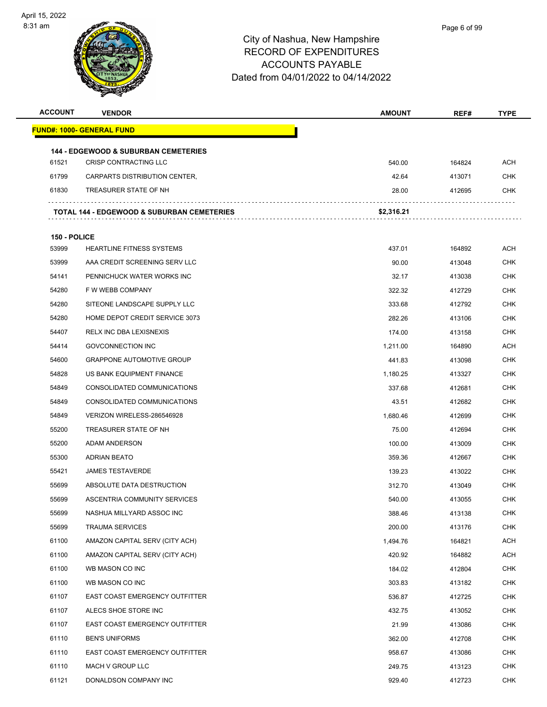

| <b>ACCOUNT</b> | <b>VENDOR</b>                                                            | <b>AMOUNT</b> | REF#   | <b>TYPE</b> |
|----------------|--------------------------------------------------------------------------|---------------|--------|-------------|
|                | <u> FUND#: 1000- GENERAL FUND</u>                                        |               |        |             |
|                |                                                                          |               |        |             |
| 61521          | <b>144 - EDGEWOOD &amp; SUBURBAN CEMETERIES</b><br>CRISP CONTRACTING LLC | 540.00        | 164824 | ACH         |
| 61799          | CARPARTS DISTRIBUTION CENTER,                                            | 42.64         | 413071 | <b>CHK</b>  |
| 61830          | TREASURER STATE OF NH                                                    | 28.00         | 412695 | CHK         |
|                |                                                                          |               |        |             |
|                | <b>TOTAL 144 - EDGEWOOD &amp; SUBURBAN CEMETERIES</b>                    | \$2,316.21    |        |             |
| 150 - POLICE   |                                                                          |               |        |             |
| 53999          | <b>HEARTLINE FITNESS SYSTEMS</b>                                         | 437.01        | 164892 | ACH         |
| 53999          | AAA CREDIT SCREENING SERV LLC                                            | 90.00         | 413048 | <b>CHK</b>  |
| 54141          | PENNICHUCK WATER WORKS INC                                               | 32.17         | 413038 | CHK         |
| 54280          | F W WEBB COMPANY                                                         | 322.32        | 412729 | CHK         |
| 54280          | SITEONE LANDSCAPE SUPPLY LLC                                             | 333.68        | 412792 | CHK         |
| 54280          | HOME DEPOT CREDIT SERVICE 3073                                           | 282.26        | 413106 | <b>CHK</b>  |
| 54407          | <b>RELX INC DBA LEXISNEXIS</b>                                           | 174.00        | 413158 | <b>CHK</b>  |
| 54414          | <b>GOVCONNECTION INC</b>                                                 | 1,211.00      | 164890 | ACH         |
| 54600          | <b>GRAPPONE AUTOMOTIVE GROUP</b>                                         | 441.83        | 413098 | <b>CHK</b>  |
| 54828          | US BANK EQUIPMENT FINANCE                                                | 1,180.25      | 413327 | CHK         |
| 54849          | CONSOLIDATED COMMUNICATIONS                                              | 337.68        | 412681 | <b>CHK</b>  |
| 54849          | CONSOLIDATED COMMUNICATIONS                                              | 43.51         | 412682 | <b>CHK</b>  |
| 54849          | VERIZON WIRELESS-286546928                                               | 1,680.46      | 412699 | <b>CHK</b>  |
| 55200          | TREASURER STATE OF NH                                                    | 75.00         | 412694 | <b>CHK</b>  |
| 55200          | ADAM ANDERSON                                                            | 100.00        | 413009 | CHK         |
| 55300          | <b>ADRIAN BEATO</b>                                                      | 359.36        | 412667 | CHK         |
| 55421          | <b>JAMES TESTAVERDE</b>                                                  | 139.23        | 413022 | <b>CHK</b>  |
| 55699          | ABSOLUTE DATA DESTRUCTION                                                | 312.70        | 413049 | <b>CHK</b>  |
| 55699          | ASCENTRIA COMMUNITY SERVICES                                             | 540.00        | 413055 | <b>CHK</b>  |
| 55699          | NASHUA MILLYARD ASSOC INC                                                | 388.46        | 413138 | CHK         |
| 55699          | <b>TRAUMA SERVICES</b>                                                   | 200.00        | 413176 | <b>CHK</b>  |
| 61100          | AMAZON CAPITAL SERV (CITY ACH)                                           | 1,494.76      | 164821 | ACH         |
| 61100          | AMAZON CAPITAL SERV (CITY ACH)                                           | 420.92        | 164882 | ACH         |
| 61100          | WB MASON CO INC                                                          | 184.02        | 412804 | <b>CHK</b>  |
| 61100          | WB MASON CO INC                                                          | 303.83        | 413182 | <b>CHK</b>  |
| 61107          | EAST COAST EMERGENCY OUTFITTER                                           | 536.87        | 412725 | <b>CHK</b>  |
| 61107          | ALECS SHOE STORE INC                                                     | 432.75        | 413052 | <b>CHK</b>  |
| 61107          | EAST COAST EMERGENCY OUTFITTER                                           | 21.99         | 413086 | <b>CHK</b>  |
| 61110          | <b>BEN'S UNIFORMS</b>                                                    | 362.00        | 412708 | <b>CHK</b>  |
| 61110          | EAST COAST EMERGENCY OUTFITTER                                           | 958.67        | 413086 | <b>CHK</b>  |
| 61110          | MACH V GROUP LLC                                                         | 249.75        | 413123 | <b>CHK</b>  |
| 61121          | DONALDSON COMPANY INC                                                    | 929.40        | 412723 | <b>CHK</b>  |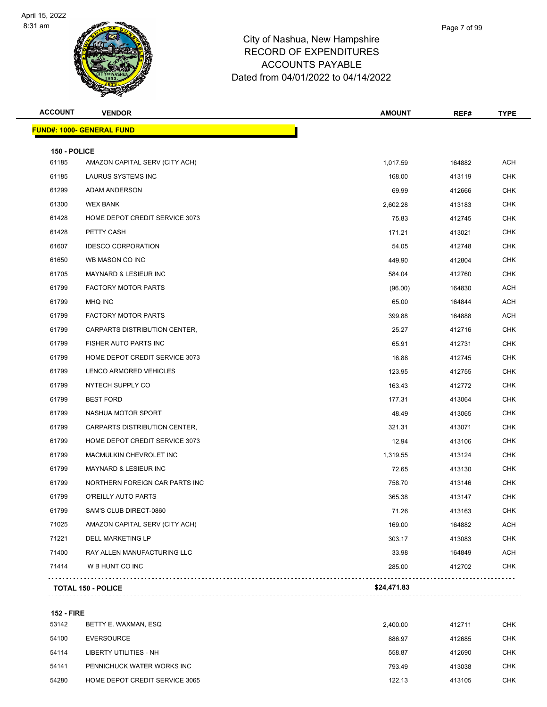

| <b>ACCOUNT</b>        | <b>VENDOR</b>                     | AMOUNT      | REF#   | <b>TYPE</b> |
|-----------------------|-----------------------------------|-------------|--------|-------------|
|                       | <u> FUND#: 1000- GENERAL FUND</u> |             |        |             |
|                       |                                   |             |        |             |
| 150 - POLICE<br>61185 | AMAZON CAPITAL SERV (CITY ACH)    | 1,017.59    | 164882 | <b>ACH</b>  |
| 61185                 | LAURUS SYSTEMS INC                | 168.00      | 413119 | <b>CHK</b>  |
| 61299                 | ADAM ANDERSON                     | 69.99       | 412666 | CHK         |
| 61300                 | <b>WEX BANK</b>                   | 2,602.28    | 413183 | <b>CHK</b>  |
| 61428                 | HOME DEPOT CREDIT SERVICE 3073    | 75.83       | 412745 | <b>CHK</b>  |
| 61428                 | PETTY CASH                        | 171.21      | 413021 | CHK         |
| 61607                 | <b>IDESCO CORPORATION</b>         | 54.05       | 412748 | <b>CHK</b>  |
| 61650                 | WB MASON CO INC                   | 449.90      | 412804 | CHK         |
| 61705                 | MAYNARD & LESIEUR INC             | 584.04      | 412760 | <b>CHK</b>  |
| 61799                 | <b>FACTORY MOTOR PARTS</b>        | (96.00)     | 164830 | ACH         |
| 61799                 | MHQ INC                           | 65.00       | 164844 | ACH         |
| 61799                 | <b>FACTORY MOTOR PARTS</b>        | 399.88      | 164888 | ACH         |
| 61799                 | CARPARTS DISTRIBUTION CENTER,     | 25.27       | 412716 | CHK         |
| 61799                 | FISHER AUTO PARTS INC             | 65.91       | 412731 | <b>CHK</b>  |
| 61799                 | HOME DEPOT CREDIT SERVICE 3073    | 16.88       | 412745 | <b>CHK</b>  |
| 61799                 | LENCO ARMORED VEHICLES            | 123.95      | 412755 | CHK         |
| 61799                 | NYTECH SUPPLY CO                  | 163.43      | 412772 | <b>CHK</b>  |
| 61799                 | <b>BEST FORD</b>                  | 177.31      | 413064 | CHK         |
| 61799                 | NASHUA MOTOR SPORT                | 48.49       | 413065 | <b>CHK</b>  |
| 61799                 | CARPARTS DISTRIBUTION CENTER,     | 321.31      | 413071 | <b>CHK</b>  |
| 61799                 | HOME DEPOT CREDIT SERVICE 3073    | 12.94       | 413106 | CHK         |
| 61799                 | MACMULKIN CHEVROLET INC           | 1,319.55    | 413124 | <b>CHK</b>  |
| 61799                 | MAYNARD & LESIEUR INC             | 72.65       | 413130 | CHK         |
| 61799                 | NORTHERN FOREIGN CAR PARTS INC    | 758.70      | 413146 | <b>CHK</b>  |
| 61799                 | O'REILLY AUTO PARTS               | 365.38      | 413147 | <b>CHK</b>  |
| 61799                 | SAM'S CLUB DIRECT-0860            | 71.26       | 413163 | CHK         |
| 71025                 | AMAZON CAPITAL SERV (CITY ACH)    | 169.00      | 164882 | <b>ACH</b>  |
| 71221                 | <b>DELL MARKETING LP</b>          | 303.17      | 413083 | <b>CHK</b>  |
| 71400                 | RAY ALLEN MANUFACTURING LLC       | 33.98       | 164849 | <b>ACH</b>  |
| 71414                 | W B HUNT CO INC                   | 285.00      | 412702 | <b>CHK</b>  |
|                       | <b>TOTAL 150 - POLICE</b>         | \$24,471.83 |        |             |
|                       |                                   |             |        |             |

**152 - FIRE**

| 53142 | BETTY E. WAXMAN, ESQ           | 2.400.00 | 412711 | <b>CHK</b> |
|-------|--------------------------------|----------|--------|------------|
| 54100 | EVERSOURCE                     | 886.97   | 412685 | <b>CHK</b> |
| 54114 | LIBERTY UTILITIES - NH         | 558.87   | 412690 | <b>CHK</b> |
| 54141 | PENNICHUCK WATER WORKS INC     | 793.49   | 413038 | <b>CHK</b> |
| 54280 | HOME DEPOT CREDIT SERVICE 3065 | 122.13   | 413105 | <b>CHK</b> |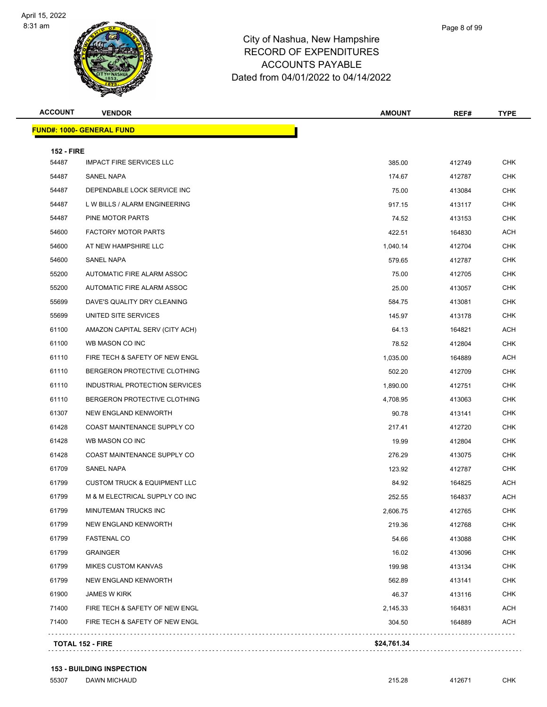

| Page 8 of 99 |
|--------------|
|              |

| <b>ACCOUNT</b>    | <b>VENDOR</b>                           | <b>AMOUNT</b> | REF#   | <b>TYPE</b> |
|-------------------|-----------------------------------------|---------------|--------|-------------|
|                   | <b>FUND#: 1000- GENERAL FUND</b>        |               |        |             |
| <b>152 - FIRE</b> |                                         |               |        |             |
| 54487             | <b>IMPACT FIRE SERVICES LLC</b>         | 385.00        | 412749 | <b>CHK</b>  |
| 54487             | SANEL NAPA                              | 174.67        | 412787 | <b>CHK</b>  |
| 54487             | DEPENDABLE LOCK SERVICE INC             | 75.00         | 413084 | <b>CHK</b>  |
| 54487             | L W BILLS / ALARM ENGINEERING           | 917.15        | 413117 | <b>CHK</b>  |
| 54487             | PINE MOTOR PARTS                        | 74.52         | 413153 | <b>CHK</b>  |
| 54600             | <b>FACTORY MOTOR PARTS</b>              | 422.51        | 164830 | <b>ACH</b>  |
| 54600             | AT NEW HAMPSHIRE LLC                    | 1,040.14      | 412704 | <b>CHK</b>  |
| 54600             | SANEL NAPA                              | 579.65        | 412787 | <b>CHK</b>  |
| 55200             | AUTOMATIC FIRE ALARM ASSOC              | 75.00         | 412705 | <b>CHK</b>  |
| 55200             | AUTOMATIC FIRE ALARM ASSOC              | 25.00         | 413057 | <b>CHK</b>  |
| 55699             | DAVE'S QUALITY DRY CLEANING             | 584.75        | 413081 | <b>CHK</b>  |
| 55699             | UNITED SITE SERVICES                    | 145.97        | 413178 | <b>CHK</b>  |
| 61100             | AMAZON CAPITAL SERV (CITY ACH)          | 64.13         | 164821 | <b>ACH</b>  |
| 61100             | WB MASON CO INC                         | 78.52         | 412804 | <b>CHK</b>  |
| 61110             | FIRE TECH & SAFETY OF NEW ENGL          | 1,035.00      | 164889 | <b>ACH</b>  |
| 61110             | BERGERON PROTECTIVE CLOTHING            | 502.20        | 412709 | <b>CHK</b>  |
| 61110             | INDUSTRIAL PROTECTION SERVICES          | 1,890.00      | 412751 | <b>CHK</b>  |
| 61110             | BERGERON PROTECTIVE CLOTHING            | 4,708.95      | 413063 | <b>CHK</b>  |
| 61307             | NEW ENGLAND KENWORTH                    | 90.78         | 413141 | <b>CHK</b>  |
| 61428             | COAST MAINTENANCE SUPPLY CO             | 217.41        | 412720 | <b>CHK</b>  |
| 61428             | WB MASON CO INC                         | 19.99         | 412804 | <b>CHK</b>  |
| 61428             | COAST MAINTENANCE SUPPLY CO             | 276.29        | 413075 | <b>CHK</b>  |
| 61709             | SANEL NAPA                              | 123.92        | 412787 | <b>CHK</b>  |
| 61799             | <b>CUSTOM TRUCK &amp; EQUIPMENT LLC</b> | 84.92         | 164825 | <b>ACH</b>  |
| 61799             | M & M ELECTRICAL SUPPLY CO INC          | 252.55        | 164837 | <b>ACH</b>  |
| 61799             | MINUTEMAN TRUCKS INC                    | 2,606.75      | 412765 | <b>CHK</b>  |
| 61799             | NEW ENGLAND KENWORTH                    | 219.36        | 412768 | <b>CHK</b>  |
| 61799             | <b>FASTENAL CO</b>                      | 54.66         | 413088 | <b>CHK</b>  |
| 61799             | <b>GRAINGER</b>                         | 16.02         | 413096 | <b>CHK</b>  |
| 61799             | <b>MIKES CUSTOM KANVAS</b>              | 199.98        | 413134 | <b>CHK</b>  |
| 61799             | NEW ENGLAND KENWORTH                    | 562.89        | 413141 | <b>CHK</b>  |
| 61900             | JAMES W KIRK                            | 46.37         | 413116 | <b>CHK</b>  |
| 71400             | FIRE TECH & SAFETY OF NEW ENGL          | 2,145.33      | 164831 | <b>ACH</b>  |
| 71400             | FIRE TECH & SAFETY OF NEW ENGL          | 304.50        | 164889 | <b>ACH</b>  |

**153 - BUILDING INSPECTION**

DAWN MICHAUD 215.28 412671 CHK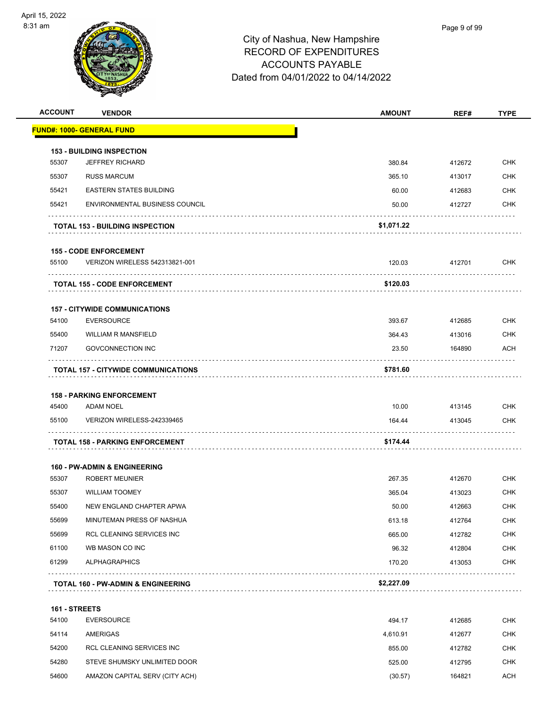

| <b>ACCOUNT</b> | <b>VENDOR</b>                                 | <b>AMOUNT</b> | REF#   | <b>TYPE</b> |
|----------------|-----------------------------------------------|---------------|--------|-------------|
|                | <u> FUND#: 1000- GENERAL FUND</u>             |               |        |             |
|                | <b>153 - BUILDING INSPECTION</b>              |               |        |             |
| 55307          | <b>JEFFREY RICHARD</b>                        | 380.84        | 412672 | <b>CHK</b>  |
| 55307          | <b>RUSS MARCUM</b>                            | 365.10        | 413017 | <b>CHK</b>  |
| 55421          | <b>EASTERN STATES BUILDING</b>                | 60.00         | 412683 | <b>CHK</b>  |
| 55421          | <b>ENVIRONMENTAL BUSINESS COUNCIL</b>         | 50.00         | 412727 | <b>CHK</b>  |
|                | <b>TOTAL 153 - BUILDING INSPECTION</b>        | \$1,071.22    |        |             |
|                | <b>155 - CODE ENFORCEMENT</b>                 |               |        |             |
| 55100          | VERIZON WIRELESS 542313821-001                | 120.03        | 412701 | <b>CHK</b>  |
|                | <b>TOTAL 155 - CODE ENFORCEMENT</b>           | \$120.03      |        |             |
|                | <b>157 - CITYWIDE COMMUNICATIONS</b>          |               |        |             |
| 54100          | <b>EVERSOURCE</b>                             | 393.67        | 412685 | <b>CHK</b>  |
| 55400          | <b>WILLIAM R MANSFIELD</b>                    | 364.43        | 413016 | <b>CHK</b>  |
| 71207          | <b>GOVCONNECTION INC</b>                      | 23.50         | 164890 | <b>ACH</b>  |
|                | <b>TOTAL 157 - CITYWIDE COMMUNICATIONS</b>    | \$781.60      |        |             |
|                | <b>158 - PARKING ENFORCEMENT</b>              |               |        |             |
| 45400          | <b>ADAM NOEL</b>                              | 10.00         | 413145 | <b>CHK</b>  |
| 55100          | VERIZON WIRELESS-242339465                    | 164.44        | 413045 | <b>CHK</b>  |
|                | <b>TOTAL 158 - PARKING ENFORCEMENT</b>        | \$174.44      |        |             |
|                | <b>160 - PW-ADMIN &amp; ENGINEERING</b>       |               |        |             |
| 55307          | <b>ROBERT MEUNIER</b>                         | 267.35        | 412670 | <b>CHK</b>  |
| 55307          | <b>WILLIAM TOOMEY</b>                         | 365.04        | 413023 | <b>CHK</b>  |
| 55400          | NEW ENGLAND CHAPTER APWA                      | 50.00         | 412663 | <b>CHK</b>  |
| 55699          | MINUTEMAN PRESS OF NASHUA                     | 613.18        | 412764 | <b>CHK</b>  |
| 55699          | RCL CLEANING SERVICES INC                     | 665.00        | 412782 | <b>CHK</b>  |
| 61100          | WB MASON CO INC                               | 96.32         | 412804 | <b>CHK</b>  |
| 61299          | <b>ALPHAGRAPHICS</b>                          | 170.20        | 413053 | <b>CHK</b>  |
|                | <b>TOTAL 160 - PW-ADMIN &amp; ENGINEERING</b> | \$2,227.09    |        |             |
| 161 - STREETS  |                                               |               |        |             |
| 54100          | <b>EVERSOURCE</b>                             | 494.17        | 412685 | <b>CHK</b>  |
| 54114          | AMERIGAS                                      | 4,610.91      | 412677 | <b>CHK</b>  |
| 54200          | RCL CLEANING SERVICES INC                     | 855.00        | 412782 | <b>CHK</b>  |
| 54280          | STEVE SHUMSKY UNLIMITED DOOR                  | 525.00        | 412795 | <b>CHK</b>  |
| 54600          | AMAZON CAPITAL SERV (CITY ACH)                | (30.57)       | 164821 | <b>ACH</b>  |
|                |                                               |               |        |             |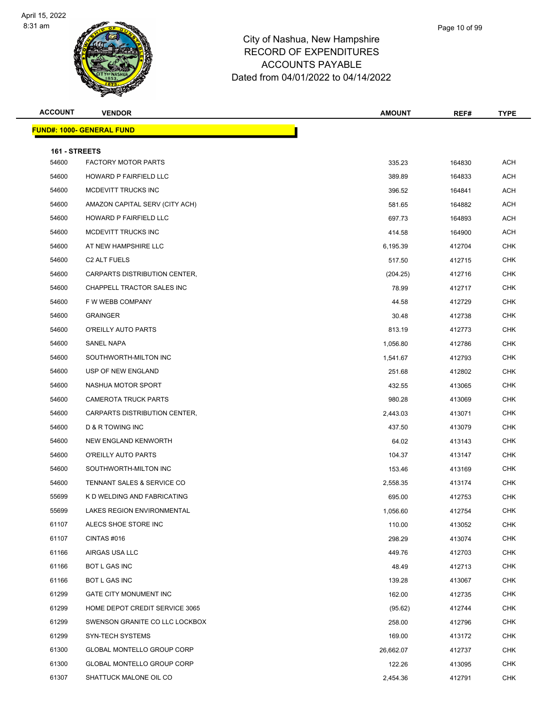

| Page 10 of 99 |  |
|---------------|--|
|               |  |
|               |  |

| <b>ACCOUNT</b>         | <b>VENDOR</b>                    | <b>AMOUNT</b> | REF#   | <b>TYPE</b> |
|------------------------|----------------------------------|---------------|--------|-------------|
|                        | <b>FUND#: 1000- GENERAL FUND</b> |               |        |             |
|                        |                                  |               |        |             |
| 161 - STREETS<br>54600 | <b>FACTORY MOTOR PARTS</b>       | 335.23        | 164830 | <b>ACH</b>  |
| 54600                  | HOWARD P FAIRFIELD LLC           | 389.89        | 164833 | ACH         |
| 54600                  | MCDEVITT TRUCKS INC              | 396.52        | 164841 | <b>ACH</b>  |
| 54600                  | AMAZON CAPITAL SERV (CITY ACH)   | 581.65        | 164882 | <b>ACH</b>  |
| 54600                  | HOWARD P FAIRFIELD LLC           | 697.73        | 164893 | <b>ACH</b>  |
| 54600                  | MCDEVITT TRUCKS INC              | 414.58        | 164900 | ACH         |
| 54600                  | AT NEW HAMPSHIRE LLC             | 6,195.39      | 412704 | <b>CHK</b>  |
| 54600                  | C <sub>2</sub> ALT FUELS         | 517.50        | 412715 | <b>CHK</b>  |
| 54600                  | CARPARTS DISTRIBUTION CENTER,    | (204.25)      | 412716 | CHK         |
| 54600                  | CHAPPELL TRACTOR SALES INC       | 78.99         | 412717 | <b>CHK</b>  |
| 54600                  | F W WEBB COMPANY                 | 44.58         | 412729 | <b>CHK</b>  |
| 54600                  | <b>GRAINGER</b>                  | 30.48         | 412738 | CHK         |
| 54600                  | O'REILLY AUTO PARTS              | 813.19        | 412773 | <b>CHK</b>  |
| 54600                  | <b>SANEL NAPA</b>                | 1,056.80      | 412786 | <b>CHK</b>  |
| 54600                  | SOUTHWORTH-MILTON INC            | 1,541.67      | 412793 | <b>CHK</b>  |
| 54600                  | USP OF NEW ENGLAND               | 251.68        | 412802 | <b>CHK</b>  |
| 54600                  | NASHUA MOTOR SPORT               | 432.55        | 413065 | <b>CHK</b>  |
| 54600                  | <b>CAMEROTA TRUCK PARTS</b>      | 980.28        | 413069 | <b>CHK</b>  |
| 54600                  | CARPARTS DISTRIBUTION CENTER,    | 2,443.03      | 413071 | CHK         |
| 54600                  | D & R TOWING INC                 | 437.50        | 413079 | <b>CHK</b>  |
| 54600                  | NEW ENGLAND KENWORTH             | 64.02         | 413143 | <b>CHK</b>  |
| 54600                  | O'REILLY AUTO PARTS              | 104.37        | 413147 | CHK         |
| 54600                  | SOUTHWORTH-MILTON INC            | 153.46        | 413169 | <b>CHK</b>  |
| 54600                  | TENNANT SALES & SERVICE CO       | 2,558.35      | 413174 | <b>CHK</b>  |
| 55699                  | K D WELDING AND FABRICATING      | 695.00        | 412753 | <b>CHK</b>  |
| 55699                  | LAKES REGION ENVIRONMENTAL       | 1,056.60      | 412754 | <b>CHK</b>  |
| 61107                  | ALECS SHOE STORE INC             | 110.00        | 413052 | <b>CHK</b>  |
| 61107                  | CINTAS #016                      | 298.29        | 413074 | <b>CHK</b>  |
| 61166                  | AIRGAS USA LLC                   | 449.76        | 412703 | CHK         |
| 61166                  | BOT L GAS INC                    | 48.49         | 412713 | <b>CHK</b>  |
| 61166                  | BOT L GAS INC                    | 139.28        | 413067 | <b>CHK</b>  |
| 61299                  | GATE CITY MONUMENT INC           | 162.00        | 412735 | CHK         |
| 61299                  | HOME DEPOT CREDIT SERVICE 3065   | (95.62)       | 412744 | <b>CHK</b>  |
| 61299                  | SWENSON GRANITE CO LLC LOCKBOX   | 258.00        | 412796 | CHK         |
| 61299                  | SYN-TECH SYSTEMS                 | 169.00        | 413172 | <b>CHK</b>  |
| 61300                  | GLOBAL MONTELLO GROUP CORP       | 26,662.07     | 412737 | <b>CHK</b>  |
| 61300                  | GLOBAL MONTELLO GROUP CORP       | 122.26        | 413095 | CHK         |
| 61307                  | SHATTUCK MALONE OIL CO           | 2,454.36      | 412791 | <b>CHK</b>  |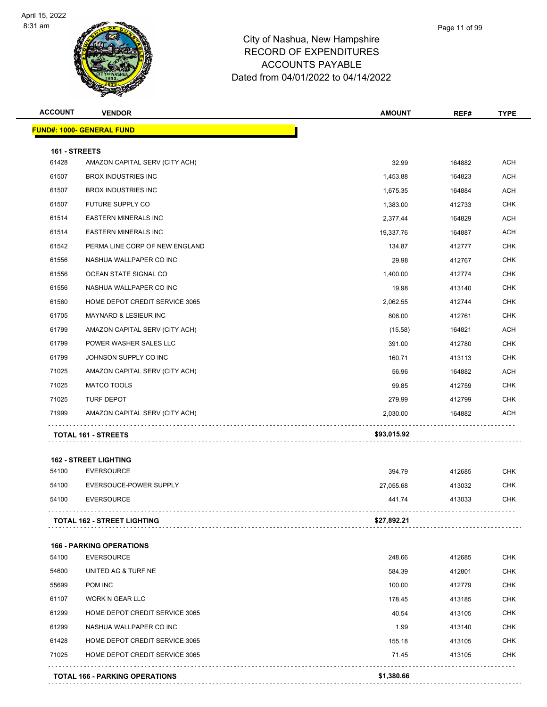

| <b>ACCOUNT</b> | <b>VENDOR</b>                                                    | <b>AMOUNT</b>   | REF#             | <b>TYPE</b>              |
|----------------|------------------------------------------------------------------|-----------------|------------------|--------------------------|
|                | <b>FUND#: 1000- GENERAL FUND</b>                                 |                 |                  |                          |
| 161 - STREETS  |                                                                  |                 |                  |                          |
| 61428          | AMAZON CAPITAL SERV (CITY ACH)                                   | 32.99           | 164882           | <b>ACH</b>               |
| 61507          | <b>BROX INDUSTRIES INC</b>                                       | 1,453.88        | 164823           | <b>ACH</b>               |
| 61507          | <b>BROX INDUSTRIES INC</b>                                       | 1,675.35        | 164884           | ACH                      |
| 61507          | FUTURE SUPPLY CO                                                 | 1,383.00        | 412733           | <b>CHK</b>               |
| 61514          | <b>EASTERN MINERALS INC</b>                                      | 2,377.44        | 164829           | ACH                      |
| 61514          | <b>EASTERN MINERALS INC</b>                                      | 19,337.76       | 164887           | <b>ACH</b>               |
| 61542          | PERMA LINE CORP OF NEW ENGLAND                                   | 134.87          | 412777           | <b>CHK</b>               |
| 61556          | NASHUA WALLPAPER CO INC                                          | 29.98           | 412767           | <b>CHK</b>               |
| 61556          | OCEAN STATE SIGNAL CO                                            | 1,400.00        | 412774           | <b>CHK</b>               |
| 61556          | NASHUA WALLPAPER CO INC                                          | 19.98           | 413140           | <b>CHK</b>               |
| 61560          | HOME DEPOT CREDIT SERVICE 3065                                   | 2,062.55        | 412744           | <b>CHK</b>               |
| 61705          | MAYNARD & LESIEUR INC                                            | 806.00          | 412761           | <b>CHK</b>               |
| 61799          | AMAZON CAPITAL SERV (CITY ACH)                                   | (15.58)         | 164821           | ACH                      |
| 61799          | POWER WASHER SALES LLC                                           | 391.00          | 412780           | <b>CHK</b>               |
| 61799          | JOHNSON SUPPLY CO INC                                            | 160.71          | 413113           | <b>CHK</b>               |
| 71025          | AMAZON CAPITAL SERV (CITY ACH)                                   | 56.96           | 164882           | <b>ACH</b>               |
| 71025          | <b>MATCO TOOLS</b>                                               | 99.85           | 412759           | CHK                      |
| 71025          | TURF DEPOT                                                       | 279.99          | 412799           | CHK                      |
| 71999          | AMAZON CAPITAL SERV (CITY ACH)                                   | 2,030.00        | 164882           | ACH                      |
|                | <b>TOTAL 161 - STREETS</b>                                       | \$93,015.92     |                  |                          |
|                | <b>162 - STREET LIGHTING</b>                                     |                 |                  |                          |
| 54100          | <b>EVERSOURCE</b>                                                | 394.79          | 412685           | <b>CHK</b>               |
| 54100          | EVERSOUCE-POWER SUPPLY                                           | 27,055.68       | 413032           | CHK                      |
| 54100          | <b>EVERSOURCE</b>                                                | 441.74          | 413033           | <b>CHK</b>               |
|                | <b>TOTAL 162 - STREET LIGHTING</b>                               | \$27,892.21     |                  |                          |
|                |                                                                  |                 |                  |                          |
|                | <b>166 - PARKING OPERATIONS</b>                                  |                 |                  |                          |
| 54100          | <b>EVERSOURCE</b>                                                | 248.66          | 412685           | CHK                      |
| 54600          | UNITED AG & TURF NE                                              | 584.39          | 412801           | <b>CHK</b>               |
| 55699          | POM INC                                                          | 100.00          | 412779           | <b>CHK</b>               |
| 61107          | <b>WORK N GEAR LLC</b>                                           | 178.45          | 413185           | <b>CHK</b>               |
| 61299          | HOME DEPOT CREDIT SERVICE 3065                                   | 40.54           | 413105           | <b>CHK</b>               |
| 61299          | NASHUA WALLPAPER CO INC                                          | 1.99            | 413140           | <b>CHK</b>               |
| 61428<br>71025 | HOME DEPOT CREDIT SERVICE 3065<br>HOME DEPOT CREDIT SERVICE 3065 | 155.18<br>71.45 | 413105<br>413105 | <b>CHK</b><br><b>CHK</b> |
|                |                                                                  |                 |                  |                          |
|                | <b>TOTAL 166 - PARKING OPERATIONS</b>                            | \$1,380.66      |                  |                          |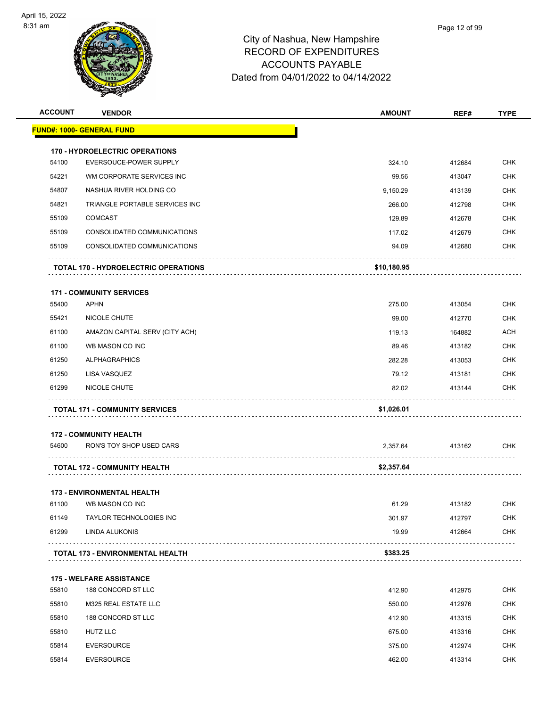

| <b>ACCOUNT</b> | <b>VENDOR</b>                               | <b>AMOUNT</b> | REF#   | <b>TYPE</b> |
|----------------|---------------------------------------------|---------------|--------|-------------|
|                | <u> FUND#: 1000- GENERAL FUND</u>           |               |        |             |
|                | <b>170 - HYDROELECTRIC OPERATIONS</b>       |               |        |             |
| 54100          | EVERSOUCE-POWER SUPPLY                      | 324.10        | 412684 | <b>CHK</b>  |
| 54221          | WM CORPORATE SERVICES INC                   | 99.56         | 413047 | <b>CHK</b>  |
| 54807          | NASHUA RIVER HOLDING CO                     | 9,150.29      | 413139 | <b>CHK</b>  |
| 54821          | TRIANGLE PORTABLE SERVICES INC              | 266.00        | 412798 | <b>CHK</b>  |
| 55109          | <b>COMCAST</b>                              | 129.89        | 412678 | <b>CHK</b>  |
| 55109          | CONSOLIDATED COMMUNICATIONS                 | 117.02        | 412679 | <b>CHK</b>  |
| 55109          | CONSOLIDATED COMMUNICATIONS                 | 94.09         | 412680 | <b>CHK</b>  |
|                | <b>TOTAL 170 - HYDROELECTRIC OPERATIONS</b> | \$10,180.95   |        |             |
|                | <b>171 - COMMUNITY SERVICES</b>             |               |        |             |
| 55400          | <b>APHN</b>                                 | 275.00        | 413054 | <b>CHK</b>  |
| 55421          | NICOLE CHUTE                                | 99.00         | 412770 | <b>CHK</b>  |
| 61100          | AMAZON CAPITAL SERV (CITY ACH)              | 119.13        | 164882 | <b>ACH</b>  |
| 61100          | WB MASON CO INC                             | 89.46         | 413182 | <b>CHK</b>  |
| 61250          | <b>ALPHAGRAPHICS</b>                        | 282.28        | 413053 | <b>CHK</b>  |
| 61250          | LISA VASQUEZ                                | 79.12         | 413181 | CHK         |
| 61299          | NICOLE CHUTE                                | 82.02         | 413144 | <b>CHK</b>  |
|                | <b>TOTAL 171 - COMMUNITY SERVICES</b>       | \$1,026.01    |        |             |
|                | <b>172 - COMMUNITY HEALTH</b>               |               |        |             |
| 54600          | RON'S TOY SHOP USED CARS                    | 2,357.64      | 413162 | <b>CHK</b>  |
|                | TOTAL 172 - COMMUNITY HEALTH                | \$2,357.64    |        |             |
|                | <b>173 - ENVIRONMENTAL HEALTH</b>           |               |        |             |
| 61100          | WB MASON CO INC                             | 61.29         | 413182 | <b>CHK</b>  |
| 61149          | <b>TAYLOR TECHNOLOGIES INC</b>              | 301.97        | 412797 | <b>CHK</b>  |
| 61299          | LINDA ALUKONIS                              | 19.99         | 412664 | <b>CHK</b>  |
|                | TOTAL 173 - ENVIRONMENTAL HEALTH            | \$383.25      |        |             |
|                | <b>175 - WELFARE ASSISTANCE</b>             |               |        |             |
| 55810          | 188 CONCORD ST LLC                          | 412.90        | 412975 | <b>CHK</b>  |
| 55810          | M325 REAL ESTATE LLC                        | 550.00        | 412976 | <b>CHK</b>  |
| 55810          | 188 CONCORD ST LLC                          | 412.90        | 413315 | <b>CHK</b>  |
| 55810          | <b>HUTZ LLC</b>                             | 675.00        | 413316 | <b>CHK</b>  |
| 55814          | <b>EVERSOURCE</b>                           | 375.00        | 412974 | CHK         |
| 55814          | <b>EVERSOURCE</b>                           | 462.00        | 413314 | <b>CHK</b>  |
|                |                                             |               |        |             |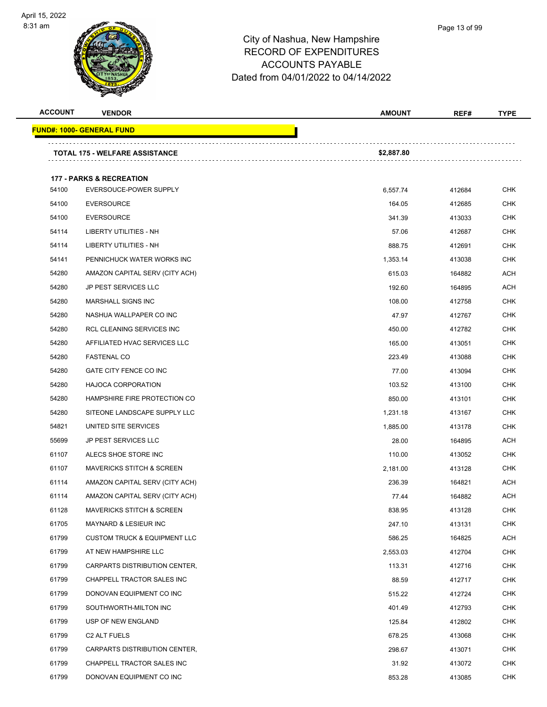

| <b>ACCOUNT</b> | <b>VENDOR</b>                           | <b>AMOUNT</b> | REF#   | <b>TYPE</b> |
|----------------|-----------------------------------------|---------------|--------|-------------|
|                | <u> FUND#: 1000- GENERAL FUND</u>       |               |        |             |
|                | <b>TOTAL 175 - WELFARE ASSISTANCE</b>   | \$2,887.80    |        |             |
|                |                                         |               |        |             |
|                | <b>177 - PARKS &amp; RECREATION</b>     |               |        |             |
| 54100          | EVERSOUCE-POWER SUPPLY                  | 6,557.74      | 412684 | CHK         |
| 54100          | <b>EVERSOURCE</b>                       | 164.05        | 412685 | <b>CHK</b>  |
| 54100          | <b>EVERSOURCE</b>                       | 341.39        | 413033 | <b>CHK</b>  |
| 54114          | LIBERTY UTILITIES - NH                  | 57.06         | 412687 | <b>CHK</b>  |
| 54114          | LIBERTY UTILITIES - NH                  | 888.75        | 412691 | <b>CHK</b>  |
| 54141          | PENNICHUCK WATER WORKS INC              | 1,353.14      | 413038 | CHK         |
| 54280          | AMAZON CAPITAL SERV (CITY ACH)          | 615.03        | 164882 | <b>ACH</b>  |
| 54280          | JP PEST SERVICES LLC                    | 192.60        | 164895 | <b>ACH</b>  |
| 54280          | <b>MARSHALL SIGNS INC</b>               | 108.00        | 412758 | <b>CHK</b>  |
| 54280          | NASHUA WALLPAPER CO INC                 | 47.97         | 412767 | <b>CHK</b>  |
| 54280          | RCL CLEANING SERVICES INC               | 450.00        | 412782 | CHK         |
| 54280          | AFFILIATED HVAC SERVICES LLC            | 165.00        | 413051 | <b>CHK</b>  |
| 54280          | FASTENAL CO                             | 223.49        | 413088 | <b>CHK</b>  |
| 54280          | GATE CITY FENCE CO INC                  | 77.00         | 413094 | <b>CHK</b>  |
| 54280          | <b>HAJOCA CORPORATION</b>               | 103.52        | 413100 | CHK         |
| 54280          | HAMPSHIRE FIRE PROTECTION CO            | 850.00        | 413101 | <b>CHK</b>  |
| 54280          | SITEONE LANDSCAPE SUPPLY LLC            | 1,231.18      | 413167 | <b>CHK</b>  |
| 54821          | UNITED SITE SERVICES                    | 1,885.00      | 413178 | CHK         |
| 55699          | <b>JP PEST SERVICES LLC</b>             | 28.00         | 164895 | ACH         |
| 61107          | ALECS SHOE STORE INC                    | 110.00        | 413052 | <b>CHK</b>  |
| 61107          | <b>MAVERICKS STITCH &amp; SCREEN</b>    | 2,181.00      | 413128 | CHK         |
| 61114          | AMAZON CAPITAL SERV (CITY ACH)          | 236.39        | 164821 | <b>ACH</b>  |
| 61114          | AMAZON CAPITAL SERV (CITY ACH)          | 77.44         | 164882 | <b>ACH</b>  |
| 61128          | MAVERICKS STITCH & SCREEN               | 838.95        | 413128 | <b>CHK</b>  |
| 61705          | MAYNARD & LESIEUR INC                   | 247.10        | 413131 | <b>CHK</b>  |
| 61799          | <b>CUSTOM TRUCK &amp; EQUIPMENT LLC</b> | 586.25        | 164825 | ACH         |
| 61799          | AT NEW HAMPSHIRE LLC                    | 2,553.03      | 412704 | <b>CHK</b>  |
| 61799          | CARPARTS DISTRIBUTION CENTER,           | 113.31        | 412716 | CHK         |
| 61799          | CHAPPELL TRACTOR SALES INC              | 88.59         | 412717 | <b>CHK</b>  |
| 61799          | DONOVAN EQUIPMENT CO INC                | 515.22        | 412724 | CHK         |
| 61799          | SOUTHWORTH-MILTON INC                   | 401.49        | 412793 | CHK         |
| 61799          | USP OF NEW ENGLAND                      | 125.84        | 412802 | <b>CHK</b>  |
| 61799          | C2 ALT FUELS                            | 678.25        | 413068 | CHK         |
| 61799          | CARPARTS DISTRIBUTION CENTER,           | 298.67        | 413071 | <b>CHK</b>  |
| 61799          | CHAPPELL TRACTOR SALES INC              | 31.92         | 413072 | <b>CHK</b>  |
| 61799          | DONOVAN EQUIPMENT CO INC                | 853.28        | 413085 | <b>CHK</b>  |
|                |                                         |               |        |             |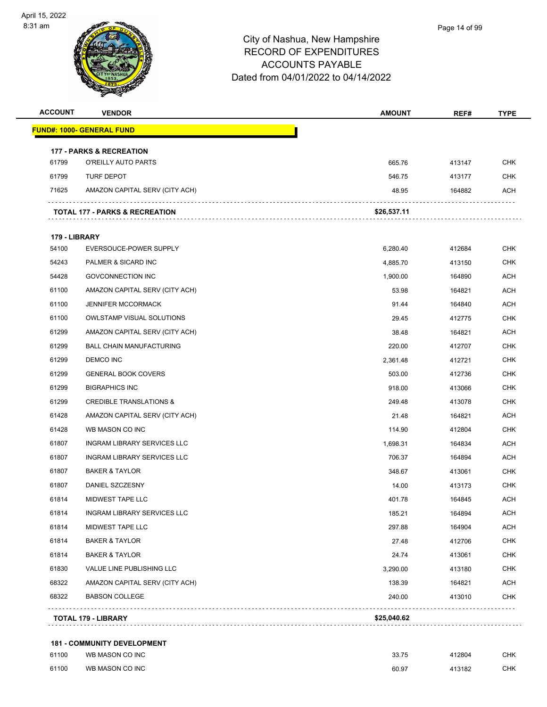

| <b>ACCOUNT</b> | <b>VENDOR</b>                       | <b>AMOUNT</b> | REF#   | <b>TYPE</b> |
|----------------|-------------------------------------|---------------|--------|-------------|
|                | <b>FUND#: 1000- GENERAL FUND</b>    |               |        |             |
|                | <b>177 - PARKS &amp; RECREATION</b> |               |        |             |
| 61799          | O'REILLY AUTO PARTS                 | 665.76        | 413147 | <b>CHK</b>  |
| 61799          | <b>TURF DEPOT</b>                   | 546.75        | 413177 | CHK         |
| 71625          | AMAZON CAPITAL SERV (CITY ACH)      | 48.95         | 164882 | ACH         |
|                | TOTAL 177 - PARKS & RECREATION      | \$26,537.11   |        |             |
| 179 - LIBRARY  |                                     |               |        |             |
| 54100          | EVERSOUCE-POWER SUPPLY              | 6,280.40      | 412684 | <b>CHK</b>  |
| 54243          | PALMER & SICARD INC                 | 4,885.70      | 413150 | <b>CHK</b>  |
| 54428          | <b>GOVCONNECTION INC</b>            | 1,900.00      | 164890 | ACH         |
| 61100          | AMAZON CAPITAL SERV (CITY ACH)      | 53.98         | 164821 | <b>ACH</b>  |
| 61100          | <b>JENNIFER MCCORMACK</b>           | 91.44         | 164840 | <b>ACH</b>  |
| 61100          | <b>OWLSTAMP VISUAL SOLUTIONS</b>    | 29.45         | 412775 | <b>CHK</b>  |
| 61299          | AMAZON CAPITAL SERV (CITY ACH)      | 38.48         | 164821 | <b>ACH</b>  |
| 61299          | <b>BALL CHAIN MANUFACTURING</b>     | 220.00        | 412707 | <b>CHK</b>  |
| 61299          | DEMCO INC                           | 2,361.48      | 412721 | CHK         |
| 61299          | <b>GENERAL BOOK COVERS</b>          | 503.00        | 412736 | <b>CHK</b>  |
| 61299          | <b>BIGRAPHICS INC</b>               | 918.00        | 413066 | <b>CHK</b>  |
| 61299          | <b>CREDIBLE TRANSLATIONS &amp;</b>  | 249.48        | 413078 | <b>CHK</b>  |
| 61428          | AMAZON CAPITAL SERV (CITY ACH)      | 21.48         | 164821 | ACH         |
| 61428          | WB MASON CO INC                     | 114.90        | 412804 | CHK         |
| 61807          | INGRAM LIBRARY SERVICES LLC         | 1,698.31      | 164834 | <b>ACH</b>  |
| 61807          | INGRAM LIBRARY SERVICES LLC         | 706.37        | 164894 | <b>ACH</b>  |
| 61807          | <b>BAKER &amp; TAYLOR</b>           | 348.67        | 413061 | <b>CHK</b>  |
| 61807          | DANIEL SZCZESNY                     | 14.00         | 413173 | <b>CHK</b>  |
| 61814          | MIDWEST TAPE LLC                    | 401.78        | 164845 | ACH         |
| 61814          | INGRAM LIBRARY SERVICES LLC         | 185.21        | 164894 | <b>ACH</b>  |
| 61814          | <b>MIDWEST TAPE LLC</b>             | 297.88        | 164904 | <b>ACH</b>  |
| 61814          | <b>BAKER &amp; TAYLOR</b>           | 27.48         | 412706 | <b>CHK</b>  |
| 61814          | <b>BAKER &amp; TAYLOR</b>           | 24.74         | 413061 | CHK         |
| 61830          | VALUE LINE PUBLISHING LLC           | 3,290.00      | 413180 | CHK         |
| 68322          | AMAZON CAPITAL SERV (CITY ACH)      | 138.39        | 164821 | ACH         |
| 68322          | <b>BABSON COLLEGE</b>               | 240.00        | 413010 | <b>CHK</b>  |
|                | <b>TOTAL 179 - LIBRARY</b>          | \$25,040.62   |        |             |
|                | <b>181 - COMMUNITY DEVELOPMENT</b>  |               |        |             |
| 61100          | WB MASON CO INC                     | 33.75         | 412804 | <b>CHK</b>  |
| 61100          | WB MASON CO INC                     | 60.97         | 413182 | <b>CHK</b>  |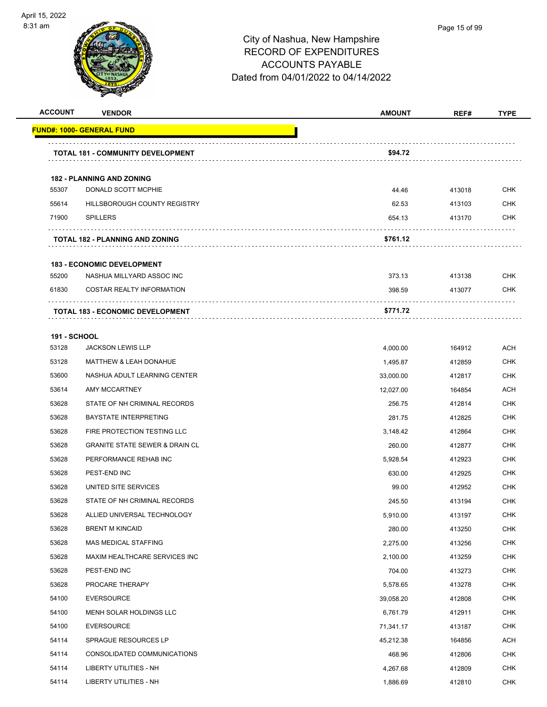

| <b>ACCOUNT</b>      | <b>VENDOR</b>                             | <b>AMOUNT</b> | REF#   | <b>TYPE</b> |
|---------------------|-------------------------------------------|---------------|--------|-------------|
|                     | <b>FUND#: 1000- GENERAL FUND</b>          |               |        |             |
|                     | <b>TOTAL 181 - COMMUNITY DEVELOPMENT</b>  | \$94.72       |        |             |
|                     | <b>182 - PLANNING AND ZONING</b>          |               |        |             |
| 55307               | DONALD SCOTT MCPHIE                       | 44.46         | 413018 | <b>CHK</b>  |
| 55614               | HILLSBOROUGH COUNTY REGISTRY              | 62.53         | 413103 | <b>CHK</b>  |
| 71900               | <b>SPILLERS</b>                           | 654.13        | 413170 | <b>CHK</b>  |
|                     | <b>TOTAL 182 - PLANNING AND ZONING</b>    | \$761.12      |        |             |
|                     | <b>183 - ECONOMIC DEVELOPMENT</b>         |               |        |             |
| 55200               | NASHUA MILLYARD ASSOC INC                 | 373.13        | 413138 | <b>CHK</b>  |
| 61830               | <b>COSTAR REALTY INFORMATION</b>          | 398.59        | 413077 | CHK         |
|                     | <b>TOTAL 183 - ECONOMIC DEVELOPMENT</b>   | \$771.72      |        |             |
| <b>191 - SCHOOL</b> |                                           |               |        |             |
| 53128               | <b>JACKSON LEWIS LLP</b>                  | 4,000.00      | 164912 | ACH         |
| 53128               | <b>MATTHEW &amp; LEAH DONAHUE</b>         | 1,495.87      | 412859 | <b>CHK</b>  |
| 53600               | NASHUA ADULT LEARNING CENTER              | 33,000.00     | 412817 | CHK         |
| 53614               | AMY MCCARTNEY                             | 12,027.00     | 164854 | <b>ACH</b>  |
| 53628               | STATE OF NH CRIMINAL RECORDS              | 256.75        | 412814 | <b>CHK</b>  |
| 53628               | <b>BAYSTATE INTERPRETING</b>              | 281.75        | 412825 | CHK         |
| 53628               | FIRE PROTECTION TESTING LLC               | 3,148.42      | 412864 | <b>CHK</b>  |
| 53628               | <b>GRANITE STATE SEWER &amp; DRAIN CL</b> | 260.00        | 412877 | CHK         |
| 53628               | PERFORMANCE REHAB INC                     | 5,928.54      | 412923 | <b>CHK</b>  |
| 53628               | PEST-END INC                              | 630.00        | 412925 | <b>CHK</b>  |
| 53628               | UNITED SITE SERVICES                      | 99.00         | 412952 | CHK         |
| 53628               | STATE OF NH CRIMINAL RECORDS              | 245.50        | 413194 | <b>CHK</b>  |
| 53628               | ALLIED UNIVERSAL TECHNOLOGY               | 5,910.00      | 413197 | <b>CHK</b>  |
| 53628               | <b>BRENT M KINCAID</b>                    | 280.00        | 413250 | <b>CHK</b>  |
| 53628               | MAS MEDICAL STAFFING                      | 2,275.00      | 413256 | <b>CHK</b>  |
| 53628               | MAXIM HEALTHCARE SERVICES INC             | 2,100.00      | 413259 | <b>CHK</b>  |
| 53628               | PEST-END INC                              | 704.00        | 413273 | <b>CHK</b>  |
| 53628               | PROCARE THERAPY                           | 5,578.65      | 413278 | <b>CHK</b>  |
| 54100               | <b>EVERSOURCE</b>                         | 39,058.20     | 412808 | <b>CHK</b>  |
| 54100               | MENH SOLAR HOLDINGS LLC                   | 6,761.79      | 412911 | <b>CHK</b>  |
| 54100               | <b>EVERSOURCE</b>                         | 71,341.17     | 413187 | <b>CHK</b>  |
| 54114               | SPRAGUE RESOURCES LP                      | 45,212.38     | 164856 | ACH         |
| 54114               | CONSOLIDATED COMMUNICATIONS               | 468.96        | 412806 | <b>CHK</b>  |
| 54114               | LIBERTY UTILITIES - NH                    | 4,267.68      | 412809 | <b>CHK</b>  |
| 54114               | LIBERTY UTILITIES - NH                    | 1,886.69      | 412810 | <b>CHK</b>  |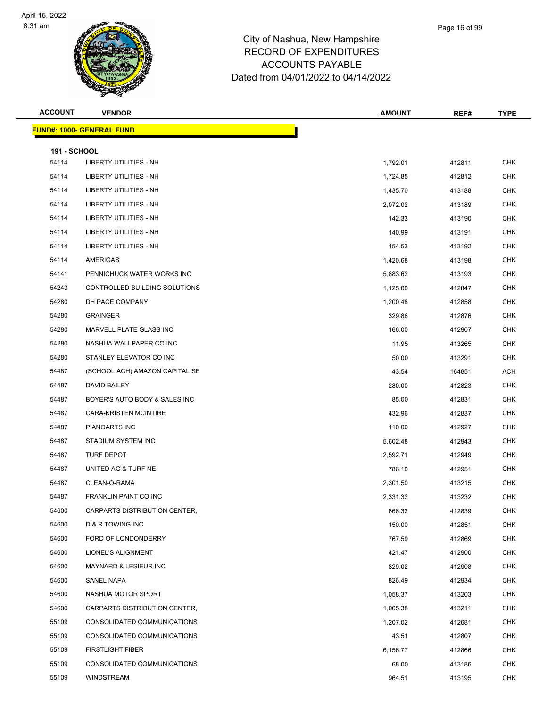

| <b>ACCOUNT</b>               | <b>VENDOR</b>                     | <b>AMOUNT</b> | REF#   | <b>TYPE</b> |
|------------------------------|-----------------------------------|---------------|--------|-------------|
|                              | <u> FUND#: 1000- GENERAL FUND</u> |               |        |             |
|                              |                                   |               |        |             |
| <b>191 - SCHOOL</b><br>54114 | <b>LIBERTY UTILITIES - NH</b>     | 1,792.01      | 412811 | <b>CHK</b>  |
| 54114                        | <b>LIBERTY UTILITIES - NH</b>     | 1,724.85      | 412812 | <b>CHK</b>  |
| 54114                        | LIBERTY UTILITIES - NH            | 1,435.70      | 413188 | <b>CHK</b>  |
| 54114                        | LIBERTY UTILITIES - NH            | 2,072.02      | 413189 | <b>CHK</b>  |
| 54114                        | LIBERTY UTILITIES - NH            | 142.33        | 413190 | <b>CHK</b>  |
| 54114                        | LIBERTY UTILITIES - NH            | 140.99        | 413191 | <b>CHK</b>  |
| 54114                        | LIBERTY UTILITIES - NH            | 154.53        | 413192 | <b>CHK</b>  |
| 54114                        | AMERIGAS                          | 1,420.68      | 413198 | <b>CHK</b>  |
| 54141                        | PENNICHUCK WATER WORKS INC        | 5,883.62      | 413193 | <b>CHK</b>  |
| 54243                        | CONTROLLED BUILDING SOLUTIONS     | 1,125.00      | 412847 | <b>CHK</b>  |
| 54280                        | DH PACE COMPANY                   | 1,200.48      | 412858 | <b>CHK</b>  |
| 54280                        | <b>GRAINGER</b>                   | 329.86        | 412876 | <b>CHK</b>  |
| 54280                        | MARVELL PLATE GLASS INC           | 166.00        | 412907 | <b>CHK</b>  |
| 54280                        | NASHUA WALLPAPER CO INC           | 11.95         | 413265 | <b>CHK</b>  |
| 54280                        | STANLEY ELEVATOR CO INC           | 50.00         | 413291 | <b>CHK</b>  |
| 54487                        | (SCHOOL ACH) AMAZON CAPITAL SE    | 43.54         | 164851 | <b>ACH</b>  |
| 54487                        | DAVID BAILEY                      | 280.00        | 412823 | <b>CHK</b>  |
| 54487                        | BOYER'S AUTO BODY & SALES INC     | 85.00         | 412831 | <b>CHK</b>  |
| 54487                        | <b>CARA-KRISTEN MCINTIRE</b>      | 432.96        | 412837 | <b>CHK</b>  |
| 54487                        | PIANOARTS INC                     | 110.00        | 412927 | <b>CHK</b>  |
| 54487                        | STADIUM SYSTEM INC                | 5,602.48      | 412943 | <b>CHK</b>  |
| 54487                        | <b>TURF DEPOT</b>                 | 2,592.71      | 412949 | <b>CHK</b>  |
| 54487                        | UNITED AG & TURF NE               | 786.10        | 412951 | <b>CHK</b>  |
| 54487                        | CLEAN-O-RAMA                      | 2,301.50      | 413215 | <b>CHK</b>  |
| 54487                        | <b>FRANKLIN PAINT CO INC</b>      | 2,331.32      | 413232 | <b>CHK</b>  |
| 54600                        | CARPARTS DISTRIBUTION CENTER,     | 666.32        | 412839 | <b>CHK</b>  |
| 54600                        | D & R TOWING INC                  | 150.00        | 412851 | <b>CHK</b>  |
| 54600                        | FORD OF LONDONDERRY               | 767.59        | 412869 | <b>CHK</b>  |
| 54600                        | LIONEL'S ALIGNMENT                | 421.47        | 412900 | <b>CHK</b>  |
| 54600                        | <b>MAYNARD &amp; LESIEUR INC</b>  | 829.02        | 412908 | <b>CHK</b>  |
| 54600                        | <b>SANEL NAPA</b>                 | 826.49        | 412934 | <b>CHK</b>  |
| 54600                        | NASHUA MOTOR SPORT                | 1,058.37      | 413203 | <b>CHK</b>  |
| 54600                        | CARPARTS DISTRIBUTION CENTER,     | 1,065.38      | 413211 | <b>CHK</b>  |
| 55109                        | CONSOLIDATED COMMUNICATIONS       | 1,207.02      | 412681 | <b>CHK</b>  |
| 55109                        | CONSOLIDATED COMMUNICATIONS       | 43.51         | 412807 | <b>CHK</b>  |
| 55109                        | <b>FIRSTLIGHT FIBER</b>           | 6,156.77      | 412866 | CHK         |
| 55109                        | CONSOLIDATED COMMUNICATIONS       | 68.00         | 413186 | <b>CHK</b>  |
| 55109                        | WINDSTREAM                        | 964.51        | 413195 | <b>CHK</b>  |

Page 16 of 99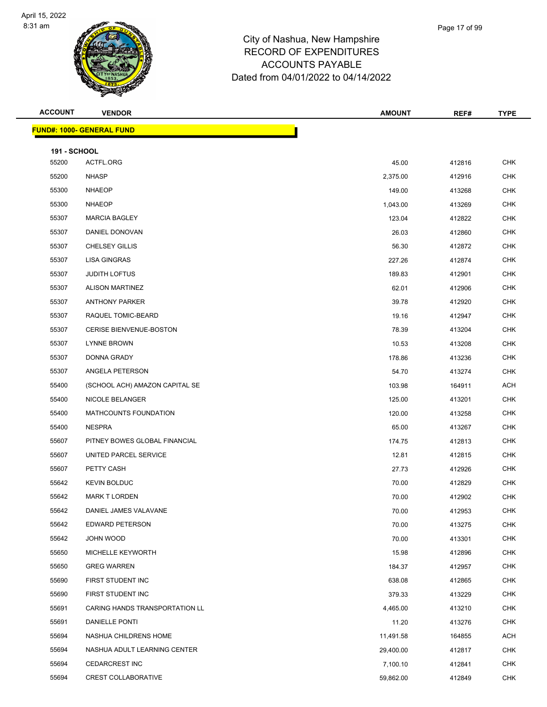

| <b>ACCOUNT</b>      | <b>VENDOR</b>                    | <b>AMOUNT</b> | REF#   | <b>TYPE</b> |
|---------------------|----------------------------------|---------------|--------|-------------|
|                     | <b>FUND#: 1000- GENERAL FUND</b> |               |        |             |
| <b>191 - SCHOOL</b> |                                  |               |        |             |
| 55200               | ACTFL.ORG                        | 45.00         | 412816 | <b>CHK</b>  |
| 55200               | <b>NHASP</b>                     | 2,375.00      | 412916 | <b>CHK</b>  |
| 55300               | <b>NHAEOP</b>                    | 149.00        | 413268 | <b>CHK</b>  |
| 55300               | <b>NHAEOP</b>                    | 1,043.00      | 413269 | <b>CHK</b>  |
| 55307               | <b>MARCIA BAGLEY</b>             | 123.04        | 412822 | <b>CHK</b>  |
| 55307               | DANIEL DONOVAN                   | 26.03         | 412860 | <b>CHK</b>  |
| 55307               | <b>CHELSEY GILLIS</b>            | 56.30         | 412872 | <b>CHK</b>  |
| 55307               | LISA GINGRAS                     | 227.26        | 412874 | <b>CHK</b>  |
| 55307               | <b>JUDITH LOFTUS</b>             | 189.83        | 412901 | <b>CHK</b>  |
| 55307               | <b>ALISON MARTINEZ</b>           | 62.01         | 412906 | <b>CHK</b>  |
| 55307               | <b>ANTHONY PARKER</b>            | 39.78         | 412920 | <b>CHK</b>  |
| 55307               | RAQUEL TOMIC-BEARD               | 19.16         | 412947 | <b>CHK</b>  |
| 55307               | <b>CERISE BIENVENUE-BOSTON</b>   | 78.39         | 413204 | <b>CHK</b>  |
| 55307               | <b>LYNNE BROWN</b>               | 10.53         | 413208 | <b>CHK</b>  |
| 55307               | DONNA GRADY                      | 178.86        | 413236 | <b>CHK</b>  |
| 55307               | ANGELA PETERSON                  | 54.70         | 413274 | <b>CHK</b>  |
| 55400               | (SCHOOL ACH) AMAZON CAPITAL SE   | 103.98        | 164911 | ACH         |
| 55400               | NICOLE BELANGER                  | 125.00        | 413201 | <b>CHK</b>  |
| 55400               | <b>MATHCOUNTS FOUNDATION</b>     | 120.00        | 413258 | <b>CHK</b>  |
| 55400               | <b>NESPRA</b>                    | 65.00         | 413267 | <b>CHK</b>  |
| 55607               | PITNEY BOWES GLOBAL FINANCIAL    | 174.75        | 412813 | <b>CHK</b>  |
| 55607               | UNITED PARCEL SERVICE            | 12.81         | 412815 | <b>CHK</b>  |
| 55607               | PETTY CASH                       | 27.73         | 412926 | <b>CHK</b>  |
| 55642               | <b>KEVIN BOLDUC</b>              | 70.00         | 412829 | <b>CHK</b>  |
| 55642               | <b>MARK T LORDEN</b>             | 70.00         | 412902 | <b>CHK</b>  |
| 55642               | DANIEL JAMES VALAVANE            | 70.00         | 412953 | <b>CHK</b>  |
| 55642               | <b>EDWARD PETERSON</b>           | 70.00         | 413275 | <b>CHK</b>  |
| 55642               | JOHN WOOD                        | 70.00         | 413301 | <b>CHK</b>  |
| 55650               | MICHELLE KEYWORTH                | 15.98         | 412896 | <b>CHK</b>  |
| 55650               | <b>GREG WARREN</b>               | 184.37        | 412957 | <b>CHK</b>  |
| 55690               | FIRST STUDENT INC                | 638.08        | 412865 | <b>CHK</b>  |
| 55690               | FIRST STUDENT INC                | 379.33        | 413229 | <b>CHK</b>  |
| 55691               | CARING HANDS TRANSPORTATION LL   | 4,465.00      | 413210 | <b>CHK</b>  |
| 55691               | DANIELLE PONTI                   | 11.20         | 413276 | <b>CHK</b>  |
| 55694               | NASHUA CHILDRENS HOME            | 11,491.58     | 164855 | ACH         |
| 55694               | NASHUA ADULT LEARNING CENTER     | 29,400.00     | 412817 | <b>CHK</b>  |
| 55694               | <b>CEDARCREST INC</b>            | 7,100.10      | 412841 | <b>CHK</b>  |
| 55694               | <b>CREST COLLABORATIVE</b>       | 59,862.00     | 412849 | <b>CHK</b>  |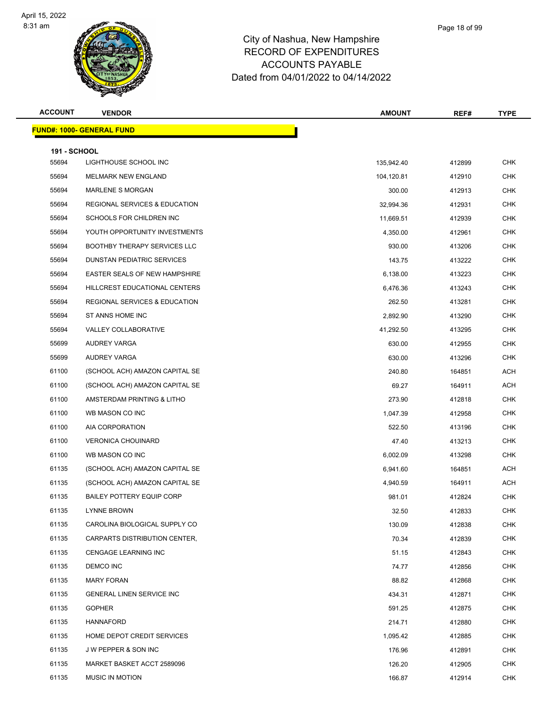

| Page 18 of 99 |  |
|---------------|--|
|               |  |

| <b>ACCOUNT</b>      | <b>VENDOR</b>                            | <b>AMOUNT</b> | REF#   | <b>TYPE</b> |
|---------------------|------------------------------------------|---------------|--------|-------------|
|                     | <u> FUND#: 1000- GENERAL FUND</u>        |               |        |             |
| <b>191 - SCHOOL</b> |                                          |               |        |             |
| 55694               | LIGHTHOUSE SCHOOL INC                    | 135,942.40    | 412899 | <b>CHK</b>  |
| 55694               | MELMARK NEW ENGLAND                      | 104,120.81    | 412910 | <b>CHK</b>  |
| 55694               | <b>MARLENE S MORGAN</b>                  | 300.00        | 412913 | <b>CHK</b>  |
| 55694               | <b>REGIONAL SERVICES &amp; EDUCATION</b> | 32,994.36     | 412931 | <b>CHK</b>  |
| 55694               | SCHOOLS FOR CHILDREN INC                 | 11,669.51     | 412939 | CHK         |
| 55694               | YOUTH OPPORTUNITY INVESTMENTS            | 4,350.00      | 412961 | <b>CHK</b>  |
| 55694               | <b>BOOTHBY THERAPY SERVICES LLC</b>      | 930.00        | 413206 | <b>CHK</b>  |
| 55694               | DUNSTAN PEDIATRIC SERVICES               | 143.75        | 413222 | <b>CHK</b>  |
| 55694               | <b>EASTER SEALS OF NEW HAMPSHIRE</b>     | 6,138.00      | 413223 | <b>CHK</b>  |
| 55694               | HILLCREST EDUCATIONAL CENTERS            | 6,476.36      | 413243 | <b>CHK</b>  |
| 55694               | <b>REGIONAL SERVICES &amp; EDUCATION</b> | 262.50        | 413281 | <b>CHK</b>  |
| 55694               | ST ANNS HOME INC                         | 2,892.90      | 413290 | <b>CHK</b>  |
| 55694               | VALLEY COLLABORATIVE                     | 41,292.50     | 413295 | <b>CHK</b>  |
| 55699               | <b>AUDREY VARGA</b>                      | 630.00        | 412955 | <b>CHK</b>  |
| 55699               | AUDREY VARGA                             | 630.00        | 413296 | CHK         |
| 61100               | (SCHOOL ACH) AMAZON CAPITAL SE           | 240.80        | 164851 | <b>ACH</b>  |
| 61100               | (SCHOOL ACH) AMAZON CAPITAL SE           | 69.27         | 164911 | ACH         |
| 61100               | AMSTERDAM PRINTING & LITHO               | 273.90        | 412818 | <b>CHK</b>  |
| 61100               | WB MASON CO INC                          | 1,047.39      | 412958 | <b>CHK</b>  |
| 61100               | AIA CORPORATION                          | 522.50        | 413196 | <b>CHK</b>  |
| 61100               | <b>VERONICA CHOUINARD</b>                | 47.40         | 413213 | <b>CHK</b>  |
| 61100               | WB MASON CO INC                          | 6,002.09      | 413298 | <b>CHK</b>  |
| 61135               | (SCHOOL ACH) AMAZON CAPITAL SE           | 6,941.60      | 164851 | <b>ACH</b>  |
| 61135               | (SCHOOL ACH) AMAZON CAPITAL SE           | 4,940.59      | 164911 | <b>ACH</b>  |
| 61135               | <b>BAILEY POTTERY EQUIP CORP</b>         | 981.01        | 412824 | <b>CHK</b>  |
| 61135               | LYNNE BROWN                              | 32.50         | 412833 | <b>CHK</b>  |
| 61135               | CAROLINA BIOLOGICAL SUPPLY CO            | 130.09        | 412838 | <b>CHK</b>  |
| 61135               | CARPARTS DISTRIBUTION CENTER,            | 70.34         | 412839 | <b>CHK</b>  |
| 61135               | <b>CENGAGE LEARNING INC</b>              | 51.15         | 412843 | <b>CHK</b>  |
| 61135               | DEMCO INC                                | 74.77         | 412856 | CHK         |
| 61135               | <b>MARY FORAN</b>                        | 88.82         | 412868 | <b>CHK</b>  |
| 61135               | <b>GENERAL LINEN SERVICE INC</b>         | 434.31        | 412871 | CHK         |
| 61135               | <b>GOPHER</b>                            | 591.25        | 412875 | <b>CHK</b>  |
| 61135               | <b>HANNAFORD</b>                         | 214.71        | 412880 | <b>CHK</b>  |
| 61135               | HOME DEPOT CREDIT SERVICES               | 1,095.42      | 412885 | CHK         |
| 61135               | J W PEPPER & SON INC                     | 176.96        | 412891 | <b>CHK</b>  |
| 61135               | MARKET BASKET ACCT 2589096               | 126.20        | 412905 | <b>CHK</b>  |
| 61135               | <b>MUSIC IN MOTION</b>                   | 166.87        | 412914 | <b>CHK</b>  |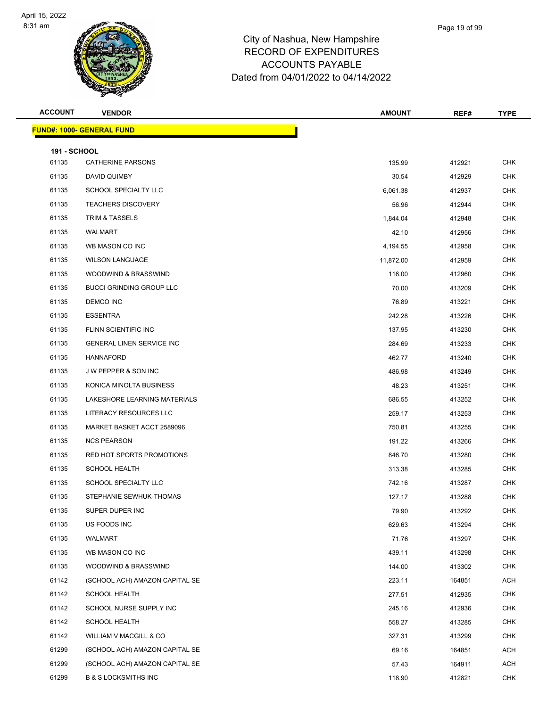

| Page 19 of 99 |
|---------------|
|               |

| <b>ACCOUNT</b>               | <b>VENDOR</b>                    | <b>AMOUNT</b> | REF#   | <b>TYPE</b> |
|------------------------------|----------------------------------|---------------|--------|-------------|
|                              | <b>FUND#: 1000- GENERAL FUND</b> |               |        |             |
|                              |                                  |               |        |             |
| <b>191 - SCHOOL</b><br>61135 | <b>CATHERINE PARSONS</b>         | 135.99        | 412921 | <b>CHK</b>  |
| 61135                        | DAVID QUIMBY                     | 30.54         | 412929 | <b>CHK</b>  |
| 61135                        | SCHOOL SPECIALTY LLC             | 6,061.38      | 412937 | <b>CHK</b>  |
| 61135                        | <b>TEACHERS DISCOVERY</b>        | 56.96         | 412944 | <b>CHK</b>  |
| 61135                        | TRIM & TASSELS                   | 1,844.04      | 412948 | <b>CHK</b>  |
| 61135                        | WALMART                          | 42.10         | 412956 | <b>CHK</b>  |
| 61135                        | WB MASON CO INC                  | 4,194.55      | 412958 | <b>CHK</b>  |
| 61135                        | <b>WILSON LANGUAGE</b>           | 11,872.00     | 412959 | <b>CHK</b>  |
| 61135                        | WOODWIND & BRASSWIND             | 116.00        | 412960 | <b>CHK</b>  |
| 61135                        | <b>BUCCI GRINDING GROUP LLC</b>  | 70.00         | 413209 | <b>CHK</b>  |
| 61135                        | DEMCO INC                        | 76.89         | 413221 | <b>CHK</b>  |
| 61135                        | <b>ESSENTRA</b>                  | 242.28        | 413226 | <b>CHK</b>  |
| 61135                        | FLINN SCIENTIFIC INC             | 137.95        | 413230 | <b>CHK</b>  |
| 61135                        | <b>GENERAL LINEN SERVICE INC</b> | 284.69        | 413233 | <b>CHK</b>  |
| 61135                        | <b>HANNAFORD</b>                 | 462.77        | 413240 | <b>CHK</b>  |
| 61135                        | J W PEPPER & SON INC             | 486.98        | 413249 | <b>CHK</b>  |
| 61135                        | KONICA MINOLTA BUSINESS          | 48.23         | 413251 | <b>CHK</b>  |
| 61135                        | LAKESHORE LEARNING MATERIALS     | 686.55        | 413252 | <b>CHK</b>  |
| 61135                        | LITERACY RESOURCES LLC           | 259.17        | 413253 | <b>CHK</b>  |
| 61135                        | MARKET BASKET ACCT 2589096       | 750.81        | 413255 | <b>CHK</b>  |
| 61135                        | <b>NCS PEARSON</b>               | 191.22        | 413266 | <b>CHK</b>  |
| 61135                        | RED HOT SPORTS PROMOTIONS        | 846.70        | 413280 | <b>CHK</b>  |
| 61135                        | <b>SCHOOL HEALTH</b>             | 313.38        | 413285 | <b>CHK</b>  |
| 61135                        | SCHOOL SPECIALTY LLC             | 742.16        | 413287 | <b>CHK</b>  |
| 61135                        | STEPHANIE SEWHUK-THOMAS          | 127.17        | 413288 | <b>CHK</b>  |
| 61135                        | SUPER DUPER INC                  | 79.90         | 413292 | <b>CHK</b>  |
| 61135                        | US FOODS INC                     | 629.63        | 413294 | <b>CHK</b>  |
| 61135                        | WALMART                          | 71.76         | 413297 | <b>CHK</b>  |
| 61135                        | WB MASON CO INC                  | 439.11        | 413298 | CHK         |
| 61135                        | WOODWIND & BRASSWIND             | 144.00        | 413302 | CHK         |
| 61142                        | (SCHOOL ACH) AMAZON CAPITAL SE   | 223.11        | 164851 | ACH         |
| 61142                        | <b>SCHOOL HEALTH</b>             | 277.51        | 412935 | <b>CHK</b>  |
| 61142                        | SCHOOL NURSE SUPPLY INC          | 245.16        | 412936 | <b>CHK</b>  |
| 61142                        | <b>SCHOOL HEALTH</b>             | 558.27        | 413285 | CHK         |
| 61142                        | WILLIAM V MACGILL & CO           | 327.31        | 413299 | <b>CHK</b>  |
| 61299                        | (SCHOOL ACH) AMAZON CAPITAL SE   | 69.16         | 164851 | ACH         |
| 61299                        | (SCHOOL ACH) AMAZON CAPITAL SE   | 57.43         | 164911 | ACH         |
| 61299                        | <b>B &amp; S LOCKSMITHS INC</b>  | 118.90        | 412821 | <b>CHK</b>  |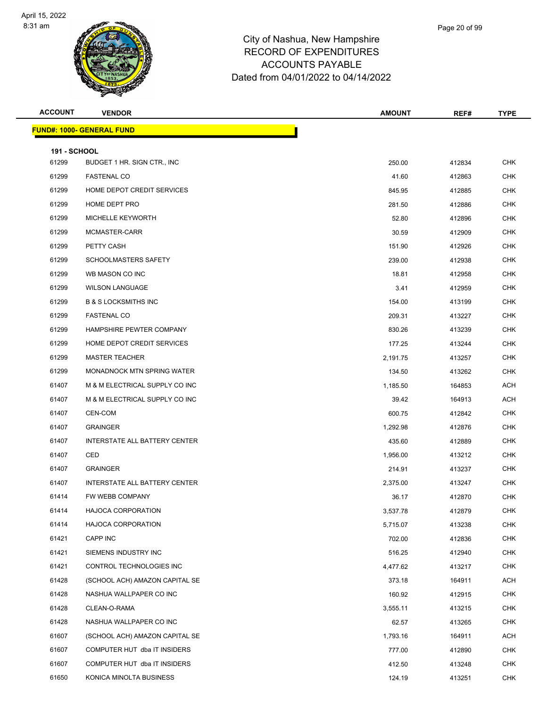

| Page 20 of 99 |  |
|---------------|--|
|               |  |

| <b>ACCOUNT</b>               | <b>VENDOR</b>                        | <b>AMOUNT</b> | REF#   | <b>TYPE</b> |
|------------------------------|--------------------------------------|---------------|--------|-------------|
|                              | <b>FUND#: 1000- GENERAL FUND</b>     |               |        |             |
|                              |                                      |               |        |             |
| <b>191 - SCHOOL</b><br>61299 | BUDGET 1 HR. SIGN CTR., INC.         | 250.00        | 412834 | <b>CHK</b>  |
| 61299                        | <b>FASTENAL CO</b>                   | 41.60         | 412863 | <b>CHK</b>  |
| 61299                        | HOME DEPOT CREDIT SERVICES           | 845.95        | 412885 | <b>CHK</b>  |
| 61299                        | HOME DEPT PRO                        | 281.50        | 412886 | <b>CHK</b>  |
| 61299                        | <b>MICHELLE KEYWORTH</b>             | 52.80         | 412896 | <b>CHK</b>  |
| 61299                        | MCMASTER-CARR                        | 30.59         | 412909 | <b>CHK</b>  |
| 61299                        | PETTY CASH                           | 151.90        | 412926 | <b>CHK</b>  |
| 61299                        | SCHOOLMASTERS SAFETY                 | 239.00        | 412938 | <b>CHK</b>  |
| 61299                        | WB MASON CO INC                      | 18.81         | 412958 | <b>CHK</b>  |
| 61299                        | <b>WILSON LANGUAGE</b>               | 3.41          | 412959 | <b>CHK</b>  |
| 61299                        | <b>B &amp; S LOCKSMITHS INC</b>      | 154.00        | 413199 | <b>CHK</b>  |
| 61299                        | <b>FASTENAL CO</b>                   | 209.31        | 413227 | <b>CHK</b>  |
| 61299                        | HAMPSHIRE PEWTER COMPANY             | 830.26        | 413239 | <b>CHK</b>  |
| 61299                        | HOME DEPOT CREDIT SERVICES           | 177.25        | 413244 | <b>CHK</b>  |
| 61299                        | <b>MASTER TEACHER</b>                | 2,191.75      | 413257 | <b>CHK</b>  |
| 61299                        | <b>MONADNOCK MTN SPRING WATER</b>    | 134.50        | 413262 | <b>CHK</b>  |
| 61407                        | M & M ELECTRICAL SUPPLY CO INC       | 1,185.50      | 164853 | ACH         |
| 61407                        | M & M ELECTRICAL SUPPLY CO INC       | 39.42         | 164913 | ACH         |
| 61407                        | CEN-COM                              | 600.75        | 412842 | <b>CHK</b>  |
| 61407                        | <b>GRAINGER</b>                      | 1,292.98      | 412876 | <b>CHK</b>  |
| 61407                        | INTERSTATE ALL BATTERY CENTER        | 435.60        | 412889 | <b>CHK</b>  |
| 61407                        | CED                                  | 1,956.00      | 413212 | <b>CHK</b>  |
| 61407                        | <b>GRAINGER</b>                      | 214.91        | 413237 | <b>CHK</b>  |
| 61407                        | <b>INTERSTATE ALL BATTERY CENTER</b> | 2,375.00      | 413247 | <b>CHK</b>  |
| 61414                        | FW WEBB COMPANY                      | 36.17         | 412870 | <b>CHK</b>  |
| 61414                        | <b>HAJOCA CORPORATION</b>            | 3,537.78      | 412879 | <b>CHK</b>  |
| 61414                        | <b>HAJOCA CORPORATION</b>            | 5,715.07      | 413238 | <b>CHK</b>  |
| 61421                        | CAPP INC                             | 702.00        | 412836 | <b>CHK</b>  |
| 61421                        | SIEMENS INDUSTRY INC                 | 516.25        | 412940 | <b>CHK</b>  |
| 61421                        | CONTROL TECHNOLOGIES INC             | 4,477.62      | 413217 | <b>CHK</b>  |
| 61428                        | (SCHOOL ACH) AMAZON CAPITAL SE       | 373.18        | 164911 | ACH         |
| 61428                        | NASHUA WALLPAPER CO INC              | 160.92        | 412915 | <b>CHK</b>  |
| 61428                        | CLEAN-O-RAMA                         | 3,555.11      | 413215 | <b>CHK</b>  |
| 61428                        | NASHUA WALLPAPER CO INC              | 62.57         | 413265 | <b>CHK</b>  |
| 61607                        | (SCHOOL ACH) AMAZON CAPITAL SE       | 1,793.16      | 164911 | ACH         |
| 61607                        | COMPUTER HUT dba IT INSIDERS         | 777.00        | 412890 | <b>CHK</b>  |
| 61607                        | COMPUTER HUT dba IT INSIDERS         | 412.50        | 413248 | <b>CHK</b>  |
| 61650                        | KONICA MINOLTA BUSINESS              | 124.19        | 413251 | <b>CHK</b>  |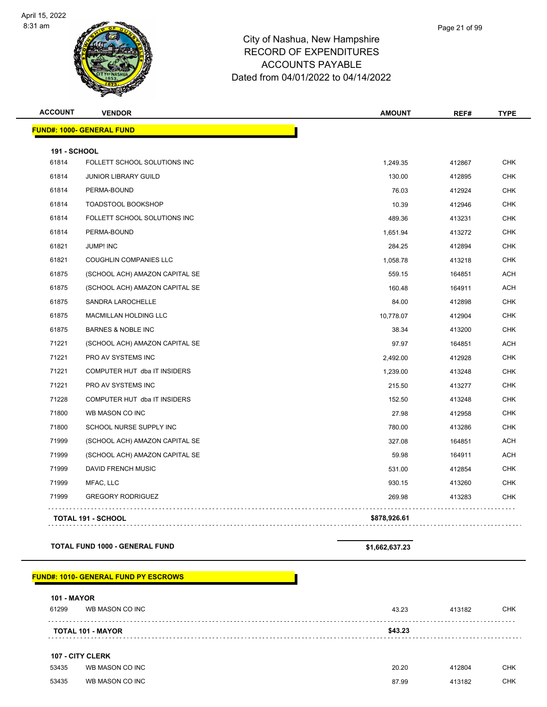**FUND#: 1000- GEN** 



### City of Nashua, New Hampshire RECORD OF EXPENDITURES ACCOUNTS PAYABLE Dated from 04/01/2022 to 04/14/2022

|                     | $\mathbf{z}$<br>ॼ                |               |        |             |
|---------------------|----------------------------------|---------------|--------|-------------|
| <b>ACCOUNT</b>      | <b>VENDOR</b>                    | <b>AMOUNT</b> | REF#   | <b>TYPE</b> |
|                     | <u> IND#: 1000- GENERAL FUND</u> |               |        |             |
|                     |                                  |               |        |             |
| <b>191 - SCHOOL</b> |                                  |               |        |             |
| 61814               | FOLLETT SCHOOL SOLUTIONS INC     | 1,249.35      | 412867 | <b>CHK</b>  |
| 61814               | <b>JUNIOR LIBRARY GUILD</b>      | 130.00        | 412895 | <b>CHK</b>  |
| 61814               | PERMA-BOUND                      | 76.03         | 412924 | <b>CHK</b>  |
| 61814               | <b>TOADSTOOL BOOKSHOP</b>        | 10.39         | 412946 | <b>CHK</b>  |
| 61814               | FOLLETT SCHOOL SOLUTIONS INC     | 489.36        | 413231 | <b>CHK</b>  |
| 61814               | PERMA-BOUND                      | 1,651.94      | 413272 | <b>CHK</b>  |
| 61821               | <b>JUMP! INC</b>                 | 284.25        | 412894 | <b>CHK</b>  |
| 61821               | <b>COUGHLIN COMPANIES LLC</b>    | 1,058.78      | 413218 | <b>CHK</b>  |
| 61875               | (SCHOOL ACH) AMAZON CAPITAL SE   | 559.15        | 164851 | <b>ACH</b>  |
| 61875               | (SCHOOL ACH) AMAZON CAPITAL SE   | 160.48        | 164911 | <b>ACH</b>  |
| 61875               | <b>SANDRA LAROCHELLE</b>         | 84.00         | 412898 | <b>CHK</b>  |
| 61875               | <b>MACMILLAN HOLDING LLC</b>     | 10,778.07     | 412904 | <b>CHK</b>  |
| 61875               | <b>BARNES &amp; NOBLE INC</b>    | 38.34         | 413200 | <b>CHK</b>  |
| 71221               | (SCHOOL ACH) AMAZON CAPITAL SE   | 97.97         | 164851 | <b>ACH</b>  |

The SCHOOL ACH) AMAZON CAPITAL SE CONSUMING SAND CONSUMING SAND ACH CHOOL SERVICE SERVICE SERVICE SERVICE SERVICE SERVICE SERVICE SERVICE SERVICE SERVICE SERVICE SERVICE SERVICE SERVICE SERVICE SERVICE SERVICE SERVICE SERV The SCHOOL ACH) AMAZON CAPITAL SE THE SERIES OF STREET SERIES AND THE SERIES OF STREET SERIES AND ACH The State of the State of the State of the State of the State of the State of the State of the State of the State of the State of the State of the State of the State of the State of the State of the State of the State of t 71999 MFAC, LLC 930.15 413260 CHK 71999 GREGORY RODRIGUEZ 269.98 413283 CHK **TOTAL 191 - SCHOOL \$878,926.61**

 PRO AV SYSTEMS INC 2,492.00 412928 CHK COMPUTER HUT dba IT INSIDERS 1,239.00 413248 CHK PRO AV SYSTEMS INC 215.50 413277 CHK The Superintend COMPUTER HUT dba IT INSIDERS 152.50 152.50 413248 CHK WB MASON CO INC 27.98 412958 CHK The SCHOOL NURSE SUPPLY INC CONTROL CONTROL CONTROL CONTROL CONTROL CONTROL CONTROL CONTROL CONTROL CONTROL CONTROL CONTROL CONTROL CONTROL CONTROL CONTROL CONTROL CONTROL CONTROL CONTROL CONTROL CONTROL CONTROL CONTROL CO

#### **TOTAL FUND 1000 - GENERAL FUND \$1,662,637.23**

#### **FUND#: 1010- GENERAL FUND PY ESCROWS**

| <b>101 - MAYOR</b> |                          |         |        |     |
|--------------------|--------------------------|---------|--------|-----|
| 61299              | WB MASON CO INC          | 43.23   | 413182 | CHK |
|                    |                          |         |        |     |
|                    | <b>TOTAL 101 - MAYOR</b> | \$43.23 |        |     |
|                    |                          |         |        |     |

### **107 - CITY CLERK**

| 53435 | WB MASON CO INC | 20.20 | 412804 | CHK |
|-------|-----------------|-------|--------|-----|
| 53435 | WB MASON CO INC | 87.99 | 413182 | CHK |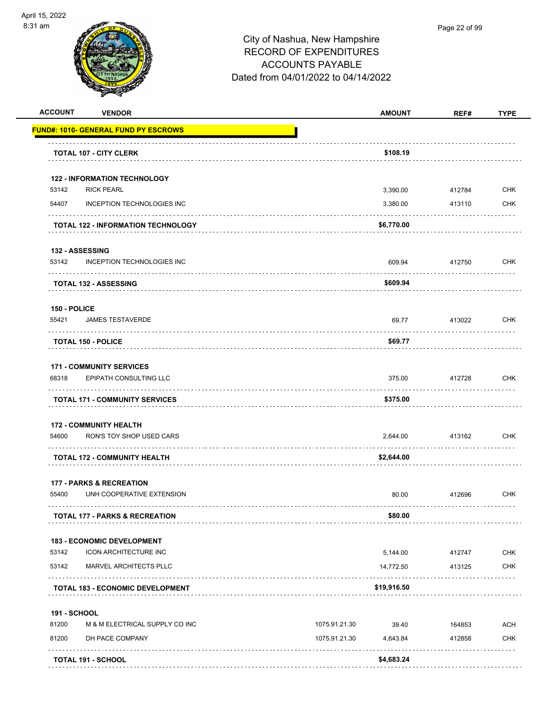

| <b>ACCOUNT</b>      | <b>VENDOR</b>                                            | <b>AMOUNT</b>             | REF#   | <b>TYPE</b> |
|---------------------|----------------------------------------------------------|---------------------------|--------|-------------|
|                     | <b>FUND#: 1010- GENERAL FUND PY ESCROWS</b>              |                           |        |             |
|                     | <b>TOTAL 107 - CITY CLERK</b>                            | \$108.19                  |        |             |
|                     |                                                          |                           |        |             |
| 53142               | <b>122 - INFORMATION TECHNOLOGY</b><br><b>RICK PEARL</b> | 3,390.00                  | 412784 | <b>CHK</b>  |
| 54407               | INCEPTION TECHNOLOGIES INC                               | 3,380.00                  | 413110 | <b>CHK</b>  |
|                     | <b>TOTAL 122 - INFORMATION TECHNOLOGY</b>                | \$6,770.00                |        |             |
|                     | 132 - ASSESSING                                          |                           |        |             |
| 53142               | INCEPTION TECHNOLOGIES INC                               | 609.94                    | 412750 | <b>CHK</b>  |
|                     | <b>TOTAL 132 - ASSESSING</b>                             | \$609.94                  |        |             |
| 150 - POLICE        |                                                          |                           |        |             |
| 55421               | <b>JAMES TESTAVERDE</b>                                  | 69.77                     | 413022 | <b>CHK</b>  |
|                     | <b>TOTAL 150 - POLICE</b>                                | \$69.77                   |        |             |
|                     | <b>171 - COMMUNITY SERVICES</b>                          |                           |        |             |
| 68318               | EPIPATH CONSULTING LLC                                   | 375.00                    | 412728 | <b>CHK</b>  |
|                     | <b>TOTAL 171 - COMMUNITY SERVICES</b>                    | \$375.00                  |        |             |
|                     | <b>172 - COMMUNITY HEALTH</b>                            |                           |        |             |
| 54600               | RON'S TOY SHOP USED CARS                                 | 2,644.00                  | 413162 | CHK         |
|                     | <b>TOTAL 172 - COMMUNITY HEALTH</b>                      | \$2,644.00                |        |             |
|                     | <b>177 - PARKS &amp; RECREATION</b>                      |                           |        |             |
| 55400               | UNH COOPERATIVE EXTENSION                                | 80.00                     | 412696 | <b>CHK</b>  |
|                     | <b>TOTAL 177 - PARKS &amp; RECREATION</b>                | \$80.00                   |        |             |
|                     | 183 - ECONOMIC DEVELOPMENT                               |                           |        |             |
| 53142               | ICON ARCHITECTURE INC                                    | 5,144.00                  | 412747 | CHK         |
| 53142               | MARVEL ARCHITECTS PLLC                                   | 14,772.50                 | 413125 | <b>CHK</b>  |
|                     | <b>TOTAL 183 - ECONOMIC DEVELOPMENT</b>                  | \$19,916.50               |        |             |
| <b>191 - SCHOOL</b> |                                                          |                           |        |             |
| 81200               | M & M ELECTRICAL SUPPLY CO INC                           | 1075.91.21.30<br>39.40    | 164853 | <b>ACH</b>  |
| 81200               | DH PACE COMPANY                                          | 1075.91.21.30<br>4,643.84 | 412858 | <b>CHK</b>  |
|                     | <b>TOTAL 191 - SCHOOL</b>                                | \$4,683.24                |        |             |
|                     |                                                          |                           |        |             |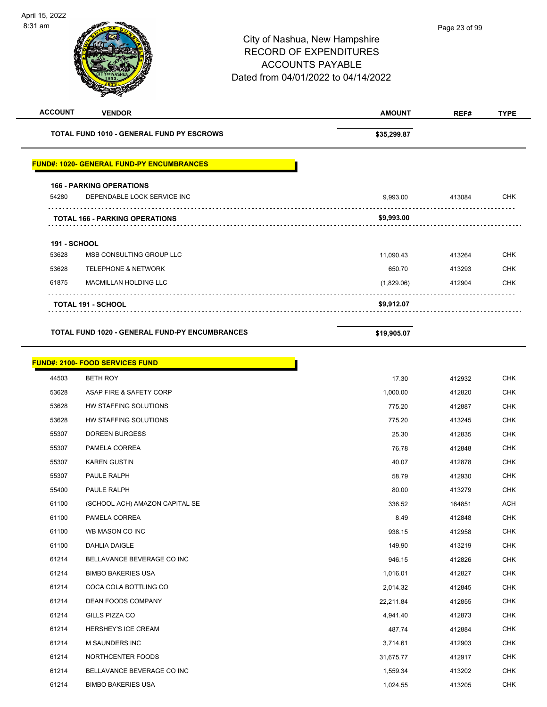$\overline{\phantom{0}}$ 

| <b>ACCOUNT</b>      | <b>VENDOR</b>                                         | <b>AMOUNT</b> | REF#   | <b>TYPE</b> |
|---------------------|-------------------------------------------------------|---------------|--------|-------------|
|                     | <b>TOTAL FUND 1010 - GENERAL FUND PY ESCROWS</b>      | \$35,299.87   |        |             |
|                     | <b>FUND#: 1020- GENERAL FUND-PY ENCUMBRANCES</b>      |               |        |             |
|                     | <b>166 - PARKING OPERATIONS</b>                       |               |        |             |
| 54280               | DEPENDABLE LOCK SERVICE INC                           | 9,993.00      | 413084 | <b>CHK</b>  |
|                     | <b>TOTAL 166 - PARKING OPERATIONS</b>                 | \$9,993.00    |        |             |
| <b>191 - SCHOOL</b> |                                                       |               |        |             |
| 53628               | MSB CONSULTING GROUP LLC                              | 11,090.43     | 413264 | CHK         |
| 53628               | <b>TELEPHONE &amp; NETWORK</b>                        | 650.70        | 413293 | <b>CHK</b>  |
| 61875               | MACMILLAN HOLDING LLC                                 | (1,829.06)    | 412904 | CHK         |
|                     | <b>TOTAL 191 - SCHOOL</b>                             | \$9,912.07    |        |             |
|                     |                                                       |               |        |             |
|                     | <b>TOTAL FUND 1020 - GENERAL FUND-PY ENCUMBRANCES</b> | \$19,905.07   |        |             |
|                     | <b>FUND#: 2100- FOOD SERVICES FUND</b>                |               |        |             |
| 44503               | <b>BETH ROY</b>                                       | 17.30         | 412932 | <b>CHK</b>  |
| 53628               | ASAP FIRE & SAFETY CORP                               | 1,000.00      | 412820 | <b>CHK</b>  |
| 53628               | HW STAFFING SOLUTIONS                                 | 775.20        | 412887 | CHK         |
| 53628               | HW STAFFING SOLUTIONS                                 | 775.20        | 413245 | <b>CHK</b>  |
| 55307               | <b>DOREEN BURGESS</b>                                 | 25.30         | 412835 | <b>CHK</b>  |
| 55307               | PAMELA CORREA                                         | 76.78         | 412848 | <b>CHK</b>  |
| 55307               | <b>KAREN GUSTIN</b>                                   | 40.07         | 412878 | <b>CHK</b>  |
| 55307               | PAULE RALPH                                           | 58.79         | 412930 | CHK         |
| 55400               | PAULE RALPH                                           | 80.00         | 413279 | CHK         |
| 61100               | (SCHOOL ACH) AMAZON CAPITAL SE                        | 336.52        | 164851 | <b>ACH</b>  |
| 61100               | PAMELA CORREA                                         | 8.49          | 412848 | <b>CHK</b>  |
| 61100               | WB MASON CO INC                                       | 938.15        | 412958 | <b>CHK</b>  |
| 61100               | DAHLIA DAIGLE                                         | 149.90        | 413219 | <b>CHK</b>  |
| 61214               | BELLAVANCE BEVERAGE CO INC                            | 946.15        | 412826 | CHK         |
| 61214               | <b>BIMBO BAKERIES USA</b>                             | 1,016.01      | 412827 | <b>CHK</b>  |
| 61214               | COCA COLA BOTTLING CO                                 | 2,014.32      | 412845 | <b>CHK</b>  |
| 61214               | DEAN FOODS COMPANY                                    | 22,211.84     | 412855 | <b>CHK</b>  |
| 61214               | GILLS PIZZA CO                                        | 4,941.40      | 412873 | CHK         |
| 61214               | HERSHEY'S ICE CREAM                                   | 487.74        | 412884 | <b>CHK</b>  |
| 61214               | M SAUNDERS INC                                        | 3,714.61      | 412903 | <b>CHK</b>  |
| 61214               | NORTHCENTER FOODS                                     | 31,675.77     | 412917 | CHK         |
| 61214               | BELLAVANCE BEVERAGE CO INC                            | 1,559.34      | 413202 | <b>CHK</b>  |
| 61214               | <b>BIMBO BAKERIES USA</b>                             | 1,024.55      | 413205 | <b>CHK</b>  |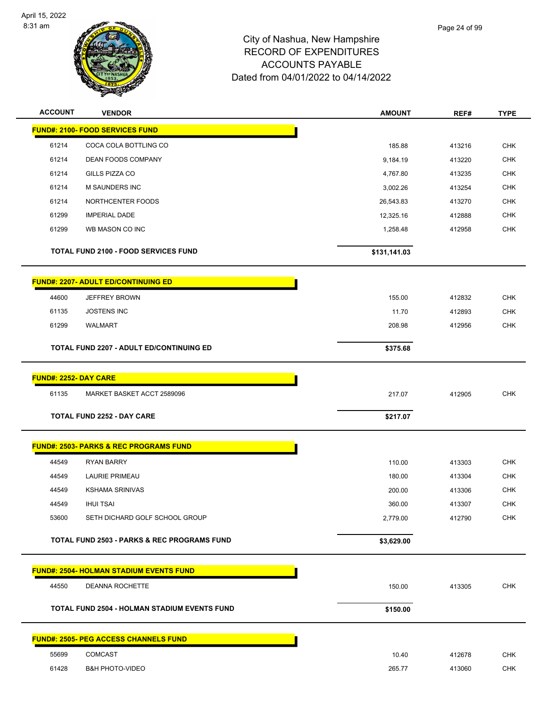

| <b>ACCOUNT</b>               | <b>VENDOR</b>                                          | <b>AMOUNT</b> | REF#   | <b>TYPE</b> |
|------------------------------|--------------------------------------------------------|---------------|--------|-------------|
|                              | <b>FUND#: 2100- FOOD SERVICES FUND</b>                 |               |        |             |
| 61214                        | COCA COLA BOTTLING CO                                  | 185.88        | 413216 | <b>CHK</b>  |
| 61214                        | DEAN FOODS COMPANY                                     | 9,184.19      | 413220 | <b>CHK</b>  |
| 61214                        | GILLS PIZZA CO                                         | 4,767.80      | 413235 | <b>CHK</b>  |
| 61214                        | <b>M SAUNDERS INC</b>                                  | 3,002.26      | 413254 | <b>CHK</b>  |
| 61214                        | NORTHCENTER FOODS                                      | 26,543.83     | 413270 | <b>CHK</b>  |
| 61299                        | <b>IMPERIAL DADE</b>                                   | 12,325.16     | 412888 | CHK         |
| 61299                        | WB MASON CO INC                                        | 1,258.48      | 412958 | <b>CHK</b>  |
|                              | <b>TOTAL FUND 2100 - FOOD SERVICES FUND</b>            | \$131,141.03  |        |             |
|                              | <b>FUND#: 2207- ADULT ED/CONTINUING ED</b>             |               |        |             |
| 44600                        | <b>JEFFREY BROWN</b>                                   | 155.00        | 412832 | <b>CHK</b>  |
| 61135                        | <b>JOSTENS INC</b>                                     | 11.70         | 412893 | <b>CHK</b>  |
| 61299                        | <b>WALMART</b>                                         | 208.98        | 412956 | <b>CHK</b>  |
|                              | <b>TOTAL FUND 2207 - ADULT ED/CONTINUING ED</b>        | \$375.68      |        |             |
|                              |                                                        |               |        |             |
| <b>FUND#: 2252- DAY CARE</b> |                                                        |               |        |             |
| 61135                        | MARKET BASKET ACCT 2589096                             | 217.07        | 412905 | <b>CHK</b>  |
|                              | <b>TOTAL FUND 2252 - DAY CARE</b>                      | \$217.07      |        |             |
|                              | <b>FUND#: 2503- PARKS &amp; REC PROGRAMS FUND</b>      |               |        |             |
| 44549                        | <b>RYAN BARRY</b>                                      | 110.00        | 413303 | <b>CHK</b>  |
| 44549                        | <b>LAURIE PRIMEAU</b>                                  | 180.00        | 413304 | <b>CHK</b>  |
| 44549                        | <b>KSHAMA SRINIVAS</b>                                 | 200.00        | 413306 | <b>CHK</b>  |
| 44549                        | <b>IHUI TSAI</b>                                       | 360.00        | 413307 | <b>CHK</b>  |
| 53600                        | SETH DICHARD GOLF SCHOOL GROUP                         | 2,779.00      | 412790 | <b>CHK</b>  |
|                              | <b>TOTAL FUND 2503 - PARKS &amp; REC PROGRAMS FUND</b> | \$3,629.00    |        |             |
|                              | <b>FUND#: 2504- HOLMAN STADIUM EVENTS FUND</b>         |               |        |             |
| 44550                        | DEANNA ROCHETTE                                        | 150.00        | 413305 | <b>CHK</b>  |
|                              | <b>TOTAL FUND 2504 - HOLMAN STADIUM EVENTS FUND</b>    | \$150.00      |        |             |
|                              | <b>FUND#: 2505- PEG ACCESS CHANNELS FUND</b>           |               |        |             |
| 55699                        | <b>COMCAST</b>                                         | 10.40         | 412678 | <b>CHK</b>  |
| 61428                        | <b>B&amp;H PHOTO-VIDEO</b>                             | 265.77        | 413060 | <b>CHK</b>  |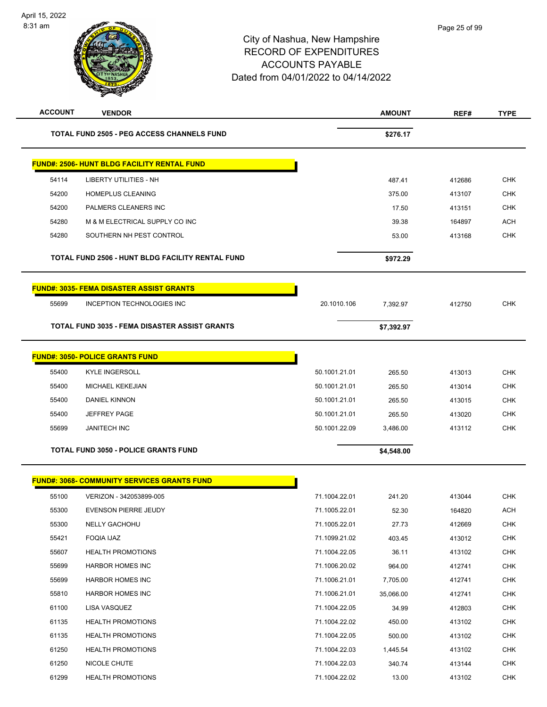| <b>ACCOUNT</b> | <b>VENDOR</b>                                        |               | <b>AMOUNT</b> | REF#   | <b>TYPE</b> |
|----------------|------------------------------------------------------|---------------|---------------|--------|-------------|
|                | <b>TOTAL FUND 2505 - PEG ACCESS CHANNELS FUND</b>    |               | \$276.17      |        |             |
|                | <b>FUND#: 2506- HUNT BLDG FACILITY RENTAL FUND</b>   |               |               |        |             |
| 54114          | LIBERTY UTILITIES - NH                               |               | 487.41        | 412686 | <b>CHK</b>  |
| 54200          | <b>HOMEPLUS CLEANING</b>                             |               | 375.00        | 413107 | <b>CHK</b>  |
| 54200          | PALMERS CLEANERS INC                                 |               | 17.50         | 413151 | <b>CHK</b>  |
| 54280          | M & M ELECTRICAL SUPPLY CO INC                       |               | 39.38         | 164897 | ACH         |
| 54280          | SOUTHERN NH PEST CONTROL                             |               | 53.00         | 413168 | <b>CHK</b>  |
|                | TOTAL FUND 2506 - HUNT BLDG FACILITY RENTAL FUND     |               | \$972.29      |        |             |
|                | <b>FUND#: 3035- FEMA DISASTER ASSIST GRANTS</b>      |               |               |        |             |
| 55699          | INCEPTION TECHNOLOGIES INC                           | 20.1010.106   | 7.392.97      | 412750 | <b>CHK</b>  |
|                | <b>TOTAL FUND 3035 - FEMA DISASTER ASSIST GRANTS</b> |               | \$7,392.97    |        |             |
|                | <b>FUND#: 3050- POLICE GRANTS FUND</b>               |               |               |        |             |
| 55400          | <b>KYLE INGERSOLL</b>                                | 50.1001.21.01 | 265.50        | 413013 | <b>CHK</b>  |
| 55400          | <b>MICHAEL KEKEJIAN</b>                              | 50.1001.21.01 | 265.50        | 413014 | <b>CHK</b>  |
| 55400          | DANIEL KINNON                                        | 50.1001.21.01 | 265.50        | 413015 | <b>CHK</b>  |
| 55400          | <b>JEFFREY PAGE</b>                                  | 50.1001.21.01 | 265.50        | 413020 | <b>CHK</b>  |
| 55699          | <b>JANITECH INC</b>                                  | 50.1001.22.09 | 3,486.00      | 413112 | <b>CHK</b>  |
|                | <b>TOTAL FUND 3050 - POLICE GRANTS FUND</b>          |               | \$4,548.00    |        |             |
|                | <b>FUND#: 3068- COMMUNITY SERVICES GRANTS FUND</b>   |               |               |        |             |
| 55100          | VERIZON - 342053899-005                              | 71.1004.22.01 | 241.20        | 413044 | СНК         |
| 55300          | EVENSON PIERRE JEUDY                                 | 71.1005.22.01 | 52.30         | 164820 | <b>ACH</b>  |
| 55300          | <b>NELLY GACHOHU</b>                                 | 71.1005.22.01 | 27.73         | 412669 | <b>CHK</b>  |
| 55421          | FOQIA IJAZ                                           | 71.1099.21.02 | 403.45        | 413012 | <b>CHK</b>  |
| 55607          | <b>HEALTH PROMOTIONS</b>                             | 71.1004.22.05 | 36.11         | 413102 | <b>CHK</b>  |
| 55699          | <b>HARBOR HOMES INC</b>                              | 71.1006.20.02 | 964.00        | 412741 | <b>CHK</b>  |
| 55699          | <b>HARBOR HOMES INC</b>                              | 71.1006.21.01 | 7,705.00      | 412741 | <b>CHK</b>  |
| 55810          | <b>HARBOR HOMES INC</b>                              | 71.1006.21.01 | 35,066.00     | 412741 | <b>CHK</b>  |
| 61100          | LISA VASQUEZ                                         | 71.1004.22.05 | 34.99         | 412803 | <b>CHK</b>  |
| 61135          | <b>HEALTH PROMOTIONS</b>                             | 71.1004.22.02 | 450.00        | 413102 | <b>CHK</b>  |
| 61135          | <b>HEALTH PROMOTIONS</b>                             | 71.1004.22.05 | 500.00        | 413102 | CHK         |
| 61250          | <b>HEALTH PROMOTIONS</b>                             | 71.1004.22.03 | 1,445.54      | 413102 | <b>CHK</b>  |
| 61250          | NICOLE CHUTE                                         | 71.1004.22.03 | 340.74        | 413144 | <b>CHK</b>  |
| 61299          | <b>HEALTH PROMOTIONS</b>                             | 71.1004.22.02 | 13.00         | 413102 | <b>CHK</b>  |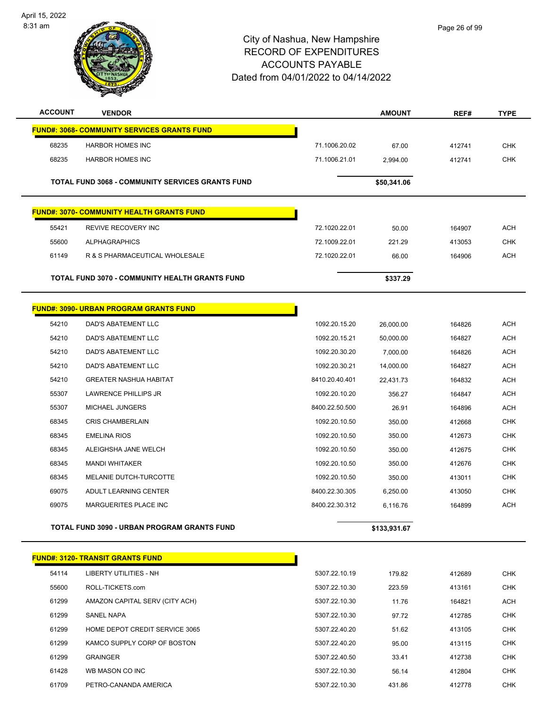

| <b>ACCOUNT</b> | <b>VENDOR</b>                                           |                | <b>AMOUNT</b> | REF#   | <b>TYPE</b> |
|----------------|---------------------------------------------------------|----------------|---------------|--------|-------------|
|                | <b>FUND#: 3068- COMMUNITY SERVICES GRANTS FUND</b>      |                |               |        |             |
| 68235          | <b>HARBOR HOMES INC</b>                                 | 71.1006.20.02  | 67.00         | 412741 | <b>CHK</b>  |
| 68235          | <b>HARBOR HOMES INC</b>                                 | 71.1006.21.01  | 2,994.00      | 412741 | <b>CHK</b>  |
|                | <b>TOTAL FUND 3068 - COMMUNITY SERVICES GRANTS FUND</b> |                | \$50,341.06   |        |             |
|                | <b>FUND#: 3070- COMMUNITY HEALTH GRANTS FUND</b>        |                |               |        |             |
| 55421          | REVIVE RECOVERY INC                                     | 72.1020.22.01  | 50.00         | 164907 | <b>ACH</b>  |
| 55600          | <b>ALPHAGRAPHICS</b>                                    | 72.1009.22.01  | 221.29        | 413053 | <b>CHK</b>  |
| 61149          | R & S PHARMACEUTICAL WHOLESALE                          | 72.1020.22.01  | 66.00         | 164906 | <b>ACH</b>  |
|                | TOTAL FUND 3070 - COMMUNITY HEALTH GRANTS FUND          |                | \$337.29      |        |             |
|                | <b>FUND#: 3090- URBAN PROGRAM GRANTS FUND</b>           |                |               |        |             |
| 54210          | DAD'S ABATEMENT LLC                                     | 1092.20.15.20  | 26,000.00     | 164826 | <b>ACH</b>  |
| 54210          | <b>DAD'S ABATEMENT LLC</b>                              | 1092.20.15.21  | 50,000.00     | 164827 | <b>ACH</b>  |
| 54210          | DAD'S ABATEMENT LLC                                     | 1092.20.30.20  | 7,000.00      | 164826 | <b>ACH</b>  |
| 54210          | DAD'S ABATEMENT LLC                                     | 1092.20.30.21  | 14,000.00     | 164827 | <b>ACH</b>  |
| 54210          | <b>GREATER NASHUA HABITAT</b>                           | 8410.20.40.401 | 22,431.73     | 164832 | ACH         |
| 55307          | LAWRENCE PHILLIPS JR                                    | 1092.20.10.20  | 356.27        | 164847 | <b>ACH</b>  |
| 55307          | MICHAEL JUNGERS                                         | 8400.22.50.500 | 26.91         | 164896 | <b>ACH</b>  |
| 68345          | <b>CRIS CHAMBERLAIN</b>                                 | 1092.20.10.50  | 350.00        | 412668 | <b>CHK</b>  |
| 68345          | <b>EMELINA RIOS</b>                                     | 1092.20.10.50  | 350.00        | 412673 | <b>CHK</b>  |
| 68345          | ALEIGHSHA JANE WELCH                                    | 1092.20.10.50  | 350.00        | 412675 | <b>CHK</b>  |
| 68345          | <b>MANDI WHITAKER</b>                                   | 1092.20.10.50  | 350.00        | 412676 | <b>CHK</b>  |
| 68345          | MELANIE DUTCH-TURCOTTE                                  | 1092.20.10.50  | 350.00        | 413011 | <b>CHK</b>  |
| 69075          | ADULT LEARNING CENTER                                   | 8400.22.30.305 | 6,250.00      | 413050 | <b>CHK</b>  |
| 69075          | MARGUERITES PLACE INC                                   | 8400.22.30.312 | 6,116.76      | 164899 | <b>ACH</b>  |
|                | <b>TOTAL FUND 3090 - URBAN PROGRAM GRANTS FUND</b>      |                | \$133,931.67  |        |             |
|                | <b>FUND#: 3120- TRANSIT GRANTS FUND</b>                 |                |               |        |             |
| 54114          | <b>LIBERTY UTILITIES - NH</b>                           | 5307.22.10.19  | 179.82        | 412689 | <b>CHK</b>  |
| 55600          | ROLL-TICKETS.com                                        | 5307.22.10.30  | 223.59        | 413161 | <b>CHK</b>  |
| 61299          | AMAZON CAPITAL SERV (CITY ACH)                          | 5307.22.10.30  | 11.76         | 164821 | <b>ACH</b>  |
| 61299          | SANEL NAPA                                              | 5307.22.10.30  | 97.72         | 412785 | CHK         |
| 61299          | HOME DEPOT CREDIT SERVICE 3065                          | 5307.22.40.20  | 51.62         | 413105 | <b>CHK</b>  |
| 61299          | KAMCO SUPPLY CORP OF BOSTON                             | 5307.22.40.20  | 95.00         | 413115 | <b>CHK</b>  |
| 61299          | <b>GRAINGER</b>                                         | 5307.22.40.50  | 33.41         | 412738 | CHK         |
| 61428          | WB MASON CO INC                                         | 5307.22.10.30  | 56.14         | 412804 | <b>CHK</b>  |
| 61709          | PETRO-CANANDA AMERICA                                   | 5307.22.10.30  | 431.86        | 412778 | <b>CHK</b>  |
|                |                                                         |                |               |        |             |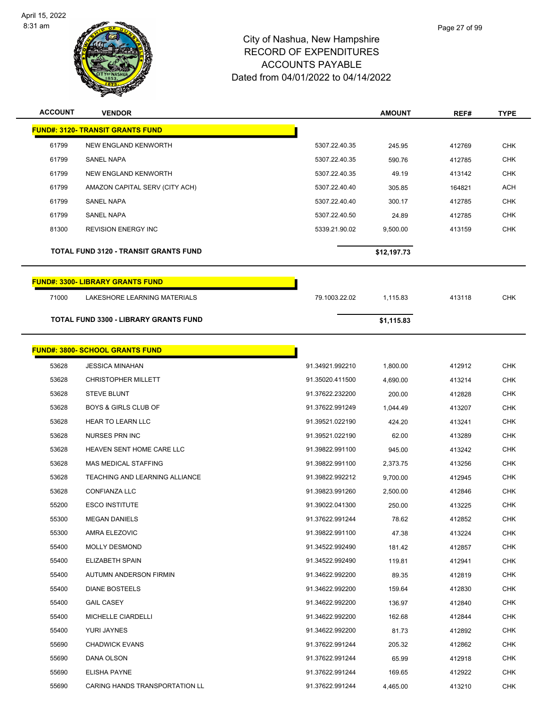

| <b>ACCOUNT</b> | <b>VENDOR</b>                                |                 | <b>AMOUNT</b> | REF#   | <b>TYPE</b> |
|----------------|----------------------------------------------|-----------------|---------------|--------|-------------|
|                | <b>FUND#: 3120- TRANSIT GRANTS FUND</b>      |                 |               |        |             |
| 61799          | NEW ENGLAND KENWORTH                         | 5307.22.40.35   | 245.95        | 412769 | <b>CHK</b>  |
| 61799          | <b>SANEL NAPA</b>                            | 5307.22.40.35   | 590.76        | 412785 | <b>CHK</b>  |
| 61799          | NEW ENGLAND KENWORTH                         | 5307.22.40.35   | 49.19         | 413142 | <b>CHK</b>  |
| 61799          | AMAZON CAPITAL SERV (CITY ACH)               | 5307.22.40.40   | 305.85        | 164821 | <b>ACH</b>  |
| 61799          | <b>SANEL NAPA</b>                            | 5307.22.40.40   | 300.17        | 412785 | <b>CHK</b>  |
| 61799          | SANEL NAPA                                   | 5307.22.40.50   | 24.89         | 412785 | CHK         |
| 81300          | <b>REVISION ENERGY INC</b>                   | 5339.21.90.02   | 9,500.00      | 413159 | <b>CHK</b>  |
|                | <b>TOTAL FUND 3120 - TRANSIT GRANTS FUND</b> |                 | \$12,197.73   |        |             |
|                | <b>FUND#: 3300- LIBRARY GRANTS FUND</b>      |                 |               |        |             |
| 71000          | LAKESHORE LEARNING MATERIALS                 | 79.1003.22.02   | 1,115.83      | 413118 | <b>CHK</b>  |
|                | <b>TOTAL FUND 3300 - LIBRARY GRANTS FUND</b> |                 | \$1,115.83    |        |             |
|                | <b>FUND#: 3800- SCHOOL GRANTS FUND</b>       |                 |               |        |             |
| 53628          | <b>JESSICA MINAHAN</b>                       | 91.34921.992210 | 1,800.00      | 412912 | <b>CHK</b>  |
| 53628          | <b>CHRISTOPHER MILLETT</b>                   | 91.35020.411500 | 4,690.00      | 413214 | <b>CHK</b>  |
| 53628          | <b>STEVE BLUNT</b>                           | 91.37622.232200 | 200.00        | 412828 | <b>CHK</b>  |
| 53628          | <b>BOYS &amp; GIRLS CLUB OF</b>              | 91.37622.991249 | 1,044.49      | 413207 | <b>CHK</b>  |
| 53628          | <b>HEAR TO LEARN LLC</b>                     | 91.39521.022190 | 424.20        | 413241 | <b>CHK</b>  |
| 53628          | NURSES PRN INC                               | 91.39521.022190 | 62.00         | 413289 | <b>CHK</b>  |
| 53628          | HEAVEN SENT HOME CARE LLC                    | 91.39822.991100 | 945.00        | 413242 | CHK         |
| 53628          | <b>MAS MEDICAL STAFFING</b>                  | 91.39822.991100 | 2,373.75      | 413256 | <b>CHK</b>  |
| 53628          | TEACHING AND LEARNING ALLIANCE               | 91.39822.992212 | 9,700.00      | 412945 | <b>CHK</b>  |
| 53628          | <b>CONFIANZA LLC</b>                         | 91.39823.991260 | 2,500.00      | 412846 | <b>CHK</b>  |
| 55200          | <b>ESCO INSTITUTE</b>                        | 91.39022.041300 | 250.00        | 413225 | <b>CHK</b>  |
| 55300          | <b>MEGAN DANIELS</b>                         | 91.37622.991244 | 78.62         | 412852 | <b>CHK</b>  |
| 55300          | AMRA ELEZOVIC                                | 91.39822.991100 | 47.38         | 413224 | <b>CHK</b>  |
| 55400          | <b>MOLLY DESMOND</b>                         | 91.34522.992490 | 181.42        | 412857 | <b>CHK</b>  |
| 55400          | ELIZABETH SPAIN                              | 91.34522.992490 | 119.81        | 412941 | <b>CHK</b>  |
| 55400          | AUTUMN ANDERSON FIRMIN                       | 91.34622.992200 | 89.35         | 412819 | <b>CHK</b>  |
| 55400          | <b>DIANE BOSTEELS</b>                        | 91.34622.992200 | 159.64        | 412830 | <b>CHK</b>  |
| 55400          | <b>GAIL CASEY</b>                            | 91.34622.992200 | 136.97        | 412840 | <b>CHK</b>  |
| 55400          | MICHELLE CIARDELLI                           | 91.34622.992200 | 162.68        | 412844 | CHK         |
| 55400          | YURI JAYNES                                  | 91.34622.992200 | 81.73         | 412892 | <b>CHK</b>  |
| 55690          | <b>CHADWICK EVANS</b>                        | 91.37622.991244 | 205.32        | 412862 | <b>CHK</b>  |
| 55690          | DANA OLSON                                   | 91.37622.991244 | 65.99         | 412918 | <b>CHK</b>  |
| 55690          | <b>ELISHA PAYNE</b>                          | 91.37622.991244 | 169.65        | 412922 | <b>CHK</b>  |
| 55690          | CARING HANDS TRANSPORTATION LL               | 91.37622.991244 | 4,465.00      | 413210 | <b>CHK</b>  |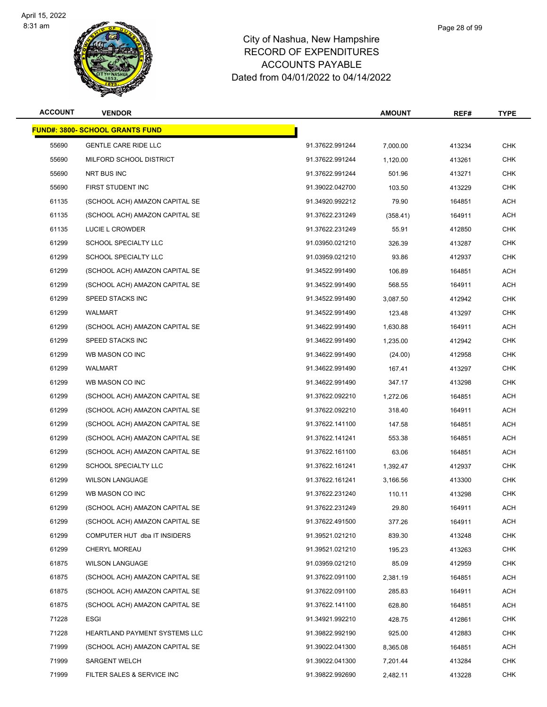

| <b>ACCOUNT</b> | <b>VENDOR</b>                           |                 | <b>AMOUNT</b> | REF#   | <b>TYPE</b> |
|----------------|-----------------------------------------|-----------------|---------------|--------|-------------|
|                | <u> FUND#: 3800- SCHOOL GRANTS FUND</u> |                 |               |        |             |
| 55690          | <b>GENTLE CARE RIDE LLC</b>             | 91.37622.991244 | 7,000.00      | 413234 | <b>CHK</b>  |
| 55690          | MILFORD SCHOOL DISTRICT                 | 91.37622.991244 | 1,120.00      | 413261 | <b>CHK</b>  |
| 55690          | NRT BUS INC                             | 91.37622.991244 | 501.96        | 413271 | <b>CHK</b>  |
| 55690          | FIRST STUDENT INC                       | 91.39022.042700 | 103.50        | 413229 | <b>CHK</b>  |
| 61135          | (SCHOOL ACH) AMAZON CAPITAL SE          | 91.34920.992212 | 79.90         | 164851 | <b>ACH</b>  |
| 61135          | (SCHOOL ACH) AMAZON CAPITAL SE          | 91.37622.231249 | (358.41)      | 164911 | <b>ACH</b>  |
| 61135          | LUCIE L CROWDER                         | 91.37622.231249 | 55.91         | 412850 | <b>CHK</b>  |
| 61299          | SCHOOL SPECIALTY LLC                    | 91.03950.021210 | 326.39        | 413287 | CHK         |
| 61299          | SCHOOL SPECIALTY LLC                    | 91.03959.021210 | 93.86         | 412937 | <b>CHK</b>  |
| 61299          | (SCHOOL ACH) AMAZON CAPITAL SE          | 91.34522.991490 | 106.89        | 164851 | <b>ACH</b>  |
| 61299          | (SCHOOL ACH) AMAZON CAPITAL SE          | 91.34522.991490 | 568.55        | 164911 | <b>ACH</b>  |
| 61299          | SPEED STACKS INC                        | 91.34522.991490 | 3,087.50      | 412942 | <b>CHK</b>  |
| 61299          | WALMART                                 | 91.34522.991490 | 123.48        | 413297 | <b>CHK</b>  |
| 61299          | (SCHOOL ACH) AMAZON CAPITAL SE          | 91.34622.991490 | 1.630.88      | 164911 | ACH         |
| 61299          | SPEED STACKS INC                        | 91.34622.991490 | 1,235.00      | 412942 | <b>CHK</b>  |
| 61299          | WB MASON CO INC                         | 91.34622.991490 | (24.00)       | 412958 | CHK         |
| 61299          | WALMART                                 | 91.34622.991490 | 167.41        | 413297 | <b>CHK</b>  |
| 61299          | WB MASON CO INC                         | 91.34622.991490 | 347.17        | 413298 | CHK         |
| 61299          | (SCHOOL ACH) AMAZON CAPITAL SE          | 91.37622.092210 | 1,272.06      | 164851 | ACH         |
| 61299          | (SCHOOL ACH) AMAZON CAPITAL SE          | 91.37622.092210 | 318.40        | 164911 | <b>ACH</b>  |
| 61299          | (SCHOOL ACH) AMAZON CAPITAL SE          | 91.37622.141100 | 147.58        | 164851 | <b>ACH</b>  |
| 61299          | (SCHOOL ACH) AMAZON CAPITAL SE          | 91.37622.141241 | 553.38        | 164851 | <b>ACH</b>  |
| 61299          | (SCHOOL ACH) AMAZON CAPITAL SE          | 91.37622.161100 | 63.06         | 164851 | <b>ACH</b>  |
| 61299          | <b>SCHOOL SPECIALTY LLC</b>             | 91.37622.161241 | 1,392.47      | 412937 | CHK         |
| 61299          | <b>WILSON LANGUAGE</b>                  | 91.37622.161241 | 3,166.56      | 413300 | <b>CHK</b>  |
| 61299          | WB MASON CO INC                         | 91.37622.231240 | 110.11        | 413298 | <b>CHK</b>  |
| 61299          | (SCHOOL ACH) AMAZON CAPITAL SE          | 91.37622.231249 | 29.80         | 164911 | ACH         |
| 61299          | (SCHOOL ACH) AMAZON CAPITAL SE          | 91.37622.491500 | 377.26        | 164911 | <b>ACH</b>  |
| 61299          | COMPUTER HUT dba IT INSIDERS            | 91.39521.021210 | 839.30        | 413248 | <b>CHK</b>  |
| 61299          | CHERYL MOREAU                           | 91.39521.021210 | 195.23        | 413263 | <b>CHK</b>  |
| 61875          | <b>WILSON LANGUAGE</b>                  | 91.03959.021210 | 85.09         | 412959 | <b>CHK</b>  |
| 61875          | (SCHOOL ACH) AMAZON CAPITAL SE          | 91.37622.091100 | 2,381.19      | 164851 | ACH         |
| 61875          | (SCHOOL ACH) AMAZON CAPITAL SE          | 91.37622.091100 | 285.83        | 164911 | <b>ACH</b>  |
| 61875          | (SCHOOL ACH) AMAZON CAPITAL SE          | 91.37622.141100 | 628.80        | 164851 | <b>ACH</b>  |
| 71228          | <b>ESGI</b>                             | 91.34921.992210 | 428.75        | 412861 | <b>CHK</b>  |
| 71228          | HEARTLAND PAYMENT SYSTEMS LLC           | 91.39822.992190 | 925.00        | 412883 | <b>CHK</b>  |
| 71999          | (SCHOOL ACH) AMAZON CAPITAL SE          | 91.39022.041300 | 8,365.08      | 164851 | ACH         |
| 71999          | <b>SARGENT WELCH</b>                    | 91.39022.041300 | 7,201.44      | 413284 | <b>CHK</b>  |
| 71999          | FILTER SALES & SERVICE INC              | 91.39822.992690 | 2,482.11      | 413228 | <b>CHK</b>  |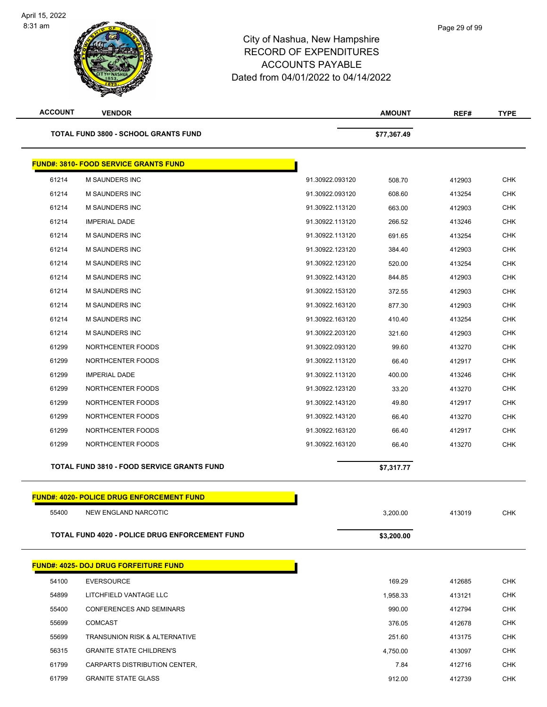| <b>ACCOUNT</b> | <b>VENDOR</b>                                     |                 | <b>AMOUNT</b> | REF#   | <b>TYPE</b> |
|----------------|---------------------------------------------------|-----------------|---------------|--------|-------------|
|                | <b>TOTAL FUND 3800 - SCHOOL GRANTS FUND</b>       |                 | \$77,367.49   |        |             |
|                | <b>FUND#: 3810- FOOD SERVICE GRANTS FUND</b>      |                 |               |        |             |
| 61214          | M SAUNDERS INC                                    | 91.30922.093120 | 508.70        | 412903 | <b>CHK</b>  |
| 61214          | <b>M SAUNDERS INC</b>                             | 91.30922.093120 | 608.60        | 413254 | <b>CHK</b>  |
| 61214          | <b>M SAUNDERS INC</b>                             | 91.30922.113120 | 663.00        | 412903 | CHK         |
| 61214          | <b>IMPERIAL DADE</b>                              | 91.30922.113120 | 266.52        | 413246 | CHK         |
| 61214          | M SAUNDERS INC                                    | 91.30922.113120 | 691.65        | 413254 | <b>CHK</b>  |
| 61214          | M SAUNDERS INC                                    | 91.30922.123120 | 384.40        | 412903 | CHK         |
| 61214          | M SAUNDERS INC                                    | 91.30922.123120 | 520.00        | 413254 | <b>CHK</b>  |
| 61214          | M SAUNDERS INC                                    | 91.30922.143120 | 844.85        | 412903 | <b>CHK</b>  |
| 61214          | <b>M SAUNDERS INC</b>                             | 91.30922.153120 | 372.55        | 412903 | CHK         |
| 61214          | M SAUNDERS INC                                    | 91.30922.163120 | 877.30        | 412903 | <b>CHK</b>  |
| 61214          | M SAUNDERS INC                                    | 91.30922.163120 | 410.40        | 413254 | CHK         |
| 61214          | <b>M SAUNDERS INC</b>                             | 91.30922.203120 | 321.60        | 412903 | <b>CHK</b>  |
| 61299          | NORTHCENTER FOODS                                 | 91.30922.093120 | 99.60         | 413270 | <b>CHK</b>  |
| 61299          | NORTHCENTER FOODS                                 | 91.30922.113120 | 66.40         | 412917 | CHK         |
| 61299          | <b>IMPERIAL DADE</b>                              | 91.30922.113120 | 400.00        | 413246 | <b>CHK</b>  |
| 61299          | NORTHCENTER FOODS                                 | 91.30922.123120 | 33.20         | 413270 | CHK         |
| 61299          | NORTHCENTER FOODS                                 | 91.30922.143120 | 49.80         | 412917 | <b>CHK</b>  |
| 61299          | NORTHCENTER FOODS                                 | 91.30922.143120 | 66.40         | 413270 | CHK         |
| 61299          | NORTHCENTER FOODS                                 | 91.30922.163120 | 66.40         | 412917 | CHK         |
| 61299          | NORTHCENTER FOODS                                 | 91.30922.163120 | 66.40         | 413270 | <b>CHK</b>  |
|                | <b>TOTAL FUND 3810 - FOOD SERVICE GRANTS FUND</b> |                 | \$7,317.77    |        |             |
|                |                                                   |                 |               |        |             |
|                | <b>FUND#: 4020- POLICE DRUG ENFORCEMENT FUND</b>  |                 |               |        |             |
| 55400          | NEW ENGLAND NARCOTIC                              |                 | 3,200.00      | 413019 | <b>CHK</b>  |
|                | TOTAL FUND 4020 - POLICE DRUG ENFORCEMENT FUND    |                 | \$3,200.00    |        |             |
|                | <b>FUND#: 4025- DOJ DRUG FORFEITURE FUND</b>      |                 |               |        |             |
| 54100          | <b>EVERSOURCE</b>                                 |                 | 169.29        | 412685 | <b>CHK</b>  |
| 54899          | LITCHFIELD VANTAGE LLC                            |                 | 1,958.33      | 413121 | <b>CHK</b>  |
| 55400          | <b>CONFERENCES AND SEMINARS</b>                   |                 | 990.00        | 412794 | <b>CHK</b>  |
| 55699          | <b>COMCAST</b>                                    |                 | 376.05        | 412678 | <b>CHK</b>  |
| 55699          | <b>TRANSUNION RISK &amp; ALTERNATIVE</b>          |                 | 251.60        | 413175 | <b>CHK</b>  |
| 56315          | <b>GRANITE STATE CHILDREN'S</b>                   |                 | 4,750.00      | 413097 | <b>CHK</b>  |
| 61799          | CARPARTS DISTRIBUTION CENTER,                     |                 | 7.84          | 412716 | <b>CHK</b>  |
| 61799          | <b>GRANITE STATE GLASS</b>                        |                 | 912.00        | 412739 | <b>CHK</b>  |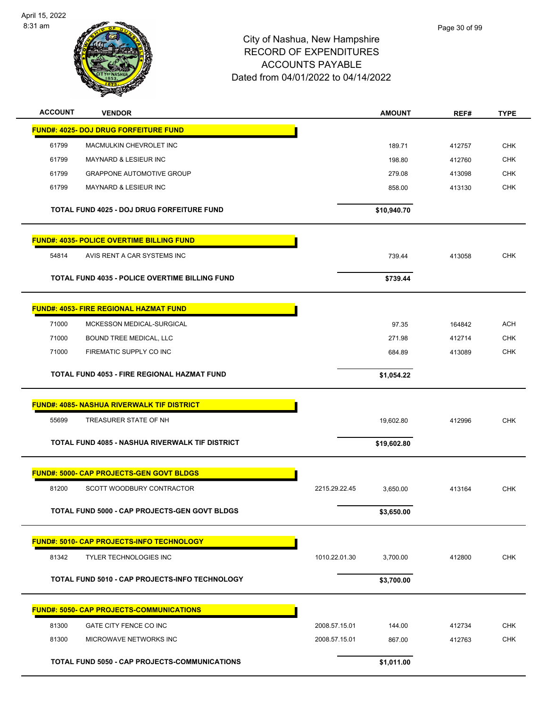

| <b>ACCOUNT</b> | <b>VENDOR</b>                                         |               | <b>AMOUNT</b> | REF#   | <b>TYPE</b> |
|----------------|-------------------------------------------------------|---------------|---------------|--------|-------------|
|                | <b>FUND#: 4025- DOJ DRUG FORFEITURE FUND</b>          |               |               |        |             |
| 61799          | MACMULKIN CHEVROLET INC                               |               | 189.71        | 412757 | <b>CHK</b>  |
| 61799          | <b>MAYNARD &amp; LESIEUR INC</b>                      |               | 198.80        | 412760 | <b>CHK</b>  |
| 61799          | <b>GRAPPONE AUTOMOTIVE GROUP</b>                      |               | 279.08        | 413098 | <b>CHK</b>  |
| 61799          | MAYNARD & LESIEUR INC                                 |               | 858.00        | 413130 | <b>CHK</b>  |
|                |                                                       |               |               |        |             |
|                | <b>TOTAL FUND 4025 - DOJ DRUG FORFEITURE FUND</b>     |               | \$10,940.70   |        |             |
|                | <b>FUND#: 4035- POLICE OVERTIME BILLING FUND</b>      |               |               |        |             |
| 54814          | AVIS RENT A CAR SYSTEMS INC                           |               | 739.44        | 413058 | <b>CHK</b>  |
|                |                                                       |               |               |        |             |
|                | <b>TOTAL FUND 4035 - POLICE OVERTIME BILLING FUND</b> |               | \$739.44      |        |             |
|                | <b>FUND#: 4053- FIRE REGIONAL HAZMAT FUND</b>         |               |               |        |             |
| 71000          | MCKESSON MEDICAL-SURGICAL                             |               | 97.35         | 164842 | <b>ACH</b>  |
| 71000          | BOUND TREE MEDICAL, LLC                               |               | 271.98        | 412714 | <b>CHK</b>  |
| 71000          | FIREMATIC SUPPLY CO INC                               |               | 684.89        | 413089 | <b>CHK</b>  |
|                | TOTAL FUND 4053 - FIRE REGIONAL HAZMAT FUND           |               | \$1,054.22    |        |             |
|                |                                                       |               |               |        |             |
|                | <b>FUND#: 4085- NASHUA RIVERWALK TIF DISTRICT</b>     |               |               |        |             |
| 55699          | TREASURER STATE OF NH                                 |               | 19,602.80     | 412996 | <b>CHK</b>  |
|                | TOTAL FUND 4085 - NASHUA RIVERWALK TIF DISTRICT       |               | \$19,602.80   |        |             |
|                |                                                       |               |               |        |             |
|                | <b>FUND#: 5000- CAP PROJECTS-GEN GOVT BLDGS</b>       |               |               |        |             |
| 81200          | SCOTT WOODBURY CONTRACTOR                             | 2215.29.22.45 | 3,650.00      | 413164 | <b>CHK</b>  |
|                | TOTAL FUND 5000 - CAP PROJECTS-GEN GOVT BLDGS         |               | \$3,650.00    |        |             |
|                |                                                       |               |               |        |             |
|                | FUND#: 5010- CAP PROJECTS-INFO TECHNOLOGY             |               |               |        |             |
| 81342          | TYLER TECHNOLOGIES INC                                | 1010.22.01.30 | 3,700.00      | 412800 | <b>CHK</b>  |
|                | TOTAL FUND 5010 - CAP PROJECTS-INFO TECHNOLOGY        |               | \$3,700.00    |        |             |
|                |                                                       |               |               |        |             |
|                | <b>FUND#: 5050- CAP PROJECTS-COMMUNICATIONS</b>       |               |               |        |             |
| 81300          | GATE CITY FENCE CO INC                                | 2008.57.15.01 | 144.00        | 412734 | <b>CHK</b>  |
| 81300          | MICROWAVE NETWORKS INC                                | 2008.57.15.01 | 867.00        | 412763 | <b>CHK</b>  |
|                | TOTAL FUND 5050 - CAP PROJECTS-COMMUNICATIONS         |               | \$1,011.00    |        |             |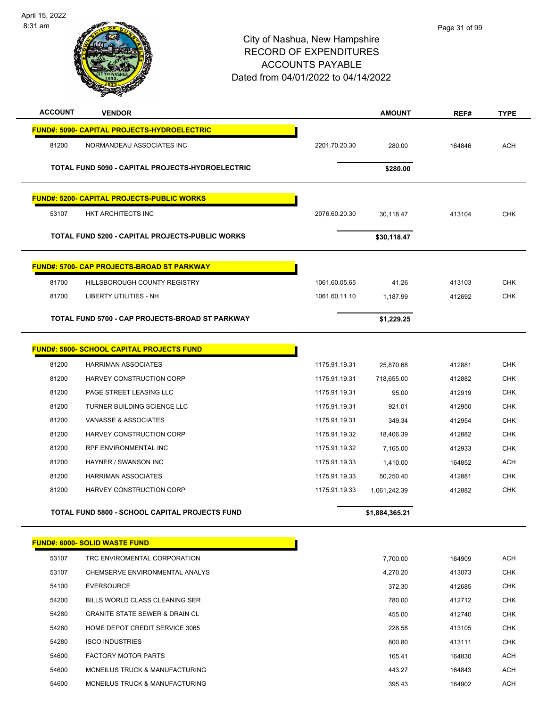

| <b>ACCOUNT</b> | <b>VENDOR</b>                                     |               | <b>AMOUNT</b>  | REF#   | <b>TYPE</b> |
|----------------|---------------------------------------------------|---------------|----------------|--------|-------------|
|                | FUND#: 5090- CAPITAL PROJECTS-HYDROELECTRIC       |               |                |        |             |
| 81200          | NORMANDEAU ASSOCIATES INC                         | 2201.70.20.30 | 280.00         | 164846 | <b>ACH</b>  |
|                |                                                   |               |                |        |             |
|                | TOTAL FUND 5090 - CAPITAL PROJECTS-HYDROELECTRIC  |               | \$280.00       |        |             |
|                |                                                   |               |                |        |             |
|                | <b>FUND#: 5200- CAPITAL PROJECTS-PUBLIC WORKS</b> |               |                |        |             |
| 53107          | HKT ARCHITECTS INC                                | 2076.60.20.30 | 30,118.47      | 413104 | <b>CHK</b>  |
|                | TOTAL FUND 5200 - CAPITAL PROJECTS-PUBLIC WORKS   |               | \$30,118.47    |        |             |
|                | <b>FUND#: 5700- CAP PROJECTS-BROAD ST PARKWAY</b> |               |                |        |             |
| 81700          | HILLSBOROUGH COUNTY REGISTRY                      | 1061.60.05.65 | 41.26          | 413103 | <b>CHK</b>  |
| 81700          | LIBERTY UTILITIES - NH                            | 1061.60.11.10 | 1,187.99       | 412692 | <b>CHK</b>  |
|                |                                                   |               |                |        |             |
|                | TOTAL FUND 5700 - CAP PROJECTS-BROAD ST PARKWAY   |               | \$1,229.25     |        |             |
|                | <b>FUND#: 5800- SCHOOL CAPITAL PROJECTS FUND</b>  |               |                |        |             |
| 81200          | <b>HARRIMAN ASSOCIATES</b>                        | 1175.91.19.31 | 25,870.68      | 412881 | <b>CHK</b>  |
| 81200          | HARVEY CONSTRUCTION CORP                          | 1175.91.19.31 | 718,655.00     | 412882 | <b>CHK</b>  |
| 81200          | PAGE STREET LEASING LLC                           | 1175.91.19.31 | 95.00          | 412919 | <b>CHK</b>  |
| 81200          | TURNER BUILDING SCIENCE LLC                       | 1175.91.19.31 | 921.01         | 412950 | <b>CHK</b>  |
| 81200          | VANASSE & ASSOCIATES                              | 1175.91.19.31 | 349.34         | 412954 | <b>CHK</b>  |
| 81200          | HARVEY CONSTRUCTION CORP                          | 1175.91.19.32 | 18,406.39      | 412882 | <b>CHK</b>  |
| 81200          | RPF ENVIRONMENTAL INC                             | 1175.91.19.32 | 7,165.00       | 412933 | CHK         |
| 81200          | HAYNER / SWANSON INC                              | 1175.91.19.33 | 1,410.00       | 164852 | <b>ACH</b>  |
| 81200          | <b>HARRIMAN ASSOCIATES</b>                        | 1175.91.19.33 | 50,250.40      | 412881 | <b>CHK</b>  |
| 81200          | HARVEY CONSTRUCTION CORP                          | 1175.91.19.33 | 1,061,242.39   | 412882 | <b>CHK</b>  |
|                | TOTAL FUND 5800 - SCHOOL CAPITAL PROJECTS FUND    |               | \$1,884,365.21 |        |             |
|                | FUND#: 6000- SOLID WASTE FUND                     |               |                |        |             |
| 53107          | TRC ENVIROMENTAL CORPORATION                      |               | 7,700.00       | 164909 | ACH         |
| 53107          | CHEMSERVE ENVIRONMENTAL ANALYS                    |               | 4,270.20       | 413073 | <b>CHK</b>  |
| 54100          | <b>EVERSOURCE</b>                                 |               | 372.30         | 412685 | <b>CHK</b>  |
| 54200          | BILLS WORLD CLASS CLEANING SER                    |               | 780.00         | 412712 | <b>CHK</b>  |
| 54280          | <b>GRANITE STATE SEWER &amp; DRAIN CL</b>         |               | 455.00         | 412740 | <b>CHK</b>  |
| 54280          | HOME DEPOT CREDIT SERVICE 3065                    |               | 228.58         | 413105 | <b>CHK</b>  |
| 54280          | <b>ISCO INDUSTRIES</b>                            |               | 800.80         | 413111 | <b>CHK</b>  |
| 54600          | <b>FACTORY MOTOR PARTS</b>                        |               | 165.41         | 164830 | ACH         |
| 54600          | MCNEILUS TRUCK & MANUFACTURING                    |               | 443.27         | 164843 | <b>ACH</b>  |
| 54600          | MCNEILUS TRUCK & MANUFACTURING                    |               | 395.43         | 164902 | ACH         |
|                |                                                   |               |                |        |             |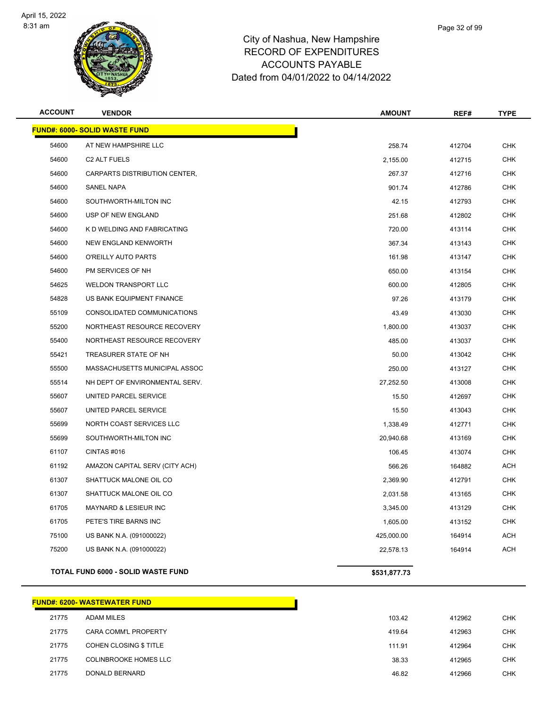

| <b>FUND#: 6000- SOLID WASTE FUND</b><br>54600<br>AT NEW HAMPSHIRE LLC<br>258.74<br>54600<br>C2 ALT FUELS<br>2,155.00<br>54600<br>CARPARTS DISTRIBUTION CENTER,<br>267.37<br>54600<br>SANEL NAPA<br>901.74<br>54600<br>SOUTHWORTH-MILTON INC<br>42.15<br>54600<br>USP OF NEW ENGLAND<br>251.68<br>54600<br>720.00<br>K D WELDING AND FABRICATING<br>54600<br>NEW ENGLAND KENWORTH<br>367.34<br>54600<br>O'REILLY AUTO PARTS<br>161.98<br>54600<br>PM SERVICES OF NH<br>650.00<br>54625<br>WELDON TRANSPORT LLC<br>600.00<br>54828<br>97.26<br>US BANK EQUIPMENT FINANCE<br>55109<br>CONSOLIDATED COMMUNICATIONS<br>43.49<br>55200<br>NORTHEAST RESOURCE RECOVERY<br>1,800.00<br>55400<br>NORTHEAST RESOURCE RECOVERY<br>485.00<br>55421<br>TREASURER STATE OF NH<br>50.00<br>55500<br>MASSACHUSETTS MUNICIPAL ASSOC<br>250.00<br>55514<br>NH DEPT OF ENVIRONMENTAL SERV.<br>27,252.50<br>55607<br>UNITED PARCEL SERVICE<br>15.50<br>55607<br>UNITED PARCEL SERVICE<br>15.50<br>55699<br>NORTH COAST SERVICES LLC<br>1,338.49<br>55699<br>SOUTHWORTH-MILTON INC<br>20,940.68<br>61107<br>CINTAS #016<br>106.45<br>61192<br>AMAZON CAPITAL SERV (CITY ACH)<br>566.26<br>61307<br>SHATTUCK MALONE OIL CO<br>2,369.90<br>61307<br>SHATTUCK MALONE OIL CO<br>2,031.58<br>61705<br>MAYNARD & LESIEUR INC<br>3,345.00<br>61705<br>PETE'S TIRE BARNS INC<br>1,605.00<br>75100<br>US BANK N.A. (091000022)<br>425,000.00<br>75200<br>US BANK N.A. (091000022)<br>22,578.13<br>TOTAL FUND 6000 - SOLID WASTE FUND<br>\$531,877.73 | <b>ACCOUNT</b> | <b>VENDOR</b> | <b>AMOUNT</b> | REF#   | <b>TYPE</b> |
|------------------------------------------------------------------------------------------------------------------------------------------------------------------------------------------------------------------------------------------------------------------------------------------------------------------------------------------------------------------------------------------------------------------------------------------------------------------------------------------------------------------------------------------------------------------------------------------------------------------------------------------------------------------------------------------------------------------------------------------------------------------------------------------------------------------------------------------------------------------------------------------------------------------------------------------------------------------------------------------------------------------------------------------------------------------------------------------------------------------------------------------------------------------------------------------------------------------------------------------------------------------------------------------------------------------------------------------------------------------------------------------------------------------------------------------------------------------------------------------------------------------------|----------------|---------------|---------------|--------|-------------|
|                                                                                                                                                                                                                                                                                                                                                                                                                                                                                                                                                                                                                                                                                                                                                                                                                                                                                                                                                                                                                                                                                                                                                                                                                                                                                                                                                                                                                                                                                                                        |                |               |               |        |             |
|                                                                                                                                                                                                                                                                                                                                                                                                                                                                                                                                                                                                                                                                                                                                                                                                                                                                                                                                                                                                                                                                                                                                                                                                                                                                                                                                                                                                                                                                                                                        |                |               |               | 412704 | <b>CHK</b>  |
|                                                                                                                                                                                                                                                                                                                                                                                                                                                                                                                                                                                                                                                                                                                                                                                                                                                                                                                                                                                                                                                                                                                                                                                                                                                                                                                                                                                                                                                                                                                        |                |               |               | 412715 | <b>CHK</b>  |
|                                                                                                                                                                                                                                                                                                                                                                                                                                                                                                                                                                                                                                                                                                                                                                                                                                                                                                                                                                                                                                                                                                                                                                                                                                                                                                                                                                                                                                                                                                                        |                |               |               | 412716 | CHK         |
|                                                                                                                                                                                                                                                                                                                                                                                                                                                                                                                                                                                                                                                                                                                                                                                                                                                                                                                                                                                                                                                                                                                                                                                                                                                                                                                                                                                                                                                                                                                        |                |               |               | 412786 | <b>CHK</b>  |
|                                                                                                                                                                                                                                                                                                                                                                                                                                                                                                                                                                                                                                                                                                                                                                                                                                                                                                                                                                                                                                                                                                                                                                                                                                                                                                                                                                                                                                                                                                                        |                |               |               | 412793 | <b>CHK</b>  |
|                                                                                                                                                                                                                                                                                                                                                                                                                                                                                                                                                                                                                                                                                                                                                                                                                                                                                                                                                                                                                                                                                                                                                                                                                                                                                                                                                                                                                                                                                                                        |                |               |               | 412802 | <b>CHK</b>  |
|                                                                                                                                                                                                                                                                                                                                                                                                                                                                                                                                                                                                                                                                                                                                                                                                                                                                                                                                                                                                                                                                                                                                                                                                                                                                                                                                                                                                                                                                                                                        |                |               |               | 413114 | <b>CHK</b>  |
|                                                                                                                                                                                                                                                                                                                                                                                                                                                                                                                                                                                                                                                                                                                                                                                                                                                                                                                                                                                                                                                                                                                                                                                                                                                                                                                                                                                                                                                                                                                        |                |               |               | 413143 | CHK         |
|                                                                                                                                                                                                                                                                                                                                                                                                                                                                                                                                                                                                                                                                                                                                                                                                                                                                                                                                                                                                                                                                                                                                                                                                                                                                                                                                                                                                                                                                                                                        |                |               |               | 413147 | <b>CHK</b>  |
|                                                                                                                                                                                                                                                                                                                                                                                                                                                                                                                                                                                                                                                                                                                                                                                                                                                                                                                                                                                                                                                                                                                                                                                                                                                                                                                                                                                                                                                                                                                        |                |               |               | 413154 | CHK         |
|                                                                                                                                                                                                                                                                                                                                                                                                                                                                                                                                                                                                                                                                                                                                                                                                                                                                                                                                                                                                                                                                                                                                                                                                                                                                                                                                                                                                                                                                                                                        |                |               |               | 412805 | <b>CHK</b>  |
|                                                                                                                                                                                                                                                                                                                                                                                                                                                                                                                                                                                                                                                                                                                                                                                                                                                                                                                                                                                                                                                                                                                                                                                                                                                                                                                                                                                                                                                                                                                        |                |               |               | 413179 | <b>CHK</b>  |
|                                                                                                                                                                                                                                                                                                                                                                                                                                                                                                                                                                                                                                                                                                                                                                                                                                                                                                                                                                                                                                                                                                                                                                                                                                                                                                                                                                                                                                                                                                                        |                |               |               | 413030 | CHK         |
|                                                                                                                                                                                                                                                                                                                                                                                                                                                                                                                                                                                                                                                                                                                                                                                                                                                                                                                                                                                                                                                                                                                                                                                                                                                                                                                                                                                                                                                                                                                        |                |               |               | 413037 | <b>CHK</b>  |
|                                                                                                                                                                                                                                                                                                                                                                                                                                                                                                                                                                                                                                                                                                                                                                                                                                                                                                                                                                                                                                                                                                                                                                                                                                                                                                                                                                                                                                                                                                                        |                |               |               | 413037 | CHK         |
|                                                                                                                                                                                                                                                                                                                                                                                                                                                                                                                                                                                                                                                                                                                                                                                                                                                                                                                                                                                                                                                                                                                                                                                                                                                                                                                                                                                                                                                                                                                        |                |               |               | 413042 | <b>CHK</b>  |
|                                                                                                                                                                                                                                                                                                                                                                                                                                                                                                                                                                                                                                                                                                                                                                                                                                                                                                                                                                                                                                                                                                                                                                                                                                                                                                                                                                                                                                                                                                                        |                |               |               | 413127 | <b>CHK</b>  |
|                                                                                                                                                                                                                                                                                                                                                                                                                                                                                                                                                                                                                                                                                                                                                                                                                                                                                                                                                                                                                                                                                                                                                                                                                                                                                                                                                                                                                                                                                                                        |                |               |               | 413008 | CHK         |
|                                                                                                                                                                                                                                                                                                                                                                                                                                                                                                                                                                                                                                                                                                                                                                                                                                                                                                                                                                                                                                                                                                                                                                                                                                                                                                                                                                                                                                                                                                                        |                |               |               | 412697 | <b>CHK</b>  |
|                                                                                                                                                                                                                                                                                                                                                                                                                                                                                                                                                                                                                                                                                                                                                                                                                                                                                                                                                                                                                                                                                                                                                                                                                                                                                                                                                                                                                                                                                                                        |                |               |               | 413043 | <b>CHK</b>  |
|                                                                                                                                                                                                                                                                                                                                                                                                                                                                                                                                                                                                                                                                                                                                                                                                                                                                                                                                                                                                                                                                                                                                                                                                                                                                                                                                                                                                                                                                                                                        |                |               |               | 412771 | <b>CHK</b>  |
|                                                                                                                                                                                                                                                                                                                                                                                                                                                                                                                                                                                                                                                                                                                                                                                                                                                                                                                                                                                                                                                                                                                                                                                                                                                                                                                                                                                                                                                                                                                        |                |               |               | 413169 | <b>CHK</b>  |
|                                                                                                                                                                                                                                                                                                                                                                                                                                                                                                                                                                                                                                                                                                                                                                                                                                                                                                                                                                                                                                                                                                                                                                                                                                                                                                                                                                                                                                                                                                                        |                |               |               | 413074 | CHK         |
|                                                                                                                                                                                                                                                                                                                                                                                                                                                                                                                                                                                                                                                                                                                                                                                                                                                                                                                                                                                                                                                                                                                                                                                                                                                                                                                                                                                                                                                                                                                        |                |               |               | 164882 | ACH         |
|                                                                                                                                                                                                                                                                                                                                                                                                                                                                                                                                                                                                                                                                                                                                                                                                                                                                                                                                                                                                                                                                                                                                                                                                                                                                                                                                                                                                                                                                                                                        |                |               |               | 412791 | CHK         |
|                                                                                                                                                                                                                                                                                                                                                                                                                                                                                                                                                                                                                                                                                                                                                                                                                                                                                                                                                                                                                                                                                                                                                                                                                                                                                                                                                                                                                                                                                                                        |                |               |               | 413165 | CHK         |
|                                                                                                                                                                                                                                                                                                                                                                                                                                                                                                                                                                                                                                                                                                                                                                                                                                                                                                                                                                                                                                                                                                                                                                                                                                                                                                                                                                                                                                                                                                                        |                |               |               | 413129 | CHK         |
|                                                                                                                                                                                                                                                                                                                                                                                                                                                                                                                                                                                                                                                                                                                                                                                                                                                                                                                                                                                                                                                                                                                                                                                                                                                                                                                                                                                                                                                                                                                        |                |               |               | 413152 | <b>CHK</b>  |
|                                                                                                                                                                                                                                                                                                                                                                                                                                                                                                                                                                                                                                                                                                                                                                                                                                                                                                                                                                                                                                                                                                                                                                                                                                                                                                                                                                                                                                                                                                                        |                |               |               | 164914 | <b>ACH</b>  |
|                                                                                                                                                                                                                                                                                                                                                                                                                                                                                                                                                                                                                                                                                                                                                                                                                                                                                                                                                                                                                                                                                                                                                                                                                                                                                                                                                                                                                                                                                                                        |                |               |               | 164914 | <b>ACH</b>  |
|                                                                                                                                                                                                                                                                                                                                                                                                                                                                                                                                                                                                                                                                                                                                                                                                                                                                                                                                                                                                                                                                                                                                                                                                                                                                                                                                                                                                                                                                                                                        |                |               |               |        |             |

|       | <b>FUND#: 6200- WASTEWATER FUND</b> |        |
|-------|-------------------------------------|--------|
| 21775 | <b>ADAM MILES</b>                   | 103.42 |
| 21775 | CARA COMM'L PROPERTY                | 419.64 |
| 21775 | <b>COHEN CLOSING \$ TITLE</b>       | 111.91 |
| 21775 | COLINBROOKE HOMES LLC               | 38.33  |
| 21775 | DONALD BERNARD                      | 46.82  |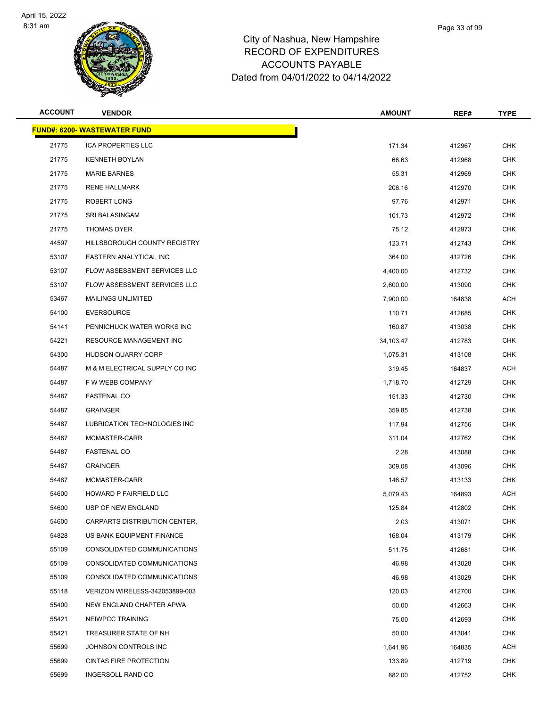

|    | Page 33 of 99 |  |
|----|---------------|--|
| re |               |  |
| ٠c |               |  |

| <b>ACCOUNT</b> | <b>VENDOR</b>                       | <b>AMOUNT</b> | REF#   | <b>TYPE</b> |
|----------------|-------------------------------------|---------------|--------|-------------|
|                | <b>FUND#: 6200- WASTEWATER FUND</b> |               |        |             |
| 21775          | <b>ICA PROPERTIES LLC</b>           | 171.34        | 412967 | <b>CHK</b>  |
| 21775          | <b>KENNETH BOYLAN</b>               | 66.63         | 412968 | <b>CHK</b>  |
| 21775          | <b>MARIE BARNES</b>                 | 55.31         | 412969 | <b>CHK</b>  |
| 21775          | <b>RENE HALLMARK</b>                | 206.16        | 412970 | <b>CHK</b>  |
| 21775          | ROBERT LONG                         | 97.76         | 412971 | <b>CHK</b>  |
| 21775          | SRI BALASINGAM                      | 101.73        | 412972 | <b>CHK</b>  |
| 21775          | <b>THOMAS DYER</b>                  | 75.12         | 412973 | <b>CHK</b>  |
| 44597          | HILLSBOROUGH COUNTY REGISTRY        | 123.71        | 412743 | <b>CHK</b>  |
| 53107          | EASTERN ANALYTICAL INC              | 364.00        | 412726 | <b>CHK</b>  |
| 53107          | FLOW ASSESSMENT SERVICES LLC        | 4,400.00      | 412732 | <b>CHK</b>  |
| 53107          | FLOW ASSESSMENT SERVICES LLC        | 2,600.00      | 413090 | <b>CHK</b>  |
| 53467          | <b>MAILINGS UNLIMITED</b>           | 7,900.00      | 164838 | ACH         |
| 54100          | <b>EVERSOURCE</b>                   | 110.71        | 412685 | <b>CHK</b>  |
| 54141          | PENNICHUCK WATER WORKS INC          | 160.87        | 413038 | <b>CHK</b>  |
| 54221          | <b>RESOURCE MANAGEMENT INC</b>      | 34,103.47     | 412783 | <b>CHK</b>  |
| 54300          | <b>HUDSON QUARRY CORP</b>           | 1,075.31      | 413108 | <b>CHK</b>  |
| 54487          | M & M ELECTRICAL SUPPLY CO INC      | 319.45        | 164837 | ACH         |
| 54487          | F W WEBB COMPANY                    | 1,718.70      | 412729 | <b>CHK</b>  |
| 54487          | <b>FASTENAL CO</b>                  | 151.33        | 412730 | <b>CHK</b>  |
| 54487          | <b>GRAINGER</b>                     | 359.85        | 412738 | <b>CHK</b>  |
| 54487          | LUBRICATION TECHNOLOGIES INC        | 117.94        | 412756 | <b>CHK</b>  |
| 54487          | MCMASTER-CARR                       | 311.04        | 412762 | <b>CHK</b>  |
| 54487          | <b>FASTENAL CO</b>                  | 2.28          | 413088 | <b>CHK</b>  |
| 54487          | <b>GRAINGER</b>                     | 309.08        | 413096 | <b>CHK</b>  |
| 54487          | MCMASTER-CARR                       | 146.57        | 413133 | <b>CHK</b>  |
| 54600          | HOWARD P FAIRFIELD LLC              | 5,079.43      | 164893 | ACH         |
| 54600          | USP OF NEW ENGLAND                  | 125.84        | 412802 | <b>CHK</b>  |
| 54600          | CARPARTS DISTRIBUTION CENTER,       | 2.03          | 413071 | <b>CHK</b>  |
| 54828          | US BANK EQUIPMENT FINANCE           | 168.04        | 413179 | <b>CHK</b>  |
| 55109          | CONSOLIDATED COMMUNICATIONS         | 511.75        | 412681 | <b>CHK</b>  |
| 55109          | CONSOLIDATED COMMUNICATIONS         | 46.98         | 413028 | <b>CHK</b>  |
| 55109          | CONSOLIDATED COMMUNICATIONS         | 46.98         | 413029 | <b>CHK</b>  |
| 55118          | VERIZON WIRELESS-342053899-003      | 120.03        | 412700 | <b>CHK</b>  |
| 55400          | NEW ENGLAND CHAPTER APWA            | 50.00         | 412663 | <b>CHK</b>  |
| 55421          | NEIWPCC TRAINING                    | 75.00         | 412693 | <b>CHK</b>  |
| 55421          | TREASURER STATE OF NH               | 50.00         | 413041 | <b>CHK</b>  |
| 55699          | JOHNSON CONTROLS INC                | 1,641.96      | 164835 | <b>ACH</b>  |
| 55699          | <b>CINTAS FIRE PROTECTION</b>       | 133.89        | 412719 | <b>CHK</b>  |
| 55699          | INGERSOLL RAND CO                   | 882.00        | 412752 | <b>CHK</b>  |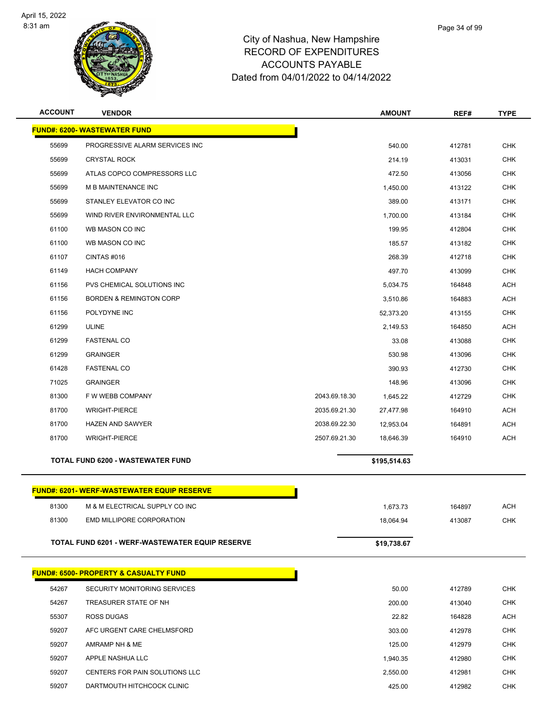

| <b>ACCOUNT</b> | <b>VENDOR</b>                                    |               | <b>AMOUNT</b> | REF#   | <b>TYPE</b> |
|----------------|--------------------------------------------------|---------------|---------------|--------|-------------|
|                | <b>FUND#: 6200- WASTEWATER FUND</b>              |               |               |        |             |
| 55699          | PROGRESSIVE ALARM SERVICES INC                   |               | 540.00        | 412781 | <b>CHK</b>  |
| 55699          | <b>CRYSTAL ROCK</b>                              |               | 214.19        | 413031 | <b>CHK</b>  |
| 55699          | ATLAS COPCO COMPRESSORS LLC                      |               | 472.50        | 413056 | <b>CHK</b>  |
| 55699          | <b>M B MAINTENANCE INC</b>                       |               | 1,450.00      | 413122 | <b>CHK</b>  |
| 55699          | STANLEY ELEVATOR CO INC                          |               | 389.00        | 413171 | <b>CHK</b>  |
| 55699          | WIND RIVER ENVIRONMENTAL LLC                     |               | 1,700.00      | 413184 | <b>CHK</b>  |
| 61100          | WB MASON CO INC                                  |               | 199.95        | 412804 | <b>CHK</b>  |
| 61100          | WB MASON CO INC                                  |               | 185.57        | 413182 | <b>CHK</b>  |
| 61107          | CINTAS #016                                      |               | 268.39        | 412718 | <b>CHK</b>  |
| 61149          | <b>HACH COMPANY</b>                              |               | 497.70        | 413099 | <b>CHK</b>  |
| 61156          | PVS CHEMICAL SOLUTIONS INC                       |               | 5,034.75      | 164848 | <b>ACH</b>  |
| 61156          | <b>BORDEN &amp; REMINGTON CORP</b>               |               | 3,510.86      | 164883 | <b>ACH</b>  |
| 61156          | POLYDYNE INC                                     |               | 52,373.20     | 413155 | <b>CHK</b>  |
| 61299          | <b>ULINE</b>                                     |               | 2,149.53      | 164850 | <b>ACH</b>  |
| 61299          | <b>FASTENAL CO</b>                               |               | 33.08         | 413088 | <b>CHK</b>  |
| 61299          | <b>GRAINGER</b>                                  |               | 530.98        | 413096 | <b>CHK</b>  |
| 61428          | <b>FASTENAL CO</b>                               |               | 390.93        | 412730 | <b>CHK</b>  |
| 71025          | <b>GRAINGER</b>                                  |               | 148.96        | 413096 | <b>CHK</b>  |
| 81300          | F W WEBB COMPANY                                 | 2043.69.18.30 | 1,645.22      | 412729 | <b>CHK</b>  |
| 81700          | <b>WRIGHT-PIERCE</b>                             | 2035.69.21.30 | 27,477.98     | 164910 | <b>ACH</b>  |
| 81700          | <b>HAZEN AND SAWYER</b>                          | 2038.69.22.30 | 12,953.04     | 164891 | <b>ACH</b>  |
| 81700          | <b>WRIGHT-PIERCE</b>                             | 2507.69.21.30 | 18,646.39     | 164910 | <b>ACH</b>  |
|                | TOTAL FUND 6200 - WASTEWATER FUND                |               | \$195,514.63  |        |             |
|                | <b>FUND#: 6201-WERF-WASTEWATER EQUIP RESERVE</b> |               |               |        |             |
| 81300          | M & M ELECTRICAL SUPPLY CO INC                   |               | 1,673.73      | 164897 | <b>ACH</b>  |
| 81300          | EMD MILLIPORE CORPORATION                        |               | 18,064.94     | 413087 | <b>CHK</b>  |
|                | TOTAL FUND 6201 - WERF-WASTEWATER EQUIP RESERVE  |               | \$19,738.67   |        |             |
|                | <b>FUND#: 6500- PROPERTY &amp; CASUALTY FUND</b> |               |               |        |             |
| 54267          | SECURITY MONITORING SERVICES                     |               | 50.00         | 412789 | <b>CHK</b>  |
| 54267          | TREASURER STATE OF NH                            |               | 200.00        | 413040 | <b>CHK</b>  |
| 55307          | ROSS DUGAS                                       |               | 22.82         | 164828 | <b>ACH</b>  |
| 59207          | AFC URGENT CARE CHELMSFORD                       |               | 303.00        | 412978 | <b>CHK</b>  |
| 59207          | AMRAMP NH & ME                                   |               | 125.00        | 412979 | <b>CHK</b>  |
| 59207          | APPLE NASHUA LLC                                 |               | 1,940.35      | 412980 | <b>CHK</b>  |
| 59207          | CENTERS FOR PAIN SOLUTIONS LLC                   |               | 2,550.00      | 412981 | <b>CHK</b>  |
| 59207          | DARTMOUTH HITCHCOCK CLINIC                       |               | 425.00        | 412982 | <b>CHK</b>  |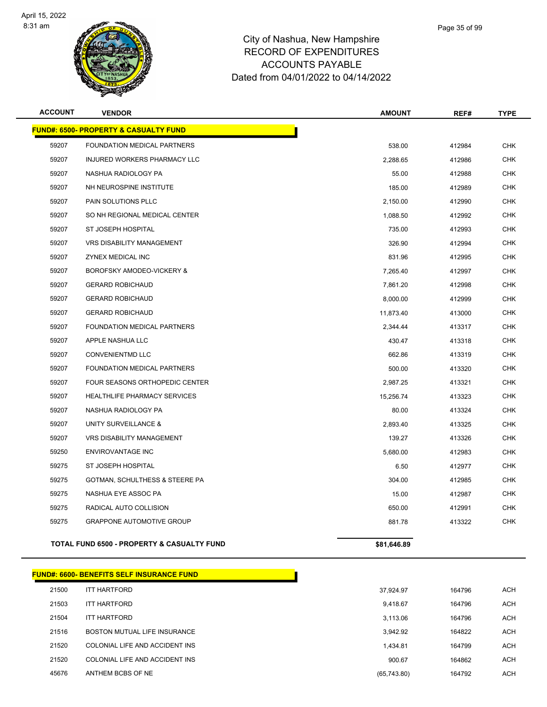

**FUND#: 6500- PROPERTY & CASUALTY FUND**

# City of Nashua, New Hampshire RECORD OF EXPENDITURES ACCOUNTS PAYABLE

|                | W                                                | Dated from 04/01/2022 to 04/14/2022 |        |             |  |
|----------------|--------------------------------------------------|-------------------------------------|--------|-------------|--|
| <b>ACCOUNT</b> | <b>VENDOR</b>                                    | <b>AMOUNT</b>                       | REF#   | <b>TYPE</b> |  |
|                | <u> IND#: 6500- PROPERTY &amp; CASUALTY FUND</u> |                                     |        |             |  |
| 59207          | FOUNDATION MEDICAL PARTNERS                      | 538.00                              | 412984 | <b>CHK</b>  |  |
| 59207          | INJURED WORKERS PHARMACY LLC                     | 2,288.65                            | 412986 | <b>CHK</b>  |  |
|                |                                                  |                                     |        |             |  |

| 59207 | INJURED WORKERS PHARMACY LLC        | 2,288.65  | 412986 | <b>CHK</b> |
|-------|-------------------------------------|-----------|--------|------------|
| 59207 | NASHUA RADIOLOGY PA                 | 55.00     | 412988 | <b>CHK</b> |
| 59207 | NH NEUROSPINE INSTITUTE             | 185.00    | 412989 | <b>CHK</b> |
| 59207 | PAIN SOLUTIONS PLLC                 | 2,150.00  | 412990 | <b>CHK</b> |
| 59207 | SO NH REGIONAL MEDICAL CENTER       | 1,088.50  | 412992 | <b>CHK</b> |
| 59207 | ST JOSEPH HOSPITAL                  | 735.00    | 412993 | <b>CHK</b> |
| 59207 | VRS DISABILITY MANAGEMENT           | 326.90    | 412994 | <b>CHK</b> |
| 59207 | ZYNEX MEDICAL INC                   | 831.96    | 412995 | <b>CHK</b> |
| 59207 | BOROFSKY AMODEO-VICKERY &           | 7,265.40  | 412997 | <b>CHK</b> |
| 59207 | <b>GERARD ROBICHAUD</b>             | 7,861.20  | 412998 | <b>CHK</b> |
| 59207 | <b>GERARD ROBICHAUD</b>             | 8,000.00  | 412999 | <b>CHK</b> |
| 59207 | <b>GERARD ROBICHAUD</b>             | 11,873.40 | 413000 | <b>CHK</b> |
| 59207 | FOUNDATION MEDICAL PARTNERS         | 2,344.44  | 413317 | <b>CHK</b> |
| 59207 | APPLE NASHUA LLC                    | 430.47    | 413318 | <b>CHK</b> |
| 59207 | <b>CONVENIENTMD LLC</b>             | 662.86    | 413319 | <b>CHK</b> |
| 59207 | FOUNDATION MEDICAL PARTNERS         | 500.00    | 413320 | <b>CHK</b> |
| 59207 | FOUR SEASONS ORTHOPEDIC CENTER      | 2,987.25  | 413321 | <b>CHK</b> |
| 59207 | <b>HEALTHLIFE PHARMACY SERVICES</b> | 15,256.74 | 413323 | <b>CHK</b> |
| 59207 | NASHUA RADIOLOGY PA                 | 80.00     | 413324 | <b>CHK</b> |
| 59207 | UNITY SURVEILLANCE &                | 2,893.40  | 413325 | <b>CHK</b> |
| 59207 | VRS DISABILITY MANAGEMENT           | 139.27    | 413326 | CHK        |
| 59250 | <b>ENVIROVANTAGE INC</b>            | 5,680.00  | 412983 | <b>CHK</b> |
| 59275 | ST JOSEPH HOSPITAL                  | 6.50      | 412977 | <b>CHK</b> |
| 59275 | GOTMAN, SCHULTHESS & STEERE PA      | 304.00    | 412985 | <b>CHK</b> |
| 59275 | NASHUA EYE ASSOC PA                 | 15.00     | 412987 | <b>CHK</b> |
| 59275 | RADICAL AUTO COLLISION              | 650.00    | 412991 | <b>CHK</b> |
| 59275 | <b>GRAPPONE AUTOMOTIVE GROUP</b>    | 881.78    | 413322 | <b>CHK</b> |
|       |                                     |           |        |            |

| <b>TOTAL FUND 6500 - PROPERTY &amp; CASUALTY FUND</b> | \$81.646.89 |
|-------------------------------------------------------|-------------|
|                                                       |             |

|       | FUND#: 6600- BENEFITS SELF INSURANCE FUND_ |             |        |
|-------|--------------------------------------------|-------------|--------|
| 21500 | <b>ITT HARTFORD</b>                        | 37.924.97   | 164796 |
| 21503 | <b>ITT HARTFORD</b>                        | 9,418.67    | 164796 |
| 21504 | <b>ITT HARTFORD</b>                        | 3.113.06    | 164796 |
| 21516 | BOSTON MUTUAL LIFE INSURANCE               | 3,942.92    | 164822 |
| 21520 | COLONIAL LIFE AND ACCIDENT INS             | 1,434.81    | 164799 |
| 21520 | COLONIAL LIFE AND ACCIDENT INS             | 900.67      | 164862 |
| 45676 | ANTHEM BCBS OF NE                          | (65,743.80) | 164792 |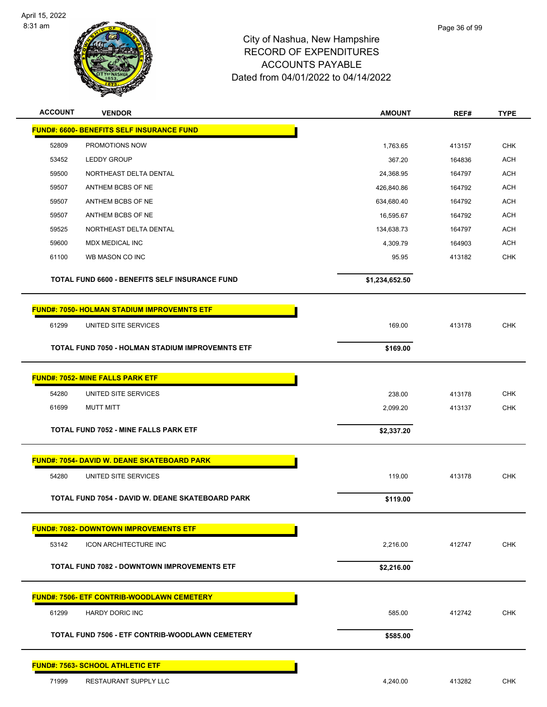

| <b>ACCOUNT</b><br><b>VENDOR</b>                    |                                                         | <b>AMOUNT</b>  | REF#   | <b>TYPE</b> |
|----------------------------------------------------|---------------------------------------------------------|----------------|--------|-------------|
| <b>FUND#: 6600- BENEFITS SELF INSURANCE FUND</b>   |                                                         |                |        |             |
| 52809<br>PROMOTIONS NOW                            |                                                         | 1,763.65       | 413157 | <b>CHK</b>  |
| 53452<br><b>LEDDY GROUP</b>                        |                                                         | 367.20         | 164836 | <b>ACH</b>  |
| 59500                                              | NORTHEAST DELTA DENTAL                                  | 24,368.95      | 164797 | <b>ACH</b>  |
| 59507<br>ANTHEM BCBS OF NE                         |                                                         | 426,840.86     | 164792 | <b>ACH</b>  |
| 59507<br>ANTHEM BCBS OF NE                         |                                                         | 634,680.40     | 164792 | <b>ACH</b>  |
| 59507<br>ANTHEM BCBS OF NE                         |                                                         | 16,595.67      | 164792 | <b>ACH</b>  |
| 59525                                              | NORTHEAST DELTA DENTAL                                  | 134,638.73     | 164797 | <b>ACH</b>  |
| 59600<br>MDX MEDICAL INC                           |                                                         | 4,309.79       | 164903 | <b>ACH</b>  |
| 61100<br>WB MASON CO INC                           |                                                         | 95.95          | 413182 | <b>CHK</b>  |
|                                                    | TOTAL FUND 6600 - BENEFITS SELF INSURANCE FUND          | \$1,234,652.50 |        |             |
| <b>FUND#: 7050- HOLMAN STADIUM IMPROVEMNTS ETF</b> |                                                         |                |        |             |
| 61299<br>UNITED SITE SERVICES                      |                                                         | 169.00         | 413178 | <b>CHK</b>  |
|                                                    | <b>TOTAL FUND 7050 - HOLMAN STADIUM IMPROVEMNTS ETF</b> | \$169.00       |        |             |
| <b>FUND#: 7052- MINE FALLS PARK ETF</b>            |                                                         |                |        |             |
| 54280<br>UNITED SITE SERVICES                      |                                                         | 238.00         | 413178 | <b>CHK</b>  |
| 61699<br><b>MUTT MITT</b>                          |                                                         | 2,099.20       | 413137 | <b>CHK</b>  |
| <b>TOTAL FUND 7052 - MINE FALLS PARK ETF</b>       |                                                         | \$2,337.20     |        |             |
| <b>FUND#: 7054- DAVID W. DEANE SKATEBOARD PARK</b> |                                                         |                |        |             |
| 54280<br>UNITED SITE SERVICES                      |                                                         | 119.00         | 413178 | <b>CHK</b>  |
|                                                    | TOTAL FUND 7054 - DAVID W. DEANE SKATEBOARD PARK        | \$119.00       |        |             |
| <b>FUND#: 7082- DOWNTOWN IMPROVEMENTS ETF</b>      |                                                         |                |        |             |
| 53142                                              | <b>ICON ARCHITECTURE INC</b>                            | 2,216.00       | 412747 | <b>CHK</b>  |
|                                                    | <b>TOTAL FUND 7082 - DOWNTOWN IMPROVEMENTS ETF</b>      | \$2,216.00     |        |             |
| <b>FUND#: 7506- ETF CONTRIB-WOODLAWN CEMETERY</b>  |                                                         |                |        |             |
| 61299<br><b>HARDY DORIC INC</b>                    |                                                         | 585.00         | 412742 | <b>CHK</b>  |
|                                                    | TOTAL FUND 7506 - ETF CONTRIB-WOODLAWN CEMETERY         | \$585.00       |        |             |
| <b>FUND#: 7563- SCHOOL ATHLETIC ETF</b>            |                                                         |                |        |             |
| 71999                                              | RESTAURANT SUPPLY LLC                                   | 4,240.00       | 413282 | <b>CHK</b>  |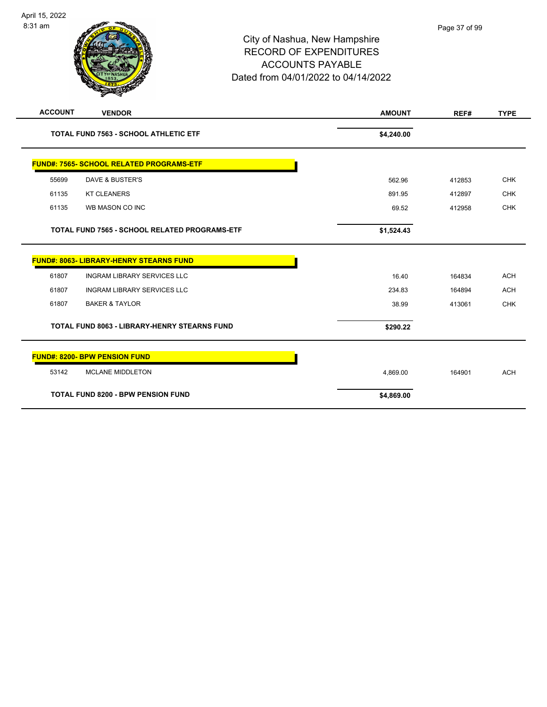### City of Nashua, New Hampshire RECORD OF EXPENDITURES ACCOUNTS PAYABLE Dated from 04/01/2022 to 04/14/2022

| <b>ACCOUNT</b> | <b>VENDOR</b>                                       | <b>AMOUNT</b> | REF#   | <b>TYPE</b> |
|----------------|-----------------------------------------------------|---------------|--------|-------------|
|                | <b>TOTAL FUND 7563 - SCHOOL ATHLETIC ETF</b>        | \$4,240.00    |        |             |
|                | <b>FUND#: 7565- SCHOOL RELATED PROGRAMS-ETF</b>     |               |        |             |
| 55699          | <b>DAVE &amp; BUSTER'S</b>                          | 562.96        | 412853 | <b>CHK</b>  |
| 61135          | <b>KT CLEANERS</b>                                  | 891.95        | 412897 | <b>CHK</b>  |
| 61135          | WB MASON CO INC                                     | 69.52         | 412958 | <b>CHK</b>  |
|                | TOTAL FUND 7565 - SCHOOL RELATED PROGRAMS-ETF       | \$1,524.43    |        |             |
|                | <b>FUND#: 8063- LIBRARY-HENRY STEARNS FUND</b>      |               |        |             |
| 61807          | <b>INGRAM LIBRARY SERVICES LLC</b>                  | 16.40         | 164834 | <b>ACH</b>  |
| 61807          | <b>INGRAM LIBRARY SERVICES LLC</b>                  | 234.83        | 164894 | <b>ACH</b>  |
| 61807          | <b>BAKER &amp; TAYLOR</b>                           | 38.99         | 413061 | <b>CHK</b>  |
|                | <b>TOTAL FUND 8063 - LIBRARY-HENRY STEARNS FUND</b> | \$290.22      |        |             |
|                | <b>FUND#: 8200- BPW PENSION FUND</b>                |               |        |             |
| 53142          | <b>MCLANE MIDDLETON</b>                             | 4,869.00      | 164901 | <b>ACH</b>  |
|                | <b>TOTAL FUND 8200 - BPW PENSION FUND</b>           | \$4,869.00    |        |             |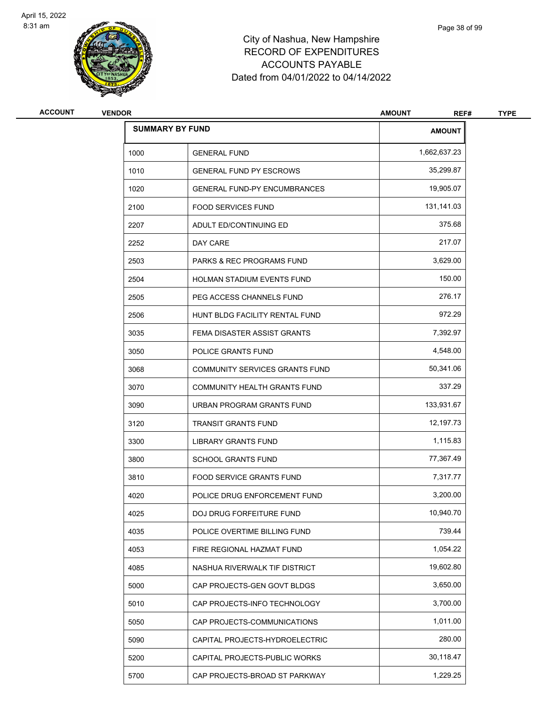

# City of Nashua, New Hampshire RECORD OF EXPENDITURES ACCOUNTS PAYABLE Dated from 04/01/2022 to 04/14/2022

| ACCOUNT | <b>VENDOR</b> |                                      | <b>AMOUNT</b><br>REF# | <b>TYPE</b> |
|---------|---------------|--------------------------------------|-----------------------|-------------|
|         |               | <b>SUMMARY BY FUND</b>               | <b>AMOUNT</b>         |             |
|         | 1000          | <b>GENERAL FUND</b>                  | 1,662,637.23          |             |
|         | 1010          | <b>GENERAL FUND PY ESCROWS</b>       | 35,299.87             |             |
|         | 1020          | <b>GENERAL FUND-PY ENCUMBRANCES</b>  | 19,905.07             |             |
|         | 2100          | <b>FOOD SERVICES FUND</b>            | 131,141.03            |             |
|         | 2207          | ADULT ED/CONTINUING ED               | 375.68                |             |
|         | 2252          | DAY CARE                             | 217.07                |             |
|         | 2503          | <b>PARKS &amp; REC PROGRAMS FUND</b> | 3,629.00              |             |
|         | 2504          | HOLMAN STADIUM EVENTS FUND           | 150.00                |             |
|         | 2505          | PEG ACCESS CHANNELS FUND             | 276.17                |             |
|         | 2506          | HUNT BLDG FACILITY RENTAL FUND       | 972.29                |             |
|         | 3035          | FEMA DISASTER ASSIST GRANTS          | 7,392.97              |             |
|         | 3050          | POLICE GRANTS FUND                   | 4,548.00              |             |
|         | 3068          | COMMUNITY SERVICES GRANTS FUND       | 50,341.06             |             |
|         | 3070          | COMMUNITY HEALTH GRANTS FUND         | 337.29                |             |
|         | 3090          | URBAN PROGRAM GRANTS FUND            | 133,931.67            |             |
|         | 3120          | TRANSIT GRANTS FUND                  | 12,197.73             |             |
|         | 3300          | LIBRARY GRANTS FUND                  | 1,115.83              |             |
|         | 3800          | <b>SCHOOL GRANTS FUND</b>            | 77,367.49             |             |
|         | 3810          | FOOD SERVICE GRANTS FUND             | 7,317.77              |             |
|         | 4020          | POLICE DRUG ENFORCEMENT FUND         | 3,200.00              |             |
|         | 4025          | DOJ DRUG FORFEITURE FUND             | 10,940.70             |             |
|         | 4035          | POLICE OVERTIME BILLING FUND         | 739.44                |             |
|         | 4053          | FIRE REGIONAL HAZMAT FUND            | 1,054.22              |             |
|         | 4085          | NASHUA RIVERWALK TIF DISTRICT        | 19,602.80             |             |
|         | 5000          | CAP PROJECTS-GEN GOVT BLDGS          | 3,650.00              |             |
|         | 5010          | CAP PROJECTS-INFO TECHNOLOGY         | 3,700.00              |             |
|         | 5050          | CAP PROJECTS-COMMUNICATIONS          | 1,011.00              |             |
|         | 5090          | CAPITAL PROJECTS-HYDROELECTRIC       | 280.00                |             |
|         | 5200          | CAPITAL PROJECTS-PUBLIC WORKS        | 30,118.47             |             |
|         | 5700          | CAP PROJECTS-BROAD ST PARKWAY        | 1,229.25              |             |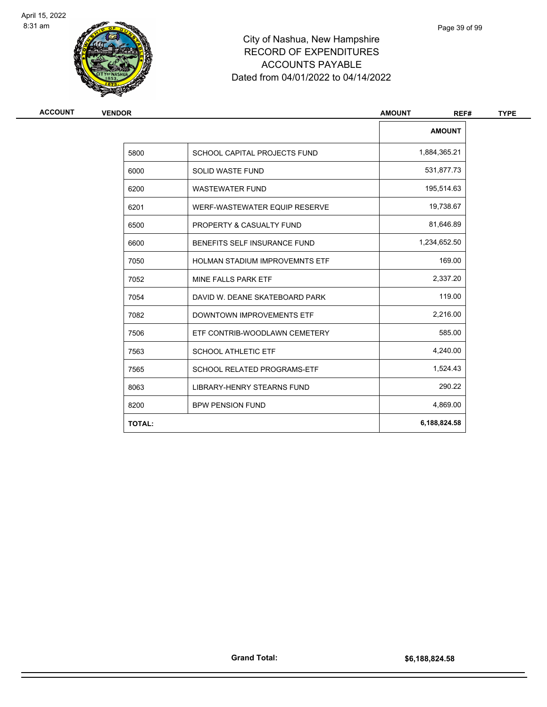

# City of Nashua, New Hampshire RECORD OF EXPENDITURES ACCOUNTS PAYABLE Dated from 04/01/2022 to 04/14/2022

| ACCOUNT | <b>VENDOR</b> | <b>AMOUNT</b><br>REF#                 |               |
|---------|---------------|---------------------------------------|---------------|
|         |               |                                       | <b>AMOUNT</b> |
|         | 5800          | SCHOOL CAPITAL PROJECTS FUND          | 1,884,365.21  |
|         | 6000          | <b>SOLID WASTE FUND</b>               | 531,877.73    |
|         | 6200          | <b>WASTEWATER FUND</b>                | 195,514.63    |
|         | 6201          | WERF-WASTEWATER EQUIP RESERVE         | 19,738.67     |
|         | 6500          | PROPERTY & CASUALTY FUND              | 81,646.89     |
|         | 6600          | BENEFITS SELF INSURANCE FUND          | 1,234,652.50  |
|         | 7050          | <b>HOLMAN STADIUM IMPROVEMNTS ETF</b> | 169.00        |
|         | 7052          | MINE FALLS PARK ETF                   | 2,337.20      |
|         | 7054          | DAVID W. DEANE SKATEBOARD PARK        | 119.00        |
|         | 7082          | DOWNTOWN IMPROVEMENTS ETF             | 2,216.00      |
|         | 7506          | ETF CONTRIB-WOODLAWN CEMETERY         | 585.00        |
|         | 7563          | <b>SCHOOL ATHLETIC ETF</b>            | 4,240.00      |
|         | 7565          | <b>SCHOOL RELATED PROGRAMS-ETF</b>    | 1,524.43      |
|         | 8063          | <b>LIBRARY-HENRY STEARNS FUND</b>     | 290.22        |
|         | 8200          | <b>BPW PENSION FUND</b>               | 4,869.00      |
|         | <b>TOTAL:</b> |                                       | 6,188,824.58  |
|         |               |                                       |               |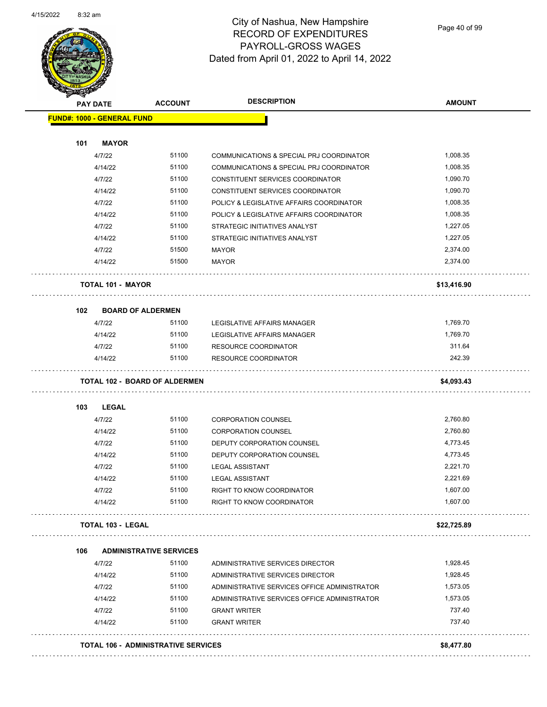

Page 40 of 99

| <b>PAY DATE</b>                   | <b>ACCOUNT</b>                       | <b>DESCRIPTION</b>                           | <b>AMOUNT</b> |
|-----------------------------------|--------------------------------------|----------------------------------------------|---------------|
| <b>FUND#: 1000 - GENERAL FUND</b> |                                      |                                              |               |
|                                   |                                      |                                              |               |
| 101<br><b>MAYOR</b>               |                                      |                                              |               |
| 4/7/22                            | 51100                                | COMMUNICATIONS & SPECIAL PRJ COORDINATOR     | 1,008.35      |
| 4/14/22                           | 51100                                | COMMUNICATIONS & SPECIAL PRJ COORDINATOR     | 1,008.35      |
| 4/7/22                            | 51100                                | CONSTITUENT SERVICES COORDINATOR             | 1,090.70      |
| 4/14/22                           | 51100                                | CONSTITUENT SERVICES COORDINATOR             | 1,090.70      |
| 4/7/22                            | 51100                                | POLICY & LEGISLATIVE AFFAIRS COORDINATOR     | 1,008.35      |
| 4/14/22                           | 51100                                | POLICY & LEGISLATIVE AFFAIRS COORDINATOR     | 1,008.35      |
| 4/7/22                            | 51100                                | STRATEGIC INITIATIVES ANALYST                | 1,227.05      |
| 4/14/22                           | 51100                                | STRATEGIC INITIATIVES ANALYST                | 1,227.05      |
| 4/7/22                            | 51500                                | <b>MAYOR</b>                                 | 2,374.00      |
| 4/14/22                           | 51500                                | <b>MAYOR</b>                                 | 2,374.00      |
| <b>TOTAL 101 - MAYOR</b>          |                                      |                                              | \$13,416.90   |
| 102                               | <b>BOARD OF ALDERMEN</b>             |                                              |               |
| 4/7/22                            | 51100                                | LEGISLATIVE AFFAIRS MANAGER                  | 1,769.70      |
| 4/14/22                           | 51100                                | LEGISLATIVE AFFAIRS MANAGER                  | 1.769.70      |
| 4/7/22                            | 51100                                | RESOURCE COORDINATOR                         | 311.64        |
| 4/14/22                           | 51100                                | <b>RESOURCE COORDINATOR</b>                  | 242.39        |
|                                   | <b>TOTAL 102 - BOARD OF ALDERMEN</b> |                                              | \$4,093.43    |
| 103<br><b>LEGAL</b>               |                                      |                                              |               |
| 4/7/22                            | 51100                                | <b>CORPORATION COUNSEL</b>                   | 2,760.80      |
| 4/14/22                           | 51100                                | <b>CORPORATION COUNSEL</b>                   | 2,760.80      |
| 4/7/22                            | 51100                                | DEPUTY CORPORATION COUNSEL                   | 4,773.45      |
| 4/14/22                           | 51100                                | DEPUTY CORPORATION COUNSEL                   | 4,773.45      |
| 4/7/22                            | 51100                                | <b>LEGAL ASSISTANT</b>                       | 2,221.70      |
| 4/14/22                           | 51100                                | <b>LEGAL ASSISTANT</b>                       | 2,221.69      |
| 4/7/22                            | 51100                                | RIGHT TO KNOW COORDINATOR                    | 1,607.00      |
| 4/14/22                           | 51100                                | RIGHT TO KNOW COORDINATOR                    | 1,607.00      |
| <b>TOTAL 103 - LEGAL</b>          |                                      |                                              | \$22,725.89   |
| 106                               | <b>ADMINISTRATIVE SERVICES</b>       |                                              |               |
| 4/7/22                            | 51100                                | ADMINISTRATIVE SERVICES DIRECTOR             | 1,928.45      |
| 4/14/22                           | 51100                                | ADMINISTRATIVE SERVICES DIRECTOR             | 1,928.45      |
| 4/7/22                            | 51100                                | ADMINISTRATIVE SERVICES OFFICE ADMINISTRATOR | 1,573.05      |
| 4/14/22                           | 51100                                | ADMINISTRATIVE SERVICES OFFICE ADMINISTRATOR | 1,573.05      |
| 4/7/22                            | 51100                                | <b>GRANT WRITER</b>                          | 737.40        |
| 4/14/22                           | 51100                                | <b>GRANT WRITER</b>                          | 737.40        |
|                                   |                                      |                                              | \$8,477.80    |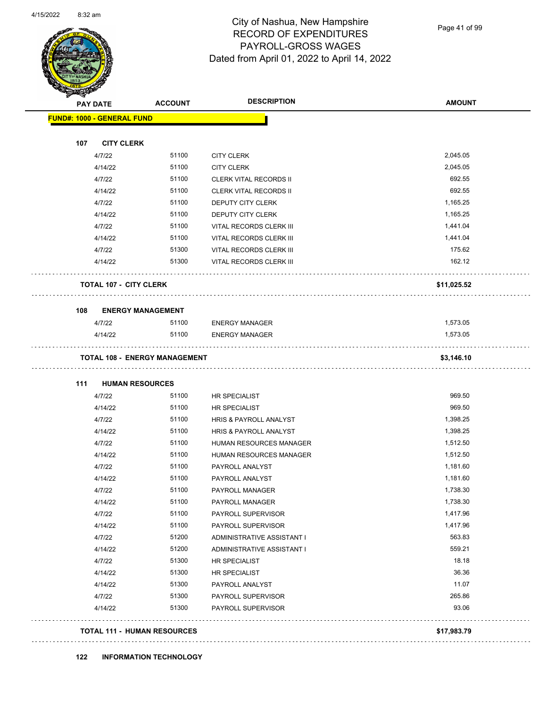

Page 41 of 99

| <b>PAY DATE</b>                   | <b>ACCOUNT</b>                       | <b>DESCRIPTION</b>            | <b>AMOUNT</b> |
|-----------------------------------|--------------------------------------|-------------------------------|---------------|
| <b>FUND#: 1000 - GENERAL FUND</b> |                                      |                               |               |
| <b>CITY CLERK</b><br>107          |                                      |                               |               |
| 4/7/22                            | 51100                                | <b>CITY CLERK</b>             | 2,045.05      |
| 4/14/22                           | 51100                                | <b>CITY CLERK</b>             | 2,045.05      |
| 4/7/22                            | 51100                                | <b>CLERK VITAL RECORDS II</b> | 692.55        |
| 4/14/22                           | 51100                                | <b>CLERK VITAL RECORDS II</b> | 692.55        |
| 4/7/22                            | 51100                                | DEPUTY CITY CLERK             | 1,165.25      |
| 4/14/22                           | 51100                                | DEPUTY CITY CLERK             | 1,165.25      |
| 4/7/22                            | 51100                                | VITAL RECORDS CLERK III       | 1,441.04      |
| 4/14/22                           | 51100                                | VITAL RECORDS CLERK III       | 1,441.04      |
| 4/7/22                            | 51300                                | VITAL RECORDS CLERK III       | 175.62        |
| 4/14/22                           | 51300                                | VITAL RECORDS CLERK III       | 162.12        |
| <b>TOTAL 107 - CITY CLERK</b>     |                                      |                               | \$11,025.52   |
| 108                               | <b>ENERGY MANAGEMENT</b>             |                               |               |
| 4/7/22                            | 51100                                | <b>ENERGY MANAGER</b>         | 1,573.05      |
| 4/14/22                           | 51100                                | <b>ENERGY MANAGER</b>         | 1,573.05      |
|                                   | <b>TOTAL 108 - ENERGY MANAGEMENT</b> |                               | \$3,146.10    |
| 111                               | <b>HUMAN RESOURCES</b>               |                               |               |
| 4/7/22                            | 51100                                | HR SPECIALIST                 | 969.50        |
| 4/14/22                           | 51100                                | HR SPECIALIST                 | 969.50        |
| 4/7/22                            | 51100                                | HRIS & PAYROLL ANALYST        | 1,398.25      |
| 4/14/22                           | 51100                                | HRIS & PAYROLL ANALYST        | 1,398.25      |
| 4/7/22                            | 51100                                | HUMAN RESOURCES MANAGER       | 1,512.50      |
| 4/14/22                           | 51100                                | HUMAN RESOURCES MANAGER       | 1,512.50      |
| 4/7/22                            | 51100                                | PAYROLL ANALYST               | 1,181.60      |
| 4/14/22                           | 51100                                | PAYROLL ANALYST               | 1,181.60      |
| 4/7/22                            | 51100                                | PAYROLL MANAGER               | 1,738.30      |
| 4/14/22                           | 51100                                | PAYROLL MANAGER               | 1,738.30      |
| 4/7/22                            | 51100                                | PAYROLL SUPERVISOR            | 1,417.96      |
| 4/14/22                           | 51100                                | PAYROLL SUPERVISOR            | 1,417.96      |
| 4/7/22                            | 51200                                | ADMINISTRATIVE ASSISTANT I    | 563.83        |
| 4/14/22                           | 51200                                | ADMINISTRATIVE ASSISTANT I    | 559.21        |
| 4/7/22                            | 51300                                | HR SPECIALIST                 | 18.18         |
| 4/14/22                           | 51300                                | HR SPECIALIST                 | 36.36         |
| 4/14/22                           | 51300                                | PAYROLL ANALYST               | 11.07         |
| 4/7/22                            | 51300                                | PAYROLL SUPERVISOR            | 265.86        |
| 4/14/22                           | 51300                                | PAYROLL SUPERVISOR            | 93.06         |
|                                   |                                      |                               |               |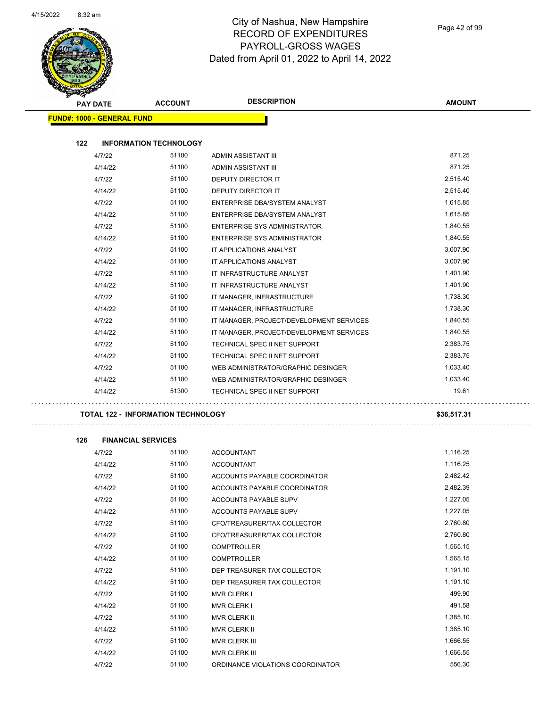

| <b>PAY DATE</b>                           | <b>ACCOUNT</b>                | <b>DESCRIPTION</b>                       | <b>AMOUNT</b> |
|-------------------------------------------|-------------------------------|------------------------------------------|---------------|
| <b>FUND#: 1000 - GENERAL FUND</b>         |                               |                                          |               |
|                                           |                               |                                          |               |
| 122                                       | <b>INFORMATION TECHNOLOGY</b> |                                          |               |
| 4/7/22                                    | 51100                         | ADMIN ASSISTANT III                      | 871.25        |
| 4/14/22                                   | 51100                         | ADMIN ASSISTANT III                      | 871.25        |
| 4/7/22                                    | 51100                         | <b>DEPUTY DIRECTOR IT</b>                | 2,515.40      |
| 4/14/22                                   | 51100                         | DEPUTY DIRECTOR IT                       | 2,515.40      |
| 4/7/22                                    | 51100                         | ENTERPRISE DBA/SYSTEM ANALYST            | 1,615.85      |
| 4/14/22                                   | 51100                         | ENTERPRISE DBA/SYSTEM ANALYST            | 1,615.85      |
| 4/7/22                                    | 51100                         | ENTERPRISE SYS ADMINISTRATOR             | 1,840.55      |
| 4/14/22                                   | 51100                         | ENTERPRISE SYS ADMINISTRATOR             | 1,840.55      |
| 4/7/22                                    | 51100                         | IT APPLICATIONS ANALYST                  | 3,007.90      |
| 4/14/22                                   | 51100                         | IT APPLICATIONS ANALYST                  | 3,007.90      |
| 4/7/22                                    | 51100                         | IT INFRASTRUCTURE ANALYST                | 1,401.90      |
| 4/14/22                                   | 51100                         | IT INFRASTRUCTURE ANALYST                | 1,401.90      |
| 4/7/22                                    | 51100                         | IT MANAGER, INFRASTRUCTURE               | 1,738.30      |
| 4/14/22                                   | 51100                         | IT MANAGER, INFRASTRUCTURE               | 1,738.30      |
| 4/7/22                                    | 51100                         | IT MANAGER, PROJECT/DEVELOPMENT SERVICES | 1,840.55      |
| 4/14/22                                   | 51100                         | IT MANAGER, PROJECT/DEVELOPMENT SERVICES | 1,840.55      |
| 4/7/22                                    | 51100                         | TECHNICAL SPEC II NET SUPPORT            | 2,383.75      |
| 4/14/22                                   | 51100                         | TECHNICAL SPEC II NET SUPPORT            | 2,383.75      |
| 4/7/22                                    | 51100                         | WEB ADMINISTRATOR/GRAPHIC DESINGER       | 1,033.40      |
| 4/14/22                                   | 51100                         | WEB ADMINISTRATOR/GRAPHIC DESINGER       | 1,033.40      |
| 4/14/22                                   | 51300                         | TECHNICAL SPEC II NET SUPPORT            | 19.61         |
| <b>TOTAL 122 - INFORMATION TECHNOLOGY</b> |                               |                                          | \$36,517.31   |
| 126<br><b>FINANCIAL SERVICES</b>          |                               |                                          |               |
| 4/7/22                                    | 51100                         | <b>ACCOUNTANT</b>                        | 1,116.25      |
| 4/14/22                                   | 51100                         | <b>ACCOUNTANT</b>                        | 1,116.25      |
| 4/7/22                                    | 51100                         | ACCOUNTS PAYABLE COORDINATOR             | 2,482.42      |
| 4/14/22                                   | 51100                         | ACCOUNTS PAYABLE COORDINATOR             | 2,482.39      |
| 4/7/22                                    | 51100                         | ACCOUNTS PAYABLE SUPV                    | 1,227.05      |
| 4/14/22                                   | 51100                         | ACCOUNTS PAYABLE SUPV                    | 1,227.05      |
| 4/7/22                                    | 51100                         | CFO/TREASURER/TAX COLLECTOR              | 2,760.80      |
| 4/14/22                                   | 51100                         | CFO/TREASURER/TAX COLLECTOR              | 2,760.80      |
| 4/7/22                                    | 51100                         | <b>COMPTROLLER</b>                       | 1,565.15      |
| 4/14/22                                   | 51100                         | <b>COMPTROLLER</b>                       | 1,565.15      |
| 4/7/22                                    | 51100                         | DEP TREASURER TAX COLLECTOR              | 1,191.10      |
| 4/14/22                                   | 51100                         | DEP TREASURER TAX COLLECTOR              | 1,191.10      |
| 4/7/22                                    | 51100                         | <b>MVR CLERK I</b>                       | 499.90        |
| 4/14/22                                   | 51100                         | <b>MVR CLERK I</b>                       | 491.58        |
| 4/7/22                                    | 51100                         | MVR CLERK II                             | 1,385.10      |
| 4/14/22                                   | 51100                         | MVR CLERK II                             | 1,385.10      |
| 4/7/22                                    | 51100                         | MVR CLERK III                            | 1,666.55      |
| 4/14/22                                   | 51100                         | MVR CLERK III                            | 1,666.55      |
| 4/7/22                                    | 51100                         | ORDINANCE VIOLATIONS COORDINATOR         | 556.30        |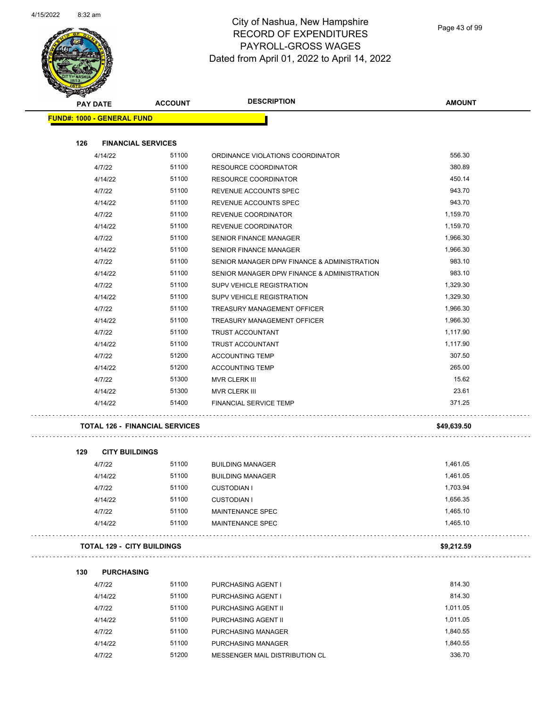

Page 43 of 99

| <b>PAY DATE</b> |                                       | <b>ACCOUNT</b> | <b>DESCRIPTION</b>                          | <b>AMOUNT</b> |
|-----------------|---------------------------------------|----------------|---------------------------------------------|---------------|
|                 | <b>FUND#: 1000 - GENERAL FUND</b>     |                |                                             |               |
| 126             | <b>FINANCIAL SERVICES</b>             |                |                                             |               |
|                 | 4/14/22                               | 51100          | ORDINANCE VIOLATIONS COORDINATOR            | 556.30        |
|                 | 4/7/22                                | 51100          | RESOURCE COORDINATOR                        | 380.89        |
|                 | 4/14/22                               | 51100          | RESOURCE COORDINATOR                        | 450.14        |
|                 | 4/7/22                                | 51100          | REVENUE ACCOUNTS SPEC                       | 943.70        |
|                 | 4/14/22                               | 51100          | REVENUE ACCOUNTS SPEC                       | 943.70        |
|                 | 4/7/22                                | 51100          | REVENUE COORDINATOR                         | 1,159.70      |
|                 | 4/14/22                               | 51100          | REVENUE COORDINATOR                         | 1,159.70      |
|                 | 4/7/22                                | 51100          | SENIOR FINANCE MANAGER                      | 1,966.30      |
|                 | 4/14/22                               | 51100          | <b>SENIOR FINANCE MANAGER</b>               | 1,966.30      |
|                 | 4/7/22                                | 51100          | SENIOR MANAGER DPW FINANCE & ADMINISTRATION | 983.10        |
|                 | 4/14/22                               | 51100          | SENIOR MANAGER DPW FINANCE & ADMINISTRATION | 983.10        |
|                 | 4/7/22                                | 51100          | SUPV VEHICLE REGISTRATION                   | 1,329.30      |
|                 | 4/14/22                               | 51100          | SUPV VEHICLE REGISTRATION                   | 1,329.30      |
|                 | 4/7/22                                | 51100          | <b>TREASURY MANAGEMENT OFFICER</b>          | 1,966.30      |
|                 | 4/14/22                               | 51100          | TREASURY MANAGEMENT OFFICER                 | 1,966.30      |
|                 | 4/7/22                                | 51100          | TRUST ACCOUNTANT                            | 1,117.90      |
|                 | 4/14/22                               | 51100          | TRUST ACCOUNTANT                            | 1,117.90      |
|                 | 4/7/22                                | 51200          | <b>ACCOUNTING TEMP</b>                      | 307.50        |
|                 | 4/14/22                               | 51200          | <b>ACCOUNTING TEMP</b>                      | 265.00        |
|                 | 4/7/22                                | 51300          | MVR CLERK III                               | 15.62         |
|                 | 4/14/22                               | 51300          | MVR CLERK III                               | 23.61         |
|                 | 4/14/22                               | 51400          | <b>FINANCIAL SERVICE TEMP</b>               | 371.25        |
|                 | <b>TOTAL 126 - FINANCIAL SERVICES</b> |                |                                             | \$49,639.50   |
| 129             | <b>CITY BUILDINGS</b>                 |                |                                             |               |
|                 | 4/7/22                                | 51100          | <b>BUILDING MANAGER</b>                     | 1,461.05      |
|                 | 4/14/22                               | 51100          | <b>BUILDING MANAGER</b>                     | 1,461.05      |
|                 | 4/7/22                                | 51100          | <b>CUSTODIAN I</b>                          | 1,703.94      |
|                 | 4/14/22                               | 51100          | <b>CUSTODIAN I</b>                          | 1,656.35      |
|                 | 4/7/22                                | 51100          | MAINTENANCE SPEC                            | 1,465.10      |
|                 | 4/14/22                               | 51100          | MAINTENANCE SPEC                            | 1,465.10      |
|                 | <b>TOTAL 129 - CITY BUILDINGS</b>     |                |                                             | \$9,212.59    |
|                 |                                       |                |                                             |               |
| 130             | <b>PURCHASING</b>                     |                |                                             |               |
|                 | 4/7/22                                | 51100          | PURCHASING AGENT I                          | 814.30        |
|                 | 4/14/22                               | 51100          | PURCHASING AGENT I                          | 814.30        |
|                 | 4/7/22                                | 51100          | PURCHASING AGENT II                         | 1,011.05      |
|                 | 4/14/22                               | 51100          | PURCHASING AGENT II                         | 1,011.05      |
|                 | 4/7/22                                | 51100          | PURCHASING MANAGER                          | 1,840.55      |
|                 | 4/14/22                               | 51100          | PURCHASING MANAGER                          | 1,840.55      |

4/7/22 51200 MESSENGER MAIL DISTRIBUTION CL 336.70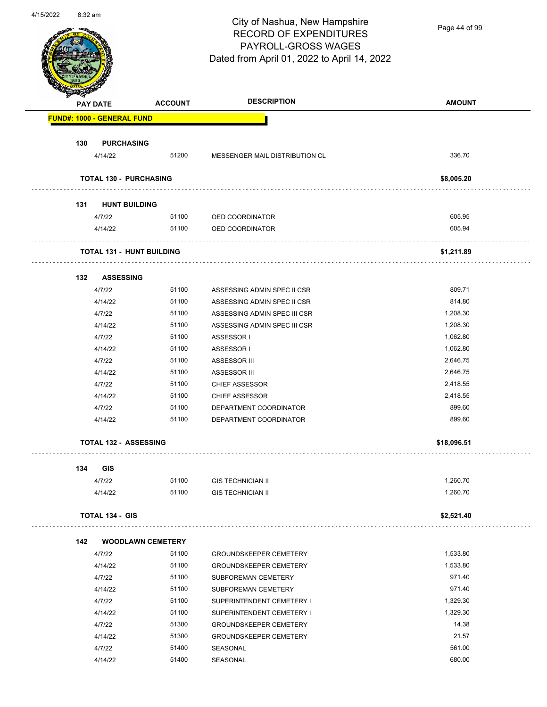

Page 44 of 99

|     | <b>PAY DATE</b>                   | <b>ACCOUNT</b> | <b>DESCRIPTION</b>             | <b>AMOUNT</b> |
|-----|-----------------------------------|----------------|--------------------------------|---------------|
|     | <b>FUND#: 1000 - GENERAL FUND</b> |                |                                |               |
| 130 | <b>PURCHASING</b>                 |                |                                |               |
|     | 4/14/22                           | 51200          | MESSENGER MAIL DISTRIBUTION CL | 336.70        |
|     | <b>TOTAL 130 - PURCHASING</b>     |                |                                | \$8,005.20    |
| 131 | <b>HUNT BUILDING</b>              |                |                                |               |
|     | 4/7/22                            |                | 51100 OED COORDINATOR          | 605.95        |
|     | 4/14/22                           | 51100          | OED COORDINATOR                | 605.94        |
|     |                                   |                |                                |               |
|     | <b>TOTAL 131 - HUNT BUILDING</b>  |                |                                | \$1,211.89    |
| 132 | <b>ASSESSING</b>                  |                |                                |               |
|     | 4/7/22                            | 51100          | ASSESSING ADMIN SPEC II CSR    | 809.71        |
|     | 4/14/22                           | 51100          | ASSESSING ADMIN SPEC II CSR    | 814.80        |
|     | 4/7/22                            | 51100          | ASSESSING ADMIN SPEC III CSR   | 1,208.30      |
|     | 4/14/22                           | 51100          | ASSESSING ADMIN SPEC III CSR   | 1,208.30      |
|     | 4/7/22                            | 51100          | ASSESSOR I                     | 1,062.80      |
|     | 4/14/22                           | 51100          | ASSESSOR I                     | 1,062.80      |
|     | 4/7/22                            | 51100          | ASSESSOR III                   | 2,646.75      |
|     | 4/14/22                           | 51100          | ASSESSOR III                   | 2,646.75      |
|     | 4/7/22                            | 51100          | <b>CHIEF ASSESSOR</b>          | 2,418.55      |
|     | 4/14/22                           | 51100          | <b>CHIEF ASSESSOR</b>          | 2,418.55      |
|     | 4/7/22                            | 51100          | DEPARTMENT COORDINATOR         | 899.60        |
|     | 4/14/22                           | 51100          | DEPARTMENT COORDINATOR         | 899.60        |
|     | <b>TOTAL 132 - ASSESSING</b>      |                |                                | \$18,096.51   |
| 134 | <b>GIS</b>                        |                |                                |               |
|     | 4/7/22                            | 51100          | <b>GIS TECHNICIAN II</b>       | 1,260.70      |
|     | 4/14/22                           | 51100          | <b>GIS TECHNICIAN II</b>       | 1,260.70      |
|     | <b>TOTAL 134 - GIS</b>            |                |                                | \$2,521.40    |
| 142 | <b>WOODLAWN CEMETERY</b>          |                |                                |               |
|     | 4/7/22                            | 51100          | <b>GROUNDSKEEPER CEMETERY</b>  | 1,533.80      |
|     | 4/14/22                           | 51100          | <b>GROUNDSKEEPER CEMETERY</b>  | 1,533.80      |
|     | 4/7/22                            | 51100          | SUBFOREMAN CEMETERY            | 971.40        |
|     | 4/14/22                           | 51100          | SUBFOREMAN CEMETERY            | 971.40        |
|     | 4/7/22                            | 51100          | SUPERINTENDENT CEMETERY I      | 1,329.30      |
|     | 4/14/22                           | 51100          | SUPERINTENDENT CEMETERY I      | 1,329.30      |
|     | 4/7/22                            | 51300          | <b>GROUNDSKEEPER CEMETERY</b>  | 14.38         |
|     | 4/14/22                           | 51300          | <b>GROUNDSKEEPER CEMETERY</b>  | 21.57         |
|     | 4/7/22                            | 51400          | SEASONAL                       | 561.00        |
|     | 4/14/22                           | 51400          | SEASONAL                       | 680.00        |
|     |                                   |                |                                |               |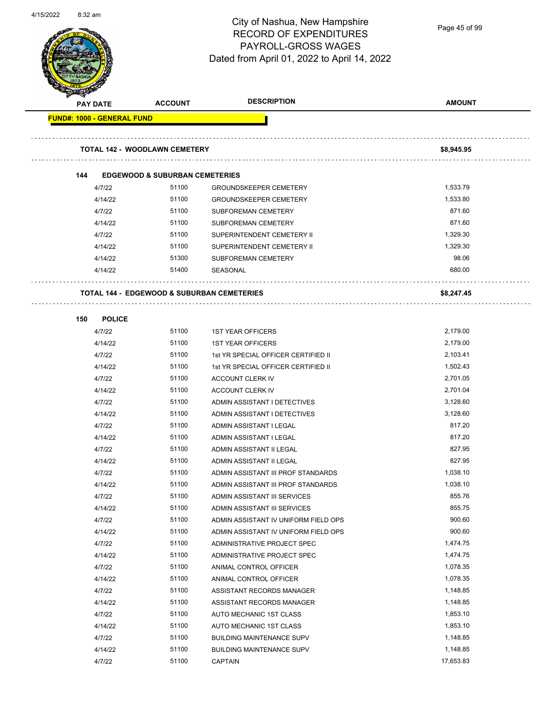

Page 45 of 99

| <b>PAY DATE</b>                   | <b>ACCOUNT</b>                                        | <b>DESCRIPTION</b>                   | <b>AMOUNT</b> |
|-----------------------------------|-------------------------------------------------------|--------------------------------------|---------------|
| <b>FUND#: 1000 - GENERAL FUND</b> |                                                       |                                      |               |
|                                   |                                                       |                                      |               |
|                                   | <b>TOTAL 142 - WOODLAWN CEMETERY</b>                  |                                      | \$8,945.95    |
| 144                               | <b>EDGEWOOD &amp; SUBURBAN CEMETERIES</b>             |                                      |               |
| 4/7/22                            | 51100                                                 | <b>GROUNDSKEEPER CEMETERY</b>        | 1,533.79      |
| 4/14/22                           | 51100                                                 | <b>GROUNDSKEEPER CEMETERY</b>        | 1,533.80      |
| 4/7/22                            | 51100                                                 | SUBFOREMAN CEMETERY                  | 871.60        |
| 4/14/22                           | 51100                                                 | <b>SUBFOREMAN CEMETERY</b>           | 871.60        |
| 4/7/22                            | 51100                                                 | SUPERINTENDENT CEMETERY II           | 1,329.30      |
| 4/14/22                           | 51100                                                 | SUPERINTENDENT CEMETERY II           | 1,329.30      |
| 4/14/22                           | 51300                                                 | SUBFOREMAN CEMETERY                  | 98.06         |
| 4/14/22                           | 51400                                                 | SEASONAL                             | 680.00        |
|                                   |                                                       |                                      |               |
|                                   | <b>TOTAL 144 - EDGEWOOD &amp; SUBURBAN CEMETERIES</b> |                                      | \$8,247.45    |
| <b>POLICE</b><br>150              |                                                       |                                      |               |
| 4/7/22                            | 51100                                                 | <b>1ST YEAR OFFICERS</b>             | 2,179.00      |
| 4/14/22                           | 51100                                                 | <b>1ST YEAR OFFICERS</b>             | 2,179.00      |
| 4/7/22                            | 51100                                                 | 1st YR SPECIAL OFFICER CERTIFIED II  | 2,103.41      |
| 4/14/22                           | 51100                                                 | 1st YR SPECIAL OFFICER CERTIFIED II  | 1,502.43      |
| 4/7/22                            | 51100                                                 | ACCOUNT CLERK IV                     | 2,701.05      |
| 4/14/22                           | 51100                                                 | ACCOUNT CLERK IV                     | 2,701.04      |
| 4/7/22                            | 51100                                                 | ADMIN ASSISTANT I DETECTIVES         | 3,128.60      |
| 4/14/22                           | 51100                                                 | ADMIN ASSISTANT I DETECTIVES         | 3,128.60      |
| 4/7/22                            | 51100                                                 | ADMIN ASSISTANT I LEGAL              | 817.20        |
| 4/14/22                           | 51100                                                 | ADMIN ASSISTANT I LEGAL              | 817.20        |
| 4/7/22                            | 51100                                                 | ADMIN ASSISTANT II LEGAL             | 827.95        |
| 4/14/22                           | 51100                                                 | ADMIN ASSISTANT II LEGAL             | 827.95        |
| 4/7/22                            | 51100                                                 | ADMIN ASSISTANT III PROF STANDARDS   | 1,038.10      |
| 4/14/22                           | 51100                                                 | ADMIN ASSISTANT III PROF STANDARDS   | 1,038.10      |
| 4/7/22                            | 51100                                                 | ADMIN ASSISTANT III SERVICES         | 855.76        |
| 4/14/22                           | 51100                                                 | ADMIN ASSISTANT III SERVICES         | 855.75        |
| 4/7/22                            | 51100                                                 | ADMIN ASSISTANT IV UNIFORM FIELD OPS | 900.60        |
| 4/14/22                           | 51100                                                 | ADMIN ASSISTANT IV UNIFORM FIELD OPS | 900.60        |
| 4/7/22                            | 51100                                                 | ADMINISTRATIVE PROJECT SPEC          | 1,474.75      |
| 4/14/22                           | 51100                                                 | ADMINISTRATIVE PROJECT SPEC          | 1,474.75      |
| 4/7/22                            | 51100                                                 | ANIMAL CONTROL OFFICER               | 1,078.35      |
| 4/14/22                           | 51100                                                 | ANIMAL CONTROL OFFICER               | 1,078.35      |
| 4/7/22                            | 51100                                                 | ASSISTANT RECORDS MANAGER            | 1,148.85      |
| 4/14/22                           | 51100                                                 | ASSISTANT RECORDS MANAGER            | 1,148.85      |
| 4/7/22                            | 51100                                                 | AUTO MECHANIC 1ST CLASS              | 1,853.10      |
| 4/14/22                           | 51100                                                 | AUTO MECHANIC 1ST CLASS              | 1,853.10      |
| 4/7/22                            | 51100                                                 | <b>BUILDING MAINTENANCE SUPV</b>     | 1,148.85      |
| 4/14/22                           | 51100                                                 | <b>BUILDING MAINTENANCE SUPV</b>     | 1,148.85      |
| 4/7/22                            | 51100                                                 | <b>CAPTAIN</b>                       | 17,653.83     |
|                                   |                                                       |                                      |               |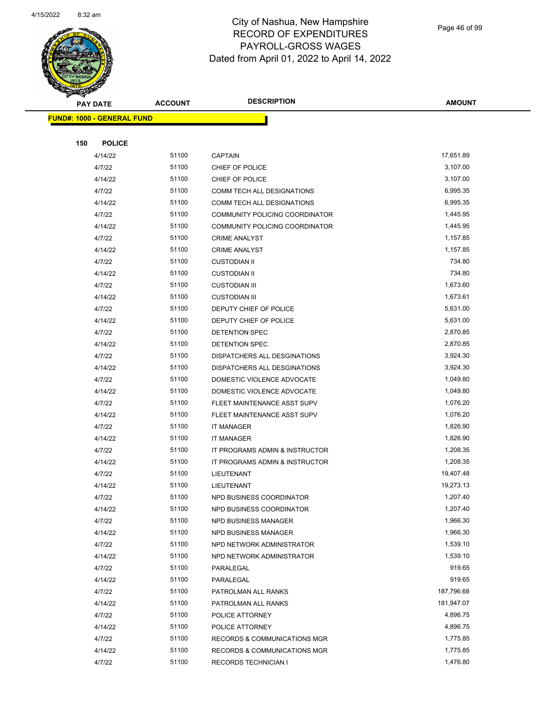

Page 46 of 99

| T<br>$\blacktriangleleft$ .<br><b>PAY DATE</b> | <b>ACCOUNT</b> | <b>DESCRIPTION</b>                     | <b>AMOUNT</b>        |
|------------------------------------------------|----------------|----------------------------------------|----------------------|
| <b>FUND#: 1000 - GENERAL FUND</b>              |                |                                        |                      |
|                                                |                |                                        |                      |
| 150<br><b>POLICE</b>                           |                |                                        |                      |
| 4/14/22                                        | 51100          | <b>CAPTAIN</b>                         | 17,651.89            |
| 4/7/22                                         | 51100          | CHIEF OF POLICE                        | 3,107.00             |
| 4/14/22                                        | 51100          | CHIEF OF POLICE                        | 3,107.00             |
| 4/7/22                                         | 51100          | COMM TECH ALL DESIGNATIONS             | 6,995.35             |
| 4/14/22                                        | 51100          | COMM TECH ALL DESIGNATIONS             | 6,995.35             |
| 4/7/22                                         | 51100          | COMMUNITY POLICING COORDINATOR         | 1,445.95             |
| 4/14/22                                        | 51100          | COMMUNITY POLICING COORDINATOR         | 1,445.95             |
| 4/7/22                                         | 51100          | <b>CRIME ANALYST</b>                   | 1,157.85             |
| 4/14/22                                        | 51100          | <b>CRIME ANALYST</b>                   | 1,157.85             |
| 4/7/22                                         | 51100          | <b>CUSTODIAN II</b>                    | 734.80               |
| 4/14/22                                        | 51100          | <b>CUSTODIAN II</b>                    | 734.80               |
| 4/7/22                                         | 51100          | <b>CUSTODIAN III</b>                   | 1,673.60             |
| 4/14/22                                        | 51100          | <b>CUSTODIAN III</b>                   | 1,673.61             |
| 4/7/22                                         | 51100          | DEPUTY CHIEF OF POLICE                 | 5,631.00             |
| 4/14/22                                        | 51100          | DEPUTY CHIEF OF POLICE                 | 5,631.00             |
| 4/7/22                                         | 51100          | DETENTION SPEC                         | 2,870.85             |
| 4/14/22                                        | 51100          | DETENTION SPEC                         | 2,870.85             |
| 4/7/22                                         | 51100          | DISPATCHERS ALL DESGINATIONS           | 3,924.30             |
| 4/14/22                                        | 51100          | DISPATCHERS ALL DESGINATIONS           | 3,924.30             |
| 4/7/22                                         | 51100          | DOMESTIC VIOLENCE ADVOCATE             | 1,049.80             |
| 4/14/22                                        | 51100          | DOMESTIC VIOLENCE ADVOCATE             | 1,049.80             |
| 4/7/22                                         | 51100          | FLEET MAINTENANCE ASST SUPV            | 1,076.20             |
| 4/14/22                                        | 51100          | FLEET MAINTENANCE ASST SUPV            | 1,076.20             |
| 4/7/22                                         | 51100          | IT MANAGER                             | 1,826.90             |
| 4/14/22                                        | 51100          | <b>IT MANAGER</b>                      | 1,826.90             |
| 4/7/22                                         | 51100          | IT PROGRAMS ADMIN & INSTRUCTOR         | 1,208.35             |
| 4/14/22                                        | 51100          | IT PROGRAMS ADMIN & INSTRUCTOR         | 1,208.35             |
| 4/7/22                                         | 51100          | LIEUTENANT                             | 19,407.48            |
| 4/14/22                                        | 51100          | LIEUTENANT                             | 19,273.13            |
| 4/7/22                                         | 51100          | NPD BUSINESS COORDINATOR               | 1,207.40             |
| 4/14/22                                        | 51100          | NPD BUSINESS COORDINATOR               | 1,207.40             |
| 4/7/22                                         | 51100          | NPD BUSINESS MANAGER                   | 1,966.30             |
| 4/14/22                                        | 51100<br>51100 | NPD BUSINESS MANAGER                   | 1,966.30<br>1,539.10 |
| 4/7/22                                         | 51100          | NPD NETWORK ADMINISTRATOR              | 1,539.10             |
| 4/14/22<br>4/7/22                              | 51100          | NPD NETWORK ADMINISTRATOR<br>PARALEGAL | 919.65               |
| 4/14/22                                        | 51100          | PARALEGAL                              | 919.65               |
| 4/7/22                                         | 51100          | PATROLMAN ALL RANKS                    | 187,796.68           |
| 4/14/22                                        | 51100          | PATROLMAN ALL RANKS                    | 181,947.07           |
| 4/7/22                                         | 51100          | POLICE ATTORNEY                        | 4,896.75             |
| 4/14/22                                        | 51100          | POLICE ATTORNEY                        | 4,896.75             |
| 4/7/22                                         | 51100          | RECORDS & COMMUNICATIONS MGR           | 1,775.85             |
| 4/14/22                                        | 51100          | RECORDS & COMMUNICATIONS MGR           | 1,775.85             |
| 4/7/22                                         | 51100          | RECORDS TECHNICIAN I                   | 1,476.80             |
|                                                |                |                                        |                      |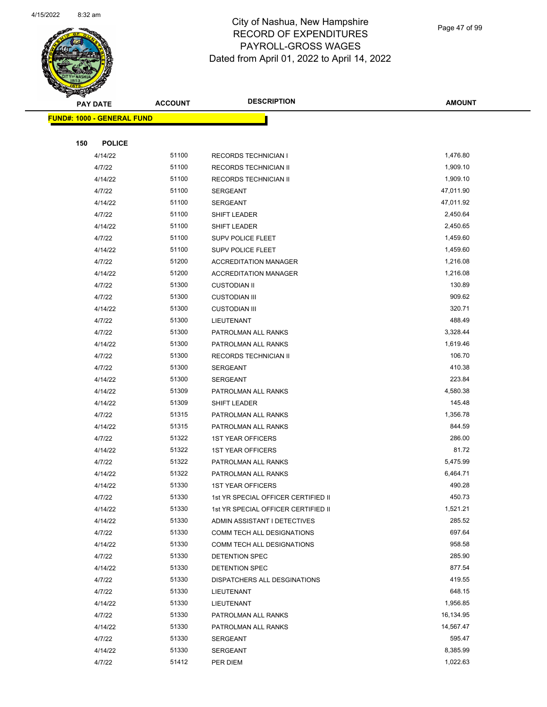

Page 47 of 99

|     | <b>PAY DATE</b>                   | <b>ACCOUNT</b> | <b>DESCRIPTION</b>                         | <b>AMOUNT</b>    |
|-----|-----------------------------------|----------------|--------------------------------------------|------------------|
|     | <b>FUND#: 1000 - GENERAL FUND</b> |                |                                            |                  |
|     |                                   |                |                                            |                  |
| 150 | <b>POLICE</b>                     |                |                                            |                  |
|     | 4/14/22                           | 51100          | <b>RECORDS TECHNICIAN I</b>                | 1,476.80         |
|     | 4/7/22                            | 51100          | RECORDS TECHNICIAN II                      | 1,909.10         |
|     | 4/14/22                           | 51100          | RECORDS TECHNICIAN II                      | 1,909.10         |
|     | 4/7/22                            | 51100          | SERGEANT                                   | 47,011.90        |
|     | 4/14/22                           | 51100          | <b>SERGEANT</b>                            | 47,011.92        |
|     | 4/7/22                            | 51100          | SHIFT LEADER                               | 2,450.64         |
|     | 4/14/22                           | 51100          | SHIFT LEADER                               | 2,450.65         |
|     | 4/7/22                            | 51100          | SUPV POLICE FLEET                          | 1,459.60         |
|     | 4/14/22                           | 51100          | SUPV POLICE FLEET                          | 1,459.60         |
|     | 4/7/22                            | 51200          | <b>ACCREDITATION MANAGER</b>               | 1,216.08         |
|     | 4/14/22                           | 51200          | <b>ACCREDITATION MANAGER</b>               | 1,216.08         |
|     | 4/7/22                            | 51300          | <b>CUSTODIAN II</b>                        | 130.89           |
|     | 4/7/22                            | 51300          | <b>CUSTODIAN III</b>                       | 909.62           |
|     | 4/14/22                           | 51300          | <b>CUSTODIAN III</b>                       | 320.71           |
|     | 4/7/22                            | 51300          | LIEUTENANT                                 | 488.49           |
|     | 4/7/22                            | 51300          | PATROLMAN ALL RANKS                        | 3,328.44         |
|     | 4/14/22                           | 51300          | PATROLMAN ALL RANKS                        | 1,619.46         |
|     | 4/7/22                            | 51300          | RECORDS TECHNICIAN II                      | 106.70           |
|     | 4/7/22                            | 51300          | SERGEANT                                   | 410.38           |
|     | 4/14/22                           | 51300          | <b>SERGEANT</b>                            | 223.84           |
|     | 4/14/22                           | 51309          | PATROLMAN ALL RANKS                        | 4,580.38         |
|     | 4/14/22                           | 51309          | SHIFT LEADER                               | 145.48           |
|     | 4/7/22                            | 51315          | PATROLMAN ALL RANKS                        | 1,356.78         |
|     | 4/14/22                           | 51315          | PATROLMAN ALL RANKS                        | 844.59           |
|     | 4/7/22                            | 51322          | <b>1ST YEAR OFFICERS</b>                   | 286.00           |
|     | 4/14/22                           | 51322          | <b>1ST YEAR OFFICERS</b>                   | 81.72            |
|     | 4/7/22                            | 51322          | PATROLMAN ALL RANKS                        | 5,475.99         |
|     | 4/14/22                           | 51322          | PATROLMAN ALL RANKS                        | 6,464.71         |
|     | 4/14/22                           | 51330          | <b>1ST YEAR OFFICERS</b>                   | 490.28           |
|     | 4/7/22                            | 51330          | 1st YR SPECIAL OFFICER CERTIFIED II        | 450.73           |
|     | 4/14/22                           | 51330          | 1st YR SPECIAL OFFICER CERTIFIED II        | 1,521.21         |
|     | 4/14/22                           | 51330          | ADMIN ASSISTANT I DETECTIVES               | 285.52           |
|     | 4/7/22                            | 51330          | COMM TECH ALL DESIGNATIONS                 | 697.64           |
|     | 4/14/22                           | 51330          | COMM TECH ALL DESIGNATIONS                 | 958.58           |
|     | 4/7/22                            | 51330<br>51330 | DETENTION SPEC                             | 285.90<br>877.54 |
|     | 4/14/22<br>4/7/22                 | 51330          | DETENTION SPEC                             | 419.55           |
|     | 4/7/22                            | 51330          | DISPATCHERS ALL DESGINATIONS<br>LIEUTENANT | 648.15           |
|     | 4/14/22                           | 51330          | LIEUTENANT                                 | 1,956.85         |
|     | 4/7/22                            | 51330          | PATROLMAN ALL RANKS                        | 16,134.95        |
|     | 4/14/22                           | 51330          | PATROLMAN ALL RANKS                        | 14,567.47        |
|     | 4/7/22                            | 51330          | SERGEANT                                   | 595.47           |
|     | 4/14/22                           | 51330          | SERGEANT                                   | 8,385.99         |
|     | 4/7/22                            | 51412          | PER DIEM                                   | 1,022.63         |
|     |                                   |                |                                            |                  |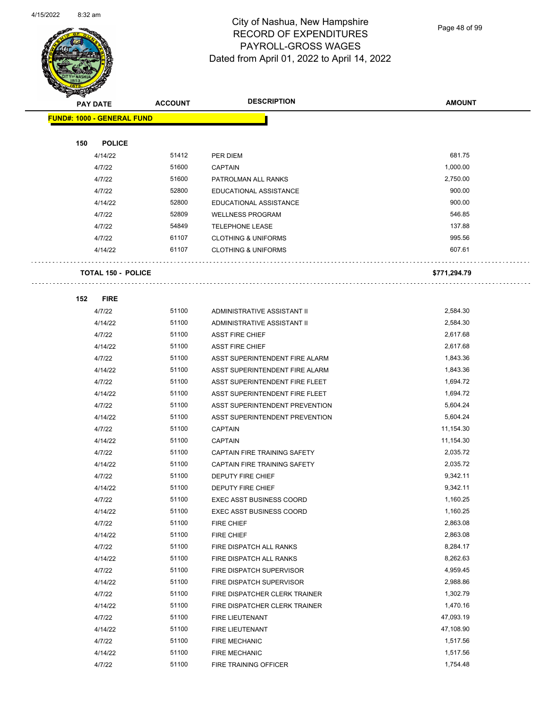

Page 48 of 99

| <b>PAY DATE</b>                   | <b>ACCOUNT</b> | <b>DESCRIPTION</b>                      | <b>AMOUNT</b>         |
|-----------------------------------|----------------|-----------------------------------------|-----------------------|
| <b>FUND#: 1000 - GENERAL FUND</b> |                |                                         |                       |
|                                   |                |                                         |                       |
| 150<br><b>POLICE</b>              |                |                                         |                       |
| 4/14/22                           | 51412          | PER DIEM                                | 681.75                |
| 4/7/22                            | 51600          | <b>CAPTAIN</b>                          | 1,000.00              |
| 4/7/22                            | 51600          | PATROLMAN ALL RANKS                     | 2,750.00              |
| 4/7/22                            | 52800          | EDUCATIONAL ASSISTANCE                  | 900.00                |
| 4/14/22                           | 52800          | EDUCATIONAL ASSISTANCE                  | 900.00                |
| 4/7/22                            | 52809          | <b>WELLNESS PROGRAM</b>                 | 546.85                |
| 4/7/22                            | 54849          | <b>TELEPHONE LEASE</b>                  | 137.88                |
| 4/7/22                            | 61107          | <b>CLOTHING &amp; UNIFORMS</b>          | 995.56                |
| 4/14/22                           | 61107          | <b>CLOTHING &amp; UNIFORMS</b>          | 607.61                |
|                                   |                |                                         |                       |
| <b>TOTAL 150 - POLICE</b>         |                |                                         | \$771,294.79          |
|                                   |                |                                         |                       |
| 152<br><b>FIRE</b>                |                |                                         |                       |
| 4/7/22                            | 51100          | ADMINISTRATIVE ASSISTANT II             | 2,584.30              |
| 4/14/22                           | 51100          | ADMINISTRATIVE ASSISTANT II             | 2,584.30              |
| 4/7/22                            | 51100          | <b>ASST FIRE CHIEF</b>                  | 2,617.68              |
| 4/14/22                           | 51100          | <b>ASST FIRE CHIEF</b>                  | 2,617.68              |
| 4/7/22                            | 51100          | ASST SUPERINTENDENT FIRE ALARM          | 1,843.36              |
| 4/14/22                           | 51100          | ASST SUPERINTENDENT FIRE ALARM          | 1,843.36              |
| 4/7/22                            | 51100          | ASST SUPERINTENDENT FIRE FLEET          | 1,694.72              |
| 4/14/22                           | 51100          | ASST SUPERINTENDENT FIRE FLEET          | 1,694.72              |
| 4/7/22                            | 51100          | ASST SUPERINTENDENT PREVENTION          | 5,604.24              |
| 4/14/22                           | 51100          | ASST SUPERINTENDENT PREVENTION          | 5,604.24              |
| 4/7/22                            | 51100          | <b>CAPTAIN</b>                          | 11,154.30             |
| 4/14/22                           | 51100          | <b>CAPTAIN</b>                          | 11,154.30             |
| 4/7/22                            | 51100          | CAPTAIN FIRE TRAINING SAFETY            | 2,035.72              |
| 4/14/22                           | 51100          | CAPTAIN FIRE TRAINING SAFETY            | 2,035.72              |
| 4/7/22                            | 51100          | DEPUTY FIRE CHIEF                       | 9,342.11              |
| 4/14/22                           | 51100          | DEPUTY FIRE CHIEF                       | 9,342.11              |
| 4/7/22                            | 51100          | <b>EXEC ASST BUSINESS COORD</b>         | 1,160.25              |
| 4/14/22                           | 51100          | <b>EXEC ASST BUSINESS COORD</b>         | 1,160.25              |
| 4/7/22                            | 51100          | FIRE CHIEF                              | 2,863.08              |
| 4/14/22                           | 51100          | FIRE CHIEF                              | 2,863.08              |
| 4/7/22                            | 51100          | FIRE DISPATCH ALL RANKS                 | 8,284.17              |
| 4/14/22                           | 51100          | FIRE DISPATCH ALL RANKS                 | 8,262.63              |
| 4/7/22                            | 51100          | FIRE DISPATCH SUPERVISOR                | 4,959.45              |
| 4/14/22                           | 51100          | FIRE DISPATCH SUPERVISOR                | 2,988.86              |
| 4/7/22                            | 51100          | FIRE DISPATCHER CLERK TRAINER           | 1,302.79              |
| 4/14/22                           | 51100<br>51100 | FIRE DISPATCHER CLERK TRAINER           | 1,470.16<br>47,093.19 |
| 4/7/22                            | 51100          | FIRE LIEUTENANT                         | 47,108.90             |
| 4/14/22                           | 51100          | FIRE LIEUTENANT<br><b>FIRE MECHANIC</b> | 1,517.56              |
| 4/7/22<br>4/14/22                 | 51100          | <b>FIRE MECHANIC</b>                    | 1,517.56              |
| 4/7/22                            | 51100          | FIRE TRAINING OFFICER                   | 1,754.48              |
|                                   |                |                                         |                       |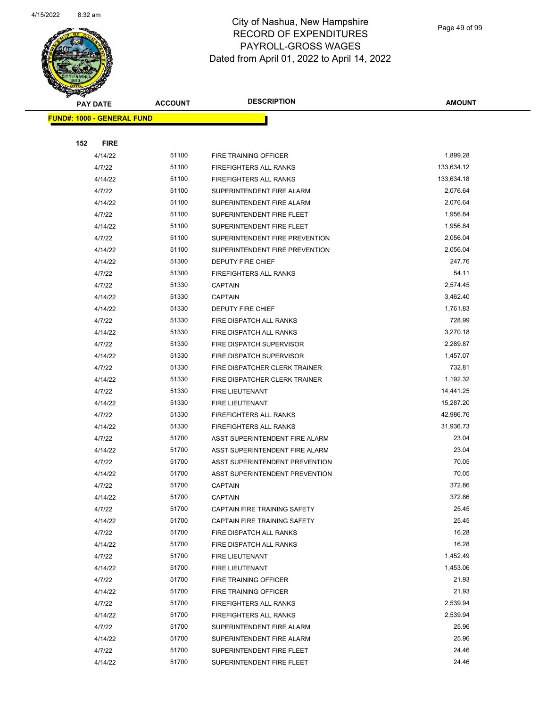

Page 49 of 99

| <b>PAY DATE</b>                   | <b>ACCOUNT</b> | <b>DESCRIPTION</b>             | <b>AMOUNT</b> |
|-----------------------------------|----------------|--------------------------------|---------------|
| <b>FUND#: 1000 - GENERAL FUND</b> |                |                                |               |
|                                   |                |                                |               |
| 152<br><b>FIRE</b>                |                |                                |               |
| 4/14/22                           | 51100          | FIRE TRAINING OFFICER          | 1,899.28      |
| 4/7/22                            | 51100          | <b>FIREFIGHTERS ALL RANKS</b>  | 133,634.12    |
| 4/14/22                           | 51100          | <b>FIREFIGHTERS ALL RANKS</b>  | 133,634.18    |
| 4/7/22                            | 51100          | SUPERINTENDENT FIRE ALARM      | 2,076.64      |
| 4/14/22                           | 51100          | SUPERINTENDENT FIRE ALARM      | 2,076.64      |
| 4/7/22                            | 51100          | SUPERINTENDENT FIRE FLEET      | 1,956.84      |
| 4/14/22                           | 51100          | SUPERINTENDENT FIRE FLEET      | 1,956.84      |
| 4/7/22                            | 51100          | SUPERINTENDENT FIRE PREVENTION | 2,056.04      |
| 4/14/22                           | 51100          | SUPERINTENDENT FIRE PREVENTION | 2,056.04      |
| 4/14/22                           | 51300          | DEPUTY FIRE CHIEF              | 247.76        |
| 4/7/22                            | 51300          | FIREFIGHTERS ALL RANKS         | 54.11         |
| 4/7/22                            | 51330          | <b>CAPTAIN</b>                 | 2,574.45      |
| 4/14/22                           | 51330          | <b>CAPTAIN</b>                 | 3,462.40      |
| 4/14/22                           | 51330          | DEPUTY FIRE CHIEF              | 1,761.83      |
| 4/7/22                            | 51330          | FIRE DISPATCH ALL RANKS        | 728.99        |
| 4/14/22                           | 51330          | FIRE DISPATCH ALL RANKS        | 3,270.18      |
| 4/7/22                            | 51330          | FIRE DISPATCH SUPERVISOR       | 2,289.87      |
| 4/14/22                           | 51330          | FIRE DISPATCH SUPERVISOR       | 1,457.07      |
| 4/7/22                            | 51330          | FIRE DISPATCHER CLERK TRAINER  | 732.81        |
| 4/14/22                           | 51330          | FIRE DISPATCHER CLERK TRAINER  | 1,192.32      |
| 4/7/22                            | 51330          | FIRE LIEUTENANT                | 14,441.25     |
| 4/14/22                           | 51330          | FIRE LIEUTENANT                | 15,287.20     |
| 4/7/22                            | 51330          | <b>FIREFIGHTERS ALL RANKS</b>  | 42,986.76     |
| 4/14/22                           | 51330          | FIREFIGHTERS ALL RANKS         | 31,936.73     |
| 4/7/22                            | 51700          | ASST SUPERINTENDENT FIRE ALARM | 23.04         |
| 4/14/22                           | 51700          | ASST SUPERINTENDENT FIRE ALARM | 23.04         |
| 4/7/22                            | 51700          | ASST SUPERINTENDENT PREVENTION | 70.05         |
| 4/14/22                           | 51700          | ASST SUPERINTENDENT PREVENTION | 70.05         |
| 4/7/22                            | 51700          | <b>CAPTAIN</b>                 | 372.86        |
| 4/14/22                           | 51700          | CAPTAIN                        | 372.86        |
| 4/7/22                            | 51700          | CAPTAIN FIRE TRAINING SAFETY   | 25.45         |
| 4/14/22                           | 51700          | CAPTAIN FIRE TRAINING SAFETY   | 25.45         |
| 4/7/22                            | 51700          | FIRE DISPATCH ALL RANKS        | 16.28         |
| 4/14/22                           | 51700          | FIRE DISPATCH ALL RANKS        | 16.28         |
| 4/7/22                            | 51700          | FIRE LIEUTENANT                | 1,452.49      |
| 4/14/22                           | 51700          | FIRE LIEUTENANT                | 1,453.06      |
| 4/7/22                            | 51700          | FIRE TRAINING OFFICER          | 21.93         |
| 4/14/22                           | 51700          | FIRE TRAINING OFFICER          | 21.93         |
| 4/7/22                            | 51700          | FIREFIGHTERS ALL RANKS         | 2,539.94      |
| 4/14/22                           | 51700          | <b>FIREFIGHTERS ALL RANKS</b>  | 2,539.94      |
| 4/7/22                            | 51700          | SUPERINTENDENT FIRE ALARM      | 25.96         |
| 4/14/22                           | 51700          | SUPERINTENDENT FIRE ALARM      | 25.96         |
| 4/7/22                            | 51700          | SUPERINTENDENT FIRE FLEET      | 24.46         |
| 4/14/22                           | 51700          | SUPERINTENDENT FIRE FLEET      | 24.46         |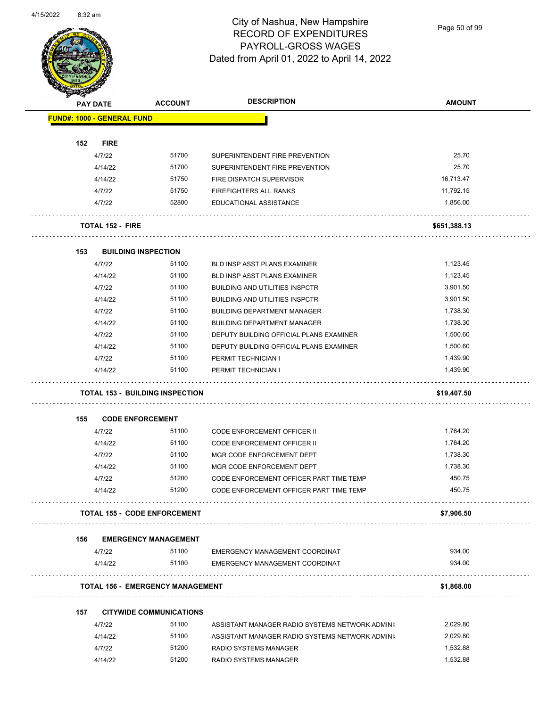

Page 50 of 99

|     | <b>PAY DATE</b>                   | <b>ACCOUNT</b>                          | <b>DESCRIPTION</b>                             | <b>AMOUNT</b> |
|-----|-----------------------------------|-----------------------------------------|------------------------------------------------|---------------|
|     | <b>FUND#: 1000 - GENERAL FUND</b> |                                         |                                                |               |
| 152 | <b>FIRE</b>                       |                                         |                                                |               |
|     | 4/7/22                            | 51700                                   | SUPERINTENDENT FIRE PREVENTION                 | 25.70         |
|     | 4/14/22                           | 51700                                   | SUPERINTENDENT FIRE PREVENTION                 | 25.70         |
|     | 4/14/22                           | 51750                                   | FIRE DISPATCH SUPERVISOR                       | 16,713.47     |
|     | 4/7/22                            | 51750                                   | FIREFIGHTERS ALL RANKS                         | 11,792.15     |
|     | 4/7/22                            | 52800                                   | EDUCATIONAL ASSISTANCE                         | 1,856.00      |
|     | <b>TOTAL 152 - FIRE</b>           |                                         |                                                | \$651,388.13  |
| 153 |                                   | <b>BUILDING INSPECTION</b>              |                                                |               |
|     | 4/7/22                            | 51100                                   | <b>BLD INSP ASST PLANS EXAMINER</b>            | 1,123.45      |
|     | 4/14/22                           | 51100                                   | <b>BLD INSP ASST PLANS EXAMINER</b>            | 1,123.45      |
|     | 4/7/22                            | 51100                                   | <b>BUILDING AND UTILITIES INSPCTR</b>          | 3,901.50      |
|     | 4/14/22                           | 51100                                   | <b>BUILDING AND UTILITIES INSPCTR</b>          | 3,901.50      |
|     | 4/7/22                            | 51100                                   | <b>BUILDING DEPARTMENT MANAGER</b>             | 1,738.30      |
|     | 4/14/22                           | 51100                                   | <b>BUILDING DEPARTMENT MANAGER</b>             | 1,738.30      |
|     | 4/7/22                            | 51100                                   | DEPUTY BUILDING OFFICIAL PLANS EXAMINER        | 1,500.60      |
|     | 4/14/22                           | 51100                                   | DEPUTY BUILDING OFFICIAL PLANS EXAMINER        | 1,500.60      |
|     | 4/7/22                            | 51100                                   | PERMIT TECHNICIAN I                            | 1,439.90      |
|     | 4/14/22                           | 51100                                   | PERMIT TECHNICIAN I                            | 1,439.90      |
|     |                                   | <b>TOTAL 153 - BUILDING INSPECTION</b>  |                                                | \$19,407.50   |
|     |                                   | <b>CODE ENFORCEMENT</b>                 |                                                |               |
| 155 |                                   |                                         | <b>CODE ENFORCEMENT OFFICER II</b>             | 1,764.20      |
|     | 4/7/22                            | 51100                                   |                                                |               |
|     | 4/14/22                           | 51100                                   | <b>CODE ENFORCEMENT OFFICER II</b>             | 1,764.20      |
|     | 4/7/22                            | 51100                                   | MGR CODE ENFORCEMENT DEPT                      | 1,738.30      |
|     | 4/14/22                           | 51100                                   | MGR CODE ENFORCEMENT DEPT                      | 1,738.30      |
|     | 4/7/22                            | 51200                                   | CODE ENFORCEMENT OFFICER PART TIME TEMP        | 450.75        |
|     | 4/14/22                           | 51200                                   | CODE ENFORCEMENT OFFICER PART TIME TEMP        | 450.75        |
|     |                                   | <b>TOTAL 155 - CODE ENFORCEMENT</b>     |                                                | \$7,906.50    |
| 156 |                                   | <b>EMERGENCY MANAGEMENT</b>             |                                                |               |
|     | 4/7/22                            | 51100                                   | EMERGENCY MANAGEMENT COORDINAT                 | 934.00        |
|     | 4/14/22                           | 51100                                   | EMERGENCY MANAGEMENT COORDINAT                 | 934.00        |
|     |                                   | <b>TOTAL 156 - EMERGENCY MANAGEMENT</b> |                                                | \$1,868.00    |
| 157 |                                   | <b>CITYWIDE COMMUNICATIONS</b>          |                                                |               |
|     | 4/7/22                            | 51100                                   | ASSISTANT MANAGER RADIO SYSTEMS NETWORK ADMINI | 2,029.80      |
|     | 4/14/22                           | 51100                                   | ASSISTANT MANAGER RADIO SYSTEMS NETWORK ADMINI | 2,029.80      |
|     | 4/7/22                            | 51200                                   | <b>RADIO SYSTEMS MANAGER</b>                   | 1,532.88      |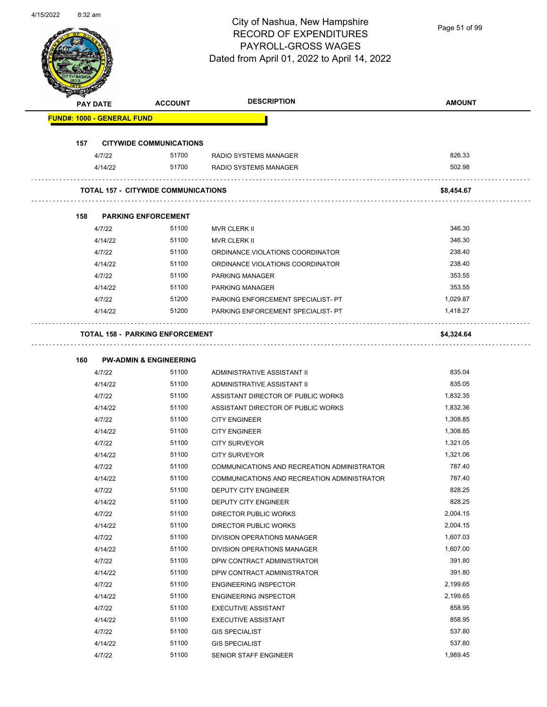

Page 51 of 99

|     | PAY DATE                          | <b>ACCOUNT</b>                             | <b>DESCRIPTION</b>                          | <b>AMOUNT</b> |
|-----|-----------------------------------|--------------------------------------------|---------------------------------------------|---------------|
|     | <b>FUND#: 1000 - GENERAL FUND</b> |                                            |                                             |               |
|     |                                   |                                            |                                             |               |
| 157 |                                   | <b>CITYWIDE COMMUNICATIONS</b>             |                                             |               |
|     | 4/7/22                            | 51700                                      | RADIO SYSTEMS MANAGER                       | 826.33        |
|     | 4/14/22                           | 51700                                      | RADIO SYSTEMS MANAGER                       | 502.98        |
|     |                                   | <b>TOTAL 157 - CITYWIDE COMMUNICATIONS</b> |                                             | \$8,454.67    |
|     |                                   |                                            |                                             |               |
| 158 |                                   | <b>PARKING ENFORCEMENT</b>                 |                                             |               |
|     | 4/7/22                            | 51100                                      | <b>MVR CLERK II</b>                         | 346.30        |
|     | 4/14/22                           | 51100                                      | <b>MVR CLERK II</b>                         | 346.30        |
|     | 4/7/22                            | 51100                                      | ORDINANCE VIOLATIONS COORDINATOR            | 238.40        |
|     | 4/14/22                           | 51100                                      | ORDINANCE VIOLATIONS COORDINATOR            | 238.40        |
|     | 4/7/22                            | 51100                                      | <b>PARKING MANAGER</b>                      | 353.55        |
|     | 4/14/22                           | 51100                                      | <b>PARKING MANAGER</b>                      | 353.55        |
|     | 4/7/22                            | 51200                                      | PARKING ENFORCEMENT SPECIALIST- PT          | 1,029.87      |
|     | 4/14/22                           | 51200                                      | PARKING ENFORCEMENT SPECIALIST- PT          | 1,418.27      |
|     |                                   |                                            |                                             |               |
|     |                                   | <b>TOTAL 158 - PARKING ENFORCEMENT</b>     |                                             | \$4,324.64    |
|     |                                   |                                            |                                             |               |
| 160 |                                   | <b>PW-ADMIN &amp; ENGINEERING</b>          |                                             |               |
|     | 4/7/22                            | 51100                                      | ADMINISTRATIVE ASSISTANT II                 | 835.04        |
|     | 4/14/22                           | 51100                                      | ADMINISTRATIVE ASSISTANT II                 | 835.05        |
|     | 4/7/22                            | 51100                                      | ASSISTANT DIRECTOR OF PUBLIC WORKS          | 1,832.35      |
|     | 4/14/22                           | 51100                                      | ASSISTANT DIRECTOR OF PUBLIC WORKS          | 1,832.36      |
|     | 4/7/22                            | 51100                                      | <b>CITY ENGINEER</b>                        | 1,308.85      |
|     | 4/14/22                           | 51100                                      | <b>CITY ENGINEER</b>                        | 1,308.85      |
|     | 4/7/22                            | 51100                                      | <b>CITY SURVEYOR</b>                        | 1,321.05      |
|     | 4/14/22                           | 51100                                      | <b>CITY SURVEYOR</b>                        | 1,321.06      |
|     | 4/7/22                            | 51100                                      | COMMUNICATIONS AND RECREATION ADMINISTRATOR | 787.40        |
|     | 4/14/22                           | 51100                                      | COMMUNICATIONS AND RECREATION ADMINISTRATOR | 787.40        |
|     | 4/7/22                            | 51100                                      | DEPUTY CITY ENGINEER                        | 828.25        |
|     | 4/14/22                           | 51100                                      | <b>DEPUTY CITY ENGINEER</b>                 | 828.25        |
|     | 4/7/22                            | 51100                                      | <b>DIRECTOR PUBLIC WORKS</b>                | 2,004.15      |
|     | 4/14/22                           | 51100                                      | DIRECTOR PUBLIC WORKS                       | 2,004.15      |
|     | 4/7/22                            | 51100                                      | DIVISION OPERATIONS MANAGER                 | 1,607.03      |
|     | 4/14/22                           | 51100                                      | DIVISION OPERATIONS MANAGER                 | 1,607.00      |
|     | 4/7/22                            | 51100                                      | DPW CONTRACT ADMINISTRATOR                  | 391.80        |
|     | 4/14/22                           | 51100                                      | DPW CONTRACT ADMINISTRATOR                  | 391.80        |
|     | 4/7/22                            | 51100                                      | <b>ENGINEERING INSPECTOR</b>                | 2,199.65      |
|     | 4/14/22                           | 51100                                      | <b>ENGINEERING INSPECTOR</b>                | 2,199.65      |
|     | 4/7/22                            | 51100                                      | <b>EXECUTIVE ASSISTANT</b>                  | 858.95        |
|     | 4/14/22                           | 51100                                      | <b>EXECUTIVE ASSISTANT</b>                  | 858.95        |
|     | 4/7/22                            | 51100                                      | <b>GIS SPECIALIST</b>                       | 537.80        |
|     | 4/14/22                           | 51100                                      | <b>GIS SPECIALIST</b>                       | 537.80        |
|     | 4/7/22                            | 51100                                      | SENIOR STAFF ENGINEER                       | 1,989.45      |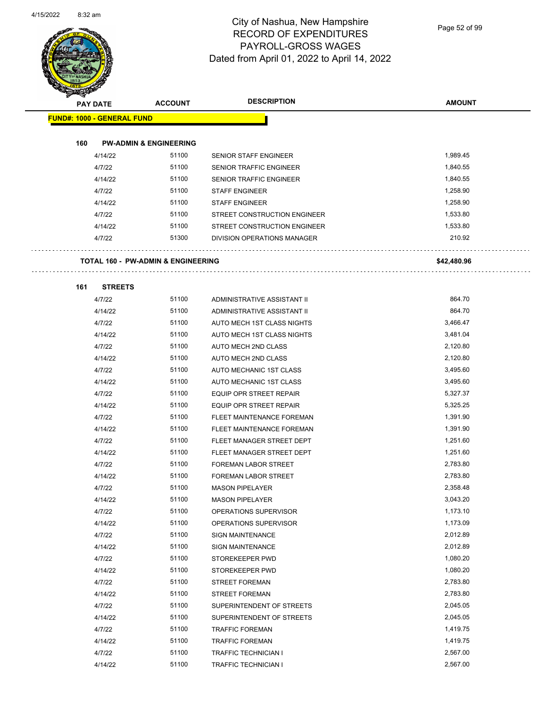

Page 52 of 99

| <b>KILLERA</b>  |                                               |                |                              |               |
|-----------------|-----------------------------------------------|----------------|------------------------------|---------------|
| <b>PAY DATE</b> |                                               | <b>ACCOUNT</b> | <b>DESCRIPTION</b>           | <b>AMOUNT</b> |
|                 | <b>FUND#: 1000 - GENERAL FUND</b>             |                |                              |               |
|                 |                                               |                |                              |               |
| 160             | <b>PW-ADMIN &amp; ENGINEERING</b>             |                |                              |               |
|                 | 4/14/22                                       | 51100          | <b>SENIOR STAFF ENGINEER</b> | 1,989.45      |
|                 | 4/7/22                                        | 51100          | SENIOR TRAFFIC ENGINEER      | 1,840.55      |
|                 | 4/14/22                                       | 51100          | SENIOR TRAFFIC ENGINEER      | 1,840.55      |
|                 | 4/7/22                                        | 51100          | <b>STAFF ENGINEER</b>        | 1,258.90      |
|                 | 4/14/22                                       | 51100          | <b>STAFF ENGINEER</b>        | 1,258.90      |
|                 | 4/7/22                                        | 51100          | STREET CONSTRUCTION ENGINEER | 1,533.80      |
|                 | 4/14/22                                       | 51100          | STREET CONSTRUCTION ENGINEER | 1,533.80      |
|                 | 4/7/22                                        | 51300          | DIVISION OPERATIONS MANAGER  | 210.92        |
|                 |                                               |                |                              |               |
|                 | <b>TOTAL 160 - PW-ADMIN &amp; ENGINEERING</b> |                |                              | \$42,480.96   |
| 161             | <b>STREETS</b>                                |                |                              |               |
|                 | 4/7/22                                        | 51100          | ADMINISTRATIVE ASSISTANT II  | 864.70        |
|                 | 4/14/22                                       | 51100          | ADMINISTRATIVE ASSISTANT II  | 864.70        |
|                 | 4/7/22                                        | 51100          | AUTO MECH 1ST CLASS NIGHTS   | 3,466.47      |
|                 | 4/14/22                                       | 51100          | AUTO MECH 1ST CLASS NIGHTS   | 3,481.04      |
|                 | 4/7/22                                        | 51100          | AUTO MECH 2ND CLASS          | 2,120.80      |
|                 | 4/14/22                                       | 51100          | AUTO MECH 2ND CLASS          | 2,120.80      |
|                 | 4/7/22                                        | 51100          | AUTO MECHANIC 1ST CLASS      | 3,495.60      |
|                 | 4/14/22                                       | 51100          | AUTO MECHANIC 1ST CLASS      | 3,495.60      |
|                 | 4/7/22                                        | 51100          | EQUIP OPR STREET REPAIR      | 5,327.37      |
|                 | 4/14/22                                       | 51100          | EQUIP OPR STREET REPAIR      | 5,325.25      |
|                 | 4/7/22                                        | 51100          | FLEET MAINTENANCE FOREMAN    | 1,391.90      |
|                 | 4/14/22                                       | 51100          | FLEET MAINTENANCE FOREMAN    | 1,391.90      |
|                 | 4/7/22                                        | 51100          | FLEET MANAGER STREET DEPT    | 1,251.60      |
|                 | 4/14/22                                       | 51100          | FLEET MANAGER STREET DEPT    | 1,251.60      |
|                 | 4/7/22                                        | 51100          | FOREMAN LABOR STREET         | 2,783.80      |
|                 | 4/14/22                                       | 51100          | <b>FOREMAN LABOR STREET</b>  | 2,783.80      |
|                 | 4/7/22                                        | 51100          | <b>MASON PIPELAYER</b>       | 2,358.48      |
|                 | 4/14/22                                       | 51100          | <b>MASON PIPELAYER</b>       | 3,043.20      |
|                 | 4/7/22                                        | 51100          | OPERATIONS SUPERVISOR        | 1,173.10      |
|                 | 4/14/22                                       | 51100          | OPERATIONS SUPERVISOR        | 1,173.09      |
|                 | 4/7/22                                        | 51100          | <b>SIGN MAINTENANCE</b>      | 2,012.89      |
|                 | 4/14/22                                       | 51100          | <b>SIGN MAINTENANCE</b>      | 2,012.89      |
|                 | 4/7/22                                        | 51100          | STOREKEEPER PWD              | 1,080.20      |
|                 | 4/14/22                                       | 51100          | STOREKEEPER PWD              | 1,080.20      |
|                 | 4/7/22                                        | 51100          | <b>STREET FOREMAN</b>        | 2,783.80      |
|                 | 4/14/22                                       | 51100          | <b>STREET FOREMAN</b>        | 2,783.80      |
|                 | 4/7/22                                        | 51100          | SUPERINTENDENT OF STREETS    | 2,045.05      |
|                 | 4/14/22                                       | 51100          | SUPERINTENDENT OF STREETS    | 2,045.05      |
|                 | 4/7/22                                        | 51100          | <b>TRAFFIC FOREMAN</b>       | 1,419.75      |
|                 | 4/14/22                                       | 51100          | <b>TRAFFIC FOREMAN</b>       | 1,419.75      |
|                 | 4/7/22                                        | 51100          | TRAFFIC TECHNICIAN I         | 2,567.00      |

4/14/22 51100 TRAFFIC TECHNICIAN I 2,567.00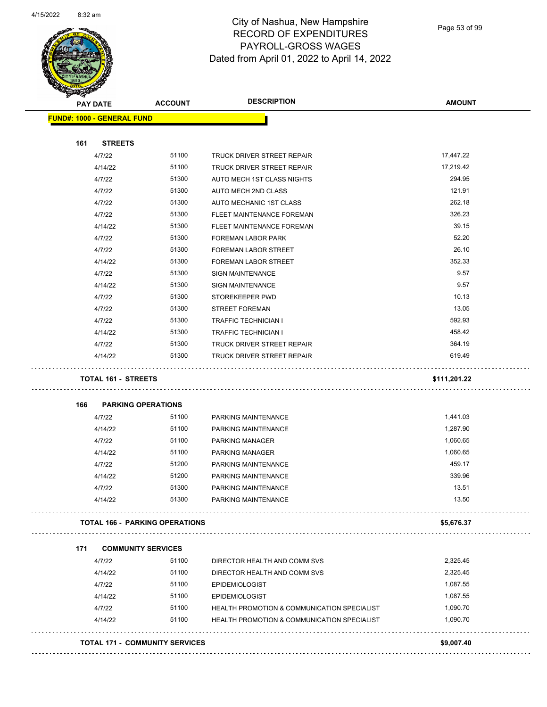

Page 53 of 99

|     | PAY DATE                              | <b>ACCOUNT</b> | <b>DESCRIPTION</b>                                     | <b>AMOUNT</b> |
|-----|---------------------------------------|----------------|--------------------------------------------------------|---------------|
|     | <b>FUND#: 1000 - GENERAL FUND</b>     |                |                                                        |               |
| 161 | <b>STREETS</b>                        |                |                                                        |               |
|     | 4/7/22                                | 51100          | TRUCK DRIVER STREET REPAIR                             | 17,447.22     |
|     | 4/14/22                               | 51100          | TRUCK DRIVER STREET REPAIR                             | 17,219.42     |
|     | 4/7/22                                | 51300          | AUTO MECH 1ST CLASS NIGHTS                             | 294.95        |
|     | 4/7/22                                | 51300          | AUTO MECH 2ND CLASS                                    | 121.91        |
|     | 4/7/22                                | 51300          | AUTO MECHANIC 1ST CLASS                                | 262.18        |
|     | 4/7/22                                | 51300          | FLEET MAINTENANCE FOREMAN                              | 326.23        |
|     | 4/14/22                               | 51300          | FLEET MAINTENANCE FOREMAN                              | 39.15         |
|     | 4/7/22                                | 51300          | <b>FOREMAN LABOR PARK</b>                              | 52.20         |
|     | 4/7/22                                | 51300          | <b>FOREMAN LABOR STREET</b>                            | 26.10         |
|     | 4/14/22                               | 51300          | <b>FOREMAN LABOR STREET</b>                            | 352.33        |
|     | 4/7/22                                | 51300          | <b>SIGN MAINTENANCE</b>                                | 9.57          |
|     | 4/14/22                               | 51300          | <b>SIGN MAINTENANCE</b>                                | 9.57          |
|     | 4/7/22                                | 51300          | STOREKEEPER PWD                                        | 10.13         |
|     | 4/7/22                                | 51300          | <b>STREET FOREMAN</b>                                  | 13.05         |
|     | 4/7/22                                | 51300          | <b>TRAFFIC TECHNICIAN I</b>                            | 592.93        |
|     | 4/14/22                               | 51300          | <b>TRAFFIC TECHNICIAN I</b>                            | 458.42        |
|     | 4/7/22                                | 51300          | TRUCK DRIVER STREET REPAIR                             | 364.19        |
|     | 4/14/22                               | 51300          | <b>TRUCK DRIVER STREET REPAIR</b>                      | 619.49        |
|     |                                       |                |                                                        |               |
|     | <b>TOTAL 161 - STREETS</b>            |                |                                                        | \$111,201.22  |
| 166 | <b>PARKING OPERATIONS</b>             |                |                                                        |               |
|     | 4/7/22                                | 51100          | PARKING MAINTENANCE                                    | 1,441.03      |
|     | 4/14/22                               | 51100          | PARKING MAINTENANCE                                    | 1,287.90      |
|     | 4/7/22                                | 51100          | <b>PARKING MANAGER</b>                                 | 1,060.65      |
|     | 4/14/22                               | 51100          | <b>PARKING MANAGER</b>                                 | 1,060.65      |
|     | 4/7/22                                | 51200          | PARKING MAINTENANCE                                    | 459.17        |
|     | 4/14/22                               | 51200          | PARKING MAINTENANCE                                    | 339.96        |
|     | 4/7/22                                | 51300          | PARKING MAINTENANCE                                    | 13.51         |
|     | 4/14/22                               | 51300          | PARKING MAINTENANCE                                    | 13.50         |
|     | <b>TOTAL 166 - PARKING OPERATIONS</b> |                |                                                        | \$5,676.37    |
| 171 | <b>COMMUNITY SERVICES</b>             |                |                                                        |               |
|     | 4/7/22                                | 51100          | DIRECTOR HEALTH AND COMM SVS                           | 2,325.45      |
|     | 4/14/22                               | 51100          | DIRECTOR HEALTH AND COMM SVS                           | 2,325.45      |
|     | 4/7/22                                | 51100          | EPIDEMIOLOGIST                                         | 1,087.55      |
|     | 4/14/22                               | 51100          | <b>EPIDEMIOLOGIST</b>                                  | 1,087.55      |
|     |                                       | 51100          |                                                        | 1,090.70      |
|     | 4/7/22                                | 51100          | HEALTH PROMOTION & COMMUNICATION SPECIALIST            | 1,090.70      |
|     | 4/14/22                               |                | <b>HEALTH PROMOTION &amp; COMMUNICATION SPECIALIST</b> |               |
|     | <b>TOTAL 171 - COMMUNITY SERVICES</b> |                |                                                        | \$9,007.40    |
|     |                                       |                |                                                        |               |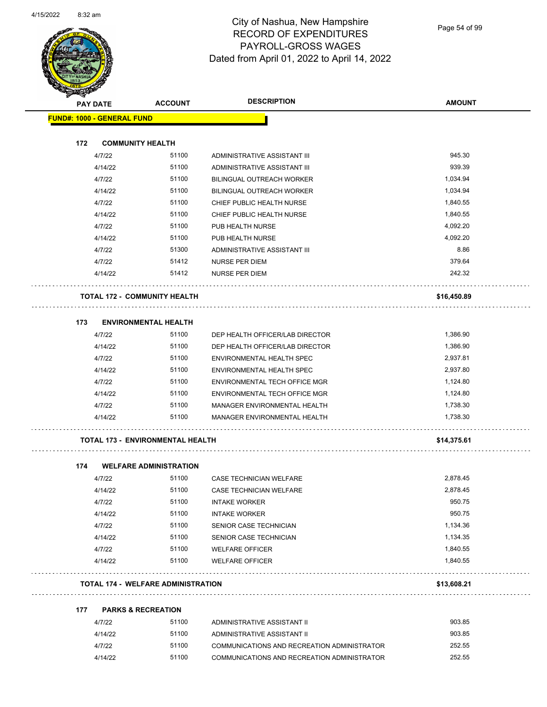

Page 54 of 99

|     | PAY DATE                          | <b>ACCOUNT</b>                            | <b>DESCRIPTION</b>                          | <b>AMOUNT</b> |
|-----|-----------------------------------|-------------------------------------------|---------------------------------------------|---------------|
|     | <b>FUND#: 1000 - GENERAL FUND</b> |                                           |                                             |               |
| 172 |                                   | <b>COMMUNITY HEALTH</b>                   |                                             |               |
|     | 4/7/22                            | 51100                                     | ADMINISTRATIVE ASSISTANT III                | 945.30        |
|     | 4/14/22                           | 51100                                     | ADMINISTRATIVE ASSISTANT III                | 939.39        |
|     | 4/7/22                            | 51100                                     | <b>BILINGUAL OUTREACH WORKER</b>            | 1,034.94      |
|     | 4/14/22                           | 51100                                     | <b>BILINGUAL OUTREACH WORKER</b>            | 1,034.94      |
|     | 4/7/22                            | 51100                                     | CHIEF PUBLIC HEALTH NURSE                   | 1,840.55      |
|     | 4/14/22                           | 51100                                     | CHIEF PUBLIC HEALTH NURSE                   | 1,840.55      |
|     | 4/7/22                            | 51100                                     | PUB HEALTH NURSE                            | 4,092.20      |
|     | 4/14/22                           | 51100                                     | PUB HEALTH NURSE                            | 4,092.20      |
|     | 4/7/22                            | 51300                                     | ADMINISTRATIVE ASSISTANT III                | 8.86          |
|     | 4/7/22                            | 51412                                     | NURSE PER DIEM                              | 379.64        |
|     | 4/14/22                           | 51412                                     | <b>NURSE PER DIEM</b>                       | 242.32        |
|     |                                   | <b>TOTAL 172 - COMMUNITY HEALTH</b>       |                                             | \$16,450.89   |
| 173 |                                   | <b>ENVIRONMENTAL HEALTH</b>               |                                             |               |
|     | 4/7/22                            | 51100                                     | DEP HEALTH OFFICER/LAB DIRECTOR             | 1,386.90      |
|     | 4/14/22                           | 51100                                     | DEP HEALTH OFFICER/LAB DIRECTOR             | 1,386.90      |
|     | 4/7/22                            | 51100                                     | ENVIRONMENTAL HEALTH SPEC                   | 2,937.81      |
|     | 4/14/22                           | 51100                                     | ENVIRONMENTAL HEALTH SPEC                   | 2,937.80      |
|     | 4/7/22                            | 51100                                     | ENVIRONMENTAL TECH OFFICE MGR               | 1,124.80      |
|     | 4/14/22                           | 51100                                     | ENVIRONMENTAL TECH OFFICE MGR               | 1,124.80      |
|     | 4/7/22                            | 51100                                     | MANAGER ENVIRONMENTAL HEALTH                | 1,738.30      |
|     | 4/14/22                           | 51100                                     | MANAGER ENVIRONMENTAL HEALTH                | 1,738.30      |
|     |                                   | <b>TOTAL 173 - ENVIRONMENTAL HEALTH</b>   |                                             | \$14,375.61   |
| 174 |                                   | <b>WELFARE ADMINISTRATION</b>             |                                             |               |
|     | 4/7/22                            | 51100                                     | CASE TECHNICIAN WELFARE                     | 2,878.45      |
|     | 4/14/22                           | 51100                                     | <b>CASE TECHNICIAN WELFARE</b>              | 2,878.45      |
|     | 4/7/22                            | 51100                                     | <b>INTAKE WORKER</b>                        | 950.75        |
|     | 4/14/22                           | 51100                                     | <b>INTAKE WORKER</b>                        | 950.75        |
|     | 4/7/22                            | 51100                                     | SENIOR CASE TECHNICIAN                      | 1,134.36      |
|     | 4/14/22                           | 51100                                     | SENIOR CASE TECHNICIAN                      | 1,134.35      |
|     | 4/7/22                            | 51100                                     | <b>WELFARE OFFICER</b>                      | 1,840.55      |
|     | 4/14/22                           | 51100                                     | <b>WELFARE OFFICER</b>                      | 1,840.55      |
|     |                                   | <b>TOTAL 174 - WELFARE ADMINISTRATION</b> |                                             | \$13,608.21   |
| 177 |                                   | <b>PARKS &amp; RECREATION</b>             |                                             |               |
|     | 4/7/22                            | 51100                                     | ADMINISTRATIVE ASSISTANT II                 | 903.85        |
|     | 4/14/22                           | 51100                                     | ADMINISTRATIVE ASSISTANT II                 | 903.85        |
|     | 4/7/22                            | 51100                                     | COMMUNICATIONS AND RECREATION ADMINISTRATOR | 252.55        |
|     |                                   |                                           | COMMUNICATIONS AND RECREATION ADMINISTRATOR | 252.55        |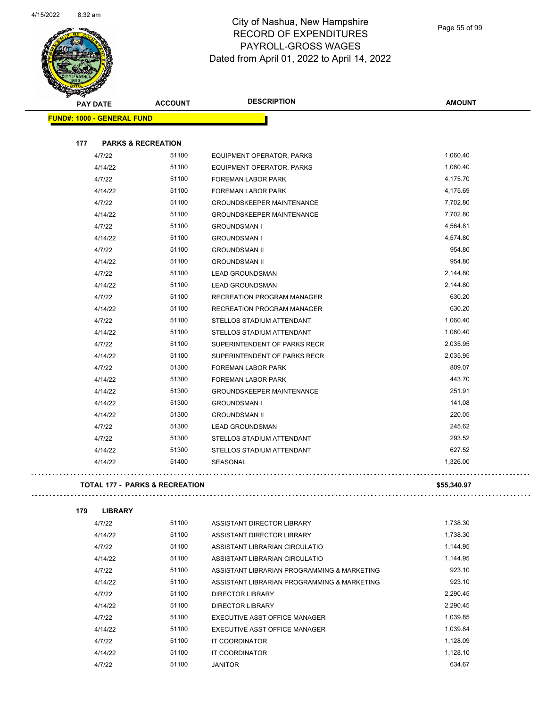$\overline{\phantom{0}}$ 



#### City of Nashua, New Hampshire RECORD OF EXPENDITURES PAYROLL-GROSS WAGES Dated from April 01, 2022 to April 14, 2022

Page 55 of 99

|     |                                           |                | <b>DESCRIPTION</b>                |               |
|-----|-------------------------------------------|----------------|-----------------------------------|---------------|
|     | <b>PAY DATE</b>                           | <b>ACCOUNT</b> |                                   | <b>AMOUNT</b> |
|     | <b>FUND#: 1000 - GENERAL FUND</b>         |                |                                   |               |
|     |                                           |                |                                   |               |
| 177 | <b>PARKS &amp; RECREATION</b>             |                |                                   |               |
|     | 4/7/22                                    | 51100          | EQUIPMENT OPERATOR, PARKS         | 1,060.40      |
|     | 4/14/22                                   | 51100          | EQUIPMENT OPERATOR, PARKS         | 1,060.40      |
|     | 4/7/22                                    | 51100          | FOREMAN LABOR PARK                | 4,175.70      |
|     | 4/14/22                                   | 51100          | <b>FOREMAN LABOR PARK</b>         | 4,175.69      |
|     | 4/7/22                                    | 51100          | <b>GROUNDSKEEPER MAINTENANCE</b>  | 7,702.80      |
|     | 4/14/22                                   | 51100          | <b>GROUNDSKEEPER MAINTENANCE</b>  | 7,702.80      |
|     | 4/7/22                                    | 51100          | <b>GROUNDSMAN I</b>               | 4,564.81      |
|     | 4/14/22                                   | 51100          | <b>GROUNDSMAN I</b>               | 4,574.80      |
|     | 4/7/22                                    | 51100          | <b>GROUNDSMAN II</b>              | 954.80        |
|     | 4/14/22                                   | 51100          | <b>GROUNDSMAN II</b>              | 954.80        |
|     | 4/7/22                                    | 51100          | <b>LEAD GROUNDSMAN</b>            | 2,144.80      |
|     | 4/14/22                                   | 51100          | <b>LEAD GROUNDSMAN</b>            | 2,144.80      |
|     | 4/7/22                                    | 51100          | RECREATION PROGRAM MANAGER        | 630.20        |
|     | 4/14/22                                   | 51100          | <b>RECREATION PROGRAM MANAGER</b> | 630.20        |
|     | 4/7/22                                    | 51100          | STELLOS STADIUM ATTENDANT         | 1,060.40      |
|     | 4/14/22                                   | 51100          | STELLOS STADIUM ATTENDANT         | 1,060.40      |
|     | 4/7/22                                    | 51100          | SUPERINTENDENT OF PARKS RECR      | 2,035.95      |
|     | 4/14/22                                   | 51100          | SUPERINTENDENT OF PARKS RECR      | 2,035.95      |
|     | 4/7/22                                    | 51300          | <b>FOREMAN LABOR PARK</b>         | 809.07        |
|     | 4/14/22                                   | 51300          | FOREMAN LABOR PARK                | 443.70        |
|     | 4/14/22                                   | 51300          | <b>GROUNDSKEEPER MAINTENANCE</b>  | 251.91        |
|     | 4/14/22                                   | 51300          | <b>GROUNDSMAN I</b>               | 141.08        |
|     | 4/14/22                                   | 51300          | <b>GROUNDSMAN II</b>              | 220.05        |
|     | 4/7/22                                    | 51300          | <b>LEAD GROUNDSMAN</b>            | 245.62        |
|     | 4/7/22                                    | 51300          | STELLOS STADIUM ATTENDANT         | 293.52        |
|     | 4/14/22                                   | 51300          | STELLOS STADIUM ATTENDANT         | 627.52        |
|     | 4/14/22                                   | 51400          | <b>SEASONAL</b>                   | 1,326.00      |
|     |                                           |                |                                   |               |
|     | <b>TOTAL 177 - PARKS &amp; RECREATION</b> |                |                                   | \$55,340.97   |
| 179 | <b>LIBRARY</b>                            |                |                                   |               |
|     | 4/7/22                                    | 51100          | ASSISTANT DIRECTOR LIBRARY        | 1,738.30      |
|     |                                           |                |                                   |               |
|     | 4/14/22                                   | 51100          | ASSISTANT DIRECTOR LIBRARY        | 1,738.30      |

| 4/14/22 | 51100 | ASSISTANT DIRECTOR LIBRARY                  | 1,738.30 |
|---------|-------|---------------------------------------------|----------|
| 4/7/22  | 51100 | ASSISTANT LIBRARIAN CIRCULATIO              | 1.144.95 |
| 4/14/22 | 51100 | ASSISTANT LIBRARIAN CIRCULATIO              | 1,144.95 |
| 4/7/22  | 51100 | ASSISTANT LIBRARIAN PROGRAMMING & MARKETING | 923.10   |
| 4/14/22 | 51100 | ASSISTANT LIBRARIAN PROGRAMMING & MARKETING | 923.10   |
| 4/7/22  | 51100 | DIRECTOR LIBRARY                            | 2,290.45 |
| 4/14/22 | 51100 | DIRECTOR LIBRARY                            | 2.290.45 |
| 4/7/22  | 51100 | EXECUTIVE ASST OFFICE MANAGER               | 1.039.85 |
| 4/14/22 | 51100 | EXECUTIVE ASST OFFICE MANAGER               | 1.039.84 |
| 4/7/22  | 51100 | IT COORDINATOR                              | 1.128.09 |
| 4/14/22 | 51100 | IT COORDINATOR                              | 1.128.10 |
| 4/7/22  | 51100 | JANITOR                                     | 634.67   |
|         |       |                                             |          |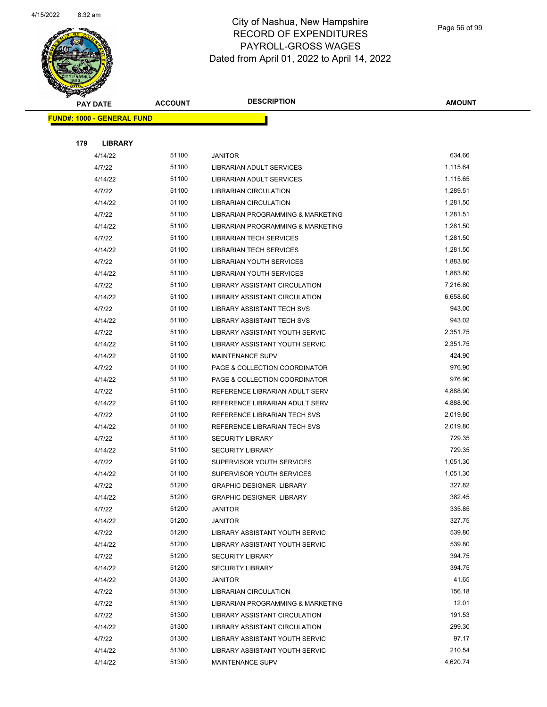

|     | <b>PAY DATE</b>                   | <b>ACCOUNT</b> | <b>DESCRIPTION</b>                   | <b>AMOUNT</b> |
|-----|-----------------------------------|----------------|--------------------------------------|---------------|
|     | <b>FUND#: 1000 - GENERAL FUND</b> |                |                                      |               |
|     |                                   |                |                                      |               |
| 179 | <b>LIBRARY</b>                    |                |                                      |               |
|     | 4/14/22                           | 51100          | <b>JANITOR</b>                       | 634.66        |
|     | 4/7/22                            | 51100          | LIBRARIAN ADULT SERVICES             | 1,115.64      |
|     | 4/14/22                           | 51100          | LIBRARIAN ADULT SERVICES             | 1,115.65      |
|     | 4/7/22                            | 51100          | LIBRARIAN CIRCULATION                | 1,289.51      |
|     | 4/14/22                           | 51100          | <b>LIBRARIAN CIRCULATION</b>         | 1,281.50      |
|     | 4/7/22                            | 51100          | LIBRARIAN PROGRAMMING & MARKETING    | 1,281.51      |
|     | 4/14/22                           | 51100          | LIBRARIAN PROGRAMMING & MARKETING    | 1,281.50      |
|     | 4/7/22                            | 51100          | <b>LIBRARIAN TECH SERVICES</b>       | 1,281.50      |
|     | 4/14/22                           | 51100          | <b>LIBRARIAN TECH SERVICES</b>       | 1,281.50      |
|     | 4/7/22                            | 51100          | LIBRARIAN YOUTH SERVICES             | 1,883.80      |
|     | 4/14/22                           | 51100          | LIBRARIAN YOUTH SERVICES             | 1,883.80      |
|     | 4/7/22                            | 51100          | LIBRARY ASSISTANT CIRCULATION        | 7,216.80      |
|     | 4/14/22                           | 51100          | <b>LIBRARY ASSISTANT CIRCULATION</b> | 6,658.60      |
|     | 4/7/22                            | 51100          | LIBRARY ASSISTANT TECH SVS           | 943.00        |
|     | 4/14/22                           | 51100          | LIBRARY ASSISTANT TECH SVS           | 943.02        |
|     | 4/7/22                            | 51100          | LIBRARY ASSISTANT YOUTH SERVIC       | 2,351.75      |
|     | 4/14/22                           | 51100          | LIBRARY ASSISTANT YOUTH SERVIC       | 2,351.75      |
|     | 4/14/22                           | 51100          | <b>MAINTENANCE SUPV</b>              | 424.90        |
|     | 4/7/22                            | 51100          | PAGE & COLLECTION COORDINATOR        | 976.90        |
|     | 4/14/22                           | 51100          | PAGE & COLLECTION COORDINATOR        | 976.90        |
|     | 4/7/22                            | 51100          | REFERENCE LIBRARIAN ADULT SERV       | 4,888.90      |
|     | 4/14/22                           | 51100          | REFERENCE LIBRARIAN ADULT SERV       | 4,888.90      |
|     | 4/7/22                            | 51100          | REFERENCE LIBRARIAN TECH SVS         | 2,019.80      |
|     | 4/14/22                           | 51100          | REFERENCE LIBRARIAN TECH SVS         | 2,019.80      |
|     | 4/7/22                            | 51100          | <b>SECURITY LIBRARY</b>              | 729.35        |
|     | 4/14/22                           | 51100          | <b>SECURITY LIBRARY</b>              | 729.35        |
|     | 4/7/22                            | 51100          | SUPERVISOR YOUTH SERVICES            | 1,051.30      |
|     | 4/14/22                           | 51100          | SUPERVISOR YOUTH SERVICES            | 1,051.30      |
|     | 4/7/22                            | 51200          | <b>GRAPHIC DESIGNER LIBRARY</b>      | 327.82        |
|     | 4/14/22                           | 51200          | <b>GRAPHIC DESIGNER LIBRARY</b>      | 382.45        |
|     | 4/7/22                            | 51200          | <b>JANITOR</b>                       | 335.85        |
|     | 4/14/22                           | 51200          | <b>JANITOR</b>                       | 327.75        |
|     | 4/7/22                            | 51200          | LIBRARY ASSISTANT YOUTH SERVIC       | 539.80        |
|     | 4/14/22                           | 51200          | LIBRARY ASSISTANT YOUTH SERVIC       | 539.80        |
|     | 4/7/22                            | 51200          | <b>SECURITY LIBRARY</b>              | 394.75        |
|     | 4/14/22                           | 51200          | <b>SECURITY LIBRARY</b>              | 394.75        |
|     | 4/14/22                           | 51300          | <b>JANITOR</b>                       | 41.65         |
|     | 4/7/22                            | 51300          | <b>LIBRARIAN CIRCULATION</b>         | 156.18        |
|     | 4/7/22                            | 51300          | LIBRARIAN PROGRAMMING & MARKETING    | 12.01         |
|     | 4/7/22                            | 51300          | LIBRARY ASSISTANT CIRCULATION        | 191.53        |
|     | 4/14/22                           | 51300          | LIBRARY ASSISTANT CIRCULATION        | 299.30        |
|     | 4/7/22                            | 51300          | LIBRARY ASSISTANT YOUTH SERVIC       | 97.17         |
|     | 4/14/22                           | 51300          | LIBRARY ASSISTANT YOUTH SERVIC       | 210.54        |
|     | 4/14/22                           | 51300          | MAINTENANCE SUPV                     | 4,620.74      |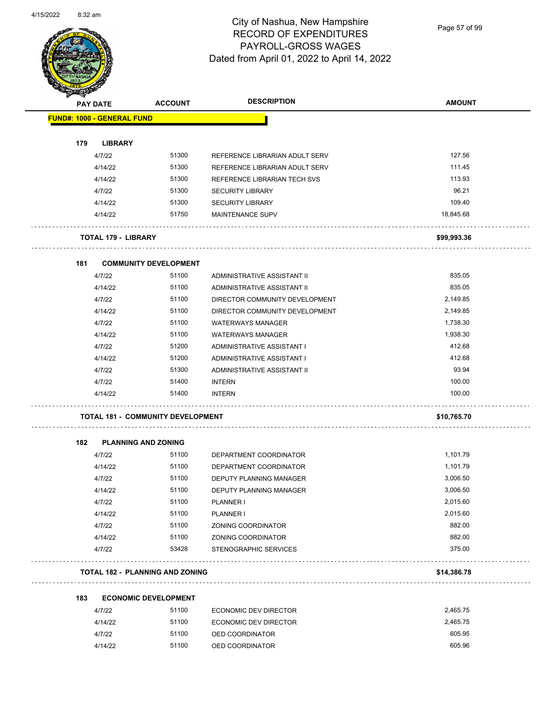

Page 57 of 99

|     | <b>PAY DATE</b>            | <b>ACCOUNT</b>                           | <b>DESCRIPTION</b>             | <b>AMOUNT</b> |
|-----|----------------------------|------------------------------------------|--------------------------------|---------------|
|     | FUND#: 1000 - GENERAL FUND |                                          |                                |               |
| 179 | <b>LIBRARY</b>             |                                          |                                |               |
|     | 4/7/22                     | 51300                                    | REFERENCE LIBRARIAN ADULT SERV | 127.56        |
|     | 4/14/22                    | 51300                                    | REFERENCE LIBRARIAN ADULT SERV | 111.45        |
|     | 4/14/22                    | 51300                                    | REFERENCE LIBRARIAN TECH SVS   | 113.93        |
|     | 4/7/22                     | 51300                                    | <b>SECURITY LIBRARY</b>        | 96.21         |
|     | 4/14/22                    | 51300                                    | <b>SECURITY LIBRARY</b>        | 109.40        |
|     | 4/14/22                    | 51750                                    | MAINTENANCE SUPV               | 18,845.68     |
|     | <b>TOTAL 179 - LIBRARY</b> |                                          |                                | \$99,993.36   |
| 181 |                            | <b>COMMUNITY DEVELOPMENT</b>             |                                |               |
|     | 4/7/22                     | 51100                                    | ADMINISTRATIVE ASSISTANT II    | 835.05        |
|     | 4/14/22                    | 51100                                    | ADMINISTRATIVE ASSISTANT II    | 835.05        |
|     | 4/7/22                     | 51100                                    | DIRECTOR COMMUNITY DEVELOPMENT | 2,149.85      |
|     | 4/14/22                    | 51100                                    | DIRECTOR COMMUNITY DEVELOPMENT | 2,149.85      |
|     | 4/7/22                     | 51100                                    | <b>WATERWAYS MANAGER</b>       | 1,738.30      |
|     | 4/14/22                    | 51100                                    | <b>WATERWAYS MANAGER</b>       | 1,938.30      |
|     | 4/7/22                     | 51200                                    | ADMINISTRATIVE ASSISTANT I     | 412.68        |
|     | 4/14/22                    | 51200                                    | ADMINISTRATIVE ASSISTANT I     | 412.68        |
|     | 4/7/22                     | 51300                                    | ADMINISTRATIVE ASSISTANT II    | 93.94         |
|     | 4/7/22                     | 51400                                    | <b>INTERN</b>                  | 100.00        |
|     | 4/14/22                    | 51400                                    | <b>INTERN</b>                  | 100.00        |
|     |                            | <b>TOTAL 181 - COMMUNITY DEVELOPMENT</b> |                                | \$10,765.70   |
| 182 | <b>PLANNING AND ZONING</b> |                                          |                                |               |
|     | 4/7/22                     | 51100                                    | DEPARTMENT COORDINATOR         | 1,101.79      |
|     | 4/14/22                    | 51100                                    | DEPARTMENT COORDINATOR         | 1,101.79      |
|     | 4/7/22                     | 51100                                    | <b>DEPUTY PLANNING MANAGER</b> | 3,006.50      |
|     | 4/14/22                    | 51100                                    | DEPUTY PLANNING MANAGER        | 3,006.50      |
|     | 4/7/22                     | 51100                                    | PLANNER I                      | 2,015.60      |
|     | 4/14/22                    | 51100                                    | PLANNER I                      | 2,015.60      |
|     | 4/7/22                     | 51100                                    | ZONING COORDINATOR             | 882.00        |
|     | 4/14/22                    | 51100                                    | ZONING COORDINATOR             | 882.00        |
|     | 4/7/22                     | 53428                                    | STENOGRAPHIC SERVICES          | 375.00        |
|     |                            | <b>TOTAL 182 - PLANNING AND ZONING</b>   |                                | \$14,386.78   |
|     |                            |                                          |                                |               |
| 183 |                            | <b>ECONOMIC DEVELOPMENT</b>              |                                |               |

| 4/7/22 |         | 51100 | ECONOMIC DEV DIRECTOR | 2.465.75 |
|--------|---------|-------|-----------------------|----------|
|        | 4/14/22 | 51100 | ECONOMIC DEV DIRECTOR | 2.465.75 |
| 4/7/22 |         | 51100 | OED COORDINATOR       | 605.95   |
|        | 4/14/22 | 51100 | OED COORDINATOR       | 605.96   |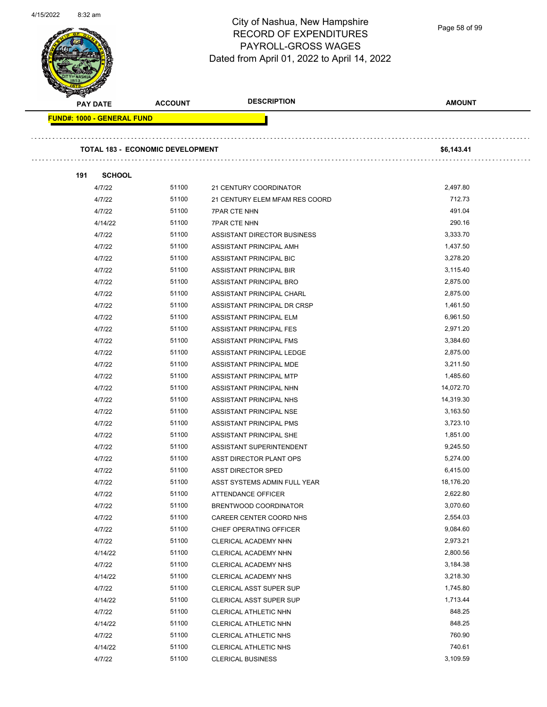

Page 58 of 99

| <b>PAY DATE</b>                   | <b>ACCOUNT</b>                          | <b>DESCRIPTION</b>             | <b>AMOUNT</b> |
|-----------------------------------|-----------------------------------------|--------------------------------|---------------|
| <b>FUND#: 1000 - GENERAL FUND</b> |                                         |                                |               |
|                                   |                                         |                                |               |
|                                   | <b>TOTAL 183 - ECONOMIC DEVELOPMENT</b> |                                | \$6,143.41    |
| <b>SCHOOL</b><br>191              |                                         |                                |               |
| 4/7/22                            | 51100                                   | 21 CENTURY COORDINATOR         | 2,497.80      |
| 4/7/22                            | 51100                                   | 21 CENTURY ELEM MFAM RES COORD | 712.73        |
| 4/7/22                            | 51100                                   | <b>7PAR CTE NHN</b>            | 491.04        |
| 4/14/22                           | 51100                                   | <b>7PAR CTE NHN</b>            | 290.16        |
| 4/7/22                            | 51100                                   | ASSISTANT DIRECTOR BUSINESS    | 3,333.70      |
| 4/7/22                            | 51100                                   | ASSISTANT PRINCIPAL AMH        | 1,437.50      |
| 4/7/22                            | 51100                                   | ASSISTANT PRINCIPAL BIC        | 3,278.20      |
| 4/7/22                            | 51100                                   | ASSISTANT PRINCIPAL BIR        | 3,115.40      |
| 4/7/22                            | 51100                                   | ASSISTANT PRINCIPAL BRO        | 2,875.00      |
| 4/7/22                            | 51100                                   | ASSISTANT PRINCIPAL CHARL      | 2,875.00      |
| 4/7/22                            | 51100                                   | ASSISTANT PRINCIPAL DR CRSP    | 1,461.50      |
| 4/7/22                            | 51100                                   | ASSISTANT PRINCIPAL ELM        | 6,961.50      |
| 4/7/22                            | 51100                                   | ASSISTANT PRINCIPAL FES        | 2,971.20      |
| 4/7/22                            | 51100                                   | ASSISTANT PRINCIPAL FMS        | 3,384.60      |
| 4/7/22                            | 51100                                   | ASSISTANT PRINCIPAL LEDGE      | 2,875.00      |
| 4/7/22                            | 51100                                   |                                | 3,211.50      |
|                                   |                                         | ASSISTANT PRINCIPAL MDE        |               |
| 4/7/22                            | 51100                                   | ASSISTANT PRINCIPAL MTP        | 1,485.60      |
| 4/7/22                            | 51100                                   | ASSISTANT PRINCIPAL NHN        | 14,072.70     |
| 4/7/22                            | 51100                                   | ASSISTANT PRINCIPAL NHS        | 14,319.30     |
| 4/7/22                            | 51100                                   | ASSISTANT PRINCIPAL NSE        | 3,163.50      |
| 4/7/22                            | 51100                                   | ASSISTANT PRINCIPAL PMS        | 3,723.10      |
| 4/7/22                            | 51100                                   | ASSISTANT PRINCIPAL SHE        | 1,851.00      |
| 4/7/22                            | 51100                                   | ASSISTANT SUPERINTENDENT       | 9,245.50      |
| 4/7/22                            | 51100                                   | ASST DIRECTOR PLANT OPS        | 5,274.00      |
| 4/7/22                            | 51100                                   | <b>ASST DIRECTOR SPED</b>      | 6,415.00      |
| 4/7/22                            | 51100                                   | ASST SYSTEMS ADMIN FULL YEAR   | 18,176.20     |
| 4/7/22                            | 51100                                   | ATTENDANCE OFFICER             | 2,622.80      |
| 4/7/22                            | 51100                                   | BRENTWOOD COORDINATOR          | 3,070.60      |
| 4/7/22                            | 51100                                   | CAREER CENTER COORD NHS        | 2,554.03      |
| 4/7/22                            | 51100                                   | CHIEF OPERATING OFFICER        | 9,084.60      |
| 4/7/22                            | 51100                                   | CLERICAL ACADEMY NHN           | 2,973.21      |
| 4/14/22                           | 51100                                   | CLERICAL ACADEMY NHN           | 2,800.56      |
| 4/7/22                            | 51100                                   | CLERICAL ACADEMY NHS           | 3,184.38      |
| 4/14/22                           | 51100                                   | CLERICAL ACADEMY NHS           | 3,218.30      |
| 4/7/22                            | 51100                                   | CLERICAL ASST SUPER SUP        | 1,745.80      |
| 4/14/22                           | 51100                                   | <b>CLERICAL ASST SUPER SUP</b> | 1,713.44      |
| 4/7/22                            | 51100                                   | CLERICAL ATHLETIC NHN          | 848.25        |
| 4/14/22                           | 51100                                   | CLERICAL ATHLETIC NHN          | 848.25        |
| 4/7/22                            | 51100                                   | CLERICAL ATHLETIC NHS          | 760.90        |
| 4/14/22                           | 51100                                   | CLERICAL ATHLETIC NHS          | 740.61        |
| 4/7/22                            | 51100                                   | <b>CLERICAL BUSINESS</b>       | 3,109.59      |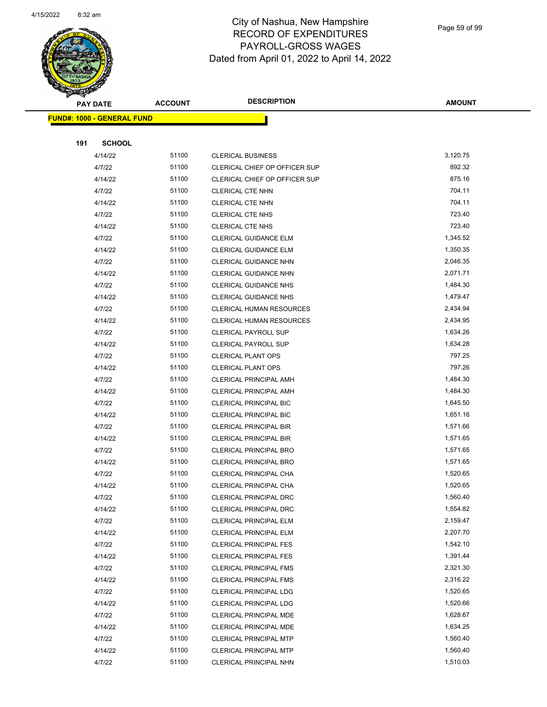

Page 59 of 99

|     | <b>PAY DATE</b>                   | <b>ACCOUNT</b> | <b>DESCRIPTION</b>                                             | <b>AMOUNT</b>        |
|-----|-----------------------------------|----------------|----------------------------------------------------------------|----------------------|
|     | <b>FUND#: 1000 - GENERAL FUND</b> |                |                                                                |                      |
|     |                                   |                |                                                                |                      |
| 191 | <b>SCHOOL</b>                     |                |                                                                |                      |
|     | 4/14/22                           | 51100          | <b>CLERICAL BUSINESS</b>                                       | 3,120.75             |
|     | 4/7/22                            | 51100          | CLERICAL CHIEF OP OFFICER SUP                                  | 892.32               |
|     | 4/14/22                           | 51100          | CLERICAL CHIEF OP OFFICER SUP                                  | 875.16               |
|     | 4/7/22                            | 51100          | <b>CLERICAL CTE NHN</b>                                        | 704.11               |
|     | 4/14/22                           | 51100          | <b>CLERICAL CTE NHN</b>                                        | 704.11               |
|     | 4/7/22                            | 51100          | <b>CLERICAL CTE NHS</b>                                        | 723.40               |
|     | 4/14/22                           | 51100          | <b>CLERICAL CTE NHS</b>                                        | 723.40               |
|     | 4/7/22                            | 51100          | CLERICAL GUIDANCE ELM                                          | 1,345.52             |
|     | 4/14/22                           | 51100          | CLERICAL GUIDANCE ELM                                          | 1,350.35             |
|     | 4/7/22                            | 51100          | CLERICAL GUIDANCE NHN                                          | 2,046.35             |
|     | 4/14/22                           | 51100          | CLERICAL GUIDANCE NHN                                          | 2,071.71             |
|     | 4/7/22                            | 51100          | <b>CLERICAL GUIDANCE NHS</b>                                   | 1,484.30             |
|     | 4/14/22                           | 51100          | <b>CLERICAL GUIDANCE NHS</b>                                   | 1,479.47             |
|     | 4/7/22                            | 51100          | <b>CLERICAL HUMAN RESOURCES</b>                                | 2,434.94             |
|     | 4/14/22                           | 51100          | <b>CLERICAL HUMAN RESOURCES</b>                                | 2,434.95             |
|     | 4/7/22                            | 51100          | <b>CLERICAL PAYROLL SUP</b>                                    | 1,634.26             |
|     | 4/14/22                           | 51100          | <b>CLERICAL PAYROLL SUP</b>                                    | 1,634.28             |
|     | 4/7/22                            | 51100          | <b>CLERICAL PLANT OPS</b>                                      | 797.25               |
|     | 4/14/22                           | 51100          | <b>CLERICAL PLANT OPS</b>                                      | 797.26               |
|     | 4/7/22                            | 51100          | CLERICAL PRINCIPAL AMH                                         | 1,484.30             |
|     | 4/14/22                           | 51100          | <b>CLERICAL PRINCIPAL AMH</b>                                  | 1,484.30             |
|     | 4/7/22                            | 51100          | <b>CLERICAL PRINCIPAL BIC</b>                                  | 1,645.50             |
|     | 4/14/22                           | 51100          | <b>CLERICAL PRINCIPAL BIC</b>                                  | 1,651.16             |
|     | 4/7/22                            | 51100          | <b>CLERICAL PRINCIPAL BIR</b>                                  | 1,571.66             |
|     | 4/14/22                           | 51100          | CLERICAL PRINCIPAL BIR                                         | 1,571.65             |
|     | 4/7/22                            | 51100          | CLERICAL PRINCIPAL BRO                                         | 1,571.65             |
|     | 4/14/22                           | 51100          | CLERICAL PRINCIPAL BRO                                         | 1,571.65             |
|     | 4/7/22                            | 51100          | CLERICAL PRINCIPAL CHA                                         | 1,520.65             |
|     | 4/14/22                           | 51100          | CLERICAL PRINCIPAL CHA                                         | 1,520.65             |
|     | 4/7/22                            | 51100          | CLERICAL PRINCIPAL DRC                                         | 1,560.40             |
|     | 4/14/22                           | 51100          | <b>CLERICAL PRINCIPAL DRC</b>                                  | 1,554.82             |
|     | 4/7/22                            | 51100          | <b>CLERICAL PRINCIPAL ELM</b>                                  | 2,159.47             |
|     | 4/14/22                           | 51100          | <b>CLERICAL PRINCIPAL ELM</b>                                  | 2,207.70             |
|     | 4/7/22                            | 51100          | <b>CLERICAL PRINCIPAL FES</b>                                  | 1,542.10             |
|     | 4/14/22                           | 51100          | <b>CLERICAL PRINCIPAL FES</b>                                  | 1,391.44             |
|     | 4/7/22                            | 51100<br>51100 | <b>CLERICAL PRINCIPAL FMS</b>                                  | 2,321.30<br>2,316.22 |
|     | 4/14/22                           |                | <b>CLERICAL PRINCIPAL FMS</b>                                  |                      |
|     | 4/7/22                            | 51100          | CLERICAL PRINCIPAL LDG                                         | 1,520.65             |
|     | 4/14/22                           | 51100          | CLERICAL PRINCIPAL LDG                                         | 1,520.66<br>1,628.67 |
|     | 4/7/22                            | 51100<br>51100 | CLERICAL PRINCIPAL MDE                                         | 1,634.25             |
|     | 4/14/22                           | 51100          | <b>CLERICAL PRINCIPAL MDE</b><br><b>CLERICAL PRINCIPAL MTP</b> | 1,560.40             |
|     | 4/7/22<br>4/14/22                 | 51100          | <b>CLERICAL PRINCIPAL MTP</b>                                  | 1,560.40             |
|     | 4/7/22                            | 51100          | CLERICAL PRINCIPAL NHN                                         | 1,510.03             |
|     |                                   |                |                                                                |                      |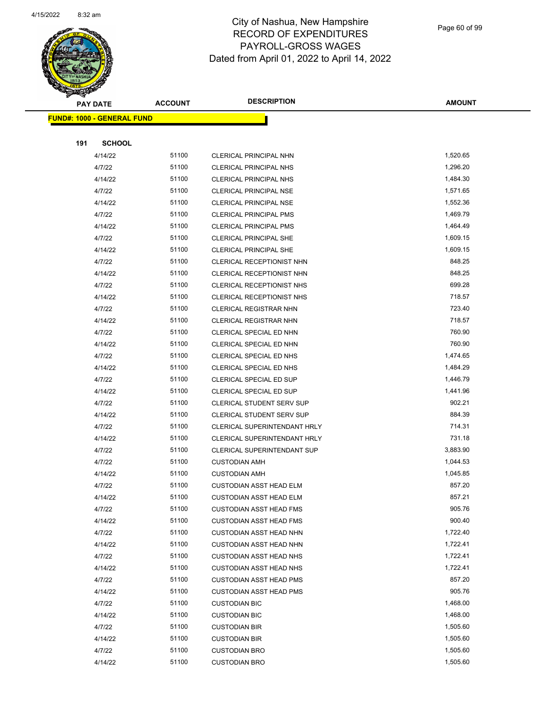

Page 60 of 99

|     | <b>PAY DATE</b>                   | <b>ACCOUNT</b> | <b>DESCRIPTION</b>               | <b>AMOUNT</b> |
|-----|-----------------------------------|----------------|----------------------------------|---------------|
|     | <b>FUND#: 1000 - GENERAL FUND</b> |                |                                  |               |
|     |                                   |                |                                  |               |
| 191 | <b>SCHOOL</b>                     |                |                                  |               |
|     | 4/14/22                           | 51100          | CLERICAL PRINCIPAL NHN           | 1,520.65      |
|     | 4/7/22                            | 51100          | <b>CLERICAL PRINCIPAL NHS</b>    | 1,296.20      |
|     | 4/14/22                           | 51100          | <b>CLERICAL PRINCIPAL NHS</b>    | 1,484.30      |
|     | 4/7/22                            | 51100          | <b>CLERICAL PRINCIPAL NSE</b>    | 1,571.65      |
|     | 4/14/22                           | 51100          | CLERICAL PRINCIPAL NSE           | 1,552.36      |
|     | 4/7/22                            | 51100          | <b>CLERICAL PRINCIPAL PMS</b>    | 1,469.79      |
|     | 4/14/22                           | 51100          | <b>CLERICAL PRINCIPAL PMS</b>    | 1,464.49      |
|     | 4/7/22                            | 51100          | CLERICAL PRINCIPAL SHE           | 1,609.15      |
|     | 4/14/22                           | 51100          | CLERICAL PRINCIPAL SHE           | 1,609.15      |
|     | 4/7/22                            | 51100          | CLERICAL RECEPTIONIST NHN        | 848.25        |
|     | 4/14/22                           | 51100          | CLERICAL RECEPTIONIST NHN        | 848.25        |
|     | 4/7/22                            | 51100          | CLERICAL RECEPTIONIST NHS        | 699.28        |
|     | 4/14/22                           | 51100          | CLERICAL RECEPTIONIST NHS        | 718.57        |
|     | 4/7/22                            | 51100          | CLERICAL REGISTRAR NHN           | 723.40        |
|     | 4/14/22                           | 51100          | CLERICAL REGISTRAR NHN           | 718.57        |
|     | 4/7/22                            | 51100          | CLERICAL SPECIAL ED NHN          | 760.90        |
|     | 4/14/22                           | 51100          | CLERICAL SPECIAL ED NHN          | 760.90        |
|     | 4/7/22                            | 51100          | CLERICAL SPECIAL ED NHS          | 1,474.65      |
|     | 4/14/22                           | 51100          | CLERICAL SPECIAL ED NHS          | 1,484.29      |
|     | 4/7/22                            | 51100          | CLERICAL SPECIAL ED SUP          | 1,446.79      |
|     | 4/14/22                           | 51100          | CLERICAL SPECIAL ED SUP          | 1,441.96      |
|     | 4/7/22                            | 51100          | <b>CLERICAL STUDENT SERV SUP</b> | 902.21        |
|     | 4/14/22                           | 51100          | <b>CLERICAL STUDENT SERV SUP</b> | 884.39        |
|     | 4/7/22                            | 51100          | CLERICAL SUPERINTENDANT HRLY     | 714.31        |
|     | 4/14/22                           | 51100          | CLERICAL SUPERINTENDANT HRLY     | 731.18        |
|     | 4/7/22                            | 51100          | CLERICAL SUPERINTENDANT SUP      | 3,883.90      |
|     | 4/7/22                            | 51100          | <b>CUSTODIAN AMH</b>             | 1,044.53      |
|     | 4/14/22                           | 51100          | <b>CUSTODIAN AMH</b>             | 1,045.85      |
|     | 4/7/22                            | 51100          | <b>CUSTODIAN ASST HEAD ELM</b>   | 857.20        |
|     | 4/14/22                           | 51100          | <b>CUSTODIAN ASST HEAD ELM</b>   | 857.21        |
|     | 4/7/22                            | 51100          | <b>CUSTODIAN ASST HEAD FMS</b>   | 905.76        |
|     | 4/14/22                           | 51100          | <b>CUSTODIAN ASST HEAD FMS</b>   | 900.40        |
|     | 4/7/22                            | 51100          | <b>CUSTODIAN ASST HEAD NHN</b>   | 1,722.40      |
|     | 4/14/22                           | 51100          | <b>CUSTODIAN ASST HEAD NHN</b>   | 1,722.41      |
|     | 4/7/22                            | 51100          | <b>CUSTODIAN ASST HEAD NHS</b>   | 1,722.41      |
|     | 4/14/22                           | 51100          | <b>CUSTODIAN ASST HEAD NHS</b>   | 1,722.41      |
|     | 4/7/22                            | 51100          | <b>CUSTODIAN ASST HEAD PMS</b>   | 857.20        |
|     | 4/14/22                           | 51100          | <b>CUSTODIAN ASST HEAD PMS</b>   | 905.76        |
|     | 4/7/22                            | 51100          | <b>CUSTODIAN BIC</b>             | 1,468.00      |
|     | 4/14/22                           | 51100          | <b>CUSTODIAN BIC</b>             | 1,468.00      |
|     | 4/7/22                            | 51100          | <b>CUSTODIAN BIR</b>             | 1,505.60      |
|     | 4/14/22                           | 51100          | <b>CUSTODIAN BIR</b>             | 1,505.60      |
|     | 4/7/22                            | 51100          | <b>CUSTODIAN BRO</b>             | 1,505.60      |
|     | 4/14/22                           | 51100          | <b>CUSTODIAN BRO</b>             | 1,505.60      |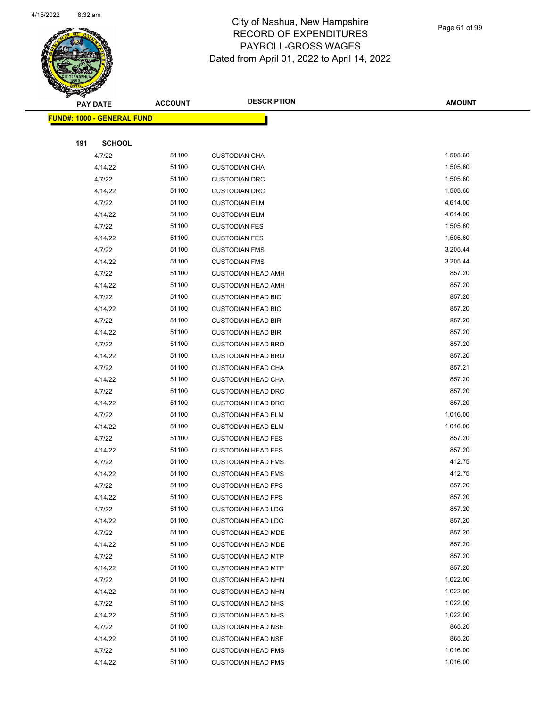

Page 61 of 99

|     | <b>PAY DATE</b>                   | <b>ACCOUNT</b> | <b>DESCRIPTION</b>                                     | <b>AMOUNT</b>        |
|-----|-----------------------------------|----------------|--------------------------------------------------------|----------------------|
|     | <b>FUND#: 1000 - GENERAL FUND</b> |                |                                                        |                      |
|     |                                   |                |                                                        |                      |
| 191 | <b>SCHOOL</b>                     |                |                                                        |                      |
|     | 4/7/22                            | 51100          | <b>CUSTODIAN CHA</b>                                   | 1,505.60             |
|     | 4/14/22                           | 51100          | <b>CUSTODIAN CHA</b>                                   | 1,505.60             |
|     | 4/7/22                            | 51100          | <b>CUSTODIAN DRC</b>                                   | 1,505.60             |
|     | 4/14/22                           | 51100          | <b>CUSTODIAN DRC</b>                                   | 1,505.60             |
|     | 4/7/22                            | 51100          | <b>CUSTODIAN ELM</b>                                   | 4,614.00             |
|     | 4/14/22                           | 51100          | <b>CUSTODIAN ELM</b>                                   | 4,614.00             |
|     | 4/7/22                            | 51100          | <b>CUSTODIAN FES</b>                                   | 1,505.60             |
|     | 4/14/22                           | 51100          | <b>CUSTODIAN FES</b>                                   | 1,505.60             |
|     | 4/7/22                            | 51100          | <b>CUSTODIAN FMS</b>                                   | 3,205.44             |
|     | 4/14/22                           | 51100          | <b>CUSTODIAN FMS</b>                                   | 3,205.44             |
|     | 4/7/22                            | 51100          | <b>CUSTODIAN HEAD AMH</b>                              | 857.20               |
|     | 4/14/22                           | 51100          | <b>CUSTODIAN HEAD AMH</b>                              | 857.20               |
|     | 4/7/22                            | 51100          | <b>CUSTODIAN HEAD BIC</b>                              | 857.20               |
|     | 4/14/22                           | 51100          | <b>CUSTODIAN HEAD BIC</b>                              | 857.20               |
|     | 4/7/22                            | 51100          | <b>CUSTODIAN HEAD BIR</b>                              | 857.20               |
|     | 4/14/22                           | 51100          | <b>CUSTODIAN HEAD BIR</b>                              | 857.20               |
|     | 4/7/22                            | 51100          | <b>CUSTODIAN HEAD BRO</b>                              | 857.20               |
|     | 4/14/22                           | 51100          | <b>CUSTODIAN HEAD BRO</b>                              | 857.20               |
|     | 4/7/22                            | 51100          | <b>CUSTODIAN HEAD CHA</b>                              | 857.21               |
|     | 4/14/22                           | 51100          | <b>CUSTODIAN HEAD CHA</b>                              | 857.20               |
|     | 4/7/22                            | 51100          | <b>CUSTODIAN HEAD DRC</b>                              | 857.20               |
|     | 4/14/22                           | 51100          | <b>CUSTODIAN HEAD DRC</b>                              | 857.20               |
|     | 4/7/22                            | 51100          | <b>CUSTODIAN HEAD ELM</b>                              | 1,016.00             |
|     | 4/14/22                           | 51100          | <b>CUSTODIAN HEAD ELM</b>                              | 1,016.00             |
|     | 4/7/22                            | 51100          | <b>CUSTODIAN HEAD FES</b>                              | 857.20               |
|     | 4/14/22                           | 51100          | <b>CUSTODIAN HEAD FES</b>                              | 857.20               |
|     | 4/7/22                            | 51100          | <b>CUSTODIAN HEAD FMS</b>                              | 412.75               |
|     | 4/14/22                           | 51100          | <b>CUSTODIAN HEAD FMS</b>                              | 412.75               |
|     | 4/7/22                            | 51100          | <b>CUSTODIAN HEAD FPS</b>                              | 857.20               |
|     | 4/14/22                           | 51100          | <b>CUSTODIAN HEAD FPS</b>                              | 857.20               |
|     | 4/7/22                            | 51100          | <b>CUSTODIAN HEAD LDG</b>                              | 857.20               |
|     | 4/14/22                           | 51100          | <b>CUSTODIAN HEAD LDG</b>                              | 857.20               |
|     | 4/7/22                            | 51100          | <b>CUSTODIAN HEAD MDE</b>                              | 857.20               |
|     | 4/14/22                           | 51100          | <b>CUSTODIAN HEAD MDE</b>                              | 857.20               |
|     | 4/7/22                            | 51100          | <b>CUSTODIAN HEAD MTP</b>                              | 857.20<br>857.20     |
|     | 4/14/22                           | 51100<br>51100 | <b>CUSTODIAN HEAD MTP</b><br><b>CUSTODIAN HEAD NHN</b> | 1,022.00             |
|     | 4/7/22                            |                |                                                        |                      |
|     | 4/14/22<br>4/7/22                 | 51100<br>51100 | <b>CUSTODIAN HEAD NHN</b><br><b>CUSTODIAN HEAD NHS</b> | 1,022.00<br>1,022.00 |
|     |                                   | 51100          |                                                        | 1,022.00             |
|     | 4/14/22<br>4/7/22                 | 51100          | <b>CUSTODIAN HEAD NHS</b><br><b>CUSTODIAN HEAD NSE</b> | 865.20               |
|     | 4/14/22                           | 51100          | <b>CUSTODIAN HEAD NSE</b>                              | 865.20               |
|     | 4/7/22                            | 51100          | <b>CUSTODIAN HEAD PMS</b>                              | 1,016.00             |
|     | 4/14/22                           | 51100          | <b>CUSTODIAN HEAD PMS</b>                              | 1,016.00             |
|     |                                   |                |                                                        |                      |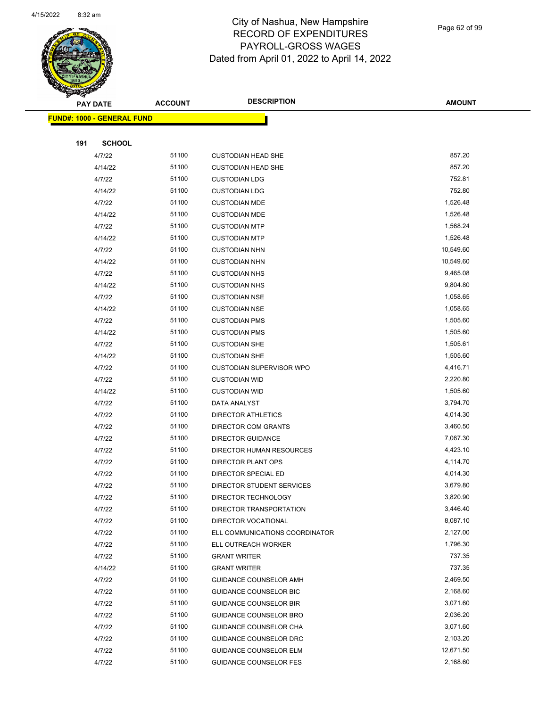

Page 62 of 99

|     | <b>PAY DATE</b>                   | <b>ACCOUNT</b> | <b>DESCRIPTION</b>              | <b>AMOUNT</b> |
|-----|-----------------------------------|----------------|---------------------------------|---------------|
|     | <b>FUND#: 1000 - GENERAL FUND</b> |                |                                 |               |
|     |                                   |                |                                 |               |
| 191 | <b>SCHOOL</b>                     |                |                                 |               |
|     | 4/7/22                            | 51100          | <b>CUSTODIAN HEAD SHE</b>       | 857.20        |
|     | 4/14/22                           | 51100          | <b>CUSTODIAN HEAD SHE</b>       | 857.20        |
|     | 4/7/22                            | 51100          | <b>CUSTODIAN LDG</b>            | 752.81        |
|     | 4/14/22                           | 51100          | <b>CUSTODIAN LDG</b>            | 752.80        |
|     | 4/7/22                            | 51100          | <b>CUSTODIAN MDE</b>            | 1,526.48      |
|     | 4/14/22                           | 51100          | <b>CUSTODIAN MDE</b>            | 1,526.48      |
|     | 4/7/22                            | 51100          | <b>CUSTODIAN MTP</b>            | 1,568.24      |
|     | 4/14/22                           | 51100          | <b>CUSTODIAN MTP</b>            | 1,526.48      |
|     | 4/7/22                            | 51100          | <b>CUSTODIAN NHN</b>            | 10,549.60     |
|     | 4/14/22                           | 51100          | <b>CUSTODIAN NHN</b>            | 10,549.60     |
|     | 4/7/22                            | 51100          | <b>CUSTODIAN NHS</b>            | 9,465.08      |
|     | 4/14/22                           | 51100          | <b>CUSTODIAN NHS</b>            | 9,804.80      |
|     | 4/7/22                            | 51100          | <b>CUSTODIAN NSE</b>            | 1,058.65      |
|     | 4/14/22                           | 51100          | <b>CUSTODIAN NSE</b>            | 1,058.65      |
|     | 4/7/22                            | 51100          | <b>CUSTODIAN PMS</b>            | 1,505.60      |
|     | 4/14/22                           | 51100          | <b>CUSTODIAN PMS</b>            | 1,505.60      |
|     | 4/7/22                            | 51100          | <b>CUSTODIAN SHE</b>            | 1,505.61      |
|     | 4/14/22                           | 51100          | <b>CUSTODIAN SHE</b>            | 1,505.60      |
|     | 4/7/22                            | 51100          | <b>CUSTODIAN SUPERVISOR WPO</b> | 4,416.71      |
|     | 4/7/22                            | 51100          | <b>CUSTODIAN WID</b>            | 2,220.80      |
|     | 4/14/22                           | 51100          | <b>CUSTODIAN WID</b>            | 1,505.60      |
|     | 4/7/22                            | 51100          | DATA ANALYST                    | 3,794.70      |
|     | 4/7/22                            | 51100          | <b>DIRECTOR ATHLETICS</b>       | 4,014.30      |
|     | 4/7/22                            | 51100          | DIRECTOR COM GRANTS             | 3,460.50      |
|     | 4/7/22                            | 51100          | DIRECTOR GUIDANCE               | 7,067.30      |
|     | 4/7/22                            | 51100          | DIRECTOR HUMAN RESOURCES        | 4,423.10      |
|     | 4/7/22                            | 51100          | DIRECTOR PLANT OPS              | 4,114.70      |
|     | 4/7/22                            | 51100          | DIRECTOR SPECIAL ED             | 4,014.30      |
|     | 4/7/22                            | 51100          | DIRECTOR STUDENT SERVICES       | 3,679.80      |
|     | 4/7/22                            | 51100          | DIRECTOR TECHNOLOGY             | 3,820.90      |
|     | 4/7/22                            | 51100          | DIRECTOR TRANSPORTATION         | 3,446.40      |
|     | 4/7/22                            | 51100          | DIRECTOR VOCATIONAL             | 8,087.10      |
|     | 4/7/22                            | 51100          | ELL COMMUNICATIONS COORDINATOR  | 2,127.00      |
|     | 4/7/22                            | 51100          | ELL OUTREACH WORKER             | 1,796.30      |
|     | 4/7/22                            | 51100          | <b>GRANT WRITER</b>             | 737.35        |
|     | 4/14/22                           | 51100          | <b>GRANT WRITER</b>             | 737.35        |
|     | 4/7/22                            | 51100          | <b>GUIDANCE COUNSELOR AMH</b>   | 2,469.50      |
|     | 4/7/22                            | 51100          | GUIDANCE COUNSELOR BIC          | 2,168.60      |
|     | 4/7/22                            | 51100          | <b>GUIDANCE COUNSELOR BIR</b>   | 3,071.60      |
|     | 4/7/22                            | 51100          | <b>GUIDANCE COUNSELOR BRO</b>   | 2,036.20      |
|     | 4/7/22                            | 51100          | GUIDANCE COUNSELOR CHA          | 3,071.60      |
|     | 4/7/22                            | 51100          | GUIDANCE COUNSELOR DRC          | 2,103.20      |
|     | 4/7/22                            | 51100          | <b>GUIDANCE COUNSELOR ELM</b>   | 12,671.50     |
|     | 4/7/22                            | 51100          | GUIDANCE COUNSELOR FES          | 2,168.60      |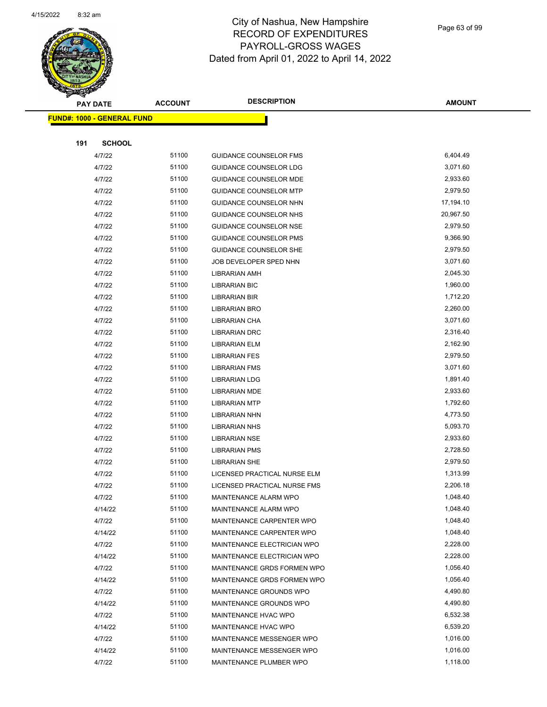

Page 63 of 99

|     | <b>PAY DATE</b>                   | <b>ACCOUNT</b> | <b>DESCRIPTION</b>            | <b>AMOUNT</b> |
|-----|-----------------------------------|----------------|-------------------------------|---------------|
|     | <b>FUND#: 1000 - GENERAL FUND</b> |                |                               |               |
|     |                                   |                |                               |               |
| 191 | <b>SCHOOL</b>                     |                |                               |               |
|     | 4/7/22                            | 51100          | <b>GUIDANCE COUNSELOR FMS</b> | 6,404.49      |
|     | 4/7/22                            | 51100          | <b>GUIDANCE COUNSELOR LDG</b> | 3,071.60      |
|     | 4/7/22                            | 51100          | <b>GUIDANCE COUNSELOR MDE</b> | 2,933.60      |
|     | 4/7/22                            | 51100          | <b>GUIDANCE COUNSELOR MTP</b> | 2,979.50      |
|     | 4/7/22                            | 51100          | <b>GUIDANCE COUNSELOR NHN</b> | 17,194.10     |
|     | 4/7/22                            | 51100          | GUIDANCE COUNSELOR NHS        | 20,967.50     |
|     | 4/7/22                            | 51100          | GUIDANCE COUNSELOR NSE        | 2,979.50      |
|     | 4/7/22                            | 51100          | <b>GUIDANCE COUNSELOR PMS</b> | 9,366.90      |
|     | 4/7/22                            | 51100          | <b>GUIDANCE COUNSELOR SHE</b> | 2,979.50      |
|     | 4/7/22                            | 51100          | JOB DEVELOPER SPED NHN        | 3,071.60      |
|     | 4/7/22                            | 51100          | <b>LIBRARIAN AMH</b>          | 2,045.30      |
|     | 4/7/22                            | 51100          | <b>LIBRARIAN BIC</b>          | 1,960.00      |
|     | 4/7/22                            | 51100          | LIBRARIAN BIR                 | 1,712.20      |
|     | 4/7/22                            | 51100          | LIBRARIAN BRO                 | 2,260.00      |
|     | 4/7/22                            | 51100          | LIBRARIAN CHA                 | 3,071.60      |
|     | 4/7/22                            | 51100          | LIBRARIAN DRC                 | 2,316.40      |
|     | 4/7/22                            | 51100          | <b>LIBRARIAN ELM</b>          | 2,162.90      |
|     | 4/7/22                            | 51100          | <b>LIBRARIAN FES</b>          | 2,979.50      |
|     | 4/7/22                            | 51100          | <b>LIBRARIAN FMS</b>          | 3,071.60      |
|     | 4/7/22                            | 51100          | <b>LIBRARIAN LDG</b>          | 1,891.40      |
|     | 4/7/22                            | 51100          | <b>LIBRARIAN MDE</b>          | 2,933.60      |
|     | 4/7/22                            | 51100          | <b>LIBRARIAN MTP</b>          | 1,792.60      |
|     | 4/7/22                            | 51100          | LIBRARIAN NHN                 | 4,773.50      |
|     | 4/7/22                            | 51100          | <b>LIBRARIAN NHS</b>          | 5,093.70      |
|     | 4/7/22                            | 51100          | <b>LIBRARIAN NSE</b>          | 2,933.60      |
|     | 4/7/22                            | 51100          | <b>LIBRARIAN PMS</b>          | 2,728.50      |
|     | 4/7/22                            | 51100          | <b>LIBRARIAN SHE</b>          | 2,979.50      |
|     | 4/7/22                            | 51100          | LICENSED PRACTICAL NURSE ELM  | 1,313.99      |
|     | 4/7/22                            | 51100          | LICENSED PRACTICAL NURSE FMS  | 2,206.18      |
|     | 4/7/22                            | 51100          | MAINTENANCE ALARM WPO         | 1,048.40      |
|     | 4/14/22                           | 51100          | MAINTENANCE ALARM WPO         | 1,048.40      |
|     | 4/7/22                            | 51100          | MAINTENANCE CARPENTER WPO     | 1,048.40      |
|     | 4/14/22                           | 51100          | MAINTENANCE CARPENTER WPO     | 1,048.40      |
|     | 4/7/22                            | 51100          | MAINTENANCE ELECTRICIAN WPO   | 2,228.00      |
|     | 4/14/22                           | 51100          | MAINTENANCE ELECTRICIAN WPO   | 2,228.00      |
|     | 4/7/22                            | 51100          | MAINTENANCE GRDS FORMEN WPO   | 1,056.40      |
|     | 4/14/22                           | 51100          | MAINTENANCE GRDS FORMEN WPO   | 1,056.40      |
|     | 4/7/22                            | 51100          | MAINTENANCE GROUNDS WPO       | 4,490.80      |
|     | 4/14/22                           | 51100          | MAINTENANCE GROUNDS WPO       | 4,490.80      |
|     | 4/7/22                            | 51100          | MAINTENANCE HVAC WPO          | 6,532.38      |
|     | 4/14/22                           | 51100          | MAINTENANCE HVAC WPO          | 6,539.20      |
|     | 4/7/22                            | 51100          | MAINTENANCE MESSENGER WPO     | 1,016.00      |
|     | 4/14/22                           | 51100          | MAINTENANCE MESSENGER WPO     | 1,016.00      |
|     | 4/7/22                            | 51100          | MAINTENANCE PLUMBER WPO       | 1,118.00      |
|     |                                   |                |                               |               |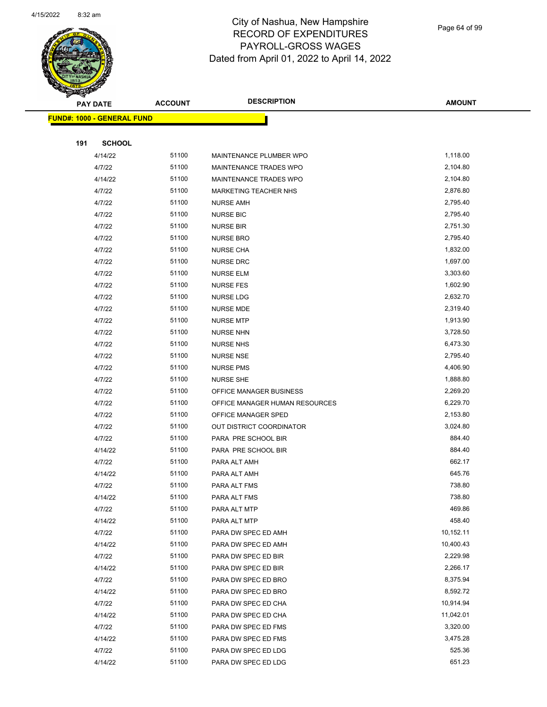

Page 64 of 99

|     | PAY DATE                          | <b>ACCOUNT</b> | <b>DESCRIPTION</b>             | <b>AMOUNT</b>    |  |
|-----|-----------------------------------|----------------|--------------------------------|------------------|--|
|     | <b>FUND#: 1000 - GENERAL FUND</b> |                |                                |                  |  |
|     |                                   |                |                                |                  |  |
| 191 | <b>SCHOOL</b>                     |                |                                |                  |  |
|     | 4/14/22                           | 51100          | MAINTENANCE PLUMBER WPO        | 1,118.00         |  |
|     | 4/7/22                            | 51100          | MAINTENANCE TRADES WPO         | 2,104.80         |  |
|     | 4/14/22                           | 51100          | MAINTENANCE TRADES WPO         | 2,104.80         |  |
|     | 4/7/22                            | 51100          | <b>MARKETING TEACHER NHS</b>   | 2,876.80         |  |
|     | 4/7/22                            | 51100          | <b>NURSE AMH</b>               | 2,795.40         |  |
|     | 4/7/22                            | 51100          | <b>NURSE BIC</b>               | 2,795.40         |  |
|     | 4/7/22                            | 51100          | <b>NURSE BIR</b>               | 2,751.30         |  |
|     | 4/7/22                            | 51100          | <b>NURSE BRO</b>               | 2,795.40         |  |
|     | 4/7/22                            | 51100          | <b>NURSE CHA</b>               | 1,832.00         |  |
|     | 4/7/22                            | 51100          | <b>NURSE DRC</b>               | 1,697.00         |  |
|     | 4/7/22                            | 51100          | <b>NURSE ELM</b>               | 3,303.60         |  |
|     | 4/7/22                            | 51100          | NURSE FES                      | 1,602.90         |  |
|     | 4/7/22                            | 51100          | <b>NURSE LDG</b>               | 2,632.70         |  |
|     | 4/7/22                            | 51100          | <b>NURSE MDE</b>               | 2,319.40         |  |
|     | 4/7/22                            | 51100          | <b>NURSE MTP</b>               | 1,913.90         |  |
|     | 4/7/22                            | 51100          | <b>NURSE NHN</b>               | 3,728.50         |  |
|     | 4/7/22                            | 51100          | <b>NURSE NHS</b>               | 6,473.30         |  |
|     | 4/7/22                            | 51100          | <b>NURSE NSE</b>               | 2,795.40         |  |
|     | 4/7/22                            | 51100          | <b>NURSE PMS</b>               | 4,406.90         |  |
|     | 4/7/22                            | 51100          | <b>NURSE SHE</b>               | 1,888.80         |  |
|     | 4/7/22                            | 51100          | OFFICE MANAGER BUSINESS        | 2,269.20         |  |
|     | 4/7/22                            | 51100          | OFFICE MANAGER HUMAN RESOURCES | 6,229.70         |  |
|     | 4/7/22                            | 51100          | OFFICE MANAGER SPED            | 2,153.80         |  |
|     | 4/7/22                            | 51100          | OUT DISTRICT COORDINATOR       | 3,024.80         |  |
|     | 4/7/22                            | 51100          | PARA PRE SCHOOL BIR            | 884.40           |  |
|     | 4/14/22                           | 51100          | PARA PRE SCHOOL BIR            | 884.40           |  |
|     | 4/7/22                            | 51100          | PARA ALT AMH                   | 662.17           |  |
|     | 4/14/22                           | 51100          | PARA ALT AMH                   | 645.76           |  |
|     | 4/7/22                            | 51100<br>51100 | PARA ALT FMS                   | 738.80<br>738.80 |  |
|     | 4/14/22                           | 51100          | PARA ALT FMS<br>PARA ALT MTP   | 469.86           |  |
|     | 4/7/22<br>4/14/22                 | 51100          | PARA ALT MTP                   | 458.40           |  |
|     | 4/7/22                            | 51100          | PARA DW SPEC ED AMH            | 10,152.11        |  |
|     | 4/14/22                           | 51100          | PARA DW SPEC ED AMH            | 10,400.43        |  |
|     | 4/7/22                            | 51100          | PARA DW SPEC ED BIR            | 2,229.98         |  |
|     | 4/14/22                           | 51100          | PARA DW SPEC ED BIR            | 2,266.17         |  |
|     | 4/7/22                            | 51100          | PARA DW SPEC ED BRO            | 8,375.94         |  |
|     | 4/14/22                           | 51100          | PARA DW SPEC ED BRO            | 8,592.72         |  |
|     | 4/7/22                            | 51100          | PARA DW SPEC ED CHA            | 10,914.94        |  |
|     | 4/14/22                           | 51100          | PARA DW SPEC ED CHA            | 11,042.01        |  |
|     | 4/7/22                            | 51100          | PARA DW SPEC ED FMS            | 3,320.00         |  |
|     | 4/14/22                           | 51100          | PARA DW SPEC ED FMS            | 3,475.28         |  |
|     | 4/7/22                            | 51100          | PARA DW SPEC ED LDG            | 525.36           |  |
|     | 4/14/22                           | 51100          | PARA DW SPEC ED LDG            | 651.23           |  |
|     |                                   |                |                                |                  |  |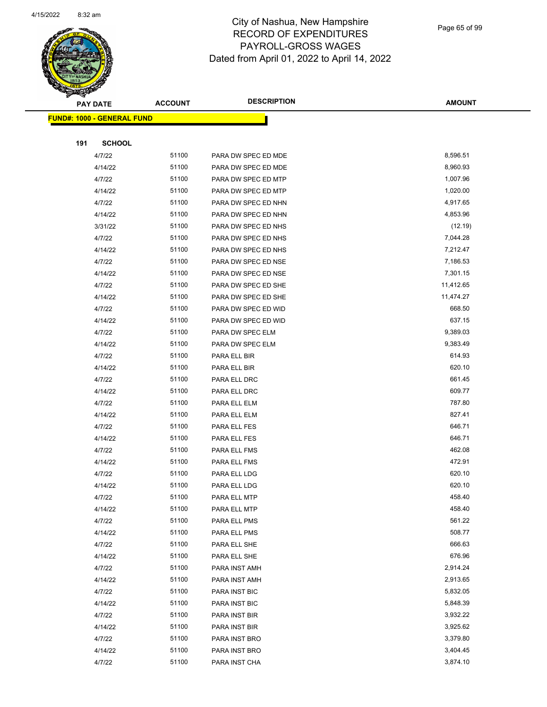

Page 65 of 99

|     | <b>PAY DATE</b>                   | <b>ACCOUNT</b> | <b>DESCRIPTION</b>             | <b>AMOUNT</b>        |
|-----|-----------------------------------|----------------|--------------------------------|----------------------|
|     | <b>FUND#: 1000 - GENERAL FUND</b> |                |                                |                      |
|     |                                   |                |                                |                      |
| 191 | <b>SCHOOL</b>                     |                |                                |                      |
|     | 4/7/22                            | 51100          | PARA DW SPEC ED MDE            | 8,596.51             |
|     | 4/14/22                           | 51100          | PARA DW SPEC ED MDE            | 8,960.93             |
|     | 4/7/22                            | 51100          | PARA DW SPEC ED MTP            | 1,007.96             |
|     | 4/14/22                           | 51100          | PARA DW SPEC ED MTP            | 1,020.00             |
|     | 4/7/22                            | 51100          | PARA DW SPEC ED NHN            | 4,917.65             |
|     | 4/14/22                           | 51100          | PARA DW SPEC ED NHN            | 4,853.96             |
|     | 3/31/22                           | 51100          | PARA DW SPEC ED NHS            | (12.19)              |
|     | 4/7/22                            | 51100          | PARA DW SPEC ED NHS            | 7,044.28             |
|     | 4/14/22                           | 51100          | PARA DW SPEC ED NHS            | 7,212.47             |
|     | 4/7/22                            | 51100          | PARA DW SPEC ED NSE            | 7,186.53             |
|     | 4/14/22                           | 51100          | PARA DW SPEC ED NSE            | 7,301.15             |
|     | 4/7/22                            | 51100          | PARA DW SPEC ED SHE            | 11,412.65            |
|     | 4/14/22                           | 51100          | PARA DW SPEC ED SHE            | 11,474.27            |
|     | 4/7/22                            | 51100          | PARA DW SPEC ED WID            | 668.50               |
|     | 4/14/22                           | 51100          | PARA DW SPEC ED WID            | 637.15               |
|     | 4/7/22                            | 51100          | PARA DW SPEC ELM               | 9,389.03             |
|     | 4/14/22                           | 51100          | PARA DW SPEC ELM               | 9,383.49             |
|     | 4/7/22                            | 51100          | PARA ELL BIR                   | 614.93               |
|     | 4/14/22                           | 51100          | PARA ELL BIR                   | 620.10               |
|     | 4/7/22                            | 51100          | PARA ELL DRC                   | 661.45               |
|     | 4/14/22                           | 51100          | PARA ELL DRC                   | 609.77               |
|     | 4/7/22                            | 51100          | PARA ELL ELM                   | 787.80               |
|     | 4/14/22                           | 51100          | PARA ELL ELM                   | 827.41               |
|     | 4/7/22                            | 51100          | PARA ELL FES                   | 646.71               |
|     | 4/14/22                           | 51100          | PARA ELL FES                   | 646.71               |
|     | 4/7/22                            | 51100          | PARA ELL FMS                   | 462.08               |
|     | 4/14/22                           | 51100          | PARA ELL FMS                   | 472.91               |
|     | 4/7/22                            | 51100          | PARA ELL LDG                   | 620.10               |
|     | 4/14/22                           | 51100          | PARA ELL LDG                   | 620.10               |
|     | 4/7/22                            | 51100          | PARA ELL MTP                   | 458.40               |
|     | 4/14/22                           | 51100          | PARA ELL MTP                   | 458.40               |
|     | 4/7/22                            | 51100          | PARA ELL PMS                   | 561.22               |
|     | 4/14/22                           | 51100          | PARA ELL PMS                   | 508.77               |
|     | 4/7/22                            | 51100          | PARA ELL SHE                   | 666.63               |
|     | 4/14/22                           | 51100          | PARA ELL SHE                   | 676.96               |
|     | 4/7/22                            | 51100          | PARA INST AMH                  | 2,914.24             |
|     | 4/14/22                           | 51100          | PARA INST AMH                  | 2,913.65             |
|     | 4/7/22                            | 51100          | PARA INST BIC                  | 5,832.05             |
|     | 4/14/22                           | 51100          | PARA INST BIC                  | 5,848.39             |
|     | 4/7/22                            | 51100          | PARA INST BIR                  | 3,932.22             |
|     | 4/14/22                           | 51100<br>51100 | PARA INST BIR                  | 3,925.62<br>3,379.80 |
|     | 4/7/22<br>4/14/22                 | 51100          | PARA INST BRO<br>PARA INST BRO | 3,404.45             |
|     | 4/7/22                            | 51100          |                                | 3,874.10             |
|     |                                   |                | PARA INST CHA                  |                      |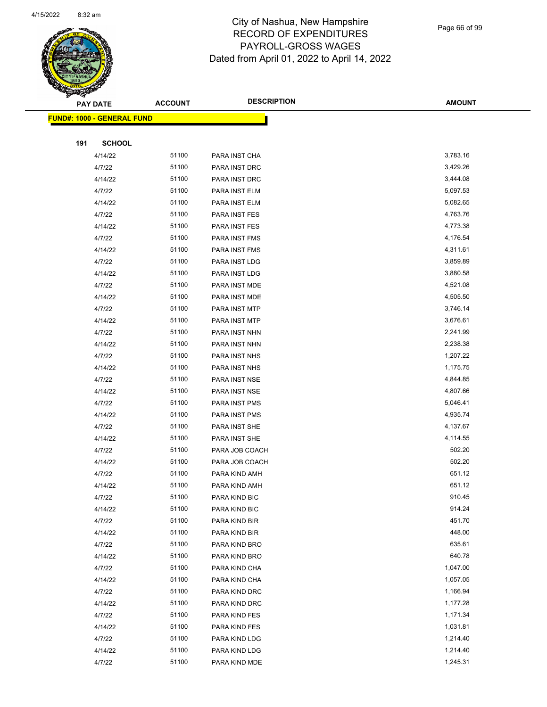

Page 66 of 99

|     | <b>PAY DATE</b>                   | <b>ACCOUNT</b> | <b>DESCRIPTION</b>             | <b>AMOUNT</b>        |
|-----|-----------------------------------|----------------|--------------------------------|----------------------|
|     | <b>FUND#: 1000 - GENERAL FUND</b> |                |                                |                      |
|     |                                   |                |                                |                      |
| 191 | <b>SCHOOL</b>                     |                |                                |                      |
|     | 4/14/22                           | 51100          | PARA INST CHA                  | 3,783.16             |
|     | 4/7/22                            | 51100          | PARA INST DRC                  | 3,429.26             |
|     | 4/14/22                           | 51100          | PARA INST DRC                  | 3,444.08             |
|     | 4/7/22                            | 51100          | PARA INST ELM                  | 5,097.53             |
|     | 4/14/22                           | 51100          | PARA INST ELM                  | 5,082.65             |
|     | 4/7/22                            | 51100          | PARA INST FES                  | 4,763.76             |
|     | 4/14/22                           | 51100          | PARA INST FES                  | 4,773.38             |
|     | 4/7/22                            | 51100          | PARA INST FMS                  | 4,176.54             |
|     | 4/14/22                           | 51100          | PARA INST FMS                  | 4,311.61             |
|     | 4/7/22                            | 51100          | PARA INST LDG                  | 3,859.89             |
|     | 4/14/22                           | 51100          | PARA INST LDG                  | 3,880.58             |
|     | 4/7/22                            | 51100          | PARA INST MDE                  | 4,521.08             |
|     | 4/14/22                           | 51100          | PARA INST MDE                  | 4,505.50             |
|     | 4/7/22                            | 51100          | PARA INST MTP                  | 3,746.14             |
|     | 4/14/22                           | 51100          | PARA INST MTP                  | 3,676.61             |
|     | 4/7/22                            | 51100          | PARA INST NHN                  | 2,241.99             |
|     | 4/14/22                           | 51100          | PARA INST NHN                  | 2,238.38             |
|     | 4/7/22                            | 51100          | PARA INST NHS                  | 1,207.22             |
|     | 4/14/22                           | 51100          | PARA INST NHS                  | 1,175.75             |
|     | 4/7/22                            | 51100          | PARA INST NSE                  | 4,844.85             |
|     | 4/14/22                           | 51100          | PARA INST NSE                  | 4,807.66             |
|     | 4/7/22                            | 51100          | PARA INST PMS                  | 5,046.41             |
|     | 4/14/22                           | 51100          | PARA INST PMS                  | 4,935.74             |
|     | 4/7/22                            | 51100          | PARA INST SHE                  | 4,137.67             |
|     | 4/14/22                           | 51100          | PARA INST SHE                  | 4,114.55             |
|     | 4/7/22                            | 51100          | PARA JOB COACH                 | 502.20               |
|     | 4/14/22                           | 51100          | PARA JOB COACH                 | 502.20               |
|     | 4/7/22                            | 51100          | PARA KIND AMH                  | 651.12               |
|     | 4/14/22                           | 51100          | PARA KIND AMH                  | 651.12               |
|     | 4/7/22                            | 51100          | PARA KIND BIC                  | 910.45               |
|     | 4/14/22                           | 51100          | PARA KIND BIC                  | 914.24               |
|     | 4/7/22                            | 51100          | PARA KIND BIR                  | 451.70               |
|     | 4/14/22                           | 51100          | PARA KIND BIR                  | 448.00               |
|     | 4/7/22                            | 51100          | PARA KIND BRO                  | 635.61               |
|     | 4/14/22                           | 51100          | PARA KIND BRO                  | 640.78               |
|     | 4/7/22                            | 51100          | PARA KIND CHA                  | 1,047.00             |
|     | 4/14/22                           | 51100          | PARA KIND CHA                  | 1,057.05             |
|     | 4/7/22                            | 51100<br>51100 | PARA KIND DRC                  | 1,166.94             |
|     | 4/14/22                           |                | PARA KIND DRC                  | 1,177.28             |
|     | 4/7/22                            | 51100<br>51100 | PARA KIND FES<br>PARA KIND FES | 1,171.34<br>1,031.81 |
|     | 4/14/22                           | 51100          |                                | 1,214.40             |
|     | 4/7/22<br>4/14/22                 | 51100          | PARA KIND LDG<br>PARA KIND LDG | 1,214.40             |
|     | 4/7/22                            | 51100          | PARA KIND MDE                  | 1,245.31             |
|     |                                   |                |                                |                      |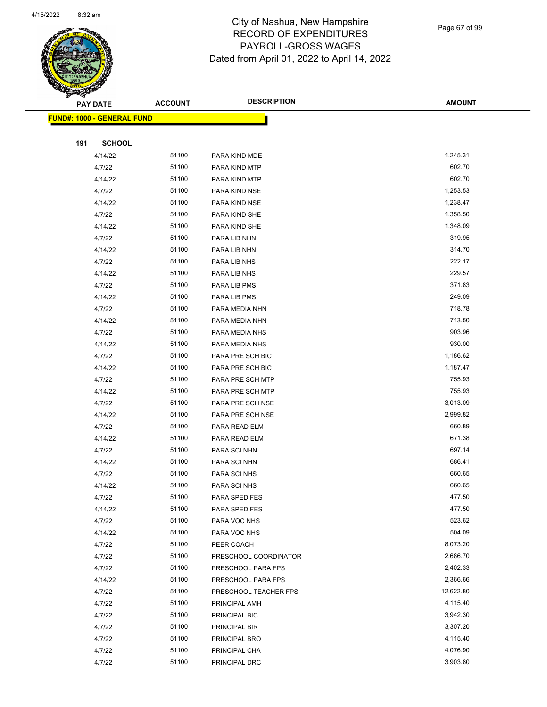

Page 67 of 99

|     | <b>PAY DATE</b>                   | <b>ACCOUNT</b> | <b>DESCRIPTION</b>                          | <b>AMOUNT</b>        |
|-----|-----------------------------------|----------------|---------------------------------------------|----------------------|
|     | <b>FUND#: 1000 - GENERAL FUND</b> |                |                                             |                      |
|     |                                   |                |                                             |                      |
| 191 | <b>SCHOOL</b>                     |                |                                             |                      |
|     | 4/14/22                           | 51100          | PARA KIND MDE                               | 1,245.31             |
|     | 4/7/22                            | 51100          | PARA KIND MTP                               | 602.70               |
|     | 4/14/22                           | 51100          | PARA KIND MTP                               | 602.70               |
|     | 4/7/22                            | 51100          | PARA KIND NSE                               | 1,253.53             |
|     | 4/14/22                           | 51100          | PARA KIND NSE                               | 1,238.47             |
|     | 4/7/22                            | 51100          | PARA KIND SHE                               | 1,358.50             |
|     | 4/14/22                           | 51100          | PARA KIND SHE                               | 1,348.09             |
|     | 4/7/22                            | 51100          | PARA LIB NHN                                | 319.95               |
|     | 4/14/22                           | 51100          | PARA LIB NHN                                | 314.70               |
|     | 4/7/22                            | 51100          | PARA LIB NHS                                | 222.17               |
|     | 4/14/22                           | 51100          | PARA LIB NHS                                | 229.57               |
|     | 4/7/22                            | 51100          | PARA LIB PMS                                | 371.83               |
|     | 4/14/22                           | 51100          | PARA LIB PMS                                | 249.09               |
|     | 4/7/22                            | 51100          | PARA MEDIA NHN                              | 718.78               |
|     | 4/14/22                           | 51100          | PARA MEDIA NHN                              | 713.50               |
|     | 4/7/22                            | 51100          | PARA MEDIA NHS                              | 903.96               |
|     | 4/14/22                           | 51100          | PARA MEDIA NHS                              | 930.00               |
|     | 4/7/22                            | 51100          | PARA PRE SCH BIC                            | 1,186.62             |
|     | 4/14/22                           | 51100          | PARA PRE SCH BIC                            | 1,187.47             |
|     | 4/7/22                            | 51100          | PARA PRE SCH MTP                            | 755.93               |
|     | 4/14/22                           | 51100          | PARA PRE SCH MTP                            | 755.93               |
|     | 4/7/22                            | 51100          | PARA PRE SCH NSE                            | 3,013.09             |
|     | 4/14/22                           | 51100          | PARA PRE SCH NSE                            | 2,999.82             |
|     | 4/7/22                            | 51100          | PARA READ ELM                               | 660.89               |
|     | 4/14/22                           | 51100          | PARA READ ELM                               | 671.38               |
|     | 4/7/22                            | 51100          | PARA SCI NHN                                | 697.14               |
|     | 4/14/22                           | 51100          | PARA SCI NHN                                | 686.41               |
|     | 4/7/22                            | 51100          | PARA SCI NHS                                | 660.65               |
|     | 4/14/22                           | 51100          | PARA SCI NHS                                | 660.65               |
|     | 4/7/22                            | 51100          | PARA SPED FES                               | 477.50               |
|     | 4/14/22                           | 51100          | PARA SPED FES                               | 477.50               |
|     | 4/7/22                            | 51100          | PARA VOC NHS                                | 523.62               |
|     | 4/14/22                           | 51100          | PARA VOC NHS                                | 504.09               |
|     | 4/7/22                            | 51100<br>51100 | PEER COACH                                  | 8,073.20<br>2,686.70 |
|     | 4/7/22<br>4/7/22                  | 51100          | PRESCHOOL COORDINATOR<br>PRESCHOOL PARA FPS | 2,402.33             |
|     | 4/14/22                           | 51100          | PRESCHOOL PARA FPS                          | 2,366.66             |
|     | 4/7/22                            | 51100          | PRESCHOOL TEACHER FPS                       | 12,622.80            |
|     | 4/7/22                            | 51100          | PRINCIPAL AMH                               | 4,115.40             |
|     | 4/7/22                            | 51100          | PRINCIPAL BIC                               | 3,942.30             |
|     | 4/7/22                            | 51100          | PRINCIPAL BIR                               | 3,307.20             |
|     | 4/7/22                            | 51100          | PRINCIPAL BRO                               | 4,115.40             |
|     | 4/7/22                            | 51100          | PRINCIPAL CHA                               | 4,076.90             |
|     | 4/7/22                            | 51100          | PRINCIPAL DRC                               | 3,903.80             |
|     |                                   |                |                                             |                      |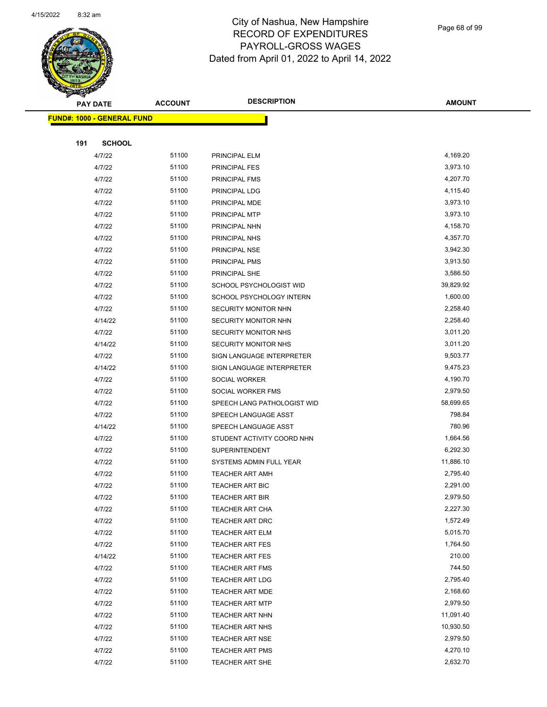

Page 68 of 99

|     | <b>PAY DATE</b>                    | <b>ACCOUNT</b> | <b>DESCRIPTION</b>          | <b>AMOUNT</b> |
|-----|------------------------------------|----------------|-----------------------------|---------------|
|     | <u> FUND#: 1000 - GENERAL FUND</u> |                |                             |               |
|     |                                    |                |                             |               |
| 191 | <b>SCHOOL</b>                      |                |                             |               |
|     | 4/7/22                             | 51100          | PRINCIPAL ELM               | 4,169.20      |
|     | 4/7/22                             | 51100          | PRINCIPAL FES               | 3,973.10      |
|     | 4/7/22                             | 51100          | PRINCIPAL FMS               | 4,207.70      |
|     | 4/7/22                             | 51100          | PRINCIPAL LDG               | 4,115.40      |
|     | 4/7/22                             | 51100          | PRINCIPAL MDE               | 3,973.10      |
|     | 4/7/22                             | 51100          | PRINCIPAL MTP               | 3,973.10      |
|     | 4/7/22                             | 51100          | PRINCIPAL NHN               | 4,158.70      |
|     | 4/7/22                             | 51100          | PRINCIPAL NHS               | 4,357.70      |
|     | 4/7/22                             | 51100          | PRINCIPAL NSE               | 3,942.30      |
|     | 4/7/22                             | 51100          | PRINCIPAL PMS               | 3,913.50      |
|     | 4/7/22                             | 51100          | PRINCIPAL SHE               | 3,586.50      |
|     | 4/7/22                             | 51100          | SCHOOL PSYCHOLOGIST WID     | 39,829.92     |
|     | 4/7/22                             | 51100          | SCHOOL PSYCHOLOGY INTERN    | 1,600.00      |
|     | 4/7/22                             | 51100          | SECURITY MONITOR NHN        | 2,258.40      |
|     | 4/14/22                            | 51100          | SECURITY MONITOR NHN        | 2,258.40      |
|     | 4/7/22                             | 51100          | SECURITY MONITOR NHS        | 3,011.20      |
|     | 4/14/22                            | 51100          | SECURITY MONITOR NHS        | 3,011.20      |
|     | 4/7/22                             | 51100          | SIGN LANGUAGE INTERPRETER   | 9,503.77      |
|     | 4/14/22                            | 51100          | SIGN LANGUAGE INTERPRETER   | 9,475.23      |
|     | 4/7/22                             | 51100          | <b>SOCIAL WORKER</b>        | 4,190.70      |
|     | 4/7/22                             | 51100          | SOCIAL WORKER FMS           | 2,979.50      |
|     | 4/7/22                             | 51100          | SPEECH LANG PATHOLOGIST WID | 58,699.65     |
|     | 4/7/22                             | 51100          | SPEECH LANGUAGE ASST        | 798.84        |
|     | 4/14/22                            | 51100          | SPEECH LANGUAGE ASST        | 780.96        |
|     | 4/7/22                             | 51100          | STUDENT ACTIVITY COORD NHN  | 1,664.56      |
|     | 4/7/22                             | 51100          | <b>SUPERINTENDENT</b>       | 6,292.30      |
|     | 4/7/22                             | 51100          | SYSTEMS ADMIN FULL YEAR     | 11,886.10     |
|     | 4/7/22                             | 51100          | <b>TEACHER ART AMH</b>      | 2,795.40      |
|     | 4/7/22                             | 51100          | TEACHER ART BIC             | 2,291.00      |
|     | 4/7/22                             | 51100          | TEACHER ART BIR             | 2,979.50      |
|     | 4/7/22                             | 51100          | TEACHER ART CHA             | 2,227.30      |
|     | 4/7/22                             | 51100          | <b>TEACHER ART DRC</b>      | 1,572.49      |
|     | 4/7/22                             | 51100          | TEACHER ART ELM             | 5,015.70      |
|     | 4/7/22                             | 51100          | <b>TEACHER ART FES</b>      | 1,764.50      |
|     | 4/14/22                            | 51100          | <b>TEACHER ART FES</b>      | 210.00        |
|     | 4/7/22                             | 51100          | <b>TEACHER ART FMS</b>      | 744.50        |
|     | 4/7/22                             | 51100          | <b>TEACHER ART LDG</b>      | 2,795.40      |
|     | 4/7/22                             | 51100          | TEACHER ART MDE             | 2,168.60      |
|     | 4/7/22                             | 51100          | <b>TEACHER ART MTP</b>      | 2,979.50      |
|     | 4/7/22                             | 51100          | TEACHER ART NHN             | 11,091.40     |
|     | 4/7/22                             | 51100          | TEACHER ART NHS             | 10,930.50     |
|     | 4/7/22                             | 51100          | TEACHER ART NSE             | 2,979.50      |
|     | 4/7/22                             | 51100          | <b>TEACHER ART PMS</b>      | 4,270.10      |
|     | 4/7/22                             | 51100          | <b>TEACHER ART SHE</b>      | 2,632.70      |
|     |                                    |                |                             |               |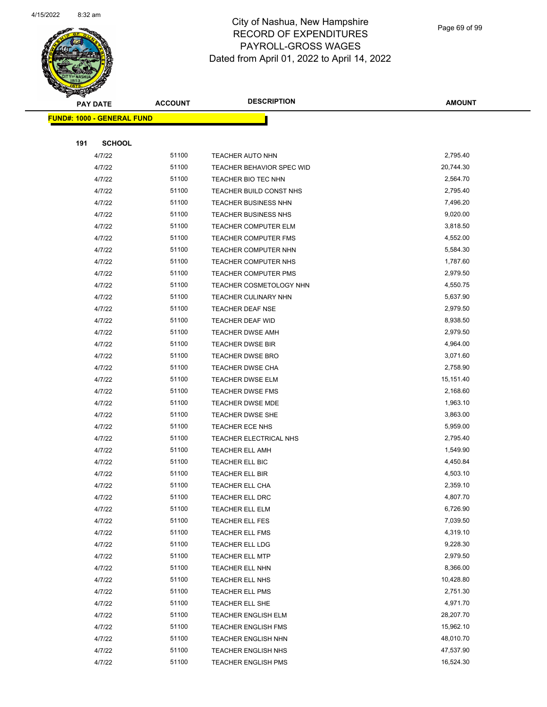

Page 69 of 99

|     | <b>PAY DATE</b>                   | <b>ACCOUNT</b> | <b>DESCRIPTION</b>                        | <b>AMOUNT</b>        |
|-----|-----------------------------------|----------------|-------------------------------------------|----------------------|
|     | <b>FUND#: 1000 - GENERAL FUND</b> |                |                                           |                      |
|     |                                   |                |                                           |                      |
| 191 | <b>SCHOOL</b>                     |                |                                           |                      |
|     | 4/7/22                            | 51100          | TEACHER AUTO NHN                          | 2,795.40             |
|     | 4/7/22                            | 51100          | TEACHER BEHAVIOR SPEC WID                 | 20,744.30            |
|     | 4/7/22                            | 51100          | TEACHER BIO TEC NHN                       | 2,564.70             |
|     | 4/7/22                            | 51100          | TEACHER BUILD CONST NHS                   | 2,795.40             |
|     | 4/7/22                            | 51100          | <b>TEACHER BUSINESS NHN</b>               | 7,496.20             |
|     | 4/7/22                            | 51100          | TEACHER BUSINESS NHS                      | 9,020.00             |
|     | 4/7/22                            | 51100          | TEACHER COMPUTER ELM                      | 3,818.50             |
|     | 4/7/22                            | 51100          | TEACHER COMPUTER FMS                      | 4,552.00             |
|     | 4/7/22                            | 51100          | TEACHER COMPUTER NHN                      | 5,584.30             |
|     | 4/7/22                            | 51100          | TEACHER COMPUTER NHS                      | 1,787.60             |
|     | 4/7/22                            | 51100          | <b>TEACHER COMPUTER PMS</b>               | 2,979.50             |
|     | 4/7/22                            | 51100          | <b>TEACHER COSMETOLOGY NHN</b>            | 4,550.75             |
|     | 4/7/22                            | 51100          | TEACHER CULINARY NHN                      | 5,637.90             |
|     | 4/7/22                            | 51100          | TEACHER DEAF NSE                          | 2,979.50             |
|     | 4/7/22                            | 51100          | TEACHER DEAF WID                          | 8,938.50             |
|     | 4/7/22                            | 51100          | <b>TEACHER DWSE AMH</b>                   | 2,979.50             |
|     | 4/7/22                            | 51100          | <b>TEACHER DWSE BIR</b>                   | 4,964.00             |
|     | 4/7/22                            | 51100          | TEACHER DWSE BRO                          | 3,071.60             |
|     | 4/7/22                            | 51100          | <b>TEACHER DWSE CHA</b>                   | 2,758.90             |
|     | 4/7/22                            | 51100          | <b>TEACHER DWSE ELM</b>                   | 15,151.40            |
|     | 4/7/22                            | 51100          | <b>TEACHER DWSE FMS</b>                   | 2,168.60             |
|     | 4/7/22                            | 51100          | <b>TEACHER DWSE MDE</b>                   | 1,963.10             |
|     | 4/7/22                            | 51100          | <b>TEACHER DWSE SHE</b>                   | 3,863.00             |
|     | 4/7/22                            | 51100          | <b>TEACHER ECE NHS</b>                    | 5,959.00             |
|     | 4/7/22                            | 51100          | TEACHER ELECTRICAL NHS                    | 2,795.40             |
|     | 4/7/22                            | 51100          | <b>TEACHER ELL AMH</b>                    | 1,549.90             |
|     | 4/7/22                            | 51100          | TEACHER ELL BIC                           | 4,450.84             |
|     | 4/7/22                            | 51100          | TEACHER ELL BIR                           | 4,503.10             |
|     | 4/7/22                            | 51100          | <b>TEACHER ELL CHA</b>                    | 2,359.10             |
|     | 4/7/22                            | 51100          | TEACHER ELL DRC                           | 4,807.70             |
|     | 4/7/22                            | 51100          | TEACHER ELL ELM                           | 6,726.90             |
|     | 4/7/22                            | 51100          | TEACHER ELL FES                           | 7,039.50             |
|     | 4/7/22                            | 51100          | TEACHER ELL FMS                           | 4,319.10             |
|     | 4/7/22                            | 51100          | TEACHER ELL LDG                           | 9,228.30<br>2,979.50 |
|     | 4/7/22                            | 51100<br>51100 | <b>TEACHER ELL MTP</b><br>TEACHER ELL NHN | 8,366.00             |
|     | 4/7/22<br>4/7/22                  | 51100          | TEACHER ELL NHS                           | 10,428.80            |
|     | 4/7/22                            | 51100          |                                           | 2,751.30             |
|     | 4/7/22                            | 51100          | TEACHER ELL PMS<br>TEACHER ELL SHE        | 4,971.70             |
|     | 4/7/22                            | 51100          | <b>TEACHER ENGLISH ELM</b>                | 28,207.70            |
|     | 4/7/22                            | 51100          | <b>TEACHER ENGLISH FMS</b>                | 15,962.10            |
|     | 4/7/22                            | 51100          | TEACHER ENGLISH NHN                       | 48,010.70            |
|     | 4/7/22                            | 51100          | TEACHER ENGLISH NHS                       | 47,537.90            |
|     | 4/7/22                            | 51100          | <b>TEACHER ENGLISH PMS</b>                | 16,524.30            |
|     |                                   |                |                                           |                      |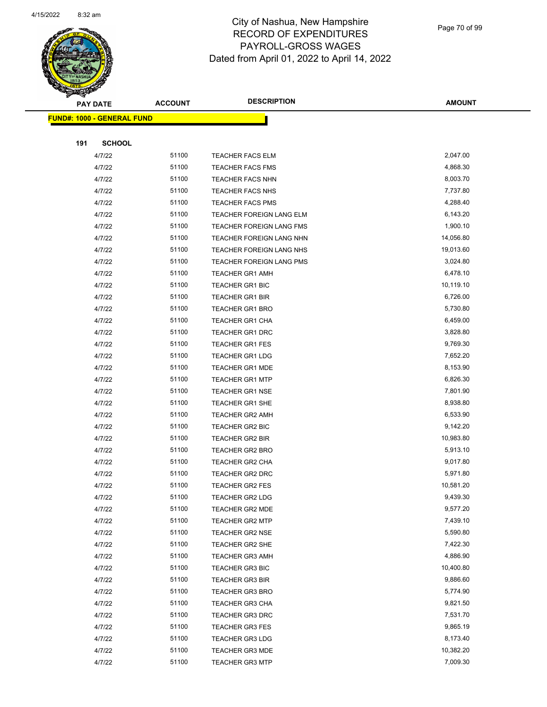

Page 70 of 99

|     | <b>PAY DATE</b>                    | <b>ACCOUNT</b> | <b>DESCRIPTION</b>       | <b>AMOUNT</b> |
|-----|------------------------------------|----------------|--------------------------|---------------|
|     | <u> FUND#: 1000 - GENERAL FUND</u> |                |                          |               |
|     |                                    |                |                          |               |
| 191 | <b>SCHOOL</b>                      |                |                          |               |
|     | 4/7/22                             | 51100          | TEACHER FACS ELM         | 2,047.00      |
|     | 4/7/22                             | 51100          | <b>TEACHER FACS FMS</b>  | 4,868.30      |
|     | 4/7/22                             | 51100          | <b>TEACHER FACS NHN</b>  | 8,003.70      |
|     | 4/7/22                             | 51100          | <b>TEACHER FACS NHS</b>  | 7,737.80      |
|     | 4/7/22                             | 51100          | <b>TEACHER FACS PMS</b>  | 4,288.40      |
|     | 4/7/22                             | 51100          | TEACHER FOREIGN LANG ELM | 6,143.20      |
|     | 4/7/22                             | 51100          | TEACHER FOREIGN LANG FMS | 1,900.10      |
|     | 4/7/22                             | 51100          | TEACHER FOREIGN LANG NHN | 14,056.80     |
|     | 4/7/22                             | 51100          | TEACHER FOREIGN LANG NHS | 19,013.60     |
|     | 4/7/22                             | 51100          | TEACHER FOREIGN LANG PMS | 3,024.80      |
|     | 4/7/22                             | 51100          | <b>TEACHER GR1 AMH</b>   | 6,478.10      |
|     | 4/7/22                             | 51100          | <b>TEACHER GR1 BIC</b>   | 10,119.10     |
|     | 4/7/22                             | 51100          | <b>TEACHER GR1 BIR</b>   | 6,726.00      |
|     | 4/7/22                             | 51100          | <b>TEACHER GR1 BRO</b>   | 5,730.80      |
|     | 4/7/22                             | 51100          | <b>TEACHER GR1 CHA</b>   | 6,459.00      |
|     | 4/7/22                             | 51100          | TEACHER GR1 DRC          | 3,828.80      |
|     | 4/7/22                             | 51100          | <b>TEACHER GR1 FES</b>   | 9,769.30      |
|     | 4/7/22                             | 51100          | <b>TEACHER GR1 LDG</b>   | 7,652.20      |
|     | 4/7/22                             | 51100          | <b>TEACHER GR1 MDE</b>   | 8,153.90      |
|     | 4/7/22                             | 51100          | <b>TEACHER GR1 MTP</b>   | 6,826.30      |
|     | 4/7/22                             | 51100          | <b>TEACHER GR1 NSE</b>   | 7,801.90      |
|     | 4/7/22                             | 51100          | <b>TEACHER GR1 SHE</b>   | 8,938.80      |
|     | 4/7/22                             | 51100          | <b>TEACHER GR2 AMH</b>   | 6,533.90      |
|     | 4/7/22                             | 51100          | TEACHER GR2 BIC          | 9,142.20      |
|     | 4/7/22                             | 51100          | <b>TEACHER GR2 BIR</b>   | 10,983.80     |
|     | 4/7/22                             | 51100          | TEACHER GR2 BRO          | 5,913.10      |
|     | 4/7/22                             | 51100          | <b>TEACHER GR2 CHA</b>   | 9,017.80      |
|     | 4/7/22                             | 51100          | <b>TEACHER GR2 DRC</b>   | 5,971.80      |
|     | 4/7/22                             | 51100          | <b>TEACHER GR2 FES</b>   | 10,581.20     |
|     | 4/7/22                             | 51100          | <b>TEACHER GR2 LDG</b>   | 9,439.30      |
|     | 4/7/22                             | 51100          | <b>TEACHER GR2 MDE</b>   | 9,577.20      |
|     | 4/7/22                             | 51100          | <b>TEACHER GR2 MTP</b>   | 7,439.10      |
|     | 4/7/22                             | 51100          | <b>TEACHER GR2 NSE</b>   | 5,590.80      |
|     | 4/7/22                             | 51100          | TEACHER GR2 SHE          | 7,422.30      |
|     | 4/7/22                             | 51100          | <b>TEACHER GR3 AMH</b>   | 4,886.90      |
|     | 4/7/22                             | 51100          | <b>TEACHER GR3 BIC</b>   | 10,400.80     |
|     | 4/7/22                             | 51100          | <b>TEACHER GR3 BIR</b>   | 9,886.60      |
|     | 4/7/22                             | 51100          | <b>TEACHER GR3 BRO</b>   | 5,774.90      |
|     | 4/7/22                             | 51100          | <b>TEACHER GR3 CHA</b>   | 9,821.50      |
|     | 4/7/22                             | 51100          | TEACHER GR3 DRC          | 7,531.70      |
|     | 4/7/22                             | 51100          | TEACHER GR3 FES          | 9,865.19      |
|     | 4/7/22                             | 51100          | <b>TEACHER GR3 LDG</b>   | 8,173.40      |
|     | 4/7/22                             | 51100          | <b>TEACHER GR3 MDE</b>   | 10,382.20     |
|     | 4/7/22                             | 51100          | <b>TEACHER GR3 MTP</b>   | 7,009.30      |
|     |                                    |                |                          |               |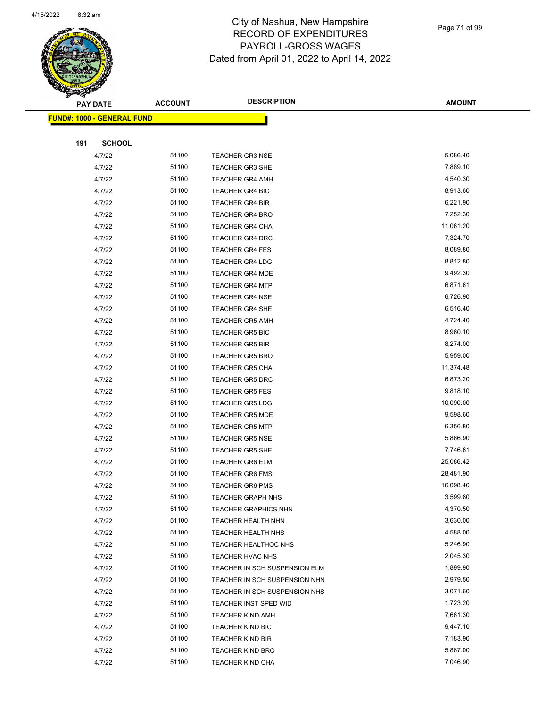

Page 71 of 99

|     | PAY DATE                           | <b>ACCOUNT</b> | <b>DESCRIPTION</b>            | <b>AMOUNT</b> |
|-----|------------------------------------|----------------|-------------------------------|---------------|
|     | <u> FUND#: 1000 - GENERAL FUND</u> |                |                               |               |
|     |                                    |                |                               |               |
| 191 | <b>SCHOOL</b>                      |                |                               |               |
|     | 4/7/22                             | 51100          | <b>TEACHER GR3 NSE</b>        | 5,086.40      |
|     | 4/7/22                             | 51100          | <b>TEACHER GR3 SHE</b>        | 7,889.10      |
|     | 4/7/22                             | 51100          | <b>TEACHER GR4 AMH</b>        | 4,540.30      |
|     | 4/7/22                             | 51100          | <b>TEACHER GR4 BIC</b>        | 8,913.60      |
|     | 4/7/22                             | 51100          | <b>TEACHER GR4 BIR</b>        | 6,221.90      |
|     | 4/7/22                             | 51100          | <b>TEACHER GR4 BRO</b>        | 7,252.30      |
|     | 4/7/22                             | 51100          | TEACHER GR4 CHA               | 11,061.20     |
|     | 4/7/22                             | 51100          | <b>TEACHER GR4 DRC</b>        | 7,324.70      |
|     | 4/7/22                             | 51100          | <b>TEACHER GR4 FES</b>        | 8,089.80      |
|     | 4/7/22                             | 51100          | <b>TEACHER GR4 LDG</b>        | 8,812.80      |
|     | 4/7/22                             | 51100          | <b>TEACHER GR4 MDE</b>        | 9,492.30      |
|     | 4/7/22                             | 51100          | <b>TEACHER GR4 MTP</b>        | 6,871.61      |
|     | 4/7/22                             | 51100          | <b>TEACHER GR4 NSE</b>        | 6,726.90      |
|     | 4/7/22                             | 51100          | <b>TEACHER GR4 SHE</b>        | 6,516.40      |
|     | 4/7/22                             | 51100          | <b>TEACHER GR5 AMH</b>        | 4,724.40      |
|     | 4/7/22                             | 51100          | <b>TEACHER GR5 BIC</b>        | 8,960.10      |
|     | 4/7/22                             | 51100          | <b>TEACHER GR5 BIR</b>        | 8,274.00      |
|     | 4/7/22                             | 51100          | <b>TEACHER GR5 BRO</b>        | 5,959.00      |
|     | 4/7/22                             | 51100          | <b>TEACHER GR5 CHA</b>        | 11,374.48     |
|     | 4/7/22                             | 51100          | <b>TEACHER GR5 DRC</b>        | 6,873.20      |
|     | 4/7/22                             | 51100          | <b>TEACHER GR5 FES</b>        | 9,818.10      |
|     | 4/7/22                             | 51100          | <b>TEACHER GR5 LDG</b>        | 10,090.00     |
|     | 4/7/22                             | 51100          | <b>TEACHER GR5 MDE</b>        | 9,598.60      |
|     | 4/7/22                             | 51100          | <b>TEACHER GR5 MTP</b>        | 6,356.80      |
|     | 4/7/22                             | 51100          | <b>TEACHER GR5 NSE</b>        | 5,866.90      |
|     | 4/7/22                             | 51100          | <b>TEACHER GR5 SHE</b>        | 7,746.61      |
|     | 4/7/22                             | 51100          | <b>TEACHER GR6 ELM</b>        | 25,086.42     |
|     | 4/7/22                             | 51100          | <b>TEACHER GR6 FMS</b>        | 28,481.90     |
|     | 4/7/22                             | 51100          | <b>TEACHER GR6 PMS</b>        | 16,098.40     |
|     | 4/7/22                             | 51100          | <b>TEACHER GRAPH NHS</b>      | 3,599.80      |
|     | 4/7/22                             | 51100          | <b>TEACHER GRAPHICS NHN</b>   | 4,370.50      |
|     | 4/7/22                             | 51100          | <b>TEACHER HEALTH NHN</b>     | 3,630.00      |
|     | 4/7/22                             | 51100          | <b>TEACHER HEALTH NHS</b>     | 4,588.00      |
|     | 4/7/22                             | 51100          | TEACHER HEALTHOC NHS          | 5,246.90      |
|     | 4/7/22                             | 51100          | TEACHER HVAC NHS              | 2,045.30      |
|     | 4/7/22                             | 51100          | TEACHER IN SCH SUSPENSION ELM | 1,899.90      |
|     | 4/7/22                             | 51100          | TEACHER IN SCH SUSPENSION NHN | 2,979.50      |
|     | 4/7/22                             | 51100          | TEACHER IN SCH SUSPENSION NHS | 3,071.60      |
|     | 4/7/22                             | 51100          | TEACHER INST SPED WID         | 1,723.20      |
|     | 4/7/22                             | 51100          | <b>TEACHER KIND AMH</b>       | 7,661.30      |
|     | 4/7/22                             | 51100          | TEACHER KIND BIC              | 9,447.10      |
|     | 4/7/22                             | 51100          | <b>TEACHER KIND BIR</b>       | 7,183.90      |
|     | 4/7/22                             | 51100          | <b>TEACHER KIND BRO</b>       | 5,867.00      |
|     | 4/7/22                             | 51100          | TEACHER KIND CHA              | 7,046.90      |
|     |                                    |                |                               |               |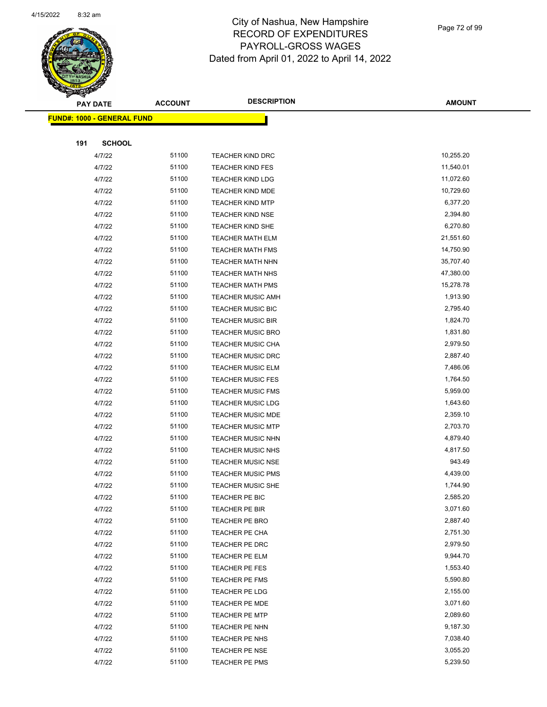

Page 72 of 99

|     | <b>PAY DATE</b>                   | <b>ACCOUNT</b> | <b>DESCRIPTION</b>       | <b>AMOUNT</b> |
|-----|-----------------------------------|----------------|--------------------------|---------------|
|     | <b>FUND#: 1000 - GENERAL FUND</b> |                |                          |               |
|     |                                   |                |                          |               |
| 191 | <b>SCHOOL</b>                     |                |                          |               |
|     | 4/7/22                            | 51100          | TEACHER KIND DRC         | 10,255.20     |
|     | 4/7/22                            | 51100          | <b>TEACHER KIND FES</b>  | 11,540.01     |
|     | 4/7/22                            | 51100          | <b>TEACHER KIND LDG</b>  | 11,072.60     |
|     | 4/7/22                            | 51100          | <b>TEACHER KIND MDE</b>  | 10,729.60     |
|     | 4/7/22                            | 51100          | <b>TEACHER KIND MTP</b>  | 6,377.20      |
|     | 4/7/22                            | 51100          | <b>TEACHER KIND NSE</b>  | 2,394.80      |
|     | 4/7/22                            | 51100          | <b>TEACHER KIND SHE</b>  | 6,270.80      |
|     | 4/7/22                            | 51100          | <b>TEACHER MATH ELM</b>  | 21,551.60     |
|     | 4/7/22                            | 51100          | <b>TEACHER MATH FMS</b>  | 14,750.90     |
|     | 4/7/22                            | 51100          | TEACHER MATH NHN         | 35,707.40     |
|     | 4/7/22                            | 51100          | <b>TEACHER MATH NHS</b>  | 47,380.00     |
|     | 4/7/22                            | 51100          | TEACHER MATH PMS         | 15,278.78     |
|     | 4/7/22                            | 51100          | <b>TEACHER MUSIC AMH</b> | 1,913.90      |
|     | 4/7/22                            | 51100          | <b>TEACHER MUSIC BIC</b> | 2,795.40      |
|     | 4/7/22                            | 51100          | <b>TEACHER MUSIC BIR</b> | 1,824.70      |
|     | 4/7/22                            | 51100          | <b>TEACHER MUSIC BRO</b> | 1,831.80      |
|     | 4/7/22                            | 51100          | <b>TEACHER MUSIC CHA</b> | 2,979.50      |
|     | 4/7/22                            | 51100          | <b>TEACHER MUSIC DRC</b> | 2,887.40      |
|     | 4/7/22                            | 51100          | <b>TEACHER MUSIC ELM</b> | 7,486.06      |
|     | 4/7/22                            | 51100          | <b>TEACHER MUSIC FES</b> | 1,764.50      |
|     | 4/7/22                            | 51100          | <b>TEACHER MUSIC FMS</b> | 5,959.00      |
|     | 4/7/22                            | 51100          | <b>TEACHER MUSIC LDG</b> | 1,643.60      |
|     | 4/7/22                            | 51100          | TEACHER MUSIC MDE        | 2,359.10      |
|     | 4/7/22                            | 51100          | <b>TEACHER MUSIC MTP</b> | 2,703.70      |
|     | 4/7/22                            | 51100          | TEACHER MUSIC NHN        | 4,879.40      |
|     | 4/7/22                            | 51100          | <b>TEACHER MUSIC NHS</b> | 4,817.50      |
|     | 4/7/22                            | 51100          | <b>TEACHER MUSIC NSE</b> | 943.49        |
|     | 4/7/22                            | 51100          | <b>TEACHER MUSIC PMS</b> | 4,439.00      |
|     | 4/7/22                            | 51100          | <b>TEACHER MUSIC SHE</b> | 1,744.90      |
|     | 4/7/22                            | 51100          | TEACHER PE BIC           | 2,585.20      |
|     | 4/7/22                            | 51100          | TEACHER PE BIR           | 3,071.60      |
|     | 4/7/22                            | 51100          | TEACHER PE BRO           | 2,887.40      |
|     | 4/7/22                            | 51100          | TEACHER PE CHA           | 2,751.30      |
|     | 4/7/22                            | 51100          | TEACHER PE DRC           | 2,979.50      |
|     | 4/7/22                            | 51100          | <b>TEACHER PE ELM</b>    | 9,944.70      |
|     | 4/7/22                            | 51100          | <b>TEACHER PE FES</b>    | 1,553.40      |
|     | 4/7/22                            | 51100          | TEACHER PE FMS           | 5,590.80      |
|     | 4/7/22                            | 51100          | TEACHER PE LDG           | 2,155.00      |
|     | 4/7/22                            | 51100          | TEACHER PE MDE           | 3,071.60      |
|     | 4/7/22                            | 51100          | TEACHER PE MTP           | 2,089.60      |
|     | 4/7/22                            | 51100          | TEACHER PE NHN           | 9,187.30      |
|     | 4/7/22                            | 51100          | TEACHER PE NHS           | 7,038.40      |
|     | 4/7/22                            | 51100          | TEACHER PE NSE           | 3,055.20      |
|     | 4/7/22                            | 51100          | TEACHER PE PMS           | 5,239.50      |
|     |                                   |                |                          |               |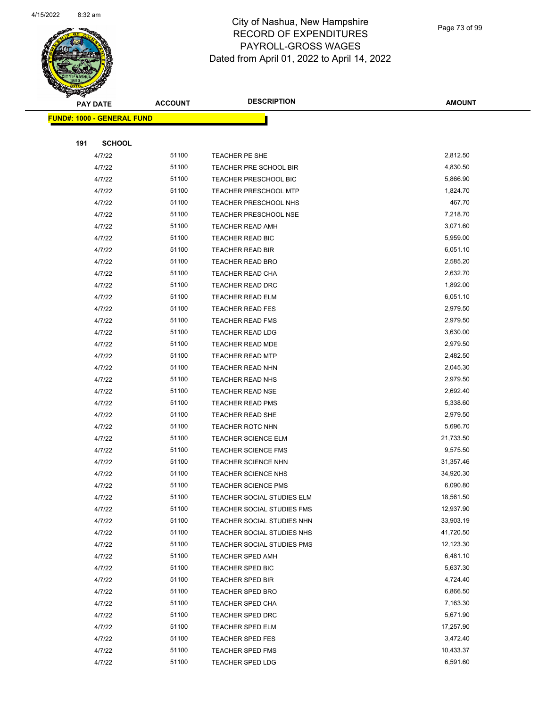

Page 73 of 99

|     | <b>PAY DATE</b>                   | <b>ACCOUNT</b> | <b>DESCRIPTION</b>           | <b>AMOUNT</b> |
|-----|-----------------------------------|----------------|------------------------------|---------------|
|     | <b>FUND#: 1000 - GENERAL FUND</b> |                |                              |               |
|     |                                   |                |                              |               |
| 191 | <b>SCHOOL</b>                     |                |                              |               |
|     | 4/7/22                            | 51100          | TEACHER PE SHE               | 2,812.50      |
|     | 4/7/22                            | 51100          | TEACHER PRE SCHOOL BIR       | 4,830.50      |
|     | 4/7/22                            | 51100          | <b>TEACHER PRESCHOOL BIC</b> | 5,866.90      |
|     | 4/7/22                            | 51100          | <b>TEACHER PRESCHOOL MTP</b> | 1,824.70      |
|     | 4/7/22                            | 51100          | TEACHER PRESCHOOL NHS        | 467.70        |
|     | 4/7/22                            | 51100          | <b>TEACHER PRESCHOOL NSE</b> | 7,218.70      |
|     | 4/7/22                            | 51100          | <b>TEACHER READ AMH</b>      | 3,071.60      |
|     | 4/7/22                            | 51100          | TEACHER READ BIC             | 5,959.00      |
|     | 4/7/22                            | 51100          | <b>TEACHER READ BIR</b>      | 6,051.10      |
|     | 4/7/22                            | 51100          | <b>TEACHER READ BRO</b>      | 2,585.20      |
|     | 4/7/22                            | 51100          | <b>TEACHER READ CHA</b>      | 2,632.70      |
|     | 4/7/22                            | 51100          | <b>TEACHER READ DRC</b>      | 1,892.00      |
|     | 4/7/22                            | 51100          | <b>TEACHER READ ELM</b>      | 6,051.10      |
|     | 4/7/22                            | 51100          | <b>TEACHER READ FES</b>      | 2,979.50      |
|     | 4/7/22                            | 51100          | <b>TEACHER READ FMS</b>      | 2,979.50      |
|     | 4/7/22                            | 51100          | TEACHER READ LDG             | 3,630.00      |
|     | 4/7/22                            | 51100          | <b>TEACHER READ MDE</b>      | 2,979.50      |
|     | 4/7/22                            | 51100          | <b>TEACHER READ MTP</b>      | 2,482.50      |
|     | 4/7/22                            | 51100          | <b>TEACHER READ NHN</b>      | 2,045.30      |
|     | 4/7/22                            | 51100          | TEACHER READ NHS             | 2,979.50      |
|     | 4/7/22                            | 51100          | <b>TEACHER READ NSE</b>      | 2,692.40      |
|     | 4/7/22                            | 51100          | <b>TEACHER READ PMS</b>      | 5,338.60      |
|     | 4/7/22                            | 51100          | <b>TEACHER READ SHE</b>      | 2,979.50      |
|     | 4/7/22                            | 51100          | <b>TEACHER ROTC NHN</b>      | 5,696.70      |
|     | 4/7/22                            | 51100          | TEACHER SCIENCE ELM          | 21,733.50     |
|     | 4/7/22                            | 51100          | <b>TEACHER SCIENCE FMS</b>   | 9,575.50      |
|     | 4/7/22                            | 51100          | <b>TEACHER SCIENCE NHN</b>   | 31,357.46     |
|     | 4/7/22                            | 51100          | <b>TEACHER SCIENCE NHS</b>   | 34,920.30     |
|     | 4/7/22                            | 51100          | <b>TEACHER SCIENCE PMS</b>   | 6,090.80      |
|     | 4/7/22                            | 51100          | TEACHER SOCIAL STUDIES ELM   | 18,561.50     |
|     | 4/7/22                            | 51100          | TEACHER SOCIAL STUDIES FMS   | 12,937.90     |
|     | 4/7/22                            | 51100          | TEACHER SOCIAL STUDIES NHN   | 33,903.19     |
|     | 4/7/22                            | 51100          | TEACHER SOCIAL STUDIES NHS   | 41,720.50     |
|     | 4/7/22                            | 51100          | TEACHER SOCIAL STUDIES PMS   | 12,123.30     |
|     | 4/7/22                            | 51100          | <b>TEACHER SPED AMH</b>      | 6,481.10      |
|     | 4/7/22                            | 51100          | <b>TEACHER SPED BIC</b>      | 5,637.30      |
|     | 4/7/22                            | 51100          | <b>TEACHER SPED BIR</b>      | 4,724.40      |
|     | 4/7/22                            | 51100          | TEACHER SPED BRO             | 6,866.50      |
|     | 4/7/22                            | 51100          | TEACHER SPED CHA             | 7,163.30      |
|     | 4/7/22                            | 51100          | <b>TEACHER SPED DRC</b>      | 5,671.90      |
|     | 4/7/22                            | 51100          | <b>TEACHER SPED ELM</b>      | 17,257.90     |
|     | 4/7/22                            | 51100          | <b>TEACHER SPED FES</b>      | 3,472.40      |
|     | 4/7/22                            | 51100          | <b>TEACHER SPED FMS</b>      | 10,433.37     |
|     | 4/7/22                            | 51100          | <b>TEACHER SPED LDG</b>      | 6,591.60      |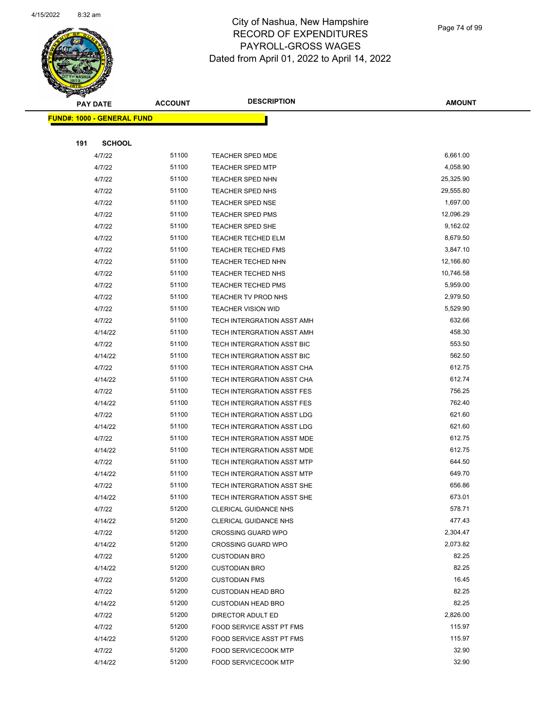

Page 74 of 99

|     | <b>PAY DATE</b>                    | <b>ACCOUNT</b> | <b>DESCRIPTION</b>           | <b>AMOUNT</b> |
|-----|------------------------------------|----------------|------------------------------|---------------|
|     | <u> FUND#: 1000 - GENERAL FUND</u> |                |                              |               |
|     |                                    |                |                              |               |
| 191 | <b>SCHOOL</b>                      |                |                              |               |
|     | 4/7/22                             | 51100          | TEACHER SPED MDE             | 6,661.00      |
|     | 4/7/22                             | 51100          | <b>TEACHER SPED MTP</b>      | 4,058.90      |
|     | 4/7/22                             | 51100          | <b>TEACHER SPED NHN</b>      | 25,325.90     |
|     | 4/7/22                             | 51100          | <b>TEACHER SPED NHS</b>      | 29,555.80     |
|     | 4/7/22                             | 51100          | TEACHER SPED NSE             | 1,697.00      |
|     | 4/7/22                             | 51100          | <b>TEACHER SPED PMS</b>      | 12,096.29     |
|     | 4/7/22                             | 51100          | TEACHER SPED SHE             | 9,162.02      |
|     | 4/7/22                             | 51100          | <b>TEACHER TECHED ELM</b>    | 8,679.50      |
|     | 4/7/22                             | 51100          | <b>TEACHER TECHED FMS</b>    | 3,847.10      |
|     | 4/7/22                             | 51100          | TEACHER TECHED NHN           | 12,166.80     |
|     | 4/7/22                             | 51100          | TEACHER TECHED NHS           | 10,746.58     |
|     | 4/7/22                             | 51100          | <b>TEACHER TECHED PMS</b>    | 5,959.00      |
|     | 4/7/22                             | 51100          | TEACHER TV PROD NHS          | 2,979.50      |
|     | 4/7/22                             | 51100          | <b>TEACHER VISION WID</b>    | 5,529.90      |
|     | 4/7/22                             | 51100          | TECH INTERGRATION ASST AMH   | 632.66        |
|     | 4/14/22                            | 51100          | TECH INTERGRATION ASST AMH   | 458.30        |
|     | 4/7/22                             | 51100          | TECH INTERGRATION ASST BIC   | 553.50        |
|     | 4/14/22                            | 51100          | TECH INTERGRATION ASST BIC   | 562.50        |
|     | 4/7/22                             | 51100          | TECH INTERGRATION ASST CHA   | 612.75        |
|     | 4/14/22                            | 51100          | TECH INTERGRATION ASST CHA   | 612.74        |
|     | 4/7/22                             | 51100          | TECH INTERGRATION ASST FES   | 756.25        |
|     | 4/14/22                            | 51100          | TECH INTERGRATION ASST FES   | 762.40        |
|     | 4/7/22                             | 51100          | TECH INTERGRATION ASST LDG   | 621.60        |
|     | 4/14/22                            | 51100          | TECH INTERGRATION ASST LDG   | 621.60        |
|     | 4/7/22                             | 51100          | TECH INTERGRATION ASST MDE   | 612.75        |
|     | 4/14/22                            | 51100          | TECH INTERGRATION ASST MDE   | 612.75        |
|     | 4/7/22                             | 51100          | TECH INTERGRATION ASST MTP   | 644.50        |
|     | 4/14/22                            | 51100          | TECH INTERGRATION ASST MTP   | 649.70        |
|     | 4/7/22                             | 51100          | TECH INTERGRATION ASST SHE   | 656.86        |
|     | 4/14/22                            | 51100          | TECH INTERGRATION ASST SHE   | 673.01        |
|     | 4/7/22                             | 51200          | <b>CLERICAL GUIDANCE NHS</b> | 578.71        |
|     | 4/14/22                            | 51200          | <b>CLERICAL GUIDANCE NHS</b> | 477.43        |
|     | 4/7/22                             | 51200          | <b>CROSSING GUARD WPO</b>    | 2,304.47      |
|     | 4/14/22                            | 51200          | <b>CROSSING GUARD WPO</b>    | 2,073.82      |
|     | 4/7/22                             | 51200          | <b>CUSTODIAN BRO</b>         | 82.25         |
|     | 4/14/22                            | 51200          | <b>CUSTODIAN BRO</b>         | 82.25         |
|     | 4/7/22                             | 51200          | <b>CUSTODIAN FMS</b>         | 16.45         |
|     | 4/7/22                             | 51200          | <b>CUSTODIAN HEAD BRO</b>    | 82.25         |
|     | 4/14/22                            | 51200          | <b>CUSTODIAN HEAD BRO</b>    | 82.25         |
|     | 4/7/22                             | 51200          | DIRECTOR ADULT ED            | 2,826.00      |
|     | 4/7/22                             | 51200          | FOOD SERVICE ASST PT FMS     | 115.97        |
|     | 4/14/22                            | 51200          | FOOD SERVICE ASST PT FMS     | 115.97        |
|     | 4/7/22                             | 51200          | <b>FOOD SERVICECOOK MTP</b>  | 32.90         |
|     | 4/14/22                            | 51200          | <b>FOOD SERVICECOOK MTP</b>  | 32.90         |
|     |                                    |                |                              |               |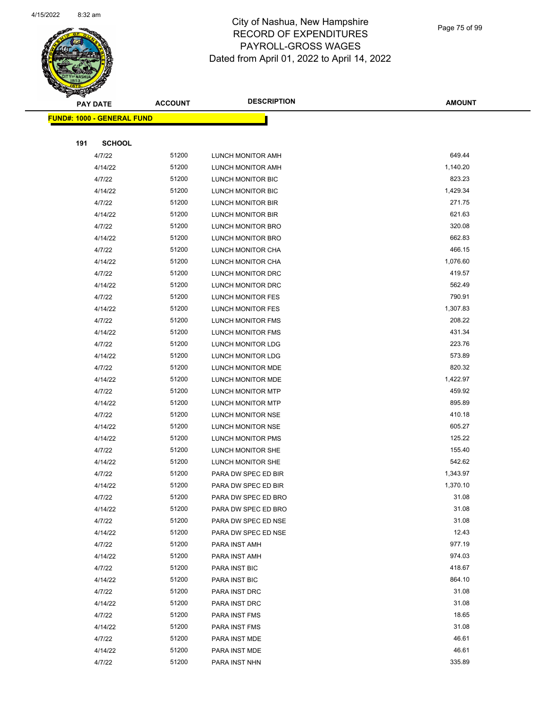

Page 75 of 99

|     | <b>PAY DATE</b>            | <b>ACCOUNT</b> | <b>DESCRIPTION</b>       | <b>AMOUNT</b>  |
|-----|----------------------------|----------------|--------------------------|----------------|
|     | FUND#: 1000 - GENERAL FUND |                |                          |                |
|     |                            |                |                          |                |
| 191 | <b>SCHOOL</b>              |                |                          |                |
|     | 4/7/22                     | 51200          | <b>LUNCH MONITOR AMH</b> | 649.44         |
|     | 4/14/22                    | 51200          | LUNCH MONITOR AMH        | 1,140.20       |
|     | 4/7/22                     | 51200          | LUNCH MONITOR BIC        | 823.23         |
|     | 4/14/22                    | 51200          | LUNCH MONITOR BIC        | 1,429.34       |
|     | 4/7/22                     | 51200          | LUNCH MONITOR BIR        | 271.75         |
|     | 4/14/22                    | 51200          | LUNCH MONITOR BIR        | 621.63         |
|     | 4/7/22                     | 51200          | LUNCH MONITOR BRO        | 320.08         |
|     | 4/14/22                    | 51200          | LUNCH MONITOR BRO        | 662.83         |
|     | 4/7/22                     | 51200          | LUNCH MONITOR CHA        | 466.15         |
|     | 4/14/22                    | 51200          | LUNCH MONITOR CHA        | 1,076.60       |
|     | 4/7/22                     | 51200          | LUNCH MONITOR DRC        | 419.57         |
|     | 4/14/22                    | 51200          | LUNCH MONITOR DRC        | 562.49         |
|     | 4/7/22                     | 51200          | LUNCH MONITOR FES        | 790.91         |
|     | 4/14/22                    | 51200          | LUNCH MONITOR FES        | 1,307.83       |
|     | 4/7/22                     | 51200          | LUNCH MONITOR FMS        | 208.22         |
|     | 4/14/22                    | 51200          | LUNCH MONITOR FMS        | 431.34         |
|     | 4/7/22                     | 51200          | LUNCH MONITOR LDG        | 223.76         |
|     | 4/14/22                    | 51200          | LUNCH MONITOR LDG        | 573.89         |
|     | 4/7/22                     | 51200          | LUNCH MONITOR MDE        | 820.32         |
|     | 4/14/22                    | 51200          | LUNCH MONITOR MDE        | 1,422.97       |
|     | 4/7/22                     | 51200          | LUNCH MONITOR MTP        | 459.92         |
|     | 4/14/22                    | 51200          | LUNCH MONITOR MTP        | 895.89         |
|     | 4/7/22                     | 51200          | LUNCH MONITOR NSE        | 410.18         |
|     | 4/14/22                    | 51200          | LUNCH MONITOR NSE        | 605.27         |
|     | 4/14/22                    | 51200          | LUNCH MONITOR PMS        | 125.22         |
|     | 4/7/22                     | 51200          | LUNCH MONITOR SHE        | 155.40         |
|     | 4/14/22                    | 51200          | LUNCH MONITOR SHE        | 542.62         |
|     | 4/7/22                     | 51200          | PARA DW SPEC ED BIR      | 1,343.97       |
|     | 4/14/22                    | 51200          | PARA DW SPEC ED BIR      | 1,370.10       |
|     | 4/7/22                     | 51200          | PARA DW SPEC ED BRO      | 31.08          |
|     | 4/14/22                    | 51200          | PARA DW SPEC ED BRO      | 31.08          |
|     | 4/7/22                     | 51200          | PARA DW SPEC ED NSE      | 31.08          |
|     | 4/14/22                    | 51200          | PARA DW SPEC ED NSE      | 12.43          |
|     | 4/7/22                     | 51200          | PARA INST AMH            | 977.19         |
|     | 4/14/22                    | 51200          | PARA INST AMH            | 974.03         |
|     | 4/7/22                     | 51200          | PARA INST BIC            | 418.67         |
|     | 4/14/22                    | 51200          | PARA INST BIC            | 864.10         |
|     | 4/7/22                     | 51200          | PARA INST DRC            | 31.08          |
|     | 4/14/22                    | 51200          | PARA INST DRC            | 31.08          |
|     | 4/7/22                     | 51200          | PARA INST FMS            | 18.65<br>31.08 |
|     | 4/14/22                    | 51200          | PARA INST FMS            | 46.61          |
|     | 4/7/22                     | 51200          | PARA INST MDE            | 46.61          |
|     | 4/14/22                    | 51200          | PARA INST MDE            |                |
|     | 4/7/22                     | 51200          | PARA INST NHN            | 335.89         |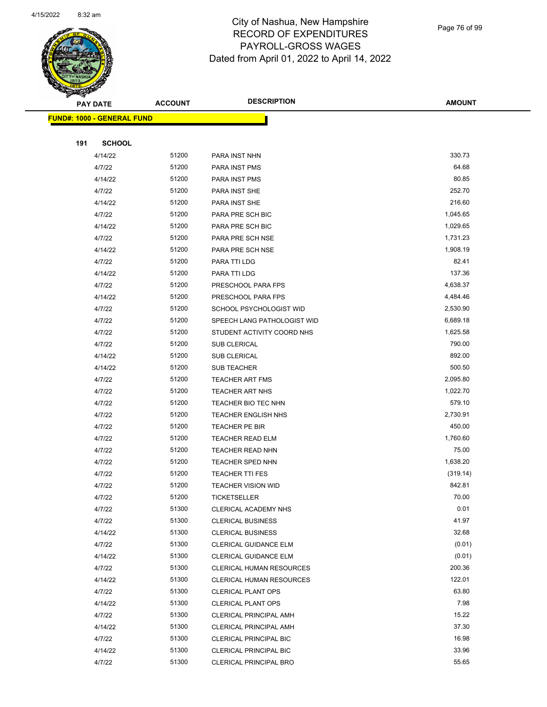

Page 76 of 99

| ॼ   | <b>PAY DATE</b>                   | <b>ACCOUNT</b> | <b>DESCRIPTION</b>                               | <b>AMOUNT</b>   |
|-----|-----------------------------------|----------------|--------------------------------------------------|-----------------|
|     | <b>FUND#: 1000 - GENERAL FUND</b> |                |                                                  |                 |
|     |                                   |                |                                                  |                 |
| 191 | <b>SCHOOL</b>                     |                |                                                  |                 |
|     | 4/14/22                           | 51200          | PARA INST NHN                                    | 330.73          |
|     | 4/7/22                            | 51200          | PARA INST PMS                                    | 64.68           |
|     | 4/14/22                           | 51200          | PARA INST PMS                                    | 80.85           |
|     | 4/7/22                            | 51200          | PARA INST SHE                                    | 252.70          |
|     | 4/14/22                           | 51200          | PARA INST SHE                                    | 216.60          |
|     | 4/7/22                            | 51200          | PARA PRE SCH BIC                                 | 1,045.65        |
|     | 4/14/22                           | 51200          | PARA PRE SCH BIC                                 | 1,029.65        |
|     | 4/7/22                            | 51200          | PARA PRE SCH NSE                                 | 1,731.23        |
|     | 4/14/22                           | 51200          | PARA PRE SCH NSE                                 | 1,908.19        |
|     | 4/7/22                            | 51200          | PARA TTI LDG                                     | 82.41           |
|     | 4/14/22                           | 51200          | PARA TTI LDG                                     | 137.36          |
|     | 4/7/22                            | 51200          | PRESCHOOL PARA FPS                               | 4,638.37        |
|     | 4/14/22                           | 51200          | PRESCHOOL PARA FPS                               | 4,484.46        |
|     | 4/7/22                            | 51200          | SCHOOL PSYCHOLOGIST WID                          | 2,530.90        |
|     | 4/7/22                            | 51200          | SPEECH LANG PATHOLOGIST WID                      | 6,689.18        |
|     | 4/7/22                            | 51200          | STUDENT ACTIVITY COORD NHS                       | 1,625.58        |
|     | 4/7/22                            | 51200          | <b>SUB CLERICAL</b>                              | 790.00          |
|     | 4/14/22                           | 51200          | SUB CLERICAL                                     | 892.00          |
|     | 4/14/22                           | 51200          | SUB TEACHER                                      | 500.50          |
|     | 4/7/22                            | 51200          | <b>TEACHER ART FMS</b>                           | 2,095.80        |
|     | 4/7/22                            | 51200          | <b>TEACHER ART NHS</b>                           | 1,022.70        |
|     | 4/7/22                            | 51200          | TEACHER BIO TEC NHN                              | 579.10          |
|     | 4/7/22                            | 51200          | <b>TEACHER ENGLISH NHS</b>                       | 2,730.91        |
|     | 4/7/22                            | 51200          | TEACHER PE BIR                                   | 450.00          |
|     | 4/7/22                            | 51200          | TEACHER READ ELM                                 | 1,760.60        |
|     | 4/7/22                            | 51200          | TEACHER READ NHN                                 | 75.00           |
|     | 4/7/22                            | 51200          | <b>TEACHER SPED NHN</b>                          | 1,638.20        |
|     | 4/7/22                            | 51200          | <b>TEACHER TTI FES</b>                           | (319.14)        |
|     | 4/7/22                            | 51200<br>51200 | <b>TEACHER VISION WID</b>                        | 842.81<br>70.00 |
|     | 4/7/22                            | 51300          | TICKETSELLER                                     | 0.01            |
|     | 4/7/22<br>4/7/22                  | 51300          | CLERICAL ACADEMY NHS<br><b>CLERICAL BUSINESS</b> | 41.97           |
|     | 4/14/22                           | 51300          | <b>CLERICAL BUSINESS</b>                         | 32.68           |
|     | 4/7/22                            | 51300          | CLERICAL GUIDANCE ELM                            | (0.01)          |
|     | 4/14/22                           | 51300          | CLERICAL GUIDANCE ELM                            | (0.01)          |
|     | 4/7/22                            | 51300          | <b>CLERICAL HUMAN RESOURCES</b>                  | 200.36          |
|     | 4/14/22                           | 51300          | <b>CLERICAL HUMAN RESOURCES</b>                  | 122.01          |
|     | 4/7/22                            | 51300          | <b>CLERICAL PLANT OPS</b>                        | 63.80           |
|     | 4/14/22                           | 51300          | <b>CLERICAL PLANT OPS</b>                        | 7.98            |
|     | 4/7/22                            | 51300          | CLERICAL PRINCIPAL AMH                           | 15.22           |
|     | 4/14/22                           | 51300          | CLERICAL PRINCIPAL AMH                           | 37.30           |
|     | 4/7/22                            | 51300          | CLERICAL PRINCIPAL BIC                           | 16.98           |
|     | 4/14/22                           | 51300          | CLERICAL PRINCIPAL BIC                           | 33.96           |
|     | 4/7/22                            | 51300          | CLERICAL PRINCIPAL BRO                           | 55.65           |
|     |                                   |                |                                                  |                 |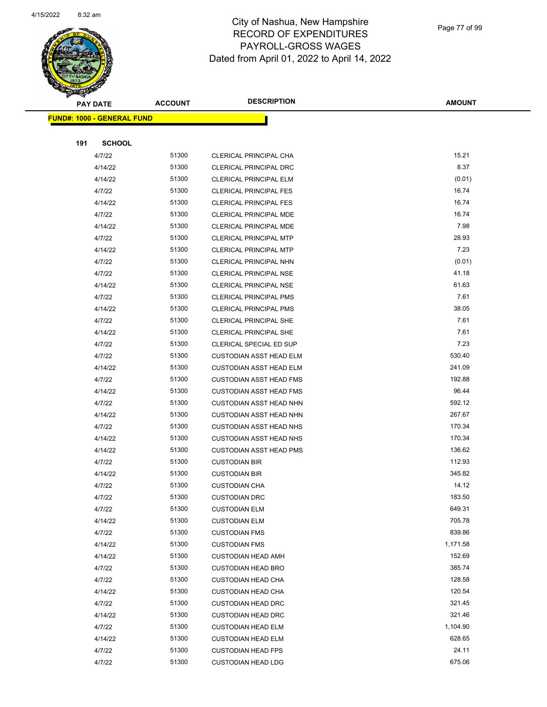

Page 77 of 99

|     | <b>PAY DATE</b>                    | <b>ACCOUNT</b> | <b>DESCRIPTION</b>             | <b>AMOUNT</b> |
|-----|------------------------------------|----------------|--------------------------------|---------------|
|     | <u> FUND#: 1000 - GENERAL FUND</u> |                |                                |               |
|     |                                    |                |                                |               |
| 191 | <b>SCHOOL</b>                      |                |                                |               |
|     | 4/7/22                             | 51300          | CLERICAL PRINCIPAL CHA         | 15.21         |
|     | 4/14/22                            | 51300          | <b>CLERICAL PRINCIPAL DRC</b>  | 8.37          |
|     | 4/14/22                            | 51300          | <b>CLERICAL PRINCIPAL ELM</b>  | (0.01)        |
|     | 4/7/22                             | 51300          | <b>CLERICAL PRINCIPAL FES</b>  | 16.74         |
|     | 4/14/22                            | 51300          | <b>CLERICAL PRINCIPAL FES</b>  | 16.74         |
|     | 4/7/22                             | 51300          | CLERICAL PRINCIPAL MDE         | 16.74         |
|     | 4/14/22                            | 51300          | <b>CLERICAL PRINCIPAL MDE</b>  | 7.98          |
|     | 4/7/22                             | 51300          | <b>CLERICAL PRINCIPAL MTP</b>  | 28.93         |
|     | 4/14/22                            | 51300          | <b>CLERICAL PRINCIPAL MTP</b>  | 7.23          |
|     | 4/7/22                             | 51300          | CLERICAL PRINCIPAL NHN         | (0.01)        |
|     | 4/7/22                             | 51300          | CLERICAL PRINCIPAL NSE         | 41.18         |
|     | 4/14/22                            | 51300          | <b>CLERICAL PRINCIPAL NSE</b>  | 61.63         |
|     | 4/7/22                             | 51300          | <b>CLERICAL PRINCIPAL PMS</b>  | 7.61          |
|     | 4/14/22                            | 51300          | <b>CLERICAL PRINCIPAL PMS</b>  | 38.05         |
|     | 4/7/22                             | 51300          | CLERICAL PRINCIPAL SHE         | 7.61          |
|     | 4/14/22                            | 51300          | CLERICAL PRINCIPAL SHE         | 7.61          |
|     | 4/7/22                             | 51300          | CLERICAL SPECIAL ED SUP        | 7.23          |
|     | 4/7/22                             | 51300          | <b>CUSTODIAN ASST HEAD ELM</b> | 530.40        |
|     | 4/14/22                            | 51300          | <b>CUSTODIAN ASST HEAD ELM</b> | 241.09        |
|     | 4/7/22                             | 51300          | <b>CUSTODIAN ASST HEAD FMS</b> | 192.88        |
|     | 4/14/22                            | 51300          | <b>CUSTODIAN ASST HEAD FMS</b> | 96.44         |
|     | 4/7/22                             | 51300          | <b>CUSTODIAN ASST HEAD NHN</b> | 592.12        |
|     | 4/14/22                            | 51300          | <b>CUSTODIAN ASST HEAD NHN</b> | 267.67        |
|     | 4/7/22                             | 51300          | <b>CUSTODIAN ASST HEAD NHS</b> | 170.34        |
|     | 4/14/22                            | 51300          | <b>CUSTODIAN ASST HEAD NHS</b> | 170.34        |
|     | 4/14/22                            | 51300          | <b>CUSTODIAN ASST HEAD PMS</b> | 136.62        |
|     | 4/7/22                             | 51300          | <b>CUSTODIAN BIR</b>           | 112.93        |
|     | 4/14/22                            | 51300          | <b>CUSTODIAN BIR</b>           | 345.82        |
|     | 4/7/22                             | 51300          | <b>CUSTODIAN CHA</b>           | 14.12         |
|     | 4/7/22                             | 51300          | <b>CUSTODIAN DRC</b>           | 183.50        |
|     | 4/7/22                             | 51300          | <b>CUSTODIAN ELM</b>           | 649.31        |
|     | 4/14/22                            | 51300          | <b>CUSTODIAN ELM</b>           | 705.78        |
|     | 4/7/22                             | 51300          | <b>CUSTODIAN FMS</b>           | 839.86        |
|     | 4/14/22                            | 51300          | <b>CUSTODIAN FMS</b>           | 1,171.58      |
|     | 4/14/22                            | 51300          | <b>CUSTODIAN HEAD AMH</b>      | 152.69        |
|     | 4/7/22                             | 51300          | <b>CUSTODIAN HEAD BRO</b>      | 385.74        |
|     | 4/7/22                             | 51300          | <b>CUSTODIAN HEAD CHA</b>      | 128.58        |
|     | 4/14/22                            | 51300          | <b>CUSTODIAN HEAD CHA</b>      | 120.54        |
|     | 4/7/22                             | 51300          | <b>CUSTODIAN HEAD DRC</b>      | 321.45        |
|     | 4/14/22                            | 51300          | <b>CUSTODIAN HEAD DRC</b>      | 321.46        |
|     | 4/7/22                             | 51300          | <b>CUSTODIAN HEAD ELM</b>      | 1,104.90      |
|     | 4/14/22                            | 51300          | <b>CUSTODIAN HEAD ELM</b>      | 628.65        |
|     | 4/7/22                             | 51300          | <b>CUSTODIAN HEAD FPS</b>      | 24.11         |
|     | 4/7/22                             | 51300          | <b>CUSTODIAN HEAD LDG</b>      | 675.06        |
|     |                                    |                |                                |               |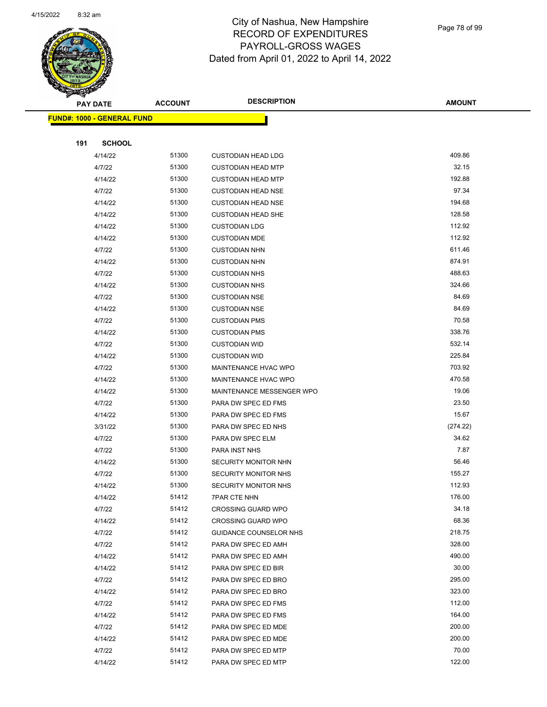

Page 78 of 99

| <b>PAY DATE</b> |                                   | <b>ACCOUNT</b> | <b>DESCRIPTION</b>          | <b>AMOUNT</b> |
|-----------------|-----------------------------------|----------------|-----------------------------|---------------|
|                 | <b>FUND#: 1000 - GENERAL FUND</b> |                |                             |               |
|                 |                                   |                |                             |               |
| 191             | <b>SCHOOL</b>                     |                |                             |               |
|                 | 4/14/22                           | 51300          | <b>CUSTODIAN HEAD LDG</b>   | 409.86        |
|                 | 4/7/22                            | 51300          | <b>CUSTODIAN HEAD MTP</b>   | 32.15         |
|                 | 4/14/22                           | 51300          | <b>CUSTODIAN HEAD MTP</b>   | 192.88        |
|                 | 4/7/22                            | 51300          | <b>CUSTODIAN HEAD NSE</b>   | 97.34         |
|                 | 4/14/22                           | 51300          | <b>CUSTODIAN HEAD NSE</b>   | 194.68        |
|                 | 4/14/22                           | 51300          | <b>CUSTODIAN HEAD SHE</b>   | 128.58        |
|                 | 4/14/22                           | 51300          | <b>CUSTODIAN LDG</b>        | 112.92        |
|                 | 4/14/22                           | 51300          | <b>CUSTODIAN MDE</b>        | 112.92        |
|                 | 4/7/22                            | 51300          | <b>CUSTODIAN NHN</b>        | 611.46        |
|                 | 4/14/22                           | 51300          | <b>CUSTODIAN NHN</b>        | 874.91        |
|                 | 4/7/22                            | 51300          | <b>CUSTODIAN NHS</b>        | 488.63        |
|                 | 4/14/22                           | 51300          | <b>CUSTODIAN NHS</b>        | 324.66        |
|                 | 4/7/22                            | 51300          | <b>CUSTODIAN NSE</b>        | 84.69         |
|                 | 4/14/22                           | 51300          | <b>CUSTODIAN NSE</b>        | 84.69         |
|                 | 4/7/22                            | 51300          | <b>CUSTODIAN PMS</b>        | 70.58         |
|                 | 4/14/22                           | 51300          | <b>CUSTODIAN PMS</b>        | 338.76        |
|                 | 4/7/22                            | 51300          | <b>CUSTODIAN WID</b>        | 532.14        |
|                 | 4/14/22                           | 51300          | <b>CUSTODIAN WID</b>        | 225.84        |
|                 | 4/7/22                            | 51300          | MAINTENANCE HVAC WPO        | 703.92        |
|                 | 4/14/22                           | 51300          | MAINTENANCE HVAC WPO        | 470.58        |
|                 | 4/14/22                           | 51300          | MAINTENANCE MESSENGER WPO   | 19.06         |
|                 | 4/7/22                            | 51300          | PARA DW SPEC ED FMS         | 23.50         |
|                 | 4/14/22                           | 51300          | PARA DW SPEC ED FMS         | 15.67         |
|                 | 3/31/22                           | 51300          | PARA DW SPEC ED NHS         | (274.22)      |
|                 | 4/7/22                            | 51300          | PARA DW SPEC ELM            | 34.62         |
|                 | 4/7/22                            | 51300          | PARA INST NHS               | 7.87          |
|                 | 4/14/22                           | 51300          | <b>SECURITY MONITOR NHN</b> | 56.46         |
|                 | 4/7/22                            | 51300          | SECURITY MONITOR NHS        | 155.27        |
|                 | 4/14/22                           | 51300          | SECURITY MONITOR NHS        | 112.93        |
|                 | 4/14/22                           | 51412          | 7PAR CTE NHN                | 176.00        |
|                 | 4/7/22                            | 51412          | <b>CROSSING GUARD WPO</b>   | 34.18         |
|                 | 4/14/22                           | 51412          | <b>CROSSING GUARD WPO</b>   | 68.36         |
|                 | 4/7/22                            | 51412          | GUIDANCE COUNSELOR NHS      | 218.75        |
|                 | 4/7/22                            | 51412          | PARA DW SPEC ED AMH         | 328.00        |
|                 | 4/14/22                           | 51412          | PARA DW SPEC ED AMH         | 490.00        |
|                 | 4/14/22                           | 51412          | PARA DW SPEC ED BIR         | 30.00         |
|                 | 4/7/22                            | 51412          | PARA DW SPEC ED BRO         | 295.00        |
|                 | 4/14/22                           | 51412          | PARA DW SPEC ED BRO         | 323.00        |
|                 | 4/7/22                            | 51412          | PARA DW SPEC ED FMS         | 112.00        |
|                 | 4/14/22                           | 51412          | PARA DW SPEC ED FMS         | 164.00        |
|                 | 4/7/22                            | 51412          | PARA DW SPEC ED MDE         | 200.00        |
|                 | 4/14/22                           | 51412          | PARA DW SPEC ED MDE         | 200.00        |
|                 | 4/7/22                            | 51412          | PARA DW SPEC ED MTP         | 70.00         |
|                 | 4/14/22                           | 51412          | PARA DW SPEC ED MTP         | 122.00        |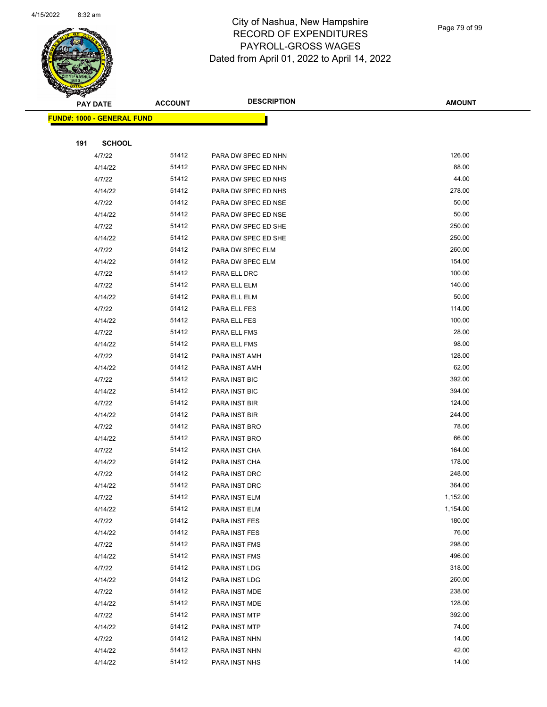

Page 79 of 99

|     | <b>PAY DATE</b>                    | <b>ACCOUNT</b> | <b>DESCRIPTION</b>  | <b>AMOUNT</b> |
|-----|------------------------------------|----------------|---------------------|---------------|
|     | <u> FUND#: 1000 - GENERAL FUND</u> |                |                     |               |
|     |                                    |                |                     |               |
| 191 | <b>SCHOOL</b>                      |                |                     |               |
|     | 4/7/22                             | 51412          | PARA DW SPEC ED NHN | 126.00        |
|     | 4/14/22                            | 51412          | PARA DW SPEC ED NHN | 88.00         |
|     | 4/7/22                             | 51412          | PARA DW SPEC ED NHS | 44.00         |
|     | 4/14/22                            | 51412          | PARA DW SPEC ED NHS | 278.00        |
|     | 4/7/22                             | 51412          | PARA DW SPEC ED NSE | 50.00         |
|     | 4/14/22                            | 51412          | PARA DW SPEC ED NSE | 50.00         |
|     | 4/7/22                             | 51412          | PARA DW SPEC ED SHE | 250.00        |
|     | 4/14/22                            | 51412          | PARA DW SPEC ED SHE | 250.00        |
|     | 4/7/22                             | 51412          | PARA DW SPEC ELM    | 260.00        |
|     | 4/14/22                            | 51412          | PARA DW SPEC ELM    | 154.00        |
|     | 4/7/22                             | 51412          | PARA ELL DRC        | 100.00        |
|     | 4/7/22                             | 51412          | PARA ELL ELM        | 140.00        |
|     | 4/14/22                            | 51412          | PARA ELL ELM        | 50.00         |
|     | 4/7/22                             | 51412          | PARA ELL FES        | 114.00        |
|     | 4/14/22                            | 51412          | PARA ELL FES        | 100.00        |
|     | 4/7/22                             | 51412          | PARA ELL FMS        | 28.00         |
|     | 4/14/22                            | 51412          | PARA ELL FMS        | 98.00         |
|     | 4/7/22                             | 51412          | PARA INST AMH       | 128.00        |
|     | 4/14/22                            | 51412          | PARA INST AMH       | 62.00         |
|     | 4/7/22                             | 51412          | PARA INST BIC       | 392.00        |
|     | 4/14/22                            | 51412          | PARA INST BIC       | 394.00        |
|     | 4/7/22                             | 51412          | PARA INST BIR       | 124.00        |
|     | 4/14/22                            | 51412          | PARA INST BIR       | 244.00        |
|     | 4/7/22                             | 51412          | PARA INST BRO       | 78.00         |
|     | 4/14/22                            | 51412          | PARA INST BRO       | 66.00         |
|     | 4/7/22                             | 51412          | PARA INST CHA       | 164.00        |
|     | 4/14/22                            | 51412          | PARA INST CHA       | 178.00        |
|     | 4/7/22                             | 51412          | PARA INST DRC       | 248.00        |
|     | 4/14/22                            | 51412          | PARA INST DRC       | 364.00        |
|     | 4/7/22                             | 51412          | PARA INST ELM       | 1,152.00      |
|     | 4/14/22                            | 51412          | PARA INST ELM       | 1,154.00      |
|     | 4/7/22                             | 51412          | PARA INST FES       | 180.00        |
|     | 4/14/22                            | 51412          | PARA INST FES       | 76.00         |
|     | 4/7/22                             | 51412          | PARA INST FMS       | 298.00        |
|     | 4/14/22                            | 51412          | PARA INST FMS       | 496.00        |
|     | 4/7/22                             | 51412          | PARA INST LDG       | 318.00        |
|     | 4/14/22                            | 51412          | PARA INST LDG       | 260.00        |
|     | 4/7/22                             | 51412          | PARA INST MDE       | 238.00        |
|     | 4/14/22                            | 51412          | PARA INST MDE       | 128.00        |
|     | 4/7/22                             | 51412          | PARA INST MTP       | 392.00        |
|     | 4/14/22                            | 51412          | PARA INST MTP       | 74.00         |
|     | 4/7/22                             | 51412          | PARA INST NHN       | 14.00         |
|     | 4/14/22                            | 51412          | PARA INST NHN       | 42.00         |
|     | 4/14/22                            | 51412          | PARA INST NHS       | 14.00         |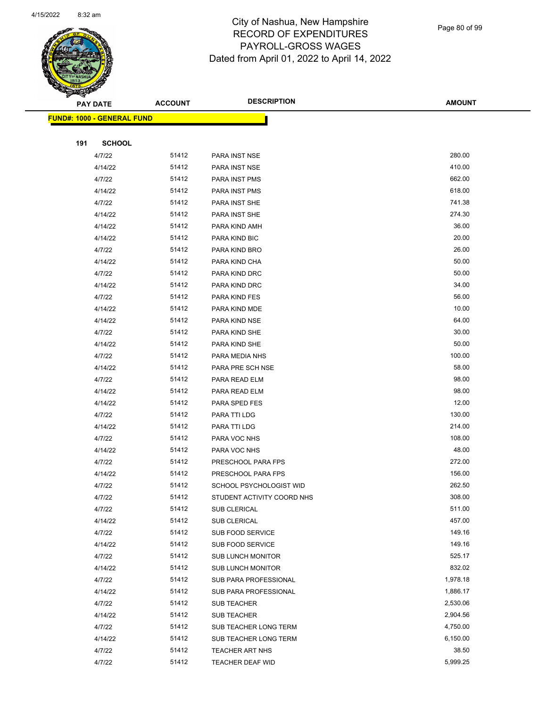

Page 80 of 99

|     | <b>PAY DATE</b>                   | <b>ACCOUNT</b> | <b>DESCRIPTION</b>                             | <b>AMOUNT</b>    |
|-----|-----------------------------------|----------------|------------------------------------------------|------------------|
|     | <b>FUND#: 1000 - GENERAL FUND</b> |                |                                                |                  |
|     |                                   |                |                                                |                  |
| 191 | <b>SCHOOL</b>                     |                |                                                |                  |
|     | 4/7/22                            | 51412          | PARA INST NSE                                  | 280.00           |
|     | 4/14/22                           | 51412          | PARA INST NSE                                  | 410.00           |
|     | 4/7/22                            | 51412          | PARA INST PMS                                  | 662.00           |
|     | 4/14/22                           | 51412          | PARA INST PMS                                  | 618.00           |
|     | 4/7/22                            | 51412          | PARA INST SHE                                  | 741.38           |
|     | 4/14/22                           | 51412          | PARA INST SHE                                  | 274.30           |
|     | 4/14/22                           | 51412          | PARA KIND AMH                                  | 36.00            |
|     | 4/14/22                           | 51412          | PARA KIND BIC                                  | 20.00            |
|     | 4/7/22                            | 51412          | PARA KIND BRO                                  | 26.00            |
|     | 4/14/22                           | 51412          | PARA KIND CHA                                  | 50.00            |
|     | 4/7/22                            | 51412          | PARA KIND DRC                                  | 50.00            |
|     | 4/14/22                           | 51412          | PARA KIND DRC                                  | 34.00            |
|     | 4/7/22                            | 51412          | PARA KIND FES                                  | 56.00            |
|     | 4/14/22                           | 51412          | PARA KIND MDE                                  | 10.00            |
|     | 4/14/22                           | 51412          | PARA KIND NSE                                  | 64.00            |
|     | 4/7/22                            | 51412          | PARA KIND SHE                                  | 30.00            |
|     | 4/14/22                           | 51412          | PARA KIND SHE                                  | 50.00            |
|     | 4/7/22                            | 51412          | PARA MEDIA NHS                                 | 100.00           |
|     | 4/14/22                           | 51412          | PARA PRE SCH NSE                               | 58.00            |
|     | 4/7/22                            | 51412          | PARA READ ELM                                  | 98.00            |
|     | 4/14/22                           | 51412          | PARA READ ELM                                  | 98.00            |
|     | 4/14/22                           | 51412          | PARA SPED FES                                  | 12.00            |
|     | 4/7/22                            | 51412          | PARA TTI LDG                                   | 130.00           |
|     | 4/14/22                           | 51412          | PARA TTI LDG                                   | 214.00           |
|     | 4/7/22                            | 51412          | PARA VOC NHS                                   | 108.00           |
|     | 4/14/22                           | 51412          | PARA VOC NHS                                   | 48.00            |
|     | 4/7/22                            | 51412          | PRESCHOOL PARA FPS                             | 272.00           |
|     | 4/14/22                           | 51412          | PRESCHOOL PARA FPS                             | 156.00           |
|     | 4/7/22                            | 51412          | SCHOOL PSYCHOLOGIST WID                        | 262.50           |
|     | 4/7/22                            | 51412          | STUDENT ACTIVITY COORD NHS                     | 308.00           |
|     | 4/7/22                            | 51412          | <b>SUB CLERICAL</b>                            | 511.00           |
|     | 4/14/22                           | 51412          | SUB CLERICAL                                   | 457.00           |
|     | 4/7/22                            | 51412          | <b>SUB FOOD SERVICE</b>                        | 149.16           |
|     | 4/14/22                           | 51412          | SUB FOOD SERVICE                               | 149.16<br>525.17 |
|     | 4/7/22                            | 51412<br>51412 | <b>SUB LUNCH MONITOR</b>                       | 832.02           |
|     | 4/14/22                           | 51412          | <b>SUB LUNCH MONITOR</b>                       | 1,978.18         |
|     | 4/7/22                            | 51412          | SUB PARA PROFESSIONAL<br>SUB PARA PROFESSIONAL | 1,886.17         |
|     | 4/14/22<br>4/7/22                 | 51412          |                                                | 2,530.06         |
|     | 4/14/22                           | 51412          | SUB TEACHER                                    | 2,904.56         |
|     | 4/7/22                            | 51412          | SUB TEACHER<br>SUB TEACHER LONG TERM           | 4,750.00         |
|     | 4/14/22                           | 51412          | SUB TEACHER LONG TERM                          | 6,150.00         |
|     | 4/7/22                            | 51412          | <b>TEACHER ART NHS</b>                         | 38.50            |
|     | 4/7/22                            | 51412          | TEACHER DEAF WID                               | 5,999.25         |
|     |                                   |                |                                                |                  |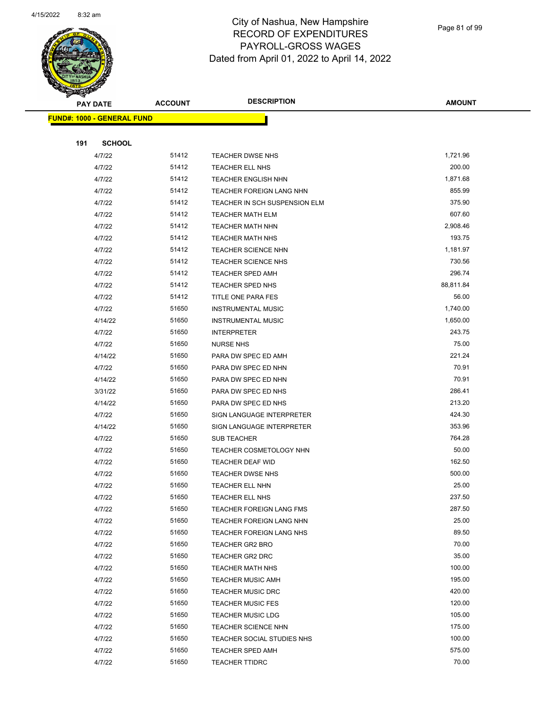

Page 81 of 99

|     | <b>PAY DATE</b>                   | <b>ACCOUNT</b> | <b>DESCRIPTION</b>            | <b>AMOUNT</b>    |
|-----|-----------------------------------|----------------|-------------------------------|------------------|
|     | <b>FUND#: 1000 - GENERAL FUND</b> |                |                               |                  |
|     |                                   |                |                               |                  |
| 191 | <b>SCHOOL</b>                     |                |                               |                  |
|     | 4/7/22                            | 51412          | <b>TEACHER DWSE NHS</b>       | 1,721.96         |
|     | 4/7/22                            | 51412          | TEACHER ELL NHS               | 200.00           |
|     | 4/7/22                            | 51412          | <b>TEACHER ENGLISH NHN</b>    | 1,871.68         |
|     | 4/7/22                            | 51412          | TEACHER FOREIGN LANG NHN      | 855.99           |
|     | 4/7/22                            | 51412          | TEACHER IN SCH SUSPENSION ELM | 375.90           |
|     | 4/7/22                            | 51412          | <b>TEACHER MATH ELM</b>       | 607.60           |
|     | 4/7/22                            | 51412          | <b>TEACHER MATH NHN</b>       | 2,908.46         |
|     | 4/7/22                            | 51412          | <b>TEACHER MATH NHS</b>       | 193.75           |
|     | 4/7/22                            | 51412          | <b>TEACHER SCIENCE NHN</b>    | 1,181.97         |
|     | 4/7/22                            | 51412          | <b>TEACHER SCIENCE NHS</b>    | 730.56           |
|     | 4/7/22                            | 51412          | <b>TEACHER SPED AMH</b>       | 296.74           |
|     | 4/7/22                            | 51412          | TEACHER SPED NHS              | 88,811.84        |
|     | 4/7/22                            | 51412          | TITLE ONE PARA FES            | 56.00            |
|     | 4/7/22                            | 51650          | <b>INSTRUMENTAL MUSIC</b>     | 1,740.00         |
|     | 4/14/22                           | 51650          | <b>INSTRUMENTAL MUSIC</b>     | 1,650.00         |
|     | 4/7/22                            | 51650          | <b>INTERPRETER</b>            | 243.75           |
|     | 4/7/22                            | 51650          | <b>NURSE NHS</b>              | 75.00            |
|     | 4/14/22                           | 51650          | PARA DW SPEC ED AMH           | 221.24           |
|     | 4/7/22                            | 51650          | PARA DW SPEC ED NHN           | 70.91            |
|     | 4/14/22                           | 51650          | PARA DW SPEC ED NHN           | 70.91            |
|     | 3/31/22                           | 51650          | PARA DW SPEC ED NHS           | 286.41           |
|     | 4/14/22                           | 51650          | PARA DW SPEC ED NHS           | 213.20           |
|     | 4/7/22                            | 51650          | SIGN LANGUAGE INTERPRETER     | 424.30           |
|     | 4/14/22                           | 51650          | SIGN LANGUAGE INTERPRETER     | 353.96           |
|     | 4/7/22                            | 51650          | SUB TEACHER                   | 764.28           |
|     | 4/7/22                            | 51650          | TEACHER COSMETOLOGY NHN       | 50.00            |
|     | 4/7/22                            | 51650          | TEACHER DEAF WID              | 162.50           |
|     | 4/7/22                            | 51650          | TEACHER DWSE NHS              | 500.00           |
|     | 4/7/22                            | 51650          | <b>TEACHER ELL NHN</b>        | 25.00            |
|     | 4/7/22                            | 51650          | TEACHER ELL NHS               | 237.50           |
|     | 4/7/22                            | 51650          | TEACHER FOREIGN LANG FMS      | 287.50           |
|     | 4/7/22                            | 51650          | TEACHER FOREIGN LANG NHN      | 25.00            |
|     | 4/7/22                            | 51650          | TEACHER FOREIGN LANG NHS      | 89.50            |
|     | 4/7/22                            | 51650          | TEACHER GR2 BRO               | 70.00            |
|     | 4/7/22                            | 51650          | <b>TEACHER GR2 DRC</b>        | 35.00            |
|     | 4/7/22                            | 51650          | <b>TEACHER MATH NHS</b>       | 100.00           |
|     | 4/7/22                            | 51650          | <b>TEACHER MUSIC AMH</b>      | 195.00           |
|     | 4/7/22                            | 51650          | <b>TEACHER MUSIC DRC</b>      | 420.00           |
|     | 4/7/22                            | 51650          | <b>TEACHER MUSIC FES</b>      | 120.00           |
|     | 4/7/22                            | 51650          | <b>TEACHER MUSIC LDG</b>      | 105.00           |
|     | 4/7/22                            | 51650          | TEACHER SCIENCE NHN           | 175.00<br>100.00 |
|     | 4/7/22                            | 51650          | TEACHER SOCIAL STUDIES NHS    |                  |
|     | 4/7/22                            | 51650          | <b>TEACHER SPED AMH</b>       | 575.00<br>70.00  |
|     | 4/7/22                            | 51650          | <b>TEACHER TTIDRC</b>         |                  |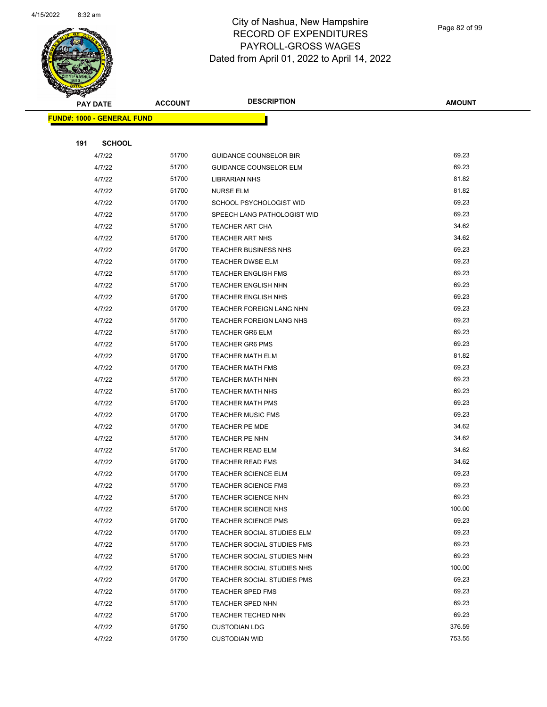

Page 82 of 99

| <b>PAY DATE</b>                   | <b>ACCOUNT</b> | <b>DESCRIPTION</b>            | <b>AMOUNT</b> |
|-----------------------------------|----------------|-------------------------------|---------------|
| <b>FUND#: 1000 - GENERAL FUND</b> |                |                               |               |
|                                   |                |                               |               |
| 191<br><b>SCHOOL</b>              |                |                               |               |
| 4/7/22                            | 51700          | <b>GUIDANCE COUNSELOR BIR</b> | 69.23         |
| 4/7/22                            | 51700          | <b>GUIDANCE COUNSELOR ELM</b> | 69.23         |
| 4/7/22                            | 51700          | <b>LIBRARIAN NHS</b>          | 81.82         |
| 4/7/22                            | 51700          | <b>NURSE ELM</b>              | 81.82         |
| 4/7/22                            | 51700          | SCHOOL PSYCHOLOGIST WID       | 69.23         |
| 4/7/22                            | 51700          | SPEECH LANG PATHOLOGIST WID   | 69.23         |
| 4/7/22                            | 51700          | TEACHER ART CHA               | 34.62         |
| 4/7/22                            | 51700          | TEACHER ART NHS               | 34.62         |
| 4/7/22                            | 51700          | <b>TEACHER BUSINESS NHS</b>   | 69.23         |
| 4/7/22                            | 51700          | TEACHER DWSE ELM              | 69.23         |
| 4/7/22                            | 51700          | <b>TEACHER ENGLISH FMS</b>    | 69.23         |
| 4/7/22                            | 51700          | <b>TEACHER ENGLISH NHN</b>    | 69.23         |
| 4/7/22                            | 51700          | <b>TEACHER ENGLISH NHS</b>    | 69.23         |
| 4/7/22                            | 51700          | TEACHER FOREIGN LANG NHN      | 69.23         |
| 4/7/22                            | 51700          | TEACHER FOREIGN LANG NHS      | 69.23         |
| 4/7/22                            | 51700          | TEACHER GR6 ELM               | 69.23         |
| 4/7/22                            | 51700          | <b>TEACHER GR6 PMS</b>        | 69.23         |
| 4/7/22                            | 51700          | <b>TEACHER MATH ELM</b>       | 81.82         |
| 4/7/22                            | 51700          | <b>TEACHER MATH FMS</b>       | 69.23         |
| 4/7/22                            | 51700          | TEACHER MATH NHN              | 69.23         |
| 4/7/22                            | 51700          | <b>TEACHER MATH NHS</b>       | 69.23         |
| 4/7/22                            | 51700          | <b>TEACHER MATH PMS</b>       | 69.23         |
| 4/7/22                            | 51700          | <b>TEACHER MUSIC FMS</b>      | 69.23         |
| 4/7/22                            | 51700          | TEACHER PE MDE                | 34.62         |
| 4/7/22                            | 51700          | TEACHER PE NHN                | 34.62         |
| 4/7/22                            | 51700          | <b>TEACHER READ ELM</b>       | 34.62         |
| 4/7/22                            | 51700          | <b>TEACHER READ FMS</b>       | 34.62         |
| 4/7/22                            | 51700          | TEACHER SCIENCE ELM           | 69.23         |
| 4/7/22                            | 51700          | <b>TEACHER SCIENCE FMS</b>    | 69.23         |
| 4/7/22                            | 51700          | TEACHER SCIENCE NHN           | 69.23         |
| 4/7/22                            | 51700          | TEACHER SCIENCE NHS           | 100.00        |
| 4/7/22                            | 51700          | <b>TEACHER SCIENCE PMS</b>    | 69.23         |
| 4/7/22                            | 51700          | TEACHER SOCIAL STUDIES ELM    | 69.23         |
| 4/7/22                            | 51700          | TEACHER SOCIAL STUDIES FMS    | 69.23         |
| 4/7/22                            | 51700          | TEACHER SOCIAL STUDIES NHN    | 69.23         |
| 4/7/22                            | 51700          | TEACHER SOCIAL STUDIES NHS    | 100.00        |
| 4/7/22                            | 51700          | TEACHER SOCIAL STUDIES PMS    | 69.23         |
| 4/7/22                            | 51700          | <b>TEACHER SPED FMS</b>       | 69.23         |
| 4/7/22                            | 51700          | <b>TEACHER SPED NHN</b>       | 69.23         |
| 4/7/22                            | 51700          | TEACHER TECHED NHN            | 69.23         |
| 4/7/22                            | 51750          | <b>CUSTODIAN LDG</b>          | 376.59        |
| 4/7/22                            | 51750          | <b>CUSTODIAN WID</b>          | 753.55        |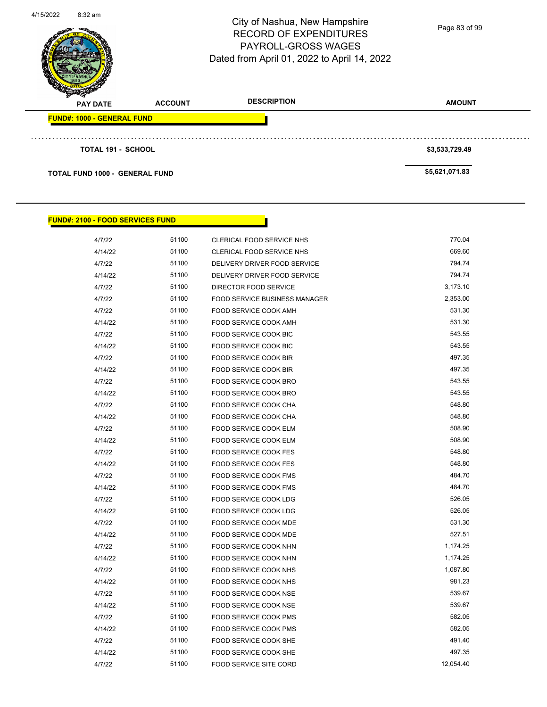| 4/15/2022 | 8:32 am                               |                | City of Nashua, New Hampshire<br><b>RECORD OF EXPENDITURES</b><br><b>PAYROLL-GROSS WAGES</b><br>Dated from April 01, 2022 to April 14, 2022 | Page 83 of 99  |
|-----------|---------------------------------------|----------------|---------------------------------------------------------------------------------------------------------------------------------------------|----------------|
|           | <b>PAY DATE</b>                       | <b>ACCOUNT</b> | <b>DESCRIPTION</b>                                                                                                                          | <b>AMOUNT</b>  |
|           | <b>FUND#: 1000 - GENERAL FUND</b>     |                |                                                                                                                                             |                |
|           |                                       |                |                                                                                                                                             |                |
|           | <b>TOTAL 191 - SCHOOL</b>             |                |                                                                                                                                             | \$3,533,729.49 |
|           | <b>TOTAL FUND 1000 - GENERAL FUND</b> |                |                                                                                                                                             | \$5,621,071.83 |

## **FUND#: 2100 - FOOD SERVICES FUND**

| 4/7/22  | 51100 | CLERICAL FOOD SERVICE NHS            | 770.04    |
|---------|-------|--------------------------------------|-----------|
| 4/14/22 | 51100 | CLERICAL FOOD SERVICE NHS            | 669.60    |
| 4/7/22  | 51100 | DELIVERY DRIVER FOOD SERVICE         | 794.74    |
| 4/14/22 | 51100 | DELIVERY DRIVER FOOD SERVICE         | 794.74    |
| 4/7/22  | 51100 | DIRECTOR FOOD SERVICE                | 3,173.10  |
| 4/7/22  | 51100 | <b>FOOD SERVICE BUSINESS MANAGER</b> | 2,353.00  |
| 4/7/22  | 51100 | <b>FOOD SERVICE COOK AMH</b>         | 531.30    |
| 4/14/22 | 51100 | <b>FOOD SERVICE COOK AMH</b>         | 531.30    |
| 4/7/22  | 51100 | FOOD SERVICE COOK BIC                | 543.55    |
| 4/14/22 | 51100 | FOOD SERVICE COOK BIC                | 543.55    |
| 4/7/22  | 51100 | <b>FOOD SERVICE COOK BIR</b>         | 497.35    |
| 4/14/22 | 51100 | FOOD SERVICE COOK BIR                | 497.35    |
| 4/7/22  | 51100 | FOOD SERVICE COOK BRO                | 543.55    |
| 4/14/22 | 51100 | FOOD SERVICE COOK BRO                | 543.55    |
| 4/7/22  | 51100 | FOOD SERVICE COOK CHA                | 548.80    |
| 4/14/22 | 51100 | FOOD SERVICE COOK CHA                | 548.80    |
| 4/7/22  | 51100 | FOOD SERVICE COOK ELM                | 508.90    |
| 4/14/22 | 51100 | FOOD SERVICE COOK ELM                | 508.90    |
| 4/7/22  | 51100 | FOOD SERVICE COOK FES                | 548.80    |
| 4/14/22 | 51100 | FOOD SERVICE COOK FES                | 548.80    |
| 4/7/22  | 51100 | <b>FOOD SERVICE COOK FMS</b>         | 484.70    |
| 4/14/22 | 51100 | <b>FOOD SERVICE COOK FMS</b>         | 484.70    |
| 4/7/22  | 51100 | <b>FOOD SERVICE COOK LDG</b>         | 526.05    |
| 4/14/22 | 51100 | FOOD SERVICE COOK LDG                | 526.05    |
| 4/7/22  | 51100 | FOOD SERVICE COOK MDE                | 531.30    |
| 4/14/22 | 51100 | FOOD SERVICE COOK MDE                | 527.51    |
| 4/7/22  | 51100 | FOOD SERVICE COOK NHN                | 1,174.25  |
| 4/14/22 | 51100 | FOOD SERVICE COOK NHN                | 1,174.25  |
| 4/7/22  | 51100 | FOOD SERVICE COOK NHS                | 1,087.80  |
| 4/14/22 | 51100 | FOOD SERVICE COOK NHS                | 981.23    |
| 4/7/22  | 51100 | FOOD SERVICE COOK NSE                | 539.67    |
| 4/14/22 | 51100 | FOOD SERVICE COOK NSE                | 539.67    |
| 4/7/22  | 51100 | FOOD SERVICE COOK PMS                | 582.05    |
| 4/14/22 | 51100 | FOOD SERVICE COOK PMS                | 582.05    |
| 4/7/22  | 51100 | FOOD SERVICE COOK SHE                | 491.40    |
| 4/14/22 | 51100 | FOOD SERVICE COOK SHE                | 497.35    |
| 4/7/22  | 51100 | <b>FOOD SERVICE SITE CORD</b>        | 12,054.40 |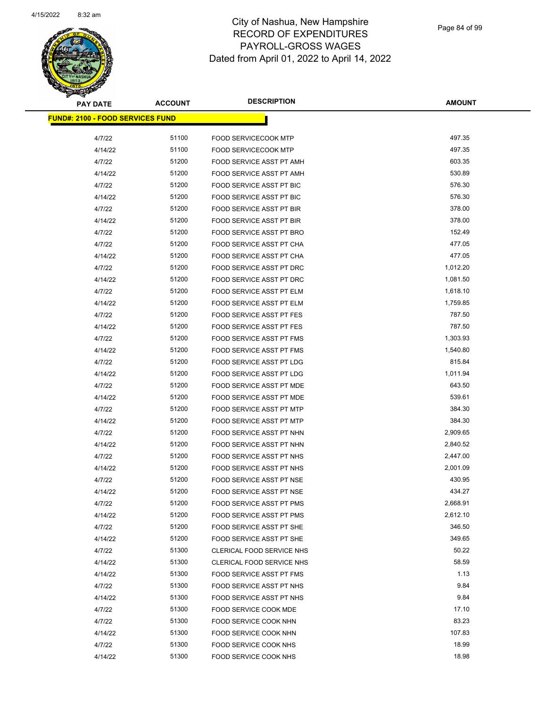

Page 84 of 99

| <b>PAY DATE</b>                          | <b>ACCOUNT</b> | <b>DESCRIPTION</b>                                          | <b>AMOUNT</b>        |
|------------------------------------------|----------------|-------------------------------------------------------------|----------------------|
| <u> FUND#: 2100 - FOOD SERVICES FUND</u> |                |                                                             |                      |
| 4/7/22                                   | 51100          | <b>FOOD SERVICECOOK MTP</b>                                 | 497.35               |
| 4/14/22                                  | 51100          | <b>FOOD SERVICECOOK MTP</b>                                 | 497.35               |
| 4/7/22                                   | 51200          |                                                             | 603.35               |
|                                          | 51200          | FOOD SERVICE ASST PT AMH                                    | 530.89               |
| 4/14/22                                  | 51200          | FOOD SERVICE ASST PT AMH                                    | 576.30               |
| 4/7/22                                   |                | FOOD SERVICE ASST PT BIC<br><b>FOOD SERVICE ASST PT BIC</b> |                      |
| 4/14/22                                  | 51200          |                                                             | 576.30               |
| 4/7/22                                   | 51200<br>51200 | <b>FOOD SERVICE ASST PT BIR</b>                             | 378.00<br>378.00     |
| 4/14/22                                  | 51200          | FOOD SERVICE ASST PT BIR                                    | 152.49               |
| 4/7/22                                   | 51200          | FOOD SERVICE ASST PT BRO                                    | 477.05               |
| 4/7/22                                   |                | FOOD SERVICE ASST PT CHA                                    | 477.05               |
| 4/14/22                                  | 51200          | FOOD SERVICE ASST PT CHA                                    |                      |
| 4/7/22                                   | 51200<br>51200 | FOOD SERVICE ASST PT DRC                                    | 1,012.20             |
| 4/14/22                                  | 51200          | FOOD SERVICE ASST PT DRC                                    | 1,081.50<br>1,618.10 |
| 4/7/22                                   | 51200          | FOOD SERVICE ASST PT ELM                                    | 1,759.85             |
| 4/14/22                                  |                | FOOD SERVICE ASST PT ELM                                    | 787.50               |
| 4/7/22                                   | 51200          | <b>FOOD SERVICE ASST PT FES</b>                             |                      |
| 4/14/22                                  | 51200          | <b>FOOD SERVICE ASST PT FES</b>                             | 787.50               |
| 4/7/22                                   | 51200<br>51200 | <b>FOOD SERVICE ASST PT FMS</b>                             | 1,303.93             |
| 4/14/22                                  | 51200          | FOOD SERVICE ASST PT FMS                                    | 1,540.80<br>815.84   |
| 4/7/22                                   |                | FOOD SERVICE ASST PT LDG                                    |                      |
| 4/14/22<br>4/7/22                        | 51200<br>51200 | FOOD SERVICE ASST PT LDG                                    | 1,011.94<br>643.50   |
|                                          | 51200          | FOOD SERVICE ASST PT MDE                                    | 539.61               |
| 4/14/22                                  | 51200          | FOOD SERVICE ASST PT MDE                                    | 384.30               |
| 4/7/22<br>4/14/22                        | 51200          | FOOD SERVICE ASST PT MTP<br>FOOD SERVICE ASST PT MTP        | 384.30               |
| 4/7/22                                   | 51200          | FOOD SERVICE ASST PT NHN                                    | 2,909.65             |
| 4/14/22                                  | 51200          | FOOD SERVICE ASST PT NHN                                    | 2,840.52             |
| 4/7/22                                   | 51200          | FOOD SERVICE ASST PT NHS                                    | 2,447.00             |
| 4/14/22                                  | 51200          | FOOD SERVICE ASST PT NHS                                    | 2,001.09             |
| 4/7/22                                   | 51200          | FOOD SERVICE ASST PT NSE                                    | 430.95               |
| 4/14/22                                  | 51200          | FOOD SERVICE ASST PT NSE                                    | 434.27               |
| 4/7/22                                   | 51200          | FOOD SERVICE ASST PT PMS                                    | 2,668.91             |
| 4/14/22                                  | 51200          | FOOD SERVICE ASST PT PMS                                    | 2,612.10             |
| 4/7/22                                   | 51200          | FOOD SERVICE ASST PT SHE                                    | 346.50               |
| 4/14/22                                  | 51200          | FOOD SERVICE ASST PT SHE                                    | 349.65               |
| 4/7/22                                   | 51300          | CLERICAL FOOD SERVICE NHS                                   | 50.22                |
| 4/14/22                                  | 51300          | CLERICAL FOOD SERVICE NHS                                   | 58.59                |
| 4/14/22                                  | 51300          | FOOD SERVICE ASST PT FMS                                    | 1.13                 |
| 4/7/22                                   | 51300          | <b>FOOD SERVICE ASST PT NHS</b>                             | 9.84                 |
| 4/14/22                                  | 51300          | FOOD SERVICE ASST PT NHS                                    | 9.84                 |
| 4/7/22                                   | 51300          | FOOD SERVICE COOK MDE                                       | 17.10                |
| 4/7/22                                   | 51300          | FOOD SERVICE COOK NHN                                       | 83.23                |
| 4/14/22                                  | 51300          | FOOD SERVICE COOK NHN                                       | 107.83               |
| 4/7/22                                   | 51300          | <b>FOOD SERVICE COOK NHS</b>                                | 18.99                |
| 4/14/22                                  | 51300          | FOOD SERVICE COOK NHS                                       | 18.98                |
|                                          |                |                                                             |                      |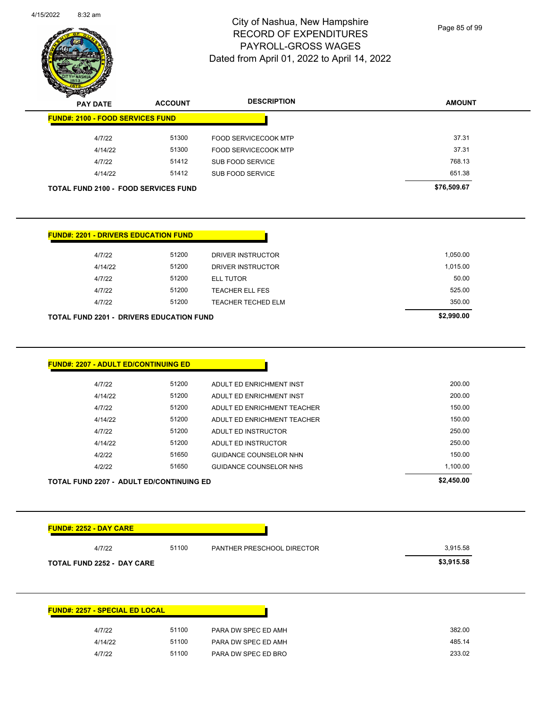

Page 85 of 99

| <b>PAY DATE</b>                                 | <b>ACCOUNT</b> | <b>DESCRIPTION</b>          | <b>AMOUNT</b> |
|-------------------------------------------------|----------------|-----------------------------|---------------|
| <b>FUND#: 2100 - FOOD SERVICES FUND</b>         |                |                             |               |
| 4/7/22                                          | 51300          | <b>FOOD SERVICECOOK MTP</b> | 37.31         |
| 4/14/22                                         | 51300          | <b>FOOD SERVICECOOK MTP</b> | 37.31         |
| 4/7/22                                          | 51412          | SUB FOOD SERVICE            | 768.13        |
| 4/14/22                                         | 51412          | SUB FOOD SERVICE            | 651.38        |
| <b>TOTAL FUND 2100 - FOOD SERVICES FUND</b>     |                |                             | \$76,509.67   |
|                                                 |                |                             |               |
|                                                 |                |                             |               |
| <b>FUND#: 2201 - DRIVERS EDUCATION FUND</b>     |                |                             |               |
| 4/7/22                                          | 51200          | DRIVER INSTRUCTOR           | 1,050.00      |
| 4/14/22                                         | 51200          | <b>DRIVER INSTRUCTOR</b>    | 1,015.00      |
| 4/7/22                                          | 51200          | <b>ELL TUTOR</b>            | 50.00         |
| 4/7/22                                          | 51200          | <b>TEACHER ELL FES</b>      | 525.00        |
| 4/7/22                                          | 51200          | <b>TEACHER TECHED ELM</b>   | 350.00        |
| <b>TOTAL FUND 2201 - DRIVERS EDUCATION FUND</b> |                |                             | \$2,990.00    |
|                                                 |                |                             |               |
|                                                 |                |                             |               |
|                                                 |                |                             |               |
| <b>FUND#: 2207 - ADULT ED/CONTINUING ED</b>     |                |                             |               |
| 4/7/22                                          | 51200          | ADULT ED ENRICHMENT INST    | 200.00        |
| 4/14/22                                         | 51200          | ADULT ED ENRICHMENT INST    | 200.00        |
|                                                 |                |                             |               |

| <b>TOTAL FUND 2207 - ADULT ED/CONTINUING ED</b> | \$2,450.00 |       |                             |          |
|-------------------------------------------------|------------|-------|-----------------------------|----------|
|                                                 | 4/2/22     | 51650 | GUIDANCE COUNSELOR NHS      | 1,100.00 |
|                                                 | 4/2/22     | 51650 | GUIDANCE COUNSELOR NHN      | 150.00   |
|                                                 | 4/14/22    | 51200 | ADULT ED INSTRUCTOR         | 250.00   |
|                                                 | 4/7/22     | 51200 | ADULT ED INSTRUCTOR         | 250.00   |
|                                                 | 4/14/22    | 51200 | ADULT ED ENRICHMENT TEACHER | 150.00   |
|                                                 | 4/7/22     | 51200 | ADULT ED ENRICHMENT TEACHER | 150.00   |
|                                                 | . <u>.</u> |       |                             | ------   |

| 4/7/22                                          | 51100 | <b>PANTHER PRESCHOOL DIRECTOR</b> | 3,915.58   |
|-------------------------------------------------|-------|-----------------------------------|------------|
| <b>TOTAL FUND 2252 - DAY CARE</b>               |       |                                   | \$3,915.58 |
|                                                 |       |                                   |            |
|                                                 |       |                                   |            |
|                                                 |       |                                   |            |
|                                                 |       |                                   |            |
|                                                 |       |                                   |            |
|                                                 |       |                                   |            |
| <b>FUND#: 2257 - SPECIAL ED LOCAL</b><br>4/7/22 | 51100 | PARA DW SPEC ED AMH               | 382.00     |
| 4/14/22                                         | 51100 | PARA DW SPEC ED AMH               | 485.14     |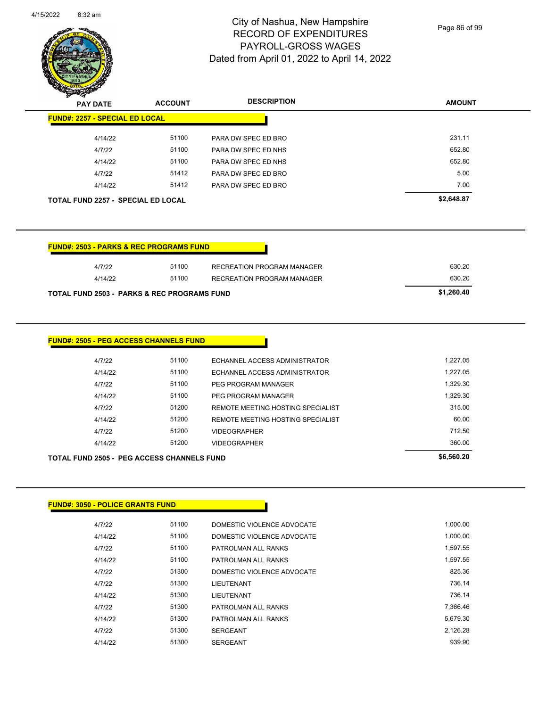

Page 86 of 99

| $\sim$<br><b>PAY DATE</b>                 | <b>ACCOUNT</b> | <b>DESCRIPTION</b>  | <b>AMOUNT</b> |
|-------------------------------------------|----------------|---------------------|---------------|
| <b>FUND#: 2257 - SPECIAL ED LOCAL</b>     |                |                     |               |
| 4/14/22                                   | 51100          | PARA DW SPEC ED BRO | 231.11        |
| 4/7/22                                    | 51100          | PARA DW SPEC ED NHS | 652.80        |
| 4/14/22                                   | 51100          | PARA DW SPEC ED NHS | 652.80        |
| 4/7/22                                    | 51412          | PARA DW SPEC ED BRO | 5.00          |
| 4/14/22                                   | 51412          | PARA DW SPEC ED BRO | 7.00          |
| <b>TOTAL FUND 2257 - SPECIAL ED LOCAL</b> |                |                     | \$2,648.87    |

| 4/7/22                                      | 51100 | RECREATION PROGRAM MANAGER | 630.20     |
|---------------------------------------------|-------|----------------------------|------------|
| 4/14/22                                     | 51100 | RECREATION PROGRAM MANAGER | 630.20     |
| TOTAL FUND 2503 - PARKS & REC PROGRAMS FUND |       |                            | \$1.260.40 |

| <b>FUND#: 2505 - PEG ACCESS CHANNELS FUND</b> |       |                                   |                                                                                                                                                                                                                                 |
|-----------------------------------------------|-------|-----------------------------------|---------------------------------------------------------------------------------------------------------------------------------------------------------------------------------------------------------------------------------|
| 4/7/22                                        | 51100 | ECHANNEL ACCESS ADMINISTRATOR     | 1.227.05                                                                                                                                                                                                                        |
| 4/14/22                                       | 51100 | ECHANNEL ACCESS ADMINISTRATOR     | 1,227.05                                                                                                                                                                                                                        |
| 4/7/22                                        | 51100 | PEG PROGRAM MANAGER               | 1,329.30                                                                                                                                                                                                                        |
| 4/14/22                                       | 51100 | PEG PROGRAM MANAGER               | 1.329.30                                                                                                                                                                                                                        |
| 4/7/22                                        | 51200 | REMOTE MEETING HOSTING SPECIALIST | 315.00                                                                                                                                                                                                                          |
| 4/14/22                                       | 51200 | REMOTE MEETING HOSTING SPECIALIST | 60.00                                                                                                                                                                                                                           |
| 4/7/22                                        | 51200 | <b>VIDEOGRAPHER</b>               | 712.50                                                                                                                                                                                                                          |
| 4/14/22                                       | 51200 | <b>VIDEOGRAPHER</b>               | 360.00                                                                                                                                                                                                                          |
|                                               |       |                                   | $\sim$ . The contract of the contract of the contract of the contract of the contract of the contract of the contract of the contract of the contract of the contract of the contract of the contract of the contract of the co |

| TOTAL FUND 2505 - PEG ACCESS CHANNELS FUND | \$6,560.20 |       |                                    |        |
|--------------------------------------------|------------|-------|------------------------------------|--------|
|                                            | 4/14/22    | 51200 | <b>VIDEOGRAPHER</b>                | 360.00 |
|                                            | 4/7/22     | 51200 | <b>VIDEOGRAPHER</b>                | 712.50 |
|                                            | $+11+22$   | 01200 | TEMOTE MEETING HOSTING OF ECIALIST | vv.vv  |

| <b>FUND#: 3050 - POLICE GRANTS FUND</b> |
|-----------------------------------------|
|-----------------------------------------|

| 4/7/22  | 51100 | DOMESTIC VIOLENCE ADVOCATE | 1.000.00 |
|---------|-------|----------------------------|----------|
| 4/14/22 | 51100 | DOMESTIC VIOLENCE ADVOCATE | 1.000.00 |
| 4/7/22  | 51100 | PATROLMAN ALL RANKS        | 1.597.55 |
| 4/14/22 | 51100 | PATROLMAN ALL RANKS        | 1.597.55 |
| 4/7/22  | 51300 | DOMESTIC VIOLENCE ADVOCATE | 825.36   |
| 4/7/22  | 51300 | LIEUTENANT                 | 736.14   |
| 4/14/22 | 51300 | LIEUTENANT                 | 736.14   |
| 4/7/22  | 51300 | PATROLMAN ALL RANKS        | 7.366.46 |
| 4/14/22 | 51300 | PATROLMAN ALL RANKS        | 5.679.30 |
| 4/7/22  | 51300 | <b>SERGEANT</b>            | 2.126.28 |
| 4/14/22 | 51300 | <b>SERGEANT</b>            | 939.90   |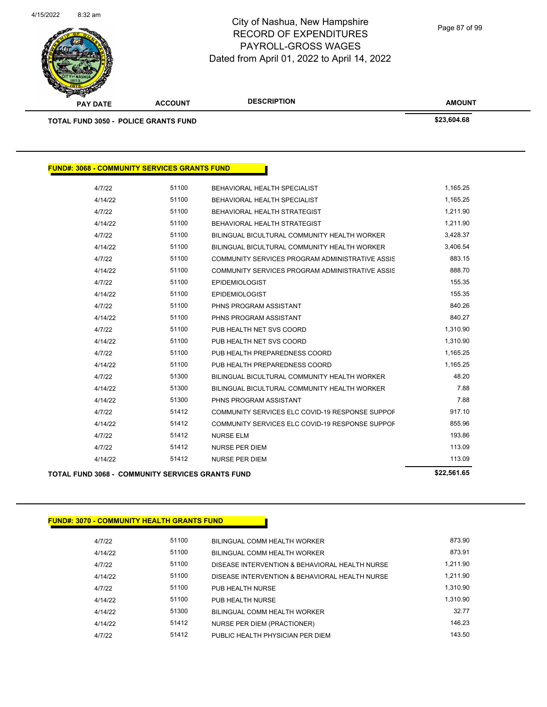

Page 87 of 99

| <b>PAY DATE</b>                                     | <b>ACCOUNT</b> | <b>DESCRIPTION</b>                              | <b>AMOUNT</b> |
|-----------------------------------------------------|----------------|-------------------------------------------------|---------------|
| <b>TOTAL FUND 3050 - POLICE GRANTS FUND</b>         |                |                                                 | \$23,604.68   |
|                                                     |                |                                                 |               |
| <b>FUND#: 3068 - COMMUNITY SERVICES GRANTS FUND</b> |                |                                                 |               |
| 4/7/22                                              | 51100          | BEHAVIORAL HEALTH SPECIALIST                    | 1,165.25      |
| 4/14/22                                             | 51100          | BEHAVIORAL HEALTH SPECIALIST                    | 1,165.25      |
| 4/7/22                                              | 51100          | BEHAVIORAL HEALTH STRATEGIST                    | 1,211.90      |
| 4/14/22                                             | 51100          | BEHAVIORAL HEALTH STRATEGIST                    | 1,211.90      |
| 4/7/22                                              | 51100          | BILINGUAL BICULTURAL COMMUNITY HEALTH WORKER    | 3,428.37      |
| 4/14/22                                             | 51100          | BILINGUAL BICULTURAL COMMUNITY HEALTH WORKER    | 3,406.54      |
| 4/7/22                                              | 51100          | COMMUNITY SERVICES PROGRAM ADMINISTRATIVE ASSIS | 883.15        |
| 4/14/22                                             | 51100          | COMMUNITY SERVICES PROGRAM ADMINISTRATIVE ASSIS | 888.70        |
| 4/7/22                                              | 51100          | <b>EPIDEMIOLOGIST</b>                           | 155.35        |
| 4/14/22                                             | 51100          | <b>EPIDEMIOLOGIST</b>                           | 155.35        |
| 4/7/22                                              | 51100          | PHNS PROGRAM ASSISTANT                          | 840.26        |
| 4/14/22                                             | 51100          | PHNS PROGRAM ASSISTANT                          | 840.27        |
| 4/7/22                                              | 51100          | PUB HEALTH NET SVS COORD                        | 1,310.90      |
| 4/14/22                                             | 51100          | PUB HEALTH NET SVS COORD                        | 1,310.90      |
| 4/7/22                                              | 51100          | PUB HEALTH PREPAREDNESS COORD                   | 1,165.25      |
| 4/14/22                                             | 51100          | PUB HEALTH PREPAREDNESS COORD                   | 1,165.25      |
| 4/7/22                                              | 51300          | BILINGUAL BICULTURAL COMMUNITY HEALTH WORKER    | 48.20         |
| 4/14/22                                             | 51300          | BILINGUAL BICULTURAL COMMUNITY HEALTH WORKER    | 7.88          |
| 4/14/22                                             | 51300          | PHNS PROGRAM ASSISTANT                          | 7.88          |
| 4/7/22                                              | 51412          | COMMUNITY SERVICES ELC COVID-19 RESPONSE SUPPOF | 917.10        |
| 4/14/22                                             | 51412          | COMMUNITY SERVICES ELC COVID-19 RESPONSE SUPPOF | 855.96        |
| 4/7/22                                              | 51412          | <b>NURSE ELM</b>                                | 193.86        |
| 4/7/22                                              | 51412          | NURSE PER DIEM                                  | 113.09        |
| 4/14/22                                             | 51412          | <b>NURSE PER DIEM</b>                           | 113.09        |
|                                                     |                |                                                 | 0.0000407     |

### **TOTAL FUND 3068 - COMMUNITY SERVICES GRANTS FUND \$22,561.65**

## **FUND#: 3070 - COMMUNITY HEALTH GRANTS FUND**

| 4/7/22  | 51100 | BILINGUAL COMM HEALTH WORKER                   | 873.90   |
|---------|-------|------------------------------------------------|----------|
| 4/14/22 | 51100 | BILINGUAL COMM HEALTH WORKER                   | 873.91   |
| 4/7/22  | 51100 | DISEASE INTERVENTION & BEHAVIORAL HEALTH NURSE | 1.211.90 |
| 4/14/22 | 51100 | DISEASE INTERVENTION & BEHAVIORAL HEALTH NURSE | 1.211.90 |
| 4/7/22  | 51100 | PUB HEALTH NURSE                               | 1.310.90 |
| 4/14/22 | 51100 | PUB HEALTH NURSE                               | 1.310.90 |
| 4/14/22 | 51300 | BILINGUAL COMM HEALTH WORKER                   | 32.77    |
| 4/14/22 | 51412 | NURSE PER DIEM (PRACTIONER)                    | 146 23   |
| 4/7/22  | 51412 | PUBLIC HEALTH PHYSICIAN PER DIEM               | 143.50   |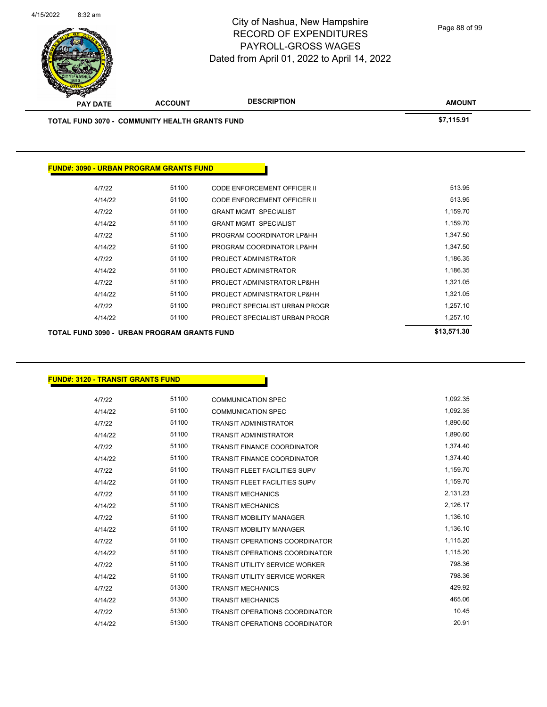

Page 88 of 99

| TOTAL FUND 3070 - COMMUNITY HEALTH GRANTS FUND | \$7,115.91 |                                |             |
|------------------------------------------------|------------|--------------------------------|-------------|
|                                                |            |                                |             |
| <b>FUND#: 3090 - URBAN PROGRAM GRANTS FUND</b> |            |                                |             |
| 4/7/22                                         | 51100      | CODE ENFORCEMENT OFFICER II    | 513.95      |
| 4/14/22                                        | 51100      | CODE ENFORCEMENT OFFICER II    | 513.95      |
| 4/7/22                                         | 51100      | <b>GRANT MGMT SPECIALIST</b>   | 1,159.70    |
| 4/14/22                                        | 51100      | <b>GRANT MGMT SPECIALIST</b>   | 1,159.70    |
| 4/7/22                                         | 51100      | PROGRAM COORDINATOR LP&HH      | 1,347.50    |
| 4/14/22                                        | 51100      | PROGRAM COORDINATOR LP&HH      | 1,347.50    |
| 4/7/22                                         | 51100      | PROJECT ADMINISTRATOR          | 1,186.35    |
| 4/14/22                                        | 51100      | PROJECT ADMINISTRATOR          | 1,186.35    |
| 4/7/22                                         | 51100      | PROJECT ADMINISTRATOR LP&HH    | 1,321.05    |
| 4/14/22                                        | 51100      | PROJECT ADMINISTRATOR LP&HH    | 1,321.05    |
| 4/7/22                                         | 51100      | PROJECT SPECIALIST URBAN PROGR | 1,257.10    |
| 4/14/22                                        | 51100      | PROJECT SPECIALIST URBAN PROGR | 1,257.10    |
| TOTAL FUND 3090 - URBAN PROGRAM GRANTS FUND    |            |                                | \$13,571.30 |

## **FUND#: 3120 - TRANSIT GRANTS FUND**

| 4/7/22  | 51100 | COMMUNICATION SPEC                    | 1,092.35 |
|---------|-------|---------------------------------------|----------|
| 4/14/22 | 51100 | <b>COMMUNICATION SPEC</b>             | 1,092.35 |
| 4/7/22  | 51100 | <b>TRANSIT ADMINISTRATOR</b>          | 1,890.60 |
| 4/14/22 | 51100 | <b>TRANSIT ADMINISTRATOR</b>          | 1,890.60 |
| 4/7/22  | 51100 | <b>TRANSIT FINANCE COORDINATOR</b>    | 1,374.40 |
| 4/14/22 | 51100 | <b>TRANSIT FINANCE COORDINATOR</b>    | 1,374.40 |
| 4/7/22  | 51100 | <b>TRANSIT FLEET FACILITIES SUPV</b>  | 1,159.70 |
| 4/14/22 | 51100 | <b>TRANSIT FLEET FACILITIES SUPV</b>  | 1,159.70 |
| 4/7/22  | 51100 | <b>TRANSIT MECHANICS</b>              | 2,131.23 |
| 4/14/22 | 51100 | <b>TRANSIT MECHANICS</b>              | 2,126.17 |
| 4/7/22  | 51100 | <b>TRANSIT MOBILITY MANAGER</b>       | 1,136.10 |
| 4/14/22 | 51100 | <b>TRANSIT MOBILITY MANAGER</b>       | 1,136.10 |
| 4/7/22  | 51100 | <b>TRANSIT OPERATIONS COORDINATOR</b> | 1,115.20 |
| 4/14/22 | 51100 | <b>TRANSIT OPERATIONS COORDINATOR</b> | 1,115.20 |
| 4/7/22  | 51100 | <b>TRANSIT UTILITY SERVICE WORKER</b> | 798.36   |
| 4/14/22 | 51100 | TRANSIT UTILITY SERVICE WORKER        | 798.36   |
| 4/7/22  | 51300 | <b>TRANSIT MECHANICS</b>              | 429.92   |
| 4/14/22 | 51300 | <b>TRANSIT MECHANICS</b>              | 465.06   |
| 4/7/22  | 51300 | <b>TRANSIT OPERATIONS COORDINATOR</b> | 10.45    |
| 4/14/22 | 51300 | <b>TRANSIT OPERATIONS COORDINATOR</b> | 20.91    |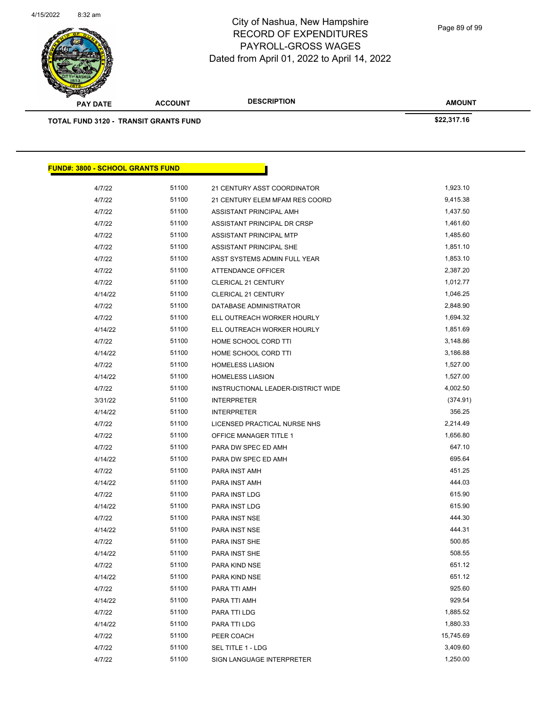

Page 89 of 99

| <b>PAY DATE</b>                  | <b>ACCOUNT</b>                               | <b>DESCRIPTION</b>                 | <b>AMOUNT</b> |  |
|----------------------------------|----------------------------------------------|------------------------------------|---------------|--|
|                                  | <b>TOTAL FUND 3120 - TRANSIT GRANTS FUND</b> |                                    | \$22,317.16   |  |
|                                  |                                              |                                    |               |  |
|                                  |                                              |                                    |               |  |
|                                  |                                              |                                    |               |  |
| FUND#: 3800 - SCHOOL GRANTS FUND |                                              |                                    |               |  |
| 4/7/22                           | 51100                                        | 21 CENTURY ASST COORDINATOR        | 1,923.10      |  |
| 4/7/22                           | 51100                                        | 21 CENTURY ELEM MFAM RES COORD     | 9,415.38      |  |
| 4/7/22                           | 51100                                        | ASSISTANT PRINCIPAL AMH            | 1,437.50      |  |
| 4/7/22                           | 51100                                        | ASSISTANT PRINCIPAL DR CRSP        | 1,461.60      |  |
| 4/7/22                           | 51100                                        | ASSISTANT PRINCIPAL MTP            | 1,485.60      |  |
| 4/7/22                           | 51100                                        | ASSISTANT PRINCIPAL SHE            | 1,851.10      |  |
| 4/7/22                           | 51100                                        | ASST SYSTEMS ADMIN FULL YEAR       | 1,853.10      |  |
| 4/7/22                           | 51100                                        | <b>ATTENDANCE OFFICER</b>          | 2,387.20      |  |
| 4/7/22                           | 51100                                        | <b>CLERICAL 21 CENTURY</b>         | 1,012.77      |  |
| 4/14/22                          | 51100                                        | <b>CLERICAL 21 CENTURY</b>         | 1,046.25      |  |
| 4/7/22                           | 51100                                        | DATABASE ADMINISTRATOR             | 2,848.90      |  |
| 4/7/22                           | 51100                                        | ELL OUTREACH WORKER HOURLY         | 1,694.32      |  |
| 4/14/22                          | 51100                                        | ELL OUTREACH WORKER HOURLY         | 1,851.69      |  |
| 4/7/22                           | 51100                                        | HOME SCHOOL CORD TTI               | 3,148.86      |  |
| 4/14/22                          | 51100                                        | HOME SCHOOL CORD TTI               | 3,186.88      |  |
| 4/7/22                           | 51100                                        | <b>HOMELESS LIASION</b>            | 1,527.00      |  |
| 4/14/22                          | 51100                                        | <b>HOMELESS LIASION</b>            | 1,527.00      |  |
| 4/7/22                           | 51100                                        | INSTRUCTIONAL LEADER-DISTRICT WIDE | 4,002.50      |  |
| 3/31/22                          | 51100                                        | <b>INTERPRETER</b>                 | (374.91)      |  |
| 4/14/22                          | 51100                                        | <b>INTERPRETER</b>                 | 356.25        |  |
| 4/7/22                           | 51100                                        | LICENSED PRACTICAL NURSE NHS       | 2,214.49      |  |
| 4/7/22                           | 51100                                        | <b>OFFICE MANAGER TITLE 1</b>      | 1,656.80      |  |
| 4/7/22                           | 51100                                        | PARA DW SPEC ED AMH                | 647.10        |  |
| 4/14/22                          | 51100                                        | PARA DW SPEC ED AMH                | 695.64        |  |
| 4/7/22                           | 51100                                        | PARA INST AMH                      | 451.25        |  |
| 4/14/22                          | 51100                                        | PARA INST AMH                      | 444.03        |  |
| 4/7/22                           | 51100                                        | PARA INST LDG                      | 615.90        |  |
| 4/14/22                          | 51100                                        | PARA INST LDG                      | 615.90        |  |
|                                  |                                              |                                    |               |  |

4/7/22 51100 PARA INST NSE 444.30 4/14/22 51100 PARA INST NSE 444.31 4/7/22 51100 PARA INST SHE 500.85 4/14/22 51100 PARA INST SHE 508.55 4/7/22 51100 PARA KIND NSE 651.12 4/14/22 51100 PARA KIND NSE 651.12 4/7/22 51100 PARA TTI AMH 925.60 4/14/22 51100 PARA TTI AMH 929.54 4/7/22 51100 PARA TTI LDG 1,885.52 4/14/22 51100 PARA TTI LDG 1,880.33 4/7/22 51100 PEER COACH 15,745.69 4/7/22 51100 SEL TITLE 1 - LDG 3,409.60 4/7/22 51100 SIGN LANGUAGE INTERPRETER 1,250.00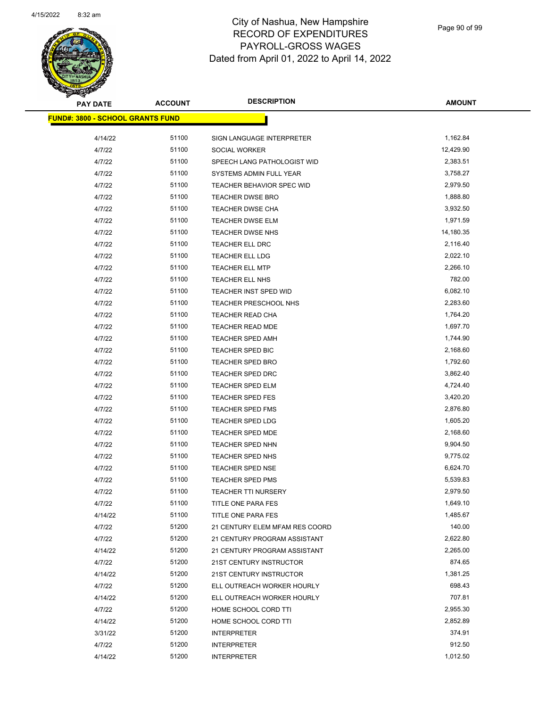

| <b>PAY DATE</b>                         | <b>ACCOUNT</b> | <b>DESCRIPTION</b>             | <b>AMOUNT</b>        |
|-----------------------------------------|----------------|--------------------------------|----------------------|
| <b>FUND#: 3800 - SCHOOL GRANTS FUND</b> |                |                                |                      |
| 4/14/22                                 | 51100          | SIGN LANGUAGE INTERPRETER      | 1,162.84             |
| 4/7/22                                  | 51100          | SOCIAL WORKER                  | 12,429.90            |
| 4/7/22                                  | 51100          | SPEECH LANG PATHOLOGIST WID    | 2,383.51             |
| 4/7/22                                  | 51100          | SYSTEMS ADMIN FULL YEAR        | 3,758.27             |
| 4/7/22                                  | 51100          | TEACHER BEHAVIOR SPEC WID      | 2,979.50             |
| 4/7/22                                  | 51100          | <b>TEACHER DWSE BRO</b>        | 1,888.80             |
| 4/7/22                                  | 51100          | <b>TEACHER DWSE CHA</b>        | 3,932.50             |
| 4/7/22                                  | 51100          | <b>TEACHER DWSE ELM</b>        | 1,971.59             |
| 4/7/22                                  | 51100          | TEACHER DWSE NHS               | 14,180.35            |
| 4/7/22                                  | 51100          | TEACHER ELL DRC                | 2,116.40             |
| 4/7/22                                  | 51100          | <b>TEACHER ELL LDG</b>         | 2,022.10             |
| 4/7/22                                  | 51100          | TEACHER ELL MTP                | 2,266.10             |
|                                         | 51100          |                                | 782.00               |
| 4/7/22                                  |                | TEACHER ELL NHS                |                      |
| 4/7/22                                  | 51100          | TEACHER INST SPED WID          | 6,082.10<br>2,283.60 |
| 4/7/22                                  | 51100          | TEACHER PRESCHOOL NHS          |                      |
| 4/7/22                                  | 51100          | TEACHER READ CHA               | 1,764.20             |
| 4/7/22                                  | 51100          | TEACHER READ MDE               | 1,697.70             |
| 4/7/22                                  | 51100          | <b>TEACHER SPED AMH</b>        | 1,744.90             |
| 4/7/22                                  | 51100          | <b>TEACHER SPED BIC</b>        | 2,168.60             |
| 4/7/22                                  | 51100          | TEACHER SPED BRO               | 1,792.60             |
| 4/7/22                                  | 51100          | <b>TEACHER SPED DRC</b>        | 3,862.40             |
| 4/7/22                                  | 51100          | <b>TEACHER SPED ELM</b>        | 4,724.40             |
| 4/7/22                                  | 51100          | <b>TEACHER SPED FES</b>        | 3,420.20             |
| 4/7/22                                  | 51100          | <b>TEACHER SPED FMS</b>        | 2,876.80             |
| 4/7/22                                  | 51100          | TEACHER SPED LDG               | 1,605.20             |
| 4/7/22                                  | 51100          | <b>TEACHER SPED MDE</b>        | 2,168.60             |
| 4/7/22                                  | 51100          | <b>TEACHER SPED NHN</b>        | 9,904.50             |
| 4/7/22                                  | 51100          | TEACHER SPED NHS               | 9,775.02             |
| 4/7/22                                  | 51100          | <b>TEACHER SPED NSE</b>        | 6,624.70             |
| 4/7/22                                  | 51100          | <b>TEACHER SPED PMS</b>        | 5,539.83             |
| 4/7/22                                  | 51100          | <b>TEACHER TTI NURSERY</b>     | 2,979.50             |
| 4/7/22                                  | 51100          | TITLE ONE PARA FES             | 1,649.10             |
| 4/14/22                                 | 51100          | TITLE ONE PARA FES             | 1,485.67             |
| 4/7/22                                  | 51200          | 21 CENTURY ELEM MFAM RES COORD | 140.00               |
| 4/7/22                                  | 51200          | 21 CENTURY PROGRAM ASSISTANT   | 2,622.80             |
| 4/14/22                                 | 51200          | 21 CENTURY PROGRAM ASSISTANT   | 2,265.00             |
| 4/7/22                                  | 51200          | 21ST CENTURY INSTRUCTOR        | 874.65               |
| 4/14/22                                 | 51200          | 21ST CENTURY INSTRUCTOR        | 1,381.25             |
| 4/7/22                                  | 51200          | ELL OUTREACH WORKER HOURLY     | 698.43               |
| 4/14/22                                 | 51200          | ELL OUTREACH WORKER HOURLY     | 707.81               |
| 4/7/22                                  | 51200          | HOME SCHOOL CORD TTI           | 2,955.30             |
| 4/14/22                                 | 51200          | HOME SCHOOL CORD TTI           | 2,852.89             |
| 3/31/22                                 | 51200          | <b>INTERPRETER</b>             | 374.91               |
| 4/7/22                                  | 51200          | <b>INTERPRETER</b>             | 912.50               |
| 4/14/22                                 | 51200          | <b>INTERPRETER</b>             | 1,012.50             |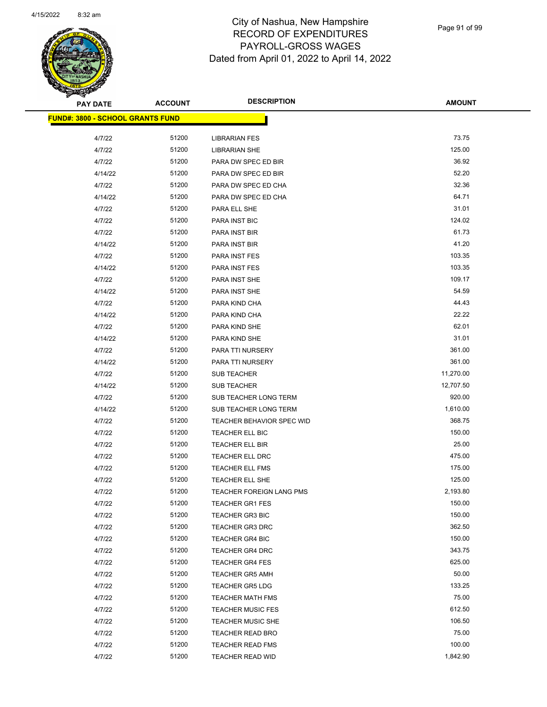

| <b>PAY DATE</b>                          | <b>ACCOUNT</b> | <b>DESCRIPTION</b>               | <b>AMOUNT</b> |
|------------------------------------------|----------------|----------------------------------|---------------|
| <u> FUND#: 3800 - SCHOOL GRANTS FUND</u> |                |                                  |               |
|                                          |                |                                  |               |
| 4/7/22                                   | 51200          | <b>LIBRARIAN FES</b>             | 73.75         |
| 4/7/22                                   | 51200          | <b>LIBRARIAN SHE</b>             | 125.00        |
| 4/7/22                                   | 51200          | PARA DW SPEC ED BIR              | 36.92         |
| 4/14/22                                  | 51200          | PARA DW SPEC ED BIR              | 52.20         |
| 4/7/22                                   | 51200          | PARA DW SPEC ED CHA              | 32.36         |
| 4/14/22                                  | 51200          | PARA DW SPEC ED CHA              | 64.71         |
| 4/7/22                                   | 51200          | PARA ELL SHE                     | 31.01         |
| 4/7/22                                   | 51200          | PARA INST BIC                    | 124.02        |
| 4/7/22                                   | 51200          | PARA INST BIR                    | 61.73         |
| 4/14/22                                  | 51200          | PARA INST BIR                    | 41.20         |
| 4/7/22                                   | 51200          | PARA INST FES                    | 103.35        |
| 4/14/22                                  | 51200          | PARA INST FES                    | 103.35        |
| 4/7/22                                   | 51200          | PARA INST SHE                    | 109.17        |
| 4/14/22                                  | 51200          | PARA INST SHE                    | 54.59         |
| 4/7/22                                   | 51200          | PARA KIND CHA                    | 44.43         |
| 4/14/22                                  | 51200          | PARA KIND CHA                    | 22.22         |
| 4/7/22                                   | 51200          | PARA KIND SHE                    | 62.01         |
| 4/14/22                                  | 51200          | PARA KIND SHE                    | 31.01         |
| 4/7/22                                   | 51200          | PARA TTI NURSERY                 | 361.00        |
| 4/14/22                                  | 51200          | PARA TTI NURSERY                 | 361.00        |
| 4/7/22                                   | 51200          | SUB TEACHER                      | 11,270.00     |
| 4/14/22                                  | 51200          | <b>SUB TEACHER</b>               | 12,707.50     |
| 4/7/22                                   | 51200          | SUB TEACHER LONG TERM            | 920.00        |
| 4/14/22                                  | 51200          | SUB TEACHER LONG TERM            | 1,610.00      |
| 4/7/22                                   | 51200          | <b>TEACHER BEHAVIOR SPEC WID</b> | 368.75        |
| 4/7/22                                   | 51200          | TEACHER ELL BIC                  | 150.00        |
| 4/7/22                                   | 51200          | TEACHER ELL BIR                  | 25.00         |
| 4/7/22                                   | 51200          | TEACHER ELL DRC                  | 475.00        |
| 4/7/22                                   | 51200          | <b>TEACHER ELL FMS</b>           | 175.00        |
| 4/7/22                                   | 51200          | TEACHER ELL SHE                  | 125.00        |
| 4/7/22                                   | 51200          | TEACHER FOREIGN LANG PMS         | 2,193.80      |
| 4/7/22                                   | 51200          | TEACHER GR1 FES                  | 150.00        |
| 4/7/22                                   | 51200          | TEACHER GR3 BIC                  | 150.00        |
| 4/7/22                                   | 51200          | TEACHER GR3 DRC                  | 362.50        |
| 4/7/22                                   | 51200          | <b>TEACHER GR4 BIC</b>           | 150.00        |
| 4/7/22                                   | 51200          | <b>TEACHER GR4 DRC</b>           | 343.75        |
| 4/7/22                                   | 51200          | <b>TEACHER GR4 FES</b>           | 625.00        |
| 4/7/22                                   | 51200          | <b>TEACHER GR5 AMH</b>           | 50.00         |
| 4/7/22                                   | 51200          | <b>TEACHER GR5 LDG</b>           | 133.25        |
| 4/7/22                                   | 51200          | <b>TEACHER MATH FMS</b>          | 75.00         |
| 4/7/22                                   | 51200          | <b>TEACHER MUSIC FES</b>         | 612.50        |
| 4/7/22                                   | 51200          | <b>TEACHER MUSIC SHE</b>         | 106.50        |
| 4/7/22                                   | 51200          | TEACHER READ BRO                 | 75.00         |
| 4/7/22                                   | 51200          | <b>TEACHER READ FMS</b>          | 100.00        |
| 4/7/22                                   | 51200          | TEACHER READ WID                 | 1,842.90      |
|                                          |                |                                  |               |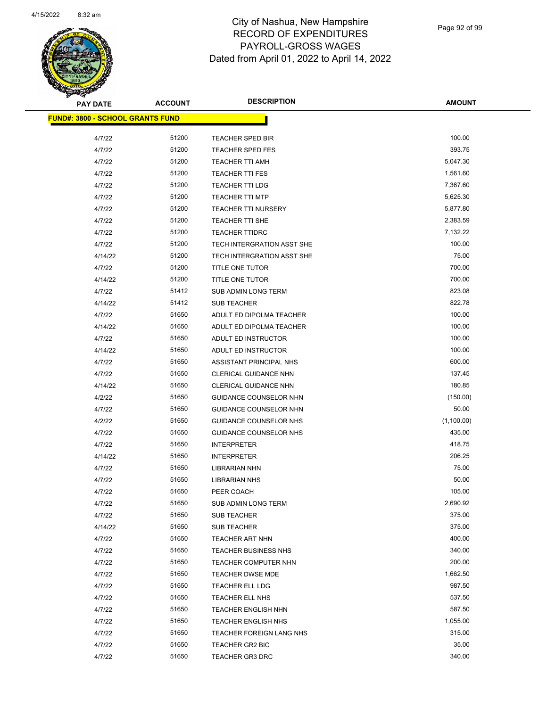

Page 92 of 99

| <b>PAY DATE</b>                         | <b>ACCOUNT</b> | <b>DESCRIPTION</b>                          | <b>AMOUNT</b>      |
|-----------------------------------------|----------------|---------------------------------------------|--------------------|
| <b>FUND#: 3800 - SCHOOL GRANTS FUND</b> |                |                                             |                    |
| 4/7/22                                  | 51200          | <b>TEACHER SPED BIR</b>                     | 100.00             |
| 4/7/22                                  | 51200          | <b>TEACHER SPED FES</b>                     | 393.75             |
| 4/7/22                                  | 51200          | TEACHER TTI AMH                             | 5,047.30           |
| 4/7/22                                  | 51200          | <b>TEACHER TTI FES</b>                      | 1,561.60           |
| 4/7/22                                  | 51200          | TEACHER TTI LDG                             | 7,367.60           |
| 4/7/22                                  | 51200          | <b>TEACHER TTI MTP</b>                      | 5,625.30           |
| 4/7/22                                  | 51200          | <b>TEACHER TTI NURSERY</b>                  | 5,877.80           |
| 4/7/22                                  | 51200          | TEACHER TTI SHE                             | 2,383.59           |
| 4/7/22                                  | 51200          | <b>TEACHER TTIDRC</b>                       | 7,132.22           |
| 4/7/22                                  | 51200          | TECH INTERGRATION ASST SHE                  | 100.00             |
| 4/14/22                                 | 51200          | TECH INTERGRATION ASST SHE                  | 75.00              |
| 4/7/22                                  | 51200          | TITLE ONE TUTOR                             | 700.00             |
| 4/14/22                                 | 51200          | TITLE ONE TUTOR                             | 700.00             |
| 4/7/22                                  | 51412          | SUB ADMIN LONG TERM                         | 823.08             |
| 4/14/22                                 | 51412          | <b>SUB TEACHER</b>                          | 822.78             |
| 4/7/22                                  | 51650          | ADULT ED DIPOLMA TEACHER                    | 100.00             |
| 4/14/22                                 | 51650          | ADULT ED DIPOLMA TEACHER                    | 100.00             |
| 4/7/22                                  | 51650          | ADULT ED INSTRUCTOR                         | 100.00             |
| 4/14/22                                 | 51650          | ADULT ED INSTRUCTOR                         | 100.00             |
| 4/7/22                                  | 51650          | ASSISTANT PRINCIPAL NHS                     | 600.00             |
| 4/7/22                                  | 51650          | CLERICAL GUIDANCE NHN                       | 137.45             |
| 4/14/22                                 | 51650          | CLERICAL GUIDANCE NHN                       | 180.85             |
| 4/2/22                                  | 51650          | GUIDANCE COUNSELOR NHN                      | (150.00)           |
| 4/7/22                                  | 51650          | GUIDANCE COUNSELOR NHN                      | 50.00              |
| 4/2/22                                  | 51650          | <b>GUIDANCE COUNSELOR NHS</b>               | (1,100.00)         |
| 4/7/22                                  | 51650          | GUIDANCE COUNSELOR NHS                      | 435.00             |
| 4/7/22                                  | 51650          | <b>INTERPRETER</b>                          | 418.75             |
| 4/14/22                                 | 51650          | <b>INTERPRETER</b>                          | 206.25             |
| 4/7/22                                  | 51650          | <b>LIBRARIAN NHN</b>                        | 75.00              |
| 4/7/22                                  | 51650          | <b>LIBRARIAN NHS</b>                        | 50.00              |
| 4/7/22                                  | 51650          | PEER COACH                                  | 105.00             |
| 4/7/22                                  | 51650          | SUB ADMIN LONG TERM                         | 2,690.92           |
| 4/7/22                                  | 51650          | SUB TEACHER                                 | 375.00             |
| 4/14/22                                 | 51650          | <b>SUB TEACHER</b>                          | 375.00             |
| 4/7/22                                  | 51650          | TEACHER ART NHN                             | 400.00             |
| 4/7/22                                  | 51650          | <b>TEACHER BUSINESS NHS</b>                 | 340.00             |
| 4/7/22                                  | 51650          | TEACHER COMPUTER NHN                        | 200.00             |
| 4/7/22                                  | 51650          | TEACHER DWSE MDE                            | 1,662.50           |
| 4/7/22                                  | 51650          | TEACHER ELL LDG                             | 987.50<br>537.50   |
| 4/7/22                                  | 51650          | TEACHER ELL NHS                             |                    |
| 4/7/22<br>4/7/22                        | 51650<br>51650 | <b>TEACHER ENGLISH NHN</b>                  | 587.50<br>1,055.00 |
| 4/7/22                                  | 51650          | <b>TEACHER ENGLISH NHS</b>                  | 315.00             |
| 4/7/22                                  | 51650          | TEACHER FOREIGN LANG NHS<br>TEACHER GR2 BIC | 35.00              |
| 4/7/22                                  | 51650          | <b>TEACHER GR3 DRC</b>                      | 340.00             |
|                                         |                |                                             |                    |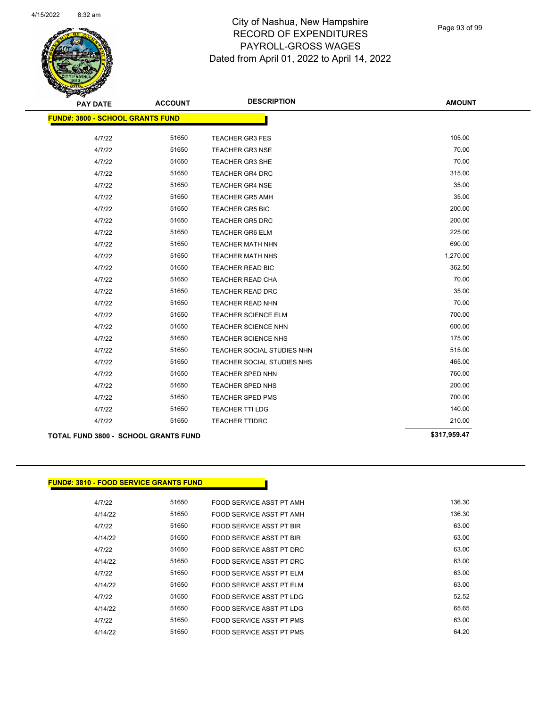

Page 93 of 99

| <b>PAY DATE</b>                         | <b>ACCOUNT</b>                              | <b>DESCRIPTION</b>         | <b>AMOUNT</b> |
|-----------------------------------------|---------------------------------------------|----------------------------|---------------|
| <b>FUND#: 3800 - SCHOOL GRANTS FUND</b> |                                             |                            |               |
| 4/7/22                                  | 51650                                       | <b>TEACHER GR3 FES</b>     | 105.00        |
| 4/7/22                                  | 51650                                       | <b>TEACHER GR3 NSE</b>     | 70.00         |
| 4/7/22                                  | 51650                                       | <b>TEACHER GR3 SHE</b>     | 70.00         |
| 4/7/22                                  | 51650                                       | <b>TEACHER GR4 DRC</b>     | 315.00        |
| 4/7/22                                  | 51650                                       | <b>TEACHER GR4 NSE</b>     | 35.00         |
| 4/7/22                                  | 51650                                       | <b>TEACHER GR5 AMH</b>     | 35.00         |
| 4/7/22                                  | 51650                                       | <b>TEACHER GR5 BIC</b>     | 200.00        |
| 4/7/22                                  | 51650                                       | <b>TEACHER GR5 DRC</b>     | 200.00        |
| 4/7/22                                  | 51650                                       | <b>TEACHER GR6 ELM</b>     | 225.00        |
| 4/7/22                                  | 51650                                       | <b>TEACHER MATH NHN</b>    | 690.00        |
| 4/7/22                                  | 51650                                       | <b>TEACHER MATH NHS</b>    | 1,270.00      |
| 4/7/22                                  | 51650                                       | <b>TEACHER READ BIC</b>    | 362.50        |
| 4/7/22                                  | 51650                                       | <b>TEACHER READ CHA</b>    | 70.00         |
| 4/7/22                                  | 51650                                       | <b>TEACHER READ DRC</b>    | 35.00         |
| 4/7/22                                  | 51650                                       | <b>TEACHER READ NHN</b>    | 70.00         |
| 4/7/22                                  | 51650                                       | TEACHER SCIENCE ELM        | 700.00        |
| 4/7/22                                  | 51650                                       | TEACHER SCIENCE NHN        | 600.00        |
| 4/7/22                                  | 51650                                       | <b>TEACHER SCIENCE NHS</b> | 175.00        |
| 4/7/22                                  | 51650                                       | TEACHER SOCIAL STUDIES NHN | 515.00        |
| 4/7/22                                  | 51650                                       | TEACHER SOCIAL STUDIES NHS | 465.00        |
| 4/7/22                                  | 51650                                       | TEACHER SPED NHN           | 760.00        |
| 4/7/22                                  | 51650                                       | TEACHER SPED NHS           | 200.00        |
| 4/7/22                                  | 51650                                       | <b>TEACHER SPED PMS</b>    | 700.00        |
| 4/7/22                                  | 51650                                       | <b>TEACHER TTI LDG</b>     | 140.00        |
| 4/7/22                                  | 51650                                       | <b>TEACHER TTIDRC</b>      | 210.00        |
|                                         | <b>TOTAL FUND 3800 - SCHOOL GRANTS FUND</b> |                            | \$317,959.47  |

#### **FUND#: 3810 - FOOD SERVICE GRANTS FUND**

| 4/7/22  | 51650 | FOOD SERVICE ASST PT AMH | 136.30 |
|---------|-------|--------------------------|--------|
| 4/14/22 | 51650 | FOOD SERVICE ASST PT AMH | 136.30 |
| 4/7/22  | 51650 | FOOD SERVICE ASST PT BIR | 63.00  |
| 4/14/22 | 51650 | FOOD SERVICE ASST PT BIR | 63.00  |
| 4/7/22  | 51650 | FOOD SERVICE ASST PT DRC | 63.00  |
| 4/14/22 | 51650 | FOOD SERVICE ASST PT DRC | 63.00  |
| 4/7/22  | 51650 | FOOD SERVICE ASST PT ELM | 63.00  |
| 4/14/22 | 51650 | FOOD SERVICE ASST PT ELM | 63.00  |
| 4/7/22  | 51650 | FOOD SERVICE ASST PT LDG | 52.52  |
| 4/14/22 | 51650 | FOOD SERVICE ASST PT LDG | 65.65  |
| 4/7/22  | 51650 | FOOD SERVICE ASST PT PMS | 63.00  |
| 4/14/22 | 51650 | FOOD SERVICE ASST PT PMS | 64.20  |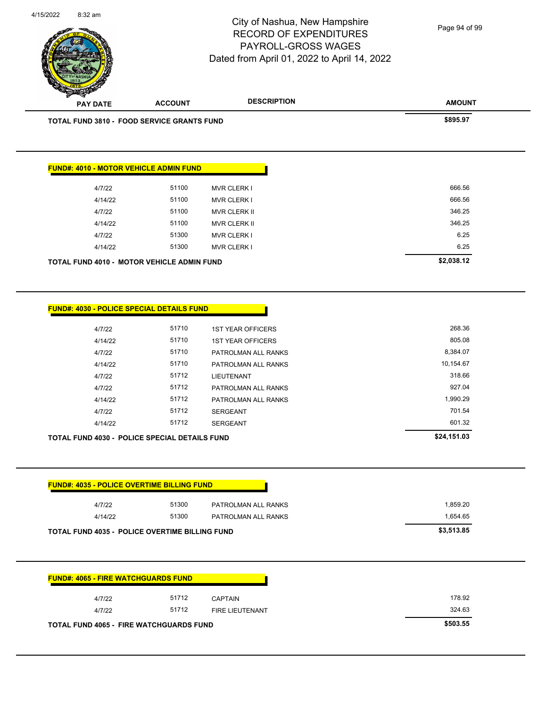| <b>CAPTAIN</b>                                 | 178.92                                                       |  |  |  |
|------------------------------------------------|--------------------------------------------------------------|--|--|--|
| <b>FIRE LIEUTENANT</b>                         | 324.63                                                       |  |  |  |
| <b>TOTAL FUND 4065 - FIRE WATCHGUARDS FUND</b> |                                                              |  |  |  |
|                                                | <b>FUND#: 4065 - FIRE WATCHGUARDS FUND</b><br>51712<br>51712 |  |  |  |

4/7/22 51300 PATROLMAN ALL RANKS 1,859.20 4/14/22 51300 PATROLMAN ALL RANKS 1,654.65

| <b>FUND#: 4030 - POLICE SPECIAL DETAILS FUND</b>     |             |                          |           |
|------------------------------------------------------|-------------|--------------------------|-----------|
| 4/7/22                                               | 51710       | <b>1ST YEAR OFFICERS</b> | 268.36    |
| 4/14/22                                              | 51710       | <b>1ST YEAR OFFICERS</b> | 805.08    |
| 4/7/22                                               | 51710       | PATROLMAN ALL RANKS      | 8,384.07  |
| 4/14/22                                              | 51710       | PATROLMAN ALL RANKS      | 10,154.67 |
| 4/7/22                                               | 51712       | LIEUTENANT               | 318.66    |
| 4/7/22                                               | 51712       | PATROLMAN ALL RANKS      | 927.04    |
| 4/14/22                                              | 51712       | PATROLMAN ALL RANKS      | 1,990.29  |
| 4/7/22                                               | 51712       | <b>SERGEANT</b>          | 701.54    |
| 4/14/22                                              | 51712       | <b>SERGEANT</b>          | 601.32    |
| <b>TOTAL FUND 4030 - POLICE SPECIAL DETAILS FUND</b> | \$24,151.03 |                          |           |

| <b>FUND#: 4010 - MOTOR VEHICLE ADMIN FUND</b>     |       |                     |
|---------------------------------------------------|-------|---------------------|
| 4/7/22                                            | 51100 | <b>MVR CLERK I</b>  |
| 4/14/22                                           | 51100 | <b>MVR CLERK I</b>  |
| 4/7/22                                            | 51100 | <b>MVR CLERK II</b> |
| 4/14/22                                           | 51100 | <b>MVR CLERK II</b> |
| 4/7/22                                            | 51300 | <b>MVR CLERK I</b>  |
| 4/14/22                                           | 51300 | <b>MVR CLERK I</b>  |
| <b>TOTAL FUND 4010 - MOTOR VEHICLE ADMIN FUND</b> |       |                     |

| w |                 |                                                   |                    |               |
|---|-----------------|---------------------------------------------------|--------------------|---------------|
|   | <b>PAY DATE</b> | <b>ACCOUNT</b>                                    | <b>DESCRIPTION</b> | <b>AMOUNT</b> |
|   |                 | <b>TOTAL FUND 3810 - FOOD SERVICE GRANTS FUND</b> |                    | \$895.97      |
|   |                 |                                                   |                    |               |
|   |                 |                                                   |                    |               |
|   |                 | <b>FUND#: 4010 - MOTOR VEHICLE ADMIN FUND</b>     |                    |               |
|   | 17100           | <b>51100</b>                                      | $MN \cap \bigcap$  | GGG EG        |

**FUND#: 4035 - POLICE OVERTIME BILLING FUND**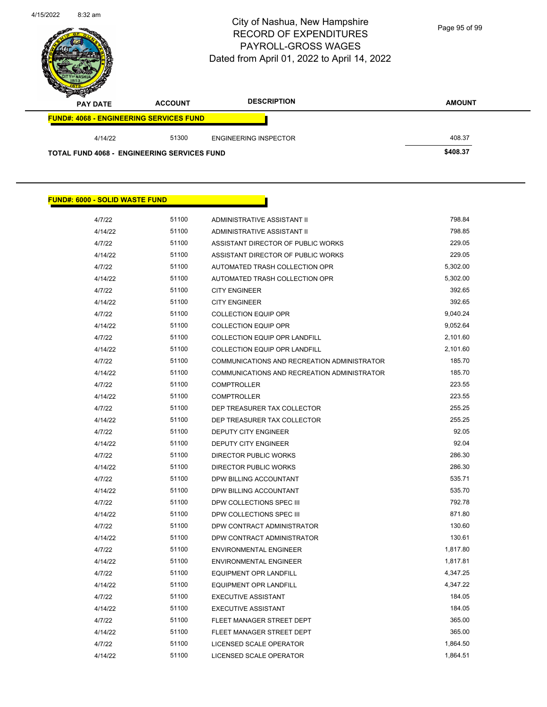**FUND#: 6000 - SOLID WASTE FUND**



Page 95 of 99

| <b>CONTRACTORY</b><br><b>PAY DATE</b>              | <b>ACCOUNT</b> | <b>DESCRIPTION</b>           | <b>AMOUNT</b> |
|----------------------------------------------------|----------------|------------------------------|---------------|
| <b>FUND#: 4068 - ENGINEERING SERVICES FUND</b>     |                |                              |               |
| 4/14/22                                            | 51300          | <b>ENGINEERING INSPECTOR</b> | 408.37        |
| <b>TOTAL FUND 4068 - ENGINEERING SERVICES FUND</b> |                |                              | \$408.37      |

| 4/7/22  | 51100 | ADMINISTRATIVE ASSISTANT II                 | 798.84   |
|---------|-------|---------------------------------------------|----------|
| 4/14/22 | 51100 | ADMINISTRATIVE ASSISTANT II                 | 798.85   |
| 4/7/22  | 51100 | ASSISTANT DIRECTOR OF PUBLIC WORKS          | 229.05   |
| 4/14/22 | 51100 | ASSISTANT DIRECTOR OF PUBLIC WORKS          | 229.05   |
| 4/7/22  | 51100 | AUTOMATED TRASH COLLECTION OPR              | 5,302.00 |
| 4/14/22 | 51100 | AUTOMATED TRASH COLLECTION OPR              | 5,302.00 |
| 4/7/22  | 51100 | <b>CITY ENGINEER</b>                        | 392.65   |
| 4/14/22 | 51100 | <b>CITY ENGINEER</b>                        | 392.65   |
| 4/7/22  | 51100 | <b>COLLECTION EQUIP OPR</b>                 | 9,040.24 |
| 4/14/22 | 51100 | <b>COLLECTION EQUIP OPR</b>                 | 9,052.64 |
| 4/7/22  | 51100 | COLLECTION EQUIP OPR LANDFILL               | 2,101.60 |
| 4/14/22 | 51100 | COLLECTION EQUIP OPR LANDFILL               | 2,101.60 |
| 4/7/22  | 51100 | COMMUNICATIONS AND RECREATION ADMINISTRATOR | 185.70   |
| 4/14/22 | 51100 | COMMUNICATIONS AND RECREATION ADMINISTRATOR | 185.70   |
| 4/7/22  | 51100 | <b>COMPTROLLER</b>                          | 223.55   |
| 4/14/22 | 51100 | <b>COMPTROLLER</b>                          | 223.55   |
| 4/7/22  | 51100 | DEP TREASURER TAX COLLECTOR                 | 255.25   |
| 4/14/22 | 51100 | DEP TREASURER TAX COLLECTOR                 | 255.25   |
| 4/7/22  | 51100 | DEPUTY CITY ENGINEER                        | 92.05    |
| 4/14/22 | 51100 | <b>DEPUTY CITY ENGINEER</b>                 | 92.04    |
| 4/7/22  | 51100 | <b>DIRECTOR PUBLIC WORKS</b>                | 286.30   |
| 4/14/22 | 51100 | <b>DIRECTOR PUBLIC WORKS</b>                | 286.30   |
| 4/7/22  | 51100 | DPW BILLING ACCOUNTANT                      | 535.71   |
| 4/14/22 | 51100 | DPW BILLING ACCOUNTANT                      | 535.70   |
| 4/7/22  | 51100 | DPW COLLECTIONS SPEC III                    | 792.78   |
| 4/14/22 | 51100 | DPW COLLECTIONS SPEC III                    | 871.80   |
| 4/7/22  | 51100 | DPW CONTRACT ADMINISTRATOR                  | 130.60   |
| 4/14/22 | 51100 | DPW CONTRACT ADMINISTRATOR                  | 130.61   |
| 4/7/22  | 51100 | <b>ENVIRONMENTAL ENGINEER</b>               | 1,817.80 |
| 4/14/22 | 51100 | <b>ENVIRONMENTAL ENGINEER</b>               | 1,817.81 |
| 4/7/22  | 51100 | <b>EQUIPMENT OPR LANDFILL</b>               | 4,347.25 |
| 4/14/22 | 51100 | <b>EQUIPMENT OPR LANDFILL</b>               | 4,347.22 |
| 4/7/22  | 51100 | <b>EXECUTIVE ASSISTANT</b>                  | 184.05   |
| 4/14/22 | 51100 | <b>EXECUTIVE ASSISTANT</b>                  | 184.05   |
| 4/7/22  | 51100 | FLEET MANAGER STREET DEPT                   | 365.00   |
| 4/14/22 | 51100 | FLEET MANAGER STREET DEPT                   | 365.00   |
| 4/7/22  | 51100 | LICENSED SCALE OPERATOR                     | 1,864.50 |
|         |       |                                             |          |

4/14/22 51100 LICENSED SCALE OPERATOR 1,864.51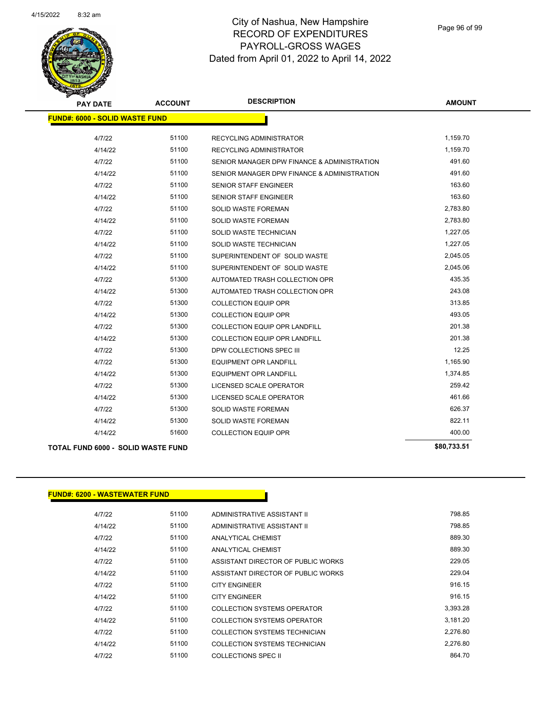

| <b>PAY DATE</b>                       | <b>ACCOUNT</b> | <b>DESCRIPTION</b>                          | <b>AMOUNT</b> |
|---------------------------------------|----------------|---------------------------------------------|---------------|
| <b>FUND#: 6000 - SOLID WASTE FUND</b> |                |                                             |               |
| 4/7/22                                | 51100          | <b>RECYCLING ADMINISTRATOR</b>              | 1,159.70      |
| 4/14/22                               | 51100          | <b>RECYCLING ADMINISTRATOR</b>              | 1,159.70      |
| 4/7/22                                | 51100          | SENIOR MANAGER DPW FINANCE & ADMINISTRATION | 491.60        |
| 4/14/22                               | 51100          | SENIOR MANAGER DPW FINANCE & ADMINISTRATION | 491.60        |
| 4/7/22                                | 51100          | SENIOR STAFF ENGINEER                       | 163.60        |
| 4/14/22                               | 51100          | <b>SENIOR STAFF ENGINEER</b>                | 163.60        |
| 4/7/22                                | 51100          | <b>SOLID WASTE FOREMAN</b>                  | 2,783.80      |
| 4/14/22                               | 51100          | SOLID WASTE FOREMAN                         | 2,783.80      |
| 4/7/22                                | 51100          | SOLID WASTE TECHNICIAN                      | 1,227.05      |
| 4/14/22                               | 51100          | SOLID WASTE TECHNICIAN                      | 1,227.05      |
| 4/7/22                                | 51100          | SUPERINTENDENT OF SOLID WASTE               | 2,045.05      |
| 4/14/22                               | 51100          | SUPERINTENDENT OF SOLID WASTE               | 2,045.06      |
| 4/7/22                                | 51300          | AUTOMATED TRASH COLLECTION OPR              | 435.35        |
| 4/14/22                               | 51300          | AUTOMATED TRASH COLLECTION OPR              | 243.08        |
| 4/7/22                                | 51300          | <b>COLLECTION EQUIP OPR</b>                 | 313.85        |
| 4/14/22                               | 51300          | <b>COLLECTION EQUIP OPR</b>                 | 493.05        |
| 4/7/22                                | 51300          | <b>COLLECTION EQUIP OPR LANDFILL</b>        | 201.38        |
| 4/14/22                               | 51300          | <b>COLLECTION EQUIP OPR LANDFILL</b>        | 201.38        |
| 4/7/22                                | 51300          | DPW COLLECTIONS SPEC III                    | 12.25         |
| 4/7/22                                | 51300          | EQUIPMENT OPR LANDFILL                      | 1,165.90      |
| 4/14/22                               | 51300          | EQUIPMENT OPR LANDFILL                      | 1,374.85      |
| 4/7/22                                | 51300          | LICENSED SCALE OPERATOR                     | 259.42        |
| 4/14/22                               | 51300          | LICENSED SCALE OPERATOR                     | 461.66        |
| 4/7/22                                | 51300          | <b>SOLID WASTE FOREMAN</b>                  | 626.37        |
| 4/14/22                               | 51300          | SOLID WASTE FOREMAN                         | 822.11        |
| 4/14/22                               | 51600          | <b>COLLECTION EQUIP OPR</b>                 | 400.00        |
| TOTAL FUND 6000 - SOLID WASTE FUND    |                |                                             | \$80,733.51   |

## **FUND#: 6200 - WASTEWATER FUND**

| 4/7/22  | 51100 | ADMINISTRATIVE ASSISTANT II        | 798.85   |
|---------|-------|------------------------------------|----------|
| 4/14/22 | 51100 | ADMINISTRATIVE ASSISTANT II        | 798.85   |
| 4/7/22  | 51100 | ANALYTICAL CHEMIST                 | 889.30   |
| 4/14/22 | 51100 | ANALYTICAL CHEMIST                 | 889.30   |
| 4/7/22  | 51100 | ASSISTANT DIRECTOR OF PUBLIC WORKS | 229.05   |
| 4/14/22 | 51100 | ASSISTANT DIRECTOR OF PUBLIC WORKS | 229.04   |
| 4/7/22  | 51100 | <b>CITY ENGINEER</b>               | 916.15   |
| 4/14/22 | 51100 | <b>CITY ENGINEER</b>               | 916.15   |
| 4/7/22  | 51100 | COLLECTION SYSTEMS OPERATOR        | 3.393.28 |
| 4/14/22 | 51100 | COLLECTION SYSTEMS OPERATOR        | 3.181.20 |
| 4/7/22  | 51100 | COLLECTION SYSTEMS TECHNICIAN      | 2.276.80 |
| 4/14/22 | 51100 | COLLECTION SYSTEMS TECHNICIAN      | 2.276.80 |
| 4/7/22  | 51100 | COLLECTIONS SPEC II                | 864.70   |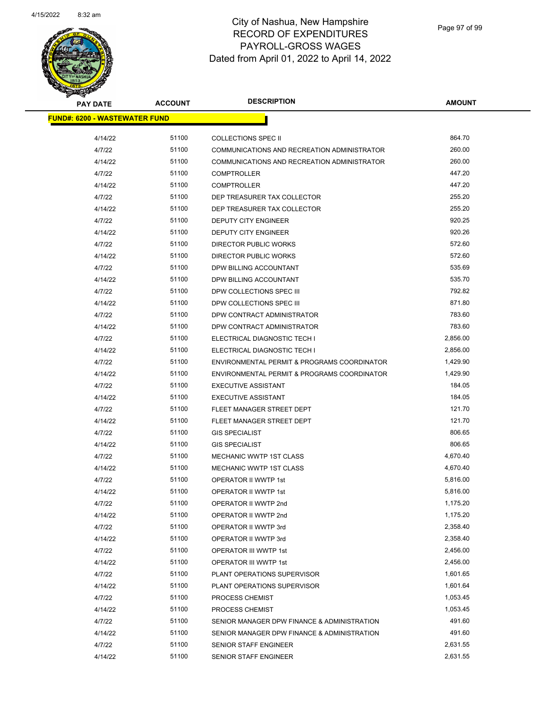

| <b>PAY DATE</b>                      | <b>ACCOUNT</b> | <b>DESCRIPTION</b>                          | <b>AMOUNT</b> |  |
|--------------------------------------|----------------|---------------------------------------------|---------------|--|
| <b>FUND#: 6200 - WASTEWATER FUND</b> |                |                                             |               |  |
| 4/14/22                              | 51100          | <b>COLLECTIONS SPEC II</b>                  | 864.70        |  |
| 4/7/22                               | 51100          | COMMUNICATIONS AND RECREATION ADMINISTRATOR | 260.00        |  |
| 4/14/22                              | 51100          | COMMUNICATIONS AND RECREATION ADMINISTRATOR | 260.00        |  |
| 4/7/22                               | 51100          | <b>COMPTROLLER</b>                          | 447.20        |  |
| 4/14/22                              | 51100          | <b>COMPTROLLER</b>                          | 447.20        |  |
| 4/7/22                               | 51100          | DEP TREASURER TAX COLLECTOR                 | 255.20        |  |
| 4/14/22                              | 51100          | DEP TREASURER TAX COLLECTOR                 | 255.20        |  |
| 4/7/22                               | 51100          | DEPUTY CITY ENGINEER                        | 920.25        |  |
| 4/14/22                              | 51100          | <b>DEPUTY CITY ENGINEER</b>                 | 920.26        |  |
| 4/7/22                               | 51100          | DIRECTOR PUBLIC WORKS                       | 572.60        |  |
| 4/14/22                              | 51100          | DIRECTOR PUBLIC WORKS                       | 572.60        |  |
| 4/7/22                               | 51100          | DPW BILLING ACCOUNTANT                      | 535.69        |  |
| 4/14/22                              | 51100          | DPW BILLING ACCOUNTANT                      | 535.70        |  |
| 4/7/22                               | 51100          | DPW COLLECTIONS SPEC III                    | 792.82        |  |
| 4/14/22                              | 51100          | DPW COLLECTIONS SPEC III                    | 871.80        |  |
| 4/7/22                               | 51100          | DPW CONTRACT ADMINISTRATOR                  | 783.60        |  |
| 4/14/22                              | 51100          | DPW CONTRACT ADMINISTRATOR                  | 783.60        |  |
| 4/7/22                               | 51100          | ELECTRICAL DIAGNOSTIC TECH I                | 2,856.00      |  |
| 4/14/22                              | 51100          | ELECTRICAL DIAGNOSTIC TECH I                | 2,856.00      |  |
| 4/7/22                               | 51100          | ENVIRONMENTAL PERMIT & PROGRAMS COORDINATOR | 1,429.90      |  |
| 4/14/22                              | 51100          | ENVIRONMENTAL PERMIT & PROGRAMS COORDINATOR | 1,429.90      |  |
| 4/7/22                               | 51100          | <b>EXECUTIVE ASSISTANT</b>                  | 184.05        |  |
| 4/14/22                              | 51100          | <b>EXECUTIVE ASSISTANT</b>                  | 184.05        |  |
| 4/7/22                               | 51100          | FLEET MANAGER STREET DEPT                   | 121.70        |  |
| 4/14/22                              | 51100          | FLEET MANAGER STREET DEPT                   | 121.70        |  |
| 4/7/22                               | 51100          | <b>GIS SPECIALIST</b>                       | 806.65        |  |
| 4/14/22                              | 51100          | <b>GIS SPECIALIST</b>                       | 806.65        |  |
| 4/7/22                               | 51100          | MECHANIC WWTP 1ST CLASS                     | 4,670.40      |  |
| 4/14/22                              | 51100          | <b>MECHANIC WWTP 1ST CLASS</b>              | 4,670.40      |  |
| 4/7/22                               | 51100          | OPERATOR II WWTP 1st                        | 5,816.00      |  |
| 4/14/22                              | 51100          | OPERATOR II WWTP 1st                        | 5,816.00      |  |
| 4/7/22                               | 51100          | OPERATOR II WWTP 2nd                        | 1,175.20      |  |
| 4/14/22                              | 51100          | OPERATOR II WWTP 2nd                        | 1,175.20      |  |
| 4/7/22                               | 51100          | OPERATOR II WWTP 3rd                        | 2,358.40      |  |
| 4/14/22                              | 51100          | OPERATOR II WWTP 3rd                        | 2,358.40      |  |
| 4/7/22                               | 51100          | OPERATOR III WWTP 1st                       | 2,456.00      |  |
| 4/14/22                              | 51100          | OPERATOR III WWTP 1st                       | 2,456.00      |  |
| 4/7/22                               | 51100          | PLANT OPERATIONS SUPERVISOR                 | 1,601.65      |  |
| 4/14/22                              | 51100          | PLANT OPERATIONS SUPERVISOR                 | 1,601.64      |  |
| 4/7/22                               | 51100          | PROCESS CHEMIST                             | 1,053.45      |  |
| 4/14/22                              | 51100          | PROCESS CHEMIST                             | 1,053.45      |  |
| 4/7/22                               | 51100          | SENIOR MANAGER DPW FINANCE & ADMINISTRATION | 491.60        |  |
| 4/14/22                              | 51100          | SENIOR MANAGER DPW FINANCE & ADMINISTRATION | 491.60        |  |
| 4/7/22                               | 51100          | SENIOR STAFF ENGINEER                       | 2,631.55      |  |
| 4/14/22                              | 51100          | SENIOR STAFF ENGINEER                       | 2,631.55      |  |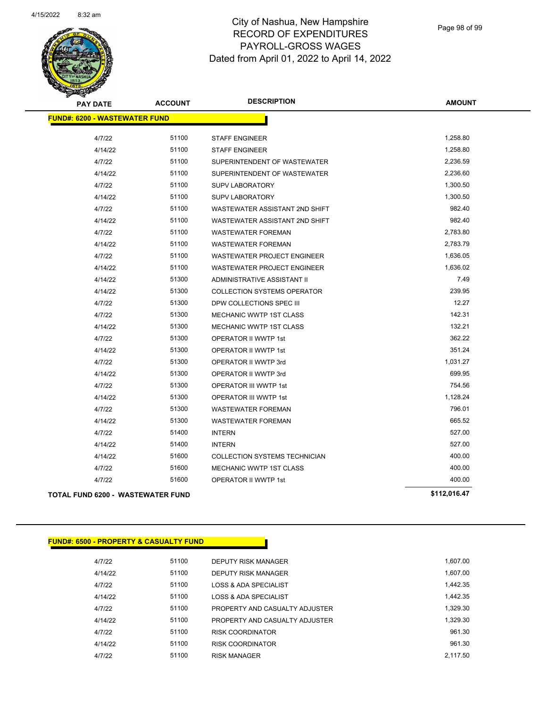

| <b>PAY DATE</b>                          | <b>ACCOUNT</b> | <b>DESCRIPTION</b>                 | <b>AMOUNT</b> |
|------------------------------------------|----------------|------------------------------------|---------------|
| <b>FUND#: 6200 - WASTEWATER FUND</b>     |                |                                    |               |
| 4/7/22                                   | 51100          | <b>STAFF ENGINEER</b>              | 1,258.80      |
| 4/14/22                                  | 51100          | <b>STAFF ENGINEER</b>              | 1,258.80      |
| 4/7/22                                   | 51100          | SUPERINTENDENT OF WASTEWATER       | 2,236.59      |
| 4/14/22                                  | 51100          | SUPERINTENDENT OF WASTEWATER       | 2,236.60      |
| 4/7/22                                   | 51100          | <b>SUPV LABORATORY</b>             | 1,300.50      |
| 4/14/22                                  | 51100          | SUPV LABORATORY                    | 1,300.50      |
| 4/7/22                                   | 51100          | WASTEWATER ASSISTANT 2ND SHIFT     | 982.40        |
| 4/14/22                                  | 51100          | WASTEWATER ASSISTANT 2ND SHIFT     | 982.40        |
| 4/7/22                                   | 51100          | <b>WASTEWATER FOREMAN</b>          | 2,783.80      |
| 4/14/22                                  | 51100          | <b>WASTEWATER FOREMAN</b>          | 2,783.79      |
| 4/7/22                                   | 51100          | <b>WASTEWATER PROJECT ENGINEER</b> | 1,636.05      |
| 4/14/22                                  | 51100          | <b>WASTEWATER PROJECT ENGINEER</b> | 1,636.02      |
| 4/14/22                                  | 51300          | ADMINISTRATIVE ASSISTANT II        | 7.49          |
| 4/14/22                                  | 51300          | <b>COLLECTION SYSTEMS OPERATOR</b> | 239.95        |
| 4/7/22                                   | 51300          | DPW COLLECTIONS SPEC III           | 12.27         |
| 4/7/22                                   | 51300          | MECHANIC WWTP 1ST CLASS            | 142.31        |
| 4/14/22                                  | 51300          | MECHANIC WWTP 1ST CLASS            | 132.21        |
| 4/7/22                                   | 51300          | OPERATOR II WWTP 1st               | 362.22        |
| 4/14/22                                  | 51300          | OPERATOR II WWTP 1st               | 351.24        |
| 4/7/22                                   | 51300          | OPERATOR II WWTP 3rd               | 1,031.27      |
| 4/14/22                                  | 51300          | OPERATOR II WWTP 3rd               | 699.95        |
| 4/7/22                                   | 51300          | OPERATOR III WWTP 1st              | 754.56        |
| 4/14/22                                  | 51300          | <b>OPERATOR III WWTP 1st</b>       | 1,128.24      |
| 4/7/22                                   | 51300          | <b>WASTEWATER FOREMAN</b>          | 796.01        |
| 4/14/22                                  | 51300          | <b>WASTEWATER FOREMAN</b>          | 665.52        |
| 4/7/22                                   | 51400          | <b>INTERN</b>                      | 527.00        |
| 4/14/22                                  | 51400          | <b>INTERN</b>                      | 527.00        |
| 4/14/22                                  | 51600          | COLLECTION SYSTEMS TECHNICIAN      | 400.00        |
| 4/7/22                                   | 51600          | <b>MECHANIC WWTP 1ST CLASS</b>     | 400.00        |
| 4/7/22                                   | 51600          | <b>OPERATOR II WWTP 1st</b>        | 400.00        |
| <b>TOTAL FUND 6200 - WASTEWATER FUND</b> |                |                                    | \$112,016.47  |

| <b>FUND#: 6500 - PROPERTY &amp; CASUALTY FUND</b> |  |
|---------------------------------------------------|--|
|---------------------------------------------------|--|

4/7/22 51100 DEPUTY RISK MANAGER 1,607.00 4/14/22 51100 DEPUTY RISK MANAGER 1,607.00 4/7/22 51100 LOSS & ADA SPECIALIST 1,442.35 4/14/22 51100 LOSS & ADA SPECIALIST 1,442.35 4/7/22 51100 PROPERTY AND CASUALTY ADJUSTER 1,329.30 4/14/22 51100 PROPERTY AND CASUALTY ADJUSTER 1,329.30 4/7/22 51100 RISK COORDINATOR 961.30 4/14/22 51100 RISK COORDINATOR 961.30 4/7/22 51100 RISK MANAGER 2,117.50